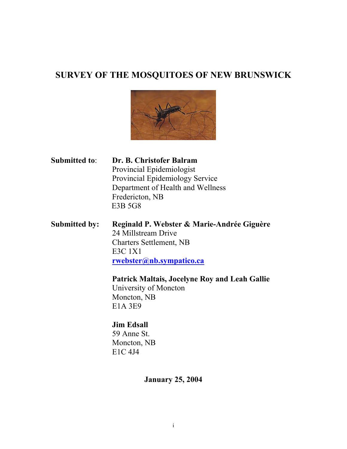# **SURVEY OF THE MOSQUITOES OF NEW BRUNSWICK**



**Submitted to**: **Dr. B. Christofer Balram** Provincial Epidemiologist Provincial Epidemiology Service Department of Health and Wellness Fredericton, NB E3B 5G8

# **Submitted by: Reginald P. Webster & Marie-Andrée Giguère** 24 Millstream Drive Charters Settlement, NB E3C 1X1  **rwebster@nb.sympatico.ca**

 **Patrick Maltais, Jocelyne Roy and Leah Gallie** University of Moncton Moncton, NB E1A 3E9

# **Jim Edsall** 59 Anne St. Moncton, NB E1C 4J4

# **January 25, 2004**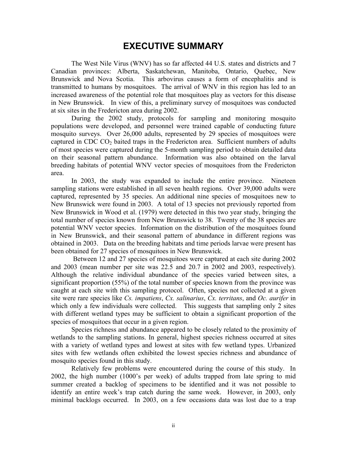# **EXECUTIVE SUMMARY**

The West Nile Virus (WNV) has so far affected 44 U.S. states and districts and 7 Canadian provinces: Alberta, Saskatchewan, Manitoba, Ontario, Quebec, New Brunswick and Nova Scotia. This arbovirus causes a form of encephalitis and is transmitted to humans by mosquitoes. The arrival of WNV in this region has led to an increased awareness of the potential role that mosquitoes play as vectors for this disease in New Brunswick. In view of this, a preliminary survey of mosquitoes was conducted at six sites in the Fredericton area during 2002.

During the 2002 study, protocols for sampling and monitoring mosquito populations were developed, and personnel were trained capable of conducting future mosquito surveys. Over 26,000 adults, represented by 29 species of mosquitoes were captured in CDC  $CO<sub>2</sub>$  baited traps in the Fredericton area. Sufficient numbers of adults of most species were captured during the 5-month sampling period to obtain detailed data on their seasonal pattern abundance. Information was also obtained on the larval breeding habitats of potential WNV vector species of mosquitoes from the Fredericton area.

In 2003, the study was expanded to include the entire province. Nineteen sampling stations were established in all seven health regions. Over 39,000 adults were captured, represented by 35 species. An additional nine species of mosquitoes new to New Brunswick were found in 2003. A total of 13 species not previously reported from New Brunswick in Wood et al. (1979) were detected in this two year study, bringing the total number of species known from New Brunswick to 38. Twenty of the 38 species are potential WNV vector species. Information on the distribution of the mosquitoes found in New Brunswick, and their seasonal pattern of abundance in different regions was obtained in 2003. Data on the breeding habitats and time periods larvae were present has been obtained for 27 species of mosquitoes in New Brunswick.

 Between 12 and 27 species of mosquitoes were captured at each site during 2002 and 2003 (mean number per site was 22.5 and 20.7 in 2002 and 2003, respectively). Although the relative individual abundance of the species varied between sites, a significant proportion (55%) of the total number of species known from the province was caught at each site with this sampling protocol. Often, species not collected at a given site were rare species like *Cs. impatiens*, *Cx. salinarius*, *Cx. territans*, and *Oc. aurifer* in which only a few individuals were collected. This suggests that sampling only 2 sites with different wetland types may be sufficient to obtain a significant proportion of the species of mosquitoes that occur in a given region.

Species richness and abundance appeared to be closely related to the proximity of wetlands to the sampling stations. In general, highest species richness occurred at sites with a variety of wetland types and lowest at sites with few wetland types. Urbanized sites with few wetlands often exhibited the lowest species richness and abundance of mosquito species found in this study.

Relatively few problems were encountered during the course of this study. In 2002, the high number (1000's per week) of adults trapped from late spring to mid summer created a backlog of specimens to be identified and it was not possible to identify an entire week's trap catch during the same week. However, in 2003, only minimal backlogs occurred. In 2003, on a few occasions data was lost due to a trap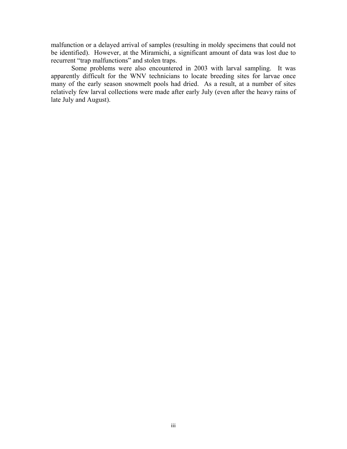malfunction or a delayed arrival of samples (resulting in moldy specimens that could not be identified). However, at the Miramichi, a significant amount of data was lost due to recurrent "trap malfunctions" and stolen traps.

Some problems were also encountered in 2003 with larval sampling. It was apparently difficult for the WNV technicians to locate breeding sites for larvae once many of the early season snowmelt pools had dried. As a result, at a number of sites relatively few larval collections were made after early July (even after the heavy rains of late July and August).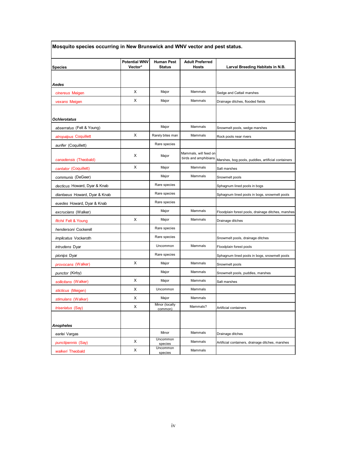| Mosquito species occurring in New Brunswick and WNV vector and pest status. |                                 |                                    |                                        |                                                    |  |  |
|-----------------------------------------------------------------------------|---------------------------------|------------------------------------|----------------------------------------|----------------------------------------------------|--|--|
| <b>Species</b>                                                              | <b>Potential WNV</b><br>Vector* | <b>Human Pest</b><br><b>Status</b> | <b>Adult Preferred</b><br><b>Hosts</b> | Larval Breeding Habitats in N.B.                   |  |  |
|                                                                             |                                 |                                    |                                        |                                                    |  |  |
| Aedes                                                                       |                                 |                                    |                                        |                                                    |  |  |
| cinereus Meigen                                                             | X                               | Major                              | Mammals                                | Sedge and Cattail marshes                          |  |  |
| vexans Meigen                                                               | X                               | Major                              | Mammals                                | Drainage ditches, flooded fields                   |  |  |
|                                                                             |                                 |                                    |                                        |                                                    |  |  |
| <b>Ochlerotatus</b>                                                         |                                 |                                    |                                        |                                                    |  |  |
| abserratus (Felt & Young)                                                   |                                 | Major                              | Mammals                                | Snowmelt pools, sedge marshes                      |  |  |
| atropalpus Coquillett                                                       | X                               | Rarely bites man                   | Mammals                                | Rock pools near rivers                             |  |  |
| aurifer (Coquillett)                                                        |                                 | Rare species                       |                                        |                                                    |  |  |
|                                                                             | X                               | Major                              | Mammals, will feed on                  |                                                    |  |  |
| canadensis (Theobald)                                                       |                                 |                                    | birds and amphibians                   | Marshes, bog pools, puddles, artificial containers |  |  |
| cantator (Coquillett)                                                       | X                               | Major                              | Mammals                                | Salt marshes                                       |  |  |
| communis (DeGeer)                                                           |                                 | Major                              | Mammals                                | Snowmelt pools                                     |  |  |
| decticus Howard, Dyar & Knab                                                |                                 | Rare species                       |                                        | Sphagnum lined pools in bogs                       |  |  |
| diantaeus Howard, Dyar & Knab                                               |                                 | Rare species                       |                                        | Sphagnum lined pools in bogs, snowmelt pools       |  |  |
| euedes Howard, Dyar & Knab                                                  |                                 | Rare species                       |                                        |                                                    |  |  |
| excrucians (Walker)                                                         |                                 | Major                              | Mammals                                | Floodplain forest pools, drainage ditches, marshes |  |  |
| fitchii Felt & Young                                                        | X                               | Major                              | Mammals                                | Drainage ditches                                   |  |  |
| hendersoni Cockerell                                                        |                                 | Rare species                       |                                        |                                                    |  |  |
| <i>implicatus</i> Vockeroth                                                 |                                 | Rare species                       |                                        | Snowmelt pools, drainage ditches                   |  |  |
| <i>intrudens</i> Dyar                                                       |                                 | Uncommon                           | Mammals                                | Floodplain forest pools                            |  |  |
| <i>pionips</i> Dyar                                                         |                                 | Rare species                       |                                        | Sphagnum lined pools in bogs, snowmelt pools       |  |  |
| <i>provocans</i> (Walker)                                                   | X                               | Major                              | Mammals                                | Snowmelt pools                                     |  |  |
| punctor (Kirby)                                                             |                                 | Major                              | Mammals                                | Snowmelt pools, puddles, marshes                   |  |  |
| sollicitans (Walker)                                                        | X                               | Major                              | Mammals                                | Salt marshes                                       |  |  |
| sticticus (Meigen)                                                          | X                               | Uncommon                           | Mammals                                |                                                    |  |  |
| stimulans (Walker)                                                          | X                               | Major                              | Mammals                                |                                                    |  |  |
| triseriatus (Say)                                                           | X                               | Minor (locally<br>common)          | Mammals?                               | Artificial containers                              |  |  |
|                                                                             |                                 |                                    |                                        |                                                    |  |  |
| <b>Anopheles</b>                                                            |                                 |                                    |                                        |                                                    |  |  |
| earlei Vargas                                                               |                                 | Minor                              | Mammals                                | Drainage ditches                                   |  |  |
| <i>punctipennis</i> (Say)                                                   | X                               | Uncommon<br>species                | Mammals                                | Artificial containers, drainage ditches, marshes   |  |  |
| walkeri Theobald                                                            | X                               | Uncommon<br>species                | Mammals                                |                                                    |  |  |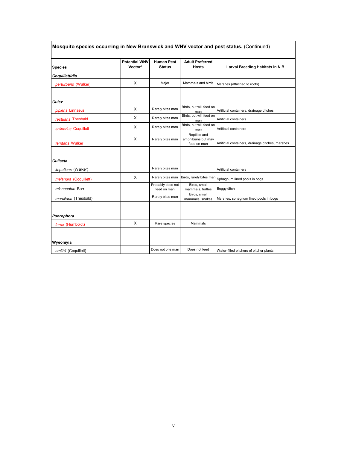|                       | <b>Potential WNV</b> | <b>Human Pest</b>                | <b>Adult Preferred</b>                            |                                                  |
|-----------------------|----------------------|----------------------------------|---------------------------------------------------|--------------------------------------------------|
| <b>Species</b>        | Vector*              | <b>Status</b>                    | <b>Hosts</b>                                      | Larval Breeding Habitats in N.B.                 |
| Coquillettidia        |                      |                                  |                                                   |                                                  |
| perturbans (Walker)   | X                    | Major                            | Mammals and birds                                 | Marshes (attached to roots)                      |
|                       |                      |                                  |                                                   |                                                  |
| Culex                 |                      |                                  | Birds, but will feed on                           |                                                  |
| pipiens Linnaeus      | X                    | Rarely bites man                 | man                                               | Artificial containers, drainage ditches          |
| restuans Theobald     | X                    | Rarely bites man                 | Birds, but will feed on<br>man                    | Artificial containers                            |
| salinarius Coquillett | X                    | Rarely bites man                 | Birds, but will feed on<br>man                    | Artificial containers                            |
| territans Walker      | X                    | Rarely bites man                 | Reptiles and<br>amphibians but may<br>feed on man | Artificial containers, drainage ditches, marshes |
| Culiseta              |                      |                                  |                                                   |                                                  |
| impatiens (Walker)    |                      | Rarely bites man                 |                                                   | Artificial containers                            |
| melanura (Coquillett) | $\times$             | Rarely bites man                 | Birds, rarely bites man                           | Sphagnum lined pools in bogs                     |
| minnesotae Barr       |                      | Probably does not<br>feed on man | Birds, small<br>mammals, turtles                  | Boggy ditch                                      |
| morsitans (Theobald)  |                      | Rarely bites man                 | Birds, small<br>mammals, snakes                   | Marshes, sphagnum lined pools in bogs            |
|                       |                      |                                  |                                                   |                                                  |
| Psorophora            |                      |                                  |                                                   |                                                  |
| ferox (Humboldt)      | X                    | Rare species                     | Mammals                                           |                                                  |
|                       |                      |                                  |                                                   |                                                  |
| Wyeomyia              |                      |                                  |                                                   |                                                  |
| smithii (Coquillett)  |                      | Does not bite man                | Does not feed                                     | Water-filled pitchers of pitcher plants          |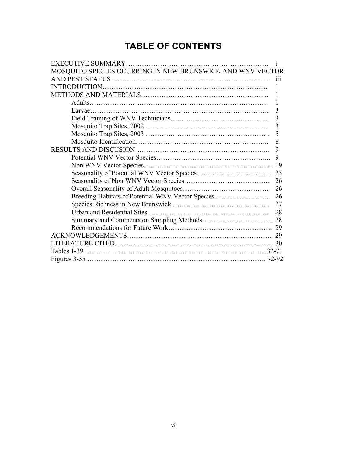# **TABLE OF CONTENTS**

| MOSQUITO SPECIES OCURRING IN NEW BRUNSWICK AND WNV VECTOR |  |  |  |
|-----------------------------------------------------------|--|--|--|
|                                                           |  |  |  |
| <b>INTRODUCTION.</b>                                      |  |  |  |
|                                                           |  |  |  |
| 1                                                         |  |  |  |
| 3                                                         |  |  |  |
| 3                                                         |  |  |  |
|                                                           |  |  |  |
| 5                                                         |  |  |  |
| 8                                                         |  |  |  |
| 9                                                         |  |  |  |
| 9                                                         |  |  |  |
|                                                           |  |  |  |
|                                                           |  |  |  |
|                                                           |  |  |  |
|                                                           |  |  |  |
| Breeding Habitats of Potential WNV Vector Species<br>26   |  |  |  |
| 27                                                        |  |  |  |
| 28                                                        |  |  |  |
|                                                           |  |  |  |
| 29                                                        |  |  |  |
|                                                           |  |  |  |
| 30                                                        |  |  |  |
|                                                           |  |  |  |
| 72-92                                                     |  |  |  |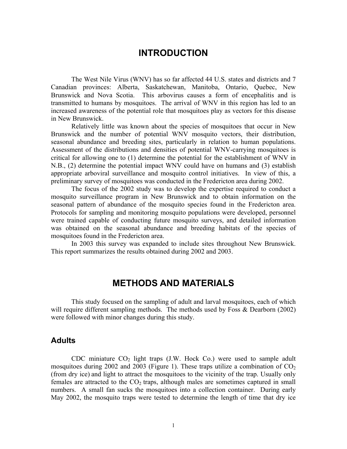# **INTRODUCTION**

The West Nile Virus (WNV) has so far affected 44 U.S. states and districts and 7 Canadian provinces: Alberta, Saskatchewan, Manitoba, Ontario, Quebec, New Brunswick and Nova Scotia. This arbovirus causes a form of encephalitis and is transmitted to humans by mosquitoes. The arrival of WNV in this region has led to an increased awareness of the potential role that mosquitoes play as vectors for this disease in New Brunswick.

Relatively little was known about the species of mosquitoes that occur in New Brunswick and the number of potential WNV mosquito vectors, their distribution, seasonal abundance and breeding sites, particularly in relation to human populations. Assessment of the distributions and densities of potential WNV-carrying mosquitoes is critical for allowing one to (1) determine the potential for the establishment of WNV in N.B., (2) determine the potential impact WNV could have on humans and (3) establish appropriate arboviral surveillance and mosquito control initiatives. In view of this, a preliminary survey of mosquitoes was conducted in the Fredericton area during 2002.

The focus of the 2002 study was to develop the expertise required to conduct a mosquito surveillance program in New Brunswick and to obtain information on the seasonal pattern of abundance of the mosquito species found in the Fredericton area. Protocols for sampling and monitoring mosquito populations were developed, personnel were trained capable of conducting future mosquito surveys, and detailed information was obtained on the seasonal abundance and breeding habitats of the species of mosquitoes found in the Fredericton area.

In 2003 this survey was expanded to include sites throughout New Brunswick. This report summarizes the results obtained during 2002 and 2003.

# **METHODS AND MATERIALS**

This study focused on the sampling of adult and larval mosquitoes, each of which will require different sampling methods. The methods used by Foss & Dearborn (2002) were followed with minor changes during this study.

### **Adults**

CDC miniature  $CO<sub>2</sub>$  light traps (J.W. Hock Co.) were used to sample adult mosquitoes during 2002 and 2003 (Figure 1). These traps utilize a combination of  $CO<sub>2</sub>$ (from dry ice) and light to attract the mosquitoes to the vicinity of the trap. Usually only females are attracted to the  $CO<sub>2</sub>$  traps, although males are sometimes captured in small numbers. A small fan sucks the mosquitoes into a collection container. During early May 2002, the mosquito traps were tested to determine the length of time that dry ice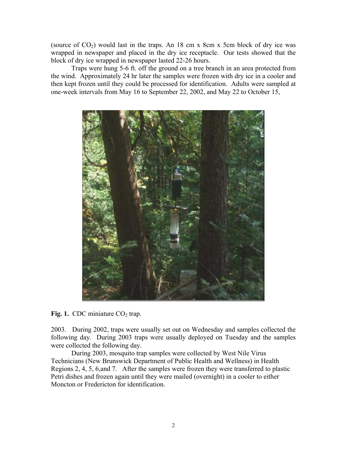(source of  $CO<sub>2</sub>$ ) would last in the traps. An 18 cm x 8cm x 5cm block of dry ice was wrapped in newspaper and placed in the dry ice receptacle. Our tests showed that the block of dry ice wrapped in newspaper lasted 22-26 hours.

Traps were hung 5-6 ft. off the ground on a tree branch in an area protected from the wind. Approximately 24 hr later the samples were frozen with dry ice in a cooler and then kept frozen until they could be processed for identification. Adults were sampled at one-week intervals from May 16 to September 22, 2002, and May 22 to October 15,



**Fig. 1.** CDC miniature  $CO<sub>2</sub>$  trap.

2003. During 2002, traps were usually set out on Wednesday and samples collected the following day. During 2003 traps were usually deployed on Tuesday and the samples were collected the following day.

During 2003, mosquito trap samples were collected by West Nile Virus Technicians (New Brunswick Department of Public Health and Wellness) in Health Regions 2, 4, 5, 6,and 7. After the samples were frozen they were transferred to plastic Petri dishes and frozen again until they were mailed (overnight) in a cooler to either Moncton or Fredericton for identification.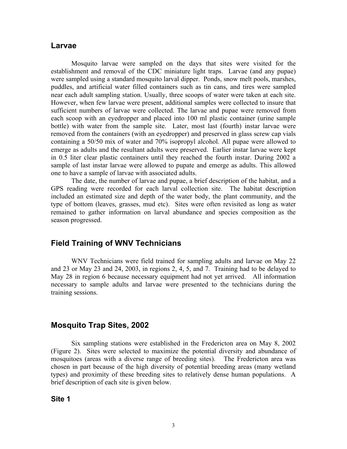### **Larvae**

Mosquito larvae were sampled on the days that sites were visited for the establishment and removal of the CDC miniature light traps. Larvae (and any pupae) were sampled using a standard mosquito larval dipper. Ponds, snow melt pools, marshes, puddles, and artificial water filled containers such as tin cans, and tires were sampled near each adult sampling station. Usually, three scoops of water were taken at each site. However, when few larvae were present, additional samples were collected to insure that sufficient numbers of larvae were collected. The larvae and pupae were removed from each scoop with an eyedropper and placed into 100 ml plastic container (urine sample bottle) with water from the sample site. Later, most last (fourth) instar larvae were removed from the containers (with an eyedropper) and preserved in glass screw cap vials containing a 50/50 mix of water and 70% isopropyl alcohol. All pupae were allowed to emerge as adults and the resultant adults were preserved. Earlier instar larvae were kept in 0.5 liter clear plastic containers until they reached the fourth instar. During 2002 a sample of last instar larvae were allowed to pupate and emerge as adults. This allowed one to have a sample of larvae with associated adults.

The date, the number of larvae and pupae, a brief description of the habitat, and a GPS reading were recorded for each larval collection site. The habitat description included an estimated size and depth of the water body, the plant community, and the type of bottom (leaves, grasses, mud etc). Sites were often revisited as long as water remained to gather information on larval abundance and species composition as the season progressed.

# **Field Training of WNV Technicians**

WNV Technicians were field trained for sampling adults and larvae on May 22 and 23 or May 23 and 24, 2003, in regions 2, 4, 5, and 7. Training had to be delayed to May 28 in region 6 because necessary equipment had not yet arrived. All information necessary to sample adults and larvae were presented to the technicians during the training sessions.

### **Mosquito Trap Sites, 2002**

Six sampling stations were established in the Fredericton area on May 8, 2002 (Figure 2). Sites were selected to maximize the potential diversity and abundance of mosquitoes (areas with a diverse range of breeding sites). The Fredericton area was chosen in part because of the high diversity of potential breeding areas (many wetland types) and proximity of these breeding sites to relatively dense human populations. A brief description of each site is given below.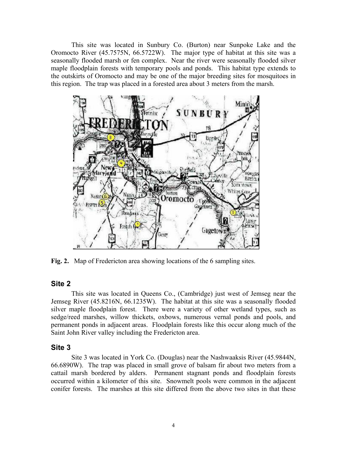This site was located in Sunbury Co. (Burton) near Sunpoke Lake and the Oromocto River (45.7575N, 66.5722W). The major type of habitat at this site was a seasonally flooded marsh or fen complex. Near the river were seasonally flooded silver maple floodplain forests with temporary pools and ponds. This habitat type extends to the outskirts of Oromocto and may be one of the major breeding sites for mosquitoes in this region. The trap was placed in a forested area about 3 meters from the marsh.



**Fig. 2.** Map of Fredericton area showing locations of the 6 sampling sites.

#### **Site 2**

This site was located in Queens Co., (Cambridge) just west of Jemseg near the Jemseg River (45.8216N, 66.1235W). The habitat at this site was a seasonally flooded silver maple floodplain forest. There were a variety of other wetland types, such as sedge/reed marshes, willow thickets, oxbows, numerous vernal ponds and pools, and permanent ponds in adjacent areas. Floodplain forests like this occur along much of the Saint John River valley including the Fredericton area.

### **Site 3**

Site 3 was located in York Co. (Douglas) near the Nashwaaksis River (45.9844N, 66.6890W). The trap was placed in small grove of balsam fir about two meters from a cattail marsh bordered by alders. Permanent stagnant ponds and floodplain forests occurred within a kilometer of this site. Snowmelt pools were common in the adjacent conifer forests. The marshes at this site differed from the above two sites in that these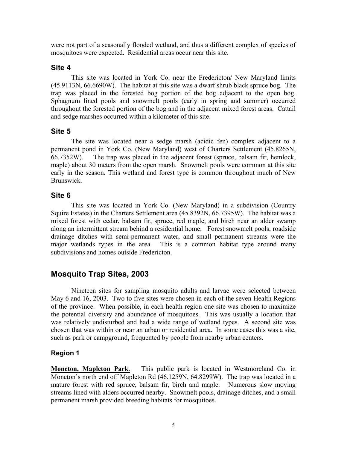were not part of a seasonally flooded wetland, and thus a different complex of species of mosquitoes were expected. Residential areas occur near this site.

### **Site 4**

This site was located in York Co. near the Fredericton/ New Maryland limits (45.9113N, 66.6690W). The habitat at this site was a dwarf shrub black spruce bog. The trap was placed in the forested bog portion of the bog adjacent to the open bog. Sphagnum lined pools and snowmelt pools (early in spring and summer) occurred throughout the forested portion of the bog and in the adjacent mixed forest areas. Cattail and sedge marshes occurred within a kilometer of this site.

# **Site 5**

The site was located near a sedge marsh (acidic fen) complex adjacent to a permanent pond in York Co. (New Maryland) west of Charters Settlement (45.8265N, 66.7352W). The trap was placed in the adjacent forest (spruce, balsam fir, hemlock, maple) about 30 meters from the open marsh. Snowmelt pools were common at this site early in the season. This wetland and forest type is common throughout much of New Brunswick.

# **Site 6**

This site was located in York Co. (New Maryland) in a subdivision (Country Squire Estates) in the Charters Settlement area (45.8392N, 66.7395W). The habitat was a mixed forest with cedar, balsam fir, spruce, red maple, and birch near an alder swamp along an intermittent stream behind a residential home. Forest snowmelt pools, roadside drainage ditches with semi-permanent water, and small permanent streams were the major wetlands types in the area. This is a common habitat type around many subdivisions and homes outside Fredericton.

# **Mosquito Trap Sites, 2003**

Nineteen sites for sampling mosquito adults and larvae were selected between May 6 and 16, 2003. Two to five sites were chosen in each of the seven Health Regions of the province. When possible, in each health region one site was chosen to maximize the potential diversity and abundance of mosquitoes. This was usually a location that was relatively undisturbed and had a wide range of wetland types. A second site was chosen that was within or near an urban or residential area. In some cases this was a site, such as park or campground, frequented by people from nearby urban centers.

# **Region 1**

**Moncton, Mapleton Park**. This public park is located in Westmoreland Co. in Moncton's north end off Mapleton Rd (46.1259N, 64.8299W). The trap was located in a mature forest with red spruce, balsam fir, birch and maple. Numerous slow moving streams lined with alders occurred nearby. Snowmelt pools, drainage ditches, and a small permanent marsh provided breeding habitats for mosquitoes.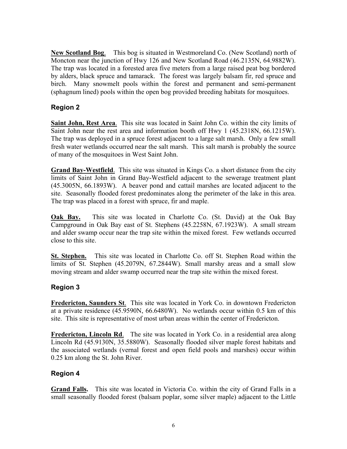**New Scotland Bog**. This bog is situated in Westmoreland Co. (New Scotland) north of Moncton near the junction of Hwy 126 and New Scotland Road (46.2135N, 64.9882W). The trap was located in a forested area five meters from a large raised peat bog bordered by alders, black spruce and tamarack. The forest was largely balsam fir, red spruce and birch. Many snowmelt pools within the forest and permanent and semi-permanent (sphagnum lined) pools within the open bog provided breeding habitats for mosquitoes.

# **Region 2**

**Saint John, Rest Area**. This site was located in Saint John Co. within the city limits of Saint John near the rest area and information booth off Hwy 1 (45.2318N, 66.1215W). The trap was deployed in a spruce forest adjacent to a large salt marsh. Only a few small fresh water wetlands occurred near the salt marsh. This salt marsh is probably the source of many of the mosquitoes in West Saint John.

**Grand Bay-Westfield**. This site was situated in Kings Co. a short distance from the city limits of Saint John in Grand Bay-Westfield adjacent to the sewerage treatment plant (45.3005N, 66.1893W). A beaver pond and cattail marshes are located adjacent to the site. Seasonally flooded forest predominates along the perimeter of the lake in this area. The trap was placed in a forest with spruce, fir and maple.

**Oak Bay.** This site was located in Charlotte Co. (St. David) at the Oak Bay Campground in Oak Bay east of St. Stephens (45.2258N, 67.1923W). A small stream and alder swamp occur near the trap site within the mixed forest. Few wetlands occurred close to this site.

**St. Stephen.** This site was located in Charlotte Co. off St. Stephen Road within the limits of St. Stephen (45.2079N, 67.2844W). Small marshy areas and a small slow moving stream and alder swamp occurred near the trap site within the mixed forest.

# **Region 3**

**Fredericton, Saunders St**. This site was located in York Co. in downtown Fredericton at a private residence (45.9590N, 66.6480W). No wetlands occur within 0.5 km of this site. This site is representative of most urban areas within the center of Fredericton.

**Fredericton, Lincoln Rd.** The site was located in York Co. in a residential area along Lincoln Rd (45.9130N, 35.5880W). Seasonally flooded silver maple forest habitats and the associated wetlands (vernal forest and open field pools and marshes) occur within 0.25 km along the St. John River.

# **Region 4**

**Grand Falls.** This site was located in Victoria Co. within the city of Grand Falls in a small seasonally flooded forest (balsam poplar, some silver maple) adjacent to the Little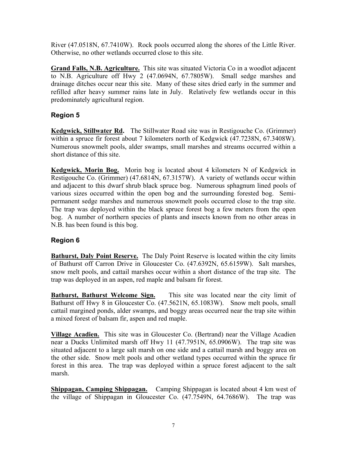River (47.0518N, 67.7410W). Rock pools occurred along the shores of the Little River. Otherwise, no other wetlands occurred close to this site.

**Grand Falls, N.B. Agriculture.** This site was situated Victoria Co in a woodlot adjacent to N.B. Agriculture off Hwy 2 (47.0694N, 67.7805W). Small sedge marshes and drainage ditches occur near this site. Many of these sites dried early in the summer and refilled after heavy summer rains late in July. Relatively few wetlands occur in this predominately agricultural region.

# **Region 5**

**Kedgwick, Stillwater Rd.** The Stillwater Road site was in Restigouche Co. (Grimmer) within a spruce fir forest about 7 kilometers north of Kedgwick (47.7238N, 67.3408W). Numerous snowmelt pools, alder swamps, small marshes and streams occurred within a short distance of this site.

**Kedgwick, Morin Bog.** Morin bog is located about 4 kilometers N of Kedgwick in Restigouche Co. (Grimmer) (47.6814N, 67.3157W). A variety of wetlands occur within and adjacent to this dwarf shrub black spruce bog. Numerous sphagnum lined pools of various sizes occurred within the open bog and the surrounding forested bog. Semipermanent sedge marshes and numerous snowmelt pools occurred close to the trap site. The trap was deployed within the black spruce forest bog a few meters from the open bog. A number of northern species of plants and insects known from no other areas in N.B. has been found is this bog.

# **Region 6**

**Bathurst, Daly Point Reserve.** The Daly Point Reserve is located within the city limits of Bathurst off Carron Drive in Gloucester Co. (47.6392N, 65.6159W). Salt marshes, snow melt pools, and cattail marshes occur within a short distance of the trap site. The trap was deployed in an aspen, red maple and balsam fir forest.

**Bathurst, Bathurst Welcome Sign.** This site was located near the city limit of Bathurst off Hwy 8 in Gloucester Co. (47.5621N, 65.1083W). Snow melt pools, small cattail margined ponds, alder swamps, and boggy areas occurred near the trap site within a mixed forest of balsam fir, aspen and red maple.

**Village Acadien.** This site was in Gloucester Co. (Bertrand) near the Village Acadien near a Ducks Unlimited marsh off Hwy 11 (47.7951N, 65.0906W). The trap site was situated adjacent to a large salt marsh on one side and a cattail marsh and boggy area on the other side. Snow melt pools and other wetland types occurred within the spruce fir forest in this area. The trap was deployed within a spruce forest adjacent to the salt marsh.

**Shippagan, Camping Shippagan.** Camping Shippagan is located about 4 km west of the village of Shippagan in Gloucester Co. (47.7549N, 64.7686W). The trap was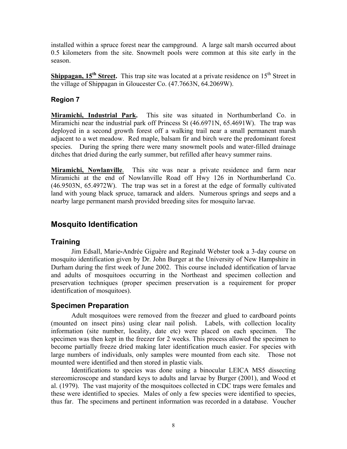installed within a spruce forest near the campground. A large salt marsh occurred about 0.5 kilometers from the site. Snowmelt pools were common at this site early in the season.

**Shippagan, 15<sup>th</sup> Street.** This trap site was located at a private residence on 15<sup>th</sup> Street in the village of Shippagan in Gloucester Co. (47.7663N, 64.2069W).

# **Region 7**

**Miramichi, Industrial Park.** This site was situated in Northumberland Co. in Miramichi near the industrial park off Princess St (46.6971N, 65.4691W). The trap was deployed in a second growth forest off a walking trail near a small permanent marsh adjacent to a wet meadow. Red maple, balsam fir and birch were the predominant forest species. During the spring there were many snowmelt pools and water-filled drainage ditches that dried during the early summer, but refilled after heavy summer rains.

**Miramichi, Nowlanville**. This site was near a private residence and farm near Miramichi at the end of Nowlanville Road off Hwy 126 in Northumberland Co. (46.9503N, 65.4972W). The trap was set in a forest at the edge of formally cultivated land with young black spruce, tamarack and alders. Numerous springs and seeps and a nearby large permanent marsh provided breeding sites for mosquito larvae.

# **Mosquito Identification**

# **Training**

Jim Edsall, Marie**-**Andrée Giguère and Reginald Webster took a 3-day course on mosquito identification given by Dr. John Burger at the University of New Hampshire in Durham during the first week of June 2002. This course included identification of larvae and adults of mosquitoes occurring in the Northeast and specimen collection and preservation techniques (proper specimen preservation is a requirement for proper identification of mosquitoes).

# **Specimen Preparation**

Adult mosquitoes were removed from the freezer and glued to cardboard points (mounted on insect pins) using clear nail polish. Labels, with collection locality information (site number, locality, date etc) were placed on each specimen. The specimen was then kept in the freezer for 2 weeks. This process allowed the specimen to become partially freeze dried making later identification much easier. For species with large numbers of individuals, only samples were mounted from each site. Those not mounted were identified and then stored in plastic vials.

Identifications to species was done using a binocular LEICA MS5 dissecting stereomicroscope and standard keys to adults and larvae by Burger (2001), and Wood et al. (1979). The vast majority of the mosquitoes collected in CDC traps were females and these were identified to species. Males of only a few species were identified to species, thus far. The specimens and pertinent information was recorded in a database. Voucher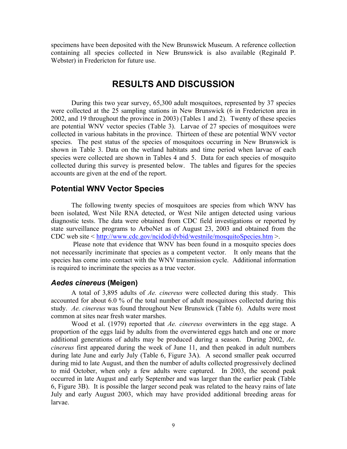specimens have been deposited with the New Brunswick Museum. A reference collection containing all species collected in New Brunswick is also available (Reginald P. Webster) in Fredericton for future use.

# **RESULTS AND DISCUSSION**

During this two year survey, 65,300 adult mosquitoes, represented by 37 species were collected at the 25 sampling stations in New Brunswick (6 in Fredericton area in 2002, and 19 throughout the province in 2003) (Tables 1 and 2). Twenty of these species are potential WNV vector species (Table 3). Larvae of 27 species of mosquitoes were collected in various habitats in the province. Thirteen of these are potential WNV vector species. The pest status of the species of mosquitoes occurring in New Brunswick is shown in Table 3. Data on the wetland habitats and time period when larvae of each species were collected are shown in Tables 4 and 5. Data for each species of mosquito collected during this survey is presented below. The tables and figures for the species accounts are given at the end of the report.

# **Potential WNV Vector Species**

The following twenty species of mosquitoes are species from which WNV has been isolated, West Nile RNA detected, or West Nile antigen detected using various diagnostic tests. The data were obtained from CDC field investigations or reported by state surveillance programs to ArboNet as of August 23, 2003 and obtained from the CDC web site < http://www.cdc.gov/ncidod/dvbid/westnile/mosquitoSpecies.htm >.

 Please note that evidence that WNV has been found in a mosquito species does not necessarily incriminate that species as a competent vector. It only means that the species has come into contact with the WNV transmission cycle. Additional information is required to incriminate the species as a true vector.

### *Aedes cinereus* **(Meigen)**

 A total of 3,895 adults of *Ae. cinereus* were collected during this study. This accounted for about 6.0 % of the total number of adult mosquitoes collected during this study. *Ae. cinereus* was found throughout New Brunswick (Table 6). Adults were most common at sites near fresh water marshes.

Wood et al. (1979) reported that *Ae. cinereus* overwinters in the egg stage. A proportion of the eggs laid by adults from the overwintered eggs hatch and one or more additional generations of adults may be produced during a season. During 2002, *Ae. cinereus* first appeared during the week of June 11, and then peaked in adult numbers during late June and early July (Table 6, Figure 3A). A second smaller peak occurred during mid to late August, and then the number of adults collected progressively declined to mid October, when only a few adults were captured. In 2003, the second peak occurred in late August and early September and was larger than the earlier peak (Table 6, Figure 3B). It is possible the larger second peak was related to the heavy rains of late July and early August 2003, which may have provided additional breeding areas for larvae.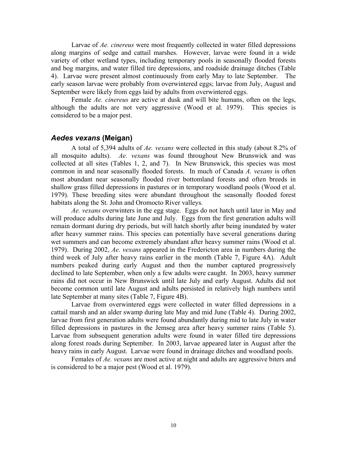Larvae of *Ae. cinereus* were most frequently collected in water filled depressions along margins of sedge and cattail marshes. However, larvae were found in a wide variety of other wetland types, including temporary pools in seasonally flooded forests and bog margins, and water filled tire depressions, and roadside drainage ditches (Table 4). Larvae were present almost continuously from early May to late September. The early season larvae were probably from overwintered eggs; larvae from July, August and September were likely from eggs laid by adults from overwintered eggs.

Female *Ae. cinereus* are active at dusk and will bite humans, often on the legs, although the adults are not very aggressive (Wood et al. 1979). This species is considered to be a major pest.

### *Aedes vexans* **(Meigan)**

 A total of 5,394 adults of *Ae. vexans* were collected in this study (about 8.2% of all mosquito adults). *Ae. vexans* was found throughout New Brunswick and was collected at all sites (Tables 1, 2, and 7). In New Brunswick, this species was most common in and near seasonally flooded forests. In much of Canada *A. vexans* is often most abundant near seasonally flooded river bottomland forests and often breeds in shallow grass filled depressions in pastures or in temporary woodland pools (Wood et al. 1979). These breeding sites were abundant throughout the seasonally flooded forest habitats along the St. John and Oromocto River valleys.

*Ae. vexans* overwinters in the egg stage. Eggs do not hatch until later in May and will produce adults during late June and July. Eggs from the first generation adults will remain dormant during dry periods, but will hatch shortly after being inundated by water after heavy summer rains. This species can potentially have several generations during wet summers and can become extremely abundant after heavy summer rains (Wood et al. 1979). During 2002, *Ae. vexans* appeared in the Fredericton area in numbers during the third week of July after heavy rains earlier in the month (Table 7, Figure 4A). Adult numbers peaked during early August and then the number captured progressively declined to late September, when only a few adults were caught. In 2003, heavy summer rains did not occur in New Brunswick until late July and early August. Adults did not become common until late August and adults persisted in relatively high numbers until late September at many sites (Table 7, Figure 4B).

Larvae from overwintered eggs were collected in water filled depressions in a cattail marsh and an alder swamp during late May and mid June (Table 4). During 2002, larvae from first generation adults were found abundantly during mid to late July in water filled depressions in pastures in the Jemseg area after heavy summer rains (Table 5). Larvae from subsequent generation adults were found in water filled tire depressions along forest roads during September. In 2003, larvae appeared later in August after the heavy rains in early August. Larvae were found in drainage ditches and woodland pools.

Females of *Ae. vexans* are most active at night and adults are aggressive biters and is considered to be a major pest (Wood et al. 1979).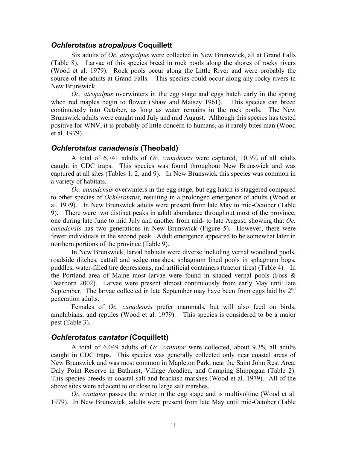#### *Ochlerotatus atropalpus* **Coquillett**

Six adults of *Oc. atropalpus* were collected in New Brunswick, all at Grand Falls (Table 8). Larvae of this species breed in rock pools along the shores of rocky rivers (Wood et al. 1979). Rock pools occur along the Little River and were probably the source of the adults at Grand Falls. This species could occur along any rocky rivers in New Brunswick.

*Oc. atropalpus* overwinters in the egg stage and eggs hatch early in the spring when red maples begin to flower (Shaw and Maisey 1961). This species can breed continuously into October, as long as water remains in the rock pools. The New Brunswick adults were caught mid July and mid August. Although this species has tested positive for WNV, it is probably of little concern to humans, as it rarely bites man (Wood et al. 1979).

#### *Ochlerotatus canadensis* **(Theobald)**

 A total of 6,741 adults of *Oc. canadensis* were captured, 10.3% of all adults caught in CDC traps. This species was found throughout New Brunswick and was captured at all sites (Tables 1, 2, and 9). In New Brunswick this species was common in a variety of habitats.

*Oc. canadensis* overwinters in the egg stage, but egg hatch is staggered compared to other species of *Ochlerotatus,* resulting in a prolonged emergence of adults (Wood et al. 1979). In New Brunswick adults were present from late May to mid-October (Table 9). There were two distinct peaks in adult abundance throughout most of the province, one during late June to mid July and another from mid- to late August, showing that *Oc. canadensis* has two generations in New Brunswick (Figure 5). However, there were fewer individuals in the second peak. Adult emergence appeared to be somewhat later in northern portions of the province (Table 9).

In New Brunswick, larval habitats were diverse including vernal woodland pools, roadside ditches, cattail and sedge marshes, sphagnum lined pools in sphagnum bogs, puddles, water-filled tire depressions, and artificial containers (tractor tires) (Table 4). In the Portland area of Maine most larvae were found in shaded vernal pools (Foss & Dearborn 2002). Larvae were present almost continuously from early May until late September. The larvae collected in late September may have been from eggs laid by 2<sup>nd</sup> generation adults.

Females of *Oc. canadensis* prefer mammals, but will also feed on birds, amphibians, and reptiles (Wood et al. 1979). This species is considered to be a major pest (Table 3).

### *Ochlerotatus cantator* **(Coquillett)**

 A total of 6,049 adults of *Oc. cantator* were collected, about 9.3% all adults caught in CDC traps. This species was generally collected only near coastal areas of New Brunswick and was most common in Mapleton Park, near the Saint John Rest Area, Daly Point Reserve in Bathurst, Village Acadien, and Camping Shippagan (Table 2). This species breeds in coastal salt and brackish marshes (Wood et al. 1979). All of the above sites were adjacent to or close to large salt marshes.

*Oc. cantator* passes the winter in the egg stage and is multivoltine (Wood et al. 1979). In New Brunswick, adults were present from late May until mid-October (Table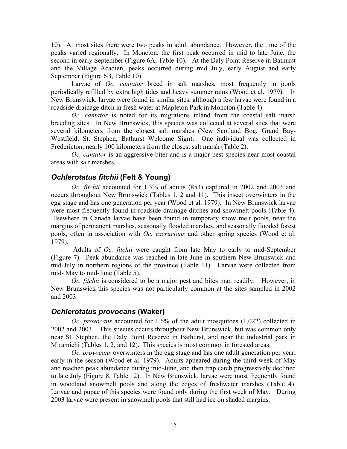10). At most sites there were two peaks in adult abundance. However, the time of the peaks varied regionally. In Moncton, the first peak occurred in mid to late June, the second in early September (Figure 6A, Table 10). At the Daly Point Reserve in Bathurst and the Village Acadien, peaks occurred during mid July, early August and early September (Figure 6B, Table 10).

 Larvae of *Oc. cantator* breed in salt marshes, most frequently in pools periodically refilled by extra high tides and heavy summer rains (Wood et al. 1979). In New Brunswick, larvae were found in similar sites, although a few larvae were found in a roadside drainage ditch in fresh water at Mapleton Park in Moncton (Table 4).

*Oc. cantator* is noted for its migrations inland from the coastal salt marsh breeding sites. In New Brunswick, this species was collected at several sites that were several kilometers from the closest salt marshes (New Scotland Bog, Grand Bay-Westfield, St. Stephen, Bathurst Welcome Sign). One individual was collected in Fredericton, nearly 100 kilometers from the closest salt marsh (Table 2).

*Oc. cantator* is an aggressive biter and is a major pest species near most coastal areas with salt marshes.

### *Ochlerotatus fitchii* **(Felt & Young)**

*Oc. fitchii* accounted for 1.3% of adults (853) captured in 2002 and 2003 and occurs throughout New Brunswick (Tables 1, 2 and 11). This insect overwinters in the egg stage and has one generation per year (Wood et al. 1979). In New Brunswick larvae were most frequently found in roadside drainage ditches and snowmelt pools (Table 4). Elsewhere in Canada larvae have been found in temporary snow melt pools, near the margins of permanent marshes, seasonally flooded marshes, and seasonally flooded forest pools, often in association with *Oc. excrucians* and other spring species (Wood et al. 1979).

 Adults of *Oc. fitchii* were caught from late May to early to mid-September (Figure 7). Peak abundance was reached in late June in southern New Brunswick and mid-July in northern regions of the province (Table 11). Larvae were collected from mid- May to mid-June (Table 5).

*Oc. fitchii* is considered to be a major pest and bites man readily. However, in New Brunswick this species was not particularly common at the sites sampled in 2002 and 2003.

### *Ochlerotatus provocans* **(Waker)**

*Oc. provocans* accounted for 1.6% of the adult mosquitoes (1,022) collected in 2002 and 2003. This species occurs throughout New Brunswick, but was common only near St. Stephen, the Daly Point Reserve in Bathurst, and near the industrial park in Miramichi (Tables 1, 2, and 12). This species is most common in forested areas.

*Oc. provocans* overwinters in the egg stage and has one adult generation per year, early in the season (Wood et al. 1979). Adults appeared during the third week of May and reached peak abundance during mid-June, and then trap catch progressively declined to late July (Figure 8, Table 12). In New Brunswick, larvae were most frequently found in woodland snowmelt pools and along the edges of freshwater marshes (Table 4). Larvae and pupae of this species were found only during the first week of May. During 2003 larvae were present in snowmelt pools that still had ice on shaded margins.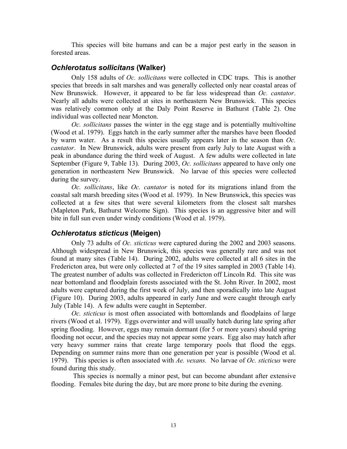This species will bite humans and can be a major pest early in the season in forested areas.

### *Ochlerotatus sollicitans* **(Walker)**

 Only 158 adults of *Oc. sollicitans* were collected in CDC traps. This is another species that breeds in salt marshes and was generally collected only near coastal areas of New Brunswick. However, it appeared to be far less widespread than *Oc. cantator*. Nearly all adults were collected at sites in northeastern New Brunswick. This species was relatively common only at the Daly Point Reserve in Bathurst (Table 2). One individual was collected near Moncton.

*Oc. sollicitans* passes the winter in the egg stage and is potentially multivoltine (Wood et al. 1979). Eggs hatch in the early summer after the marshes have been flooded by warm water. As a result this species usually appears later in the season than *Oc. cantator*. In New Brunswick, adults were present from early July to late August with a peak in abundance during the third week of August. A few adults were collected in late September (Figure 9, Table 13). During 2003, *Oc. sollicitans* appeared to have only one generation in northeastern New Brunswick. No larvae of this species were collected during the survey.

*Oc. sollicitans*, like *Oc. cantator* is noted for its migrations inland from the coastal salt marsh breeding sites (Wood et al. 1979). In New Brunswick, this species was collected at a few sites that were several kilometers from the closest salt marshes (Mapleton Park, Bathurst Welcome Sign). This species is an aggressive biter and will bite in full sun even under windy conditions (Wood et al. 1979).

### *Ochlerotatus sticticus* **(Meigen)**

 Only 73 adults of *Oc. sticticus* were captured during the 2002 and 2003 seasons. Although widespread in New Brunswick, this species was generally rare and was not found at many sites (Table 14). During 2002, adults were collected at all 6 sites in the Fredericton area, but were only collected at 7 of the 19 sites sampled in 2003 (Table 14). The greatest number of adults was collected in Fredericton off Lincoln Rd. This site was near bottomland and floodplain forests associated with the St. John River. In 2002, most adults were captured during the first week of July, and then sporadically into late August (Figure 10). During 2003, adults appeared in early June and were caught through early July (Table 14). A few adults were caught in September.

*Oc. sticticus* is most often associated with bottomlands and floodplains of large rivers (Wood et al. 1979). Eggs overwinter and will usually hatch during late spring after spring flooding. However, eggs may remain dormant (for 5 or more years) should spring flooding not occur, and the species may not appear some years. Egg also may hatch after very heavy summer rains that create large temporary pools that flood the eggs. Depending on summer rains more than one generation per year is possible (Wood et al. 1979). This species is often associated with *Ae. vexans.* No larvae of *Oc. sticticus* were found during this study.

 This species is normally a minor pest, but can become abundant after extensive flooding. Females bite during the day, but are more prone to bite during the evening.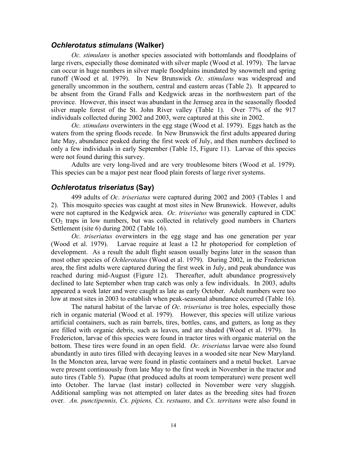### *Ochlerotatus stimulans* **(Walker)**

*Oc. stimulans* is another species associated with bottomlands and floodplains of large rivers, especially those dominated with silver maple (Wood et al. 1979). The larvae can occur in huge numbers in silver maple floodplains inundated by snowmelt and spring runoff (Wood et al. 1979). In New Brunswick *Oc. stimulans* was widespread and generally uncommon in the southern, central and eastern areas (Table 2). It appeared to be absent from the Grand Falls and Kedgwick areas in the northwestern part of the province. However, this insect was abundant in the Jemseg area in the seasonally flooded silver maple forest of the St. John River valley (Table 1). Over 77% of the 917 individuals collected during 2002 and 2003, were captured at this site in 2002.

*Oc. stimulans* overwinters in the egg stage (Wood et al. 1979). Eggs hatch as the waters from the spring floods recede. In New Brunswick the first adults appeared during late May, abundance peaked during the first week of July, and then numbers declined to only a few individuals in early September (Table 15, Figure 11). Larvae of this species were not found during this survey.

Adults are very long-lived and are very troublesome biters (Wood et al. 1979). This species can be a major pest near flood plain forests of large river systems.

### *Ochlerotatus triseriatus* **(Say)**

 499 adults of *Oc. triseriatus* were captured during 2002 and 2003 (Tables 1 and 2). This mosquito species was caught at most sites in New Brunswick. However, adults were not captured in the Kedgwick area. *Oc. triseriatus* was generally captured in CDC  $CO<sub>2</sub>$  traps in low numbers, but was collected in relatively good numbers in Charters Settlement (site 6) during 2002 (Table 16).

*Oc. triseriatus* overwinters in the egg stage and has one generation per year (Wood et al. 1979). Larvae require at least a 12 hr photoperiod for completion of development. As a result the adult flight season usually begins later in the season than most other species of *Ochlerotatus* (Wood et al. 1979). During 2002, in the Fredericton area, the first adults were captured during the first week in July, and peak abundance was reached during mid-August (Figure 12). Thereafter, adult abundance progressively declined to late September when trap catch was only a few individuals. In 2003, adults appeared a week later and were caught as late as early October. Adult numbers were too low at most sites in 2003 to establish when peak-seasonal abundance occurred (Table 16).

The natural habitat of the larvae of *Oc. triseriatus* is tree holes, especially those rich in organic material (Wood et al. 1979). However, this species will utilize various artificial containers, such as rain barrels, tires, bottles, cans, and gutters, as long as they are filled with organic debris, such as leaves, and are shaded (Wood et al. 1979). In Fredericton, larvae of this species were found in tractor tires with organic material on the bottom. These tires were found in an open field. *Oc. triseriatus* larvae were also found abundantly in auto tires filled with decaying leaves in a wooded site near New Maryland. In the Moncton area, larvae were found in plastic containers and a metal bucket. Larvae were present continuously from late May to the first week in November in the tractor and auto tires (Table 5). Pupae (that produced adults at room temperature) were present well into October. The larvae (last instar) collected in November were very sluggish. Additional sampling was not attempted on later dates as the breeding sites had frozen over. *An. punctipennis, Cx. pipiens, Cx. restuans,* and *Cx. territans* were also found in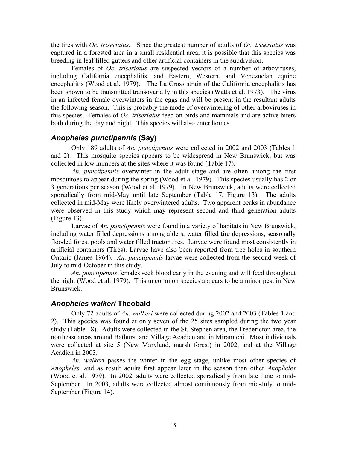the tires with *Oc. triseriatus*. Since the greatest number of adults of *Oc. triseriatus* was captured in a forested area in a small residential area, it is possible that this species was breeding in leaf filled gutters and other artificial containers in the subdivision.

 Females of *Oc. triseriatus* are suspected vectors of a number of arboviruses, including California encephalitis, and Eastern, Western, and Venezuelan equine encephalitis (Wood et al. 1979). The La Cross strain of the California encephalitis has been shown to be transmitted transovarially in this species (Watts et al. 1973). The virus in an infected female overwinters in the eggs and will be present in the resultant adults the following season. This is probably the mode of overwintering of other arboviruses in this species. Females of *Oc. triseriatus* feed on birds and mammals and are active biters both during the day and night. This species will also enter homes.

# *Anopheles punctipennis* **(Say)**

 Only 189 adults of *An. punctipennis* were collected in 2002 and 2003 (Tables 1 and 2). This mosquito species appears to be widespread in New Brunswick, but was collected in low numbers at the sites where it was found (Table 17).

*An. punctipennis* overwinter in the adult stage and are often among the first mosquitoes to appear during the spring (Wood et al. 1979). This species usually has 2 or 3 generations per season (Wood et al. 1979). In New Brunswick, adults were collected sporadically from mid-May until late September (Table 17, Figure 13). The adults collected in mid-May were likely overwintered adults. Two apparent peaks in abundance were observed in this study which may represent second and third generation adults (Figure 13).

Larvae of *An. punctipennis* were found in a variety of habitats in New Brunswick, including water filled depressions among alders, water filled tire depressions, seasonally flooded forest pools and water filled tractor tires. Larvae were found most consistently in artificial containers (Tires). Larvae have also been reported from tree holes in southern Ontario (James 1964). *An. punctipennis* larvae were collected from the second week of July to mid-October in this study.

*An. punctipennis* females seek blood early in the evening and will feed throughout the night (Wood et al. 1979). This uncommon species appears to be a minor pest in New Brunswick.

# *Anopheles walkeri* **Theobald**

 Only 72 adults of *An. walkeri* were collected during 2002 and 2003 (Tables 1 and 2). This species was found at only seven of the 25 sites sampled during the two year study (Table 18). Adults were collected in the St. Stephen area, the Fredericton area, the northeast areas around Bathurst and Village Acadien and in Miramichi. Most individuals were collected at site 5 (New Maryland, marsh forest) in 2002, and at the Village Acadien in 2003.

*An. walkeri* passes the winter in the egg stage, unlike most other species of *Anopheles,* and as result adults first appear later in the season than other *Anopheles* (Wood et al. 1979). In 2002, adults were collected sporadically from late June to mid-September. In 2003, adults were collected almost continuously from mid-July to mid-September (Figure 14).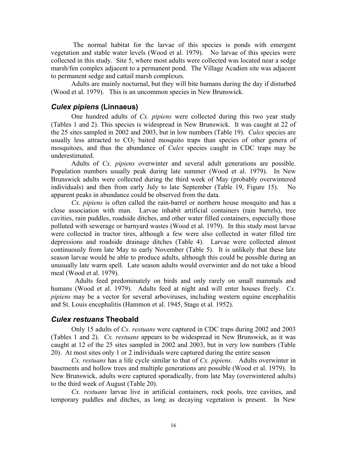The normal habitat for the larvae of this species is ponds with emergent vegetation and stable water levels (Wood et al. 1979). No larvae of this species were collected in this study. Site 5, where most adults were collected was located near a sedge marsh/fen complex adjacent to a permanent pond. The Village Acadien site was adjacent to permanent sedge and cattail marsh complexes.

Adults are mainly nocturnal, but they will bite humans during the day if disturbed (Wood et al. 1979). This is an uncommon species in New Brunswick.

### *Culex pipiens* **(Linnaeus)**

 One hundred adults of *Cx. pipiens* were collected during this two year study (Tables 1 and 2). This species is widespread in New Brunswick. It was caught at 22 of the 25 sites sampled in 2002 and 2003, but in low numbers (Table 19). *Culex* species are usually less attracted to  $CO<sub>2</sub>$  baited mosquito traps than species of other genera of mosquitoes, and thus the abundance of *Culex* species caught in CDC traps may be underestimated.

Adults of *Cx. pipiens* overwinter and several adult generations are possible. Population numbers usually peak during late summer (Wood et al. 1979). In New Brunswick adults were collected during the third week of May (probably overwintered individuals) and then from early July to late September (Table 19, Figure 15). apparent peaks in abundance could be observed from the data.

*Cx. pipiens* is often called the rain-barrel or northern house mosquito and has a close association with man. Larvae inhabit artificial containers (rain barrels), tree cavities, rain puddles, roadside ditches, and other water filled containers, especially those polluted with sewerage or barnyard wastes (Wood et al. 1979). In this study most larvae were collected in tractor tires, although a few were also collected in water filled tire depressions and roadside drainage ditches (Table 4). Larvae were collected almost continuously from late May to early November (Table 5). It is unlikely that these late season larvae would be able to produce adults, although this could be possible during an unusually late warm spell. Late season adults would overwinter and do not take a blood meal (Wood et al. 1979).

 Adults feed predominately on birds and only rarely on small mammals and humans (Wood et al. 1979). Adults feed at night and will enter houses freely. *Cx. pipiens* may be a vector for several arboviruses, including western equine encephalitis and St. Louis encephalitis (Hammon et al. 1945, Stage et al. 1952).

### *Culex restuans* **Theobald**

Only 15 adults of *Cx. restuans* were captured in CDC traps during 2002 and 2003 (Tables 1 and 2). *Cx. restuans* appears to be widespread in New Brunswick, as it was caught at 12 of the 25 sites sampled in 2002 and 2003, but in very low numbers (Table 20). At most sites only 1 or 2 individuals were captured during the entire season

*Cx. restuans* has a life cycle similar to that of *Cx. pipiens*. Adults overwinter in basements and hollow trees and multiple generations are possible (Wood et al. 1979). In New Brunswick, adults were captured sporadically, from late May (overwintered adults) to the third week of August (Table 20).

*Cx. restuans* larvae live in artificial containers, rock pools, tree cavities, and temporary puddles and ditches, as long as decaying vegetation is present. In New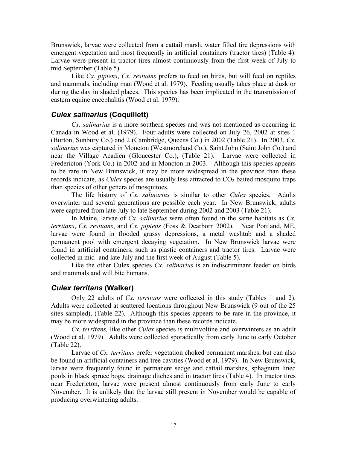Brunswick, larvae were collected from a cattail marsh, water filled tire depressions with emergent vegetation and most frequently in artificial containers (tractor tires) (Table 4). Larvae were present in tractor tires almost continuously from the first week of July to mid September (Table 5).

 Like *Cx. pipiens*, *Cx. restuans* prefers to feed on birds, but will feed on reptiles and mammals, including man (Wood et al. 1979). Feeding usually takes place at dusk or during the day in shaded places. This species has been implicated in the transmission of eastern equine encephalitis (Wood et al. 1979).

### *Culex salinarius* **(Coquillett)**

*Cx. salinarius* is a more southern species and was not mentioned as occurring in Canada in Wood et al. (1979). Four adults were collected on July 26, 2002 at sites 1 (Burton, Sunbury Co.) and 2 (Cambridge, Queens Co.) in 2002 (Table 21). In 2003, *Cx. salinarius* was captured in Moncton (Westmoreland Co.), Saint John (Saint John Co.) and near the Village Acadien (Gloucester Co.), (Table 21). Larvae were collected in Fredericton (York Co.) in 2002 and in Moncton in 2003. Although this species appears to be rare in New Brunswick, it may be more widespread in the province than these records indicate, as *Culex* species are usually less attracted to  $CO<sub>2</sub>$  baited mosquito traps than species of other genera of mosquitoes.

The life history of *Cx. salinarius* is similar to other *Culex* species. Adults overwinter and several generations are possible each year. In New Brunswick, adults were captured from late July to late September during 2002 and 2003 (Table 21).

In Maine, larvae of *Cx. salinarius* were often found in the same habitats as *Cx. territans*, *Cx. restuans*, and *Cx. pipiens* (Foss & Dearborn 2002). Near Portland, ME, larvae were found in flooded grassy depressions, a metal washtub and a shaded permanent pool with emergent decaying vegetation. In New Brunswick larvae were found in artificial containers, such as plastic containers and tractor tires. Larvae were collected in mid- and late July and the first week of August (Table 5).

Like the other Culex species *Cx. salinarius* is an indiscriminant feeder on birds and mammals and will bite humans.

# *Culex territans* **(Walker)**

 Only 22 adults of *Cx. territans* were collected in this study (Tables 1 and 2). Adults were collected at scattered locations throughout New Brunswick (9 out of the 25 sites sampled), (Table 22). Although this species appears to be rare in the province, it may be more widespread in the province than these records indicate.

*Cx. territans,* like other *Culex* species is multivoltine and overwinters as an adult (Wood et al. 1979). Adults were collected sporadically from early June to early October (Table 22).

Larvae of *Cx. territans* prefer vegetation choked permanent marshes, but can also be found in artificial containers and tree cavities (Wood et al. 1979). In New Brunswick, larvae were frequently found in permanent sedge and cattail marshes, sphagnum lined pools in black spruce bogs, drainage ditches and in tractor tires (Table 4). In tractor tires near Fredericton, larvae were present almost continuously from early June to early November. It is unlikely that the larvae still present in November would be capable of producing overwintering adults.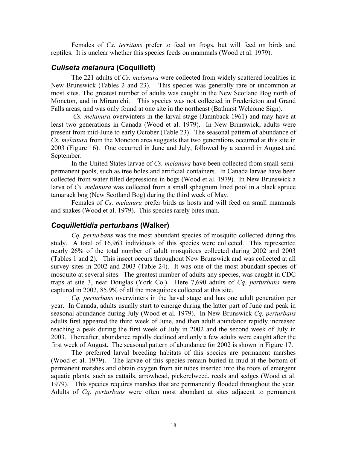Females of *Cx. territans* prefer to feed on frogs, but will feed on birds and reptiles. It is unclear whether this species feeds on mammals (Wood et al. 1979).

### *Culiseta melanura* **(Coquillett)**

 The 221 adults of *Cs. melanura* were collected from widely scattered localities in New Brunswick (Tables 2 and 23). This species was generally rare or uncommon at most sites. The greatest number of adults was caught in the New Scotland Bog north of Moncton, and in Miramichi. This species was not collected in Fredericton and Grand Falls areas, and was only found at one site in the northeast (Bathurst Welcome Sign).

 *Cs. melanura* overwinters in the larval stage (Jamnback 1961) and may have at least two generations in Canada (Wood et al. 1979). In New Brunswick, adults were present from mid-June to early October (Table 23). The seasonal pattern of abundance of *Cs. melanura* from the Moncton area suggests that two generations occurred at this site in 2003 (Figure 16). One occurred in June and July, followed by a second in August and September.

 In the United States larvae of *Cs. melanura* have been collected from small semipermanent pools, such as tree holes and artificial containers. In Canada larvae have been collected from water filled depressions in bogs (Wood et al. 1979). In New Brunswick a larva of *Cs. melanura* was collected from a small sphagnum lined pool in a black spruce tamarack bog (New Scotland Bog) during the third week of May.

 Females of *Cs. melanura* prefer birds as hosts and will feed on small mammals and snakes (Wood et al. 1979). This species rarely bites man.

### *Coquillettidia perturbans* **(Walker)**

*Cq. perturbans* was the most abundant species of mosquito collected during this study. A total of 16,963 individuals of this species were collected. This represented nearly 26% of the total number of adult mosquitoes collected during 2002 and 2003 (Tables 1 and 2). This insect occurs throughout New Brunswick and was collected at all survey sites in 2002 and 2003 (Table 24). It was one of the most abundant species of mosquito at several sites. The greatest number of adults any species, was caught in CDC traps at site 3, near Douglas (York Co.). Here 7,690 adults of *Cq. perturbans* were captured in 2002, 85.9% of all the mosquitoes collected at this site.

*Cq. perturbans* overwinters in the larval stage and has one adult generation per year. In Canada, adults usually start to emerge during the latter part of June and peak in seasonal abundance during July (Wood et al. 1979). In New Brunswick *Cq. perturbans* adults first appeared the third week of June, and then adult abundance rapidly increased reaching a peak during the first week of July in 2002 and the second week of July in 2003. Thereafter, abundance rapidly declined and only a few adults were caught after the first week of August. The seasonal pattern of abundance for 2002 is shown in Figure 17.

The preferred larval breeding habitats of this species are permanent marshes (Wood et al. 1979). The larvae of this species remain buried in mud at the bottom of permanent marshes and obtain oxygen from air tubes inserted into the roots of emergent aquatic plants, such as cattails, arrowhead, pickerelweed, reeds and sedges (Wood et al. 1979). This species requires marshes that are permanently flooded throughout the year. Adults of *Cq. perturbans* were often most abundant at sites adjacent to permanent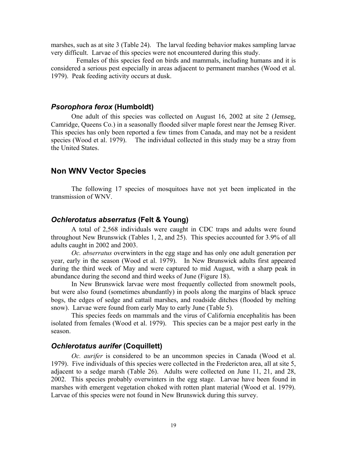marshes, such as at site 3 (Table 24). The larval feeding behavior makes sampling larvae very difficult. Larvae of this species were not encountered during this study.

 Females of this species feed on birds and mammals, including humans and it is considered a serious pest especially in areas adjacent to permanent marshes (Wood et al. 1979). Peak feeding activity occurs at dusk.

### *Psorophora ferox* **(Humboldt)**

 One adult of this species was collected on August 16, 2002 at site 2 (Jemseg, Camridge, Queens Co.) in a seasonally flooded silver maple forest near the Jemseg River. This species has only been reported a few times from Canada, and may not be a resident species (Wood et al. 1979). The individual collected in this study may be a stray from the United States.

### **Non WNV Vector Species**

 The following 17 species of mosquitoes have not yet been implicated in the transmission of WNV.

### *Ochlerotatus abserratus* **(Felt & Young)**

 A total of 2,568 individuals were caught in CDC traps and adults were found throughout New Brunswick (Tables 1, 2, and 25). This species accounted for 3.9% of all adults caught in 2002 and 2003.

*Oc. abserratus* overwinters in the egg stage and has only one adult generation per year, early in the season (Wood et al. 1979). In New Brunswick adults first appeared during the third week of May and were captured to mid August, with a sharp peak in abundance during the second and third weeks of June (Figure 18).

In New Brunswick larvae were most frequently collected from snowmelt pools, but were also found (sometimes abundantly) in pools along the margins of black spruce bogs, the edges of sedge and cattail marshes, and roadside ditches (flooded by melting snow). Larvae were found from early May to early June (Table 5).

 This species feeds on mammals and the virus of California encephalitis has been isolated from females (Wood et al. 1979). This species can be a major pest early in the season.

### *Ochlerotatus aurifer* **(Coquillett)**

 *Oc. aurifer* is considered to be an uncommon species in Canada (Wood et al. 1979). Five individuals of this species were collected in the Fredericton area, all at site 5, adjacent to a sedge marsh (Table 26). Adults were collected on June 11, 21, and 28, 2002. This species probably overwinters in the egg stage. Larvae have been found in marshes with emergent vegetation choked with rotten plant material (Wood et al. 1979). Larvae of this species were not found in New Brunswick during this survey.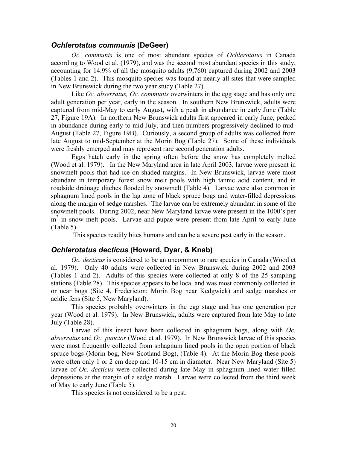### *Ochlerotatus communis* **(DeGeer)**

*Oc. communis* is one of most abundant species of *Ochlerotatus* in Canada according to Wood et al. (1979), and was the second most abundant species in this study, accounting for 14.9% of all the mosquito adults (9,760) captured during 2002 and 2003 (Tables 1 and 2). This mosquito species was found at nearly all sites that were sampled in New Brunswick during the two year study (Table 27).

Like *Oc. abserratus, Oc. communis* overwinters in the egg stage and has only one adult generation per year, early in the season. In southern New Brunswick, adults were captured from mid-May to early August, with a peak in abundance in early June (Table 27, Figure 19A). In northern New Brunswick adults first appeared in early June, peaked in abundance during early to mid July, and then numbers progressively declined to mid-August (Table 27, Figure 19B). Curiously, a second group of adults was collected from late August to mid-September at the Morin Bog (Table 27). Some of these individuals were freshly emerged and may represent rare second generation adults.

Eggs hatch early in the spring often before the snow has completely melted (Wood et al. 1979). In the New Maryland area in late April 2003, larvae were present in snowmelt pools that had ice on shaded margins. In New Brunswick, larvae were most abundant in temporary forest snow melt pools with high tannic acid content, and in roadside drainage ditches flooded by snowmelt (Table 4). Larvae were also common in sphagnum lined pools in the lag zone of black spruce bogs and water-filled depressions along the margin of sedge marshes. The larvae can be extremely abundant in some of the snowmelt pools. During 2002, near New Maryland larvae were present in the 1000's per m<sup>2</sup> in snow melt pools. Larvae and pupae were present from late April to early June (Table 5).

This species readily bites humans and can be a severe pest early in the season.

### *Ochlerotatus decticus* **(Howard, Dyar, & Knab)**

*Oc. decticus* is considered to be an uncommon to rare species in Canada (Wood et al. 1979). Only 40 adults were collected in New Brunswick during 2002 and 2003 (Tables 1 and 2). Adults of this species were collected at only 8 of the 25 sampling stations (Table 28). This species appears to be local and was most commonly collected in or near bogs (Site 4, Fredericton; Morin Bog near Kedgwick) and sedge marshes or acidic fens (Site 5, New Maryland).

This species probably overwinters in the egg stage and has one generation per year (Wood et al. 1979). In New Brunswick, adults were captured from late May to late July (Table 28).

Larvae of this insect have been collected in sphagnum bogs, along with *Oc. abserratus* and *Oc. punctor* (Wood et al. 1979). In New Brunswick larvae of this species were most frequently collected from sphagnum lined pools in the open portion of black spruce bogs (Morin bog, New Scotland Bog), (Table 4). At the Morin Bog these pools were often only 1 or 2 cm deep and 10-15 cm in diameter. Near New Maryland (Site 5) larvae of *Oc. decticus* were collected during late May in sphagnum lined water filled depressions at the margin of a sedge marsh. Larvae were collected from the third week of May to early June (Table 5).

This species is not considered to be a pest.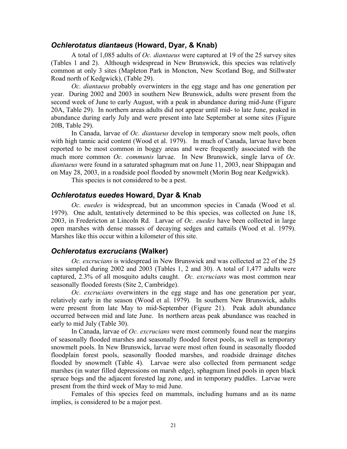### *Ochlerotatus diantaeus* **(Howard, Dyar, & Knab)**

 A total of 1,085 adults of *Oc. diantaeus* were captured at 19 of the 25 survey sites (Tables 1 and 2). Although widespread in New Brunswick, this species was relatively common at only 3 sites (Mapleton Park in Moncton, New Scotland Bog, and Stillwater Road north of Kedgwick), (Table 29).

*Oc. diantaeus* probably overwinters in the egg stage and has one generation per year. During 2002 and 2003 in southern New Brunswick, adults were present from the second week of June to early August, with a peak in abundance during mid-June (Figure 20A, Table 29). In northern areas adults did not appear until mid- to late June, peaked in abundance during early July and were present into late September at some sites (Figure 20B, Table 29).

In Canada, larvae of *Oc. diantaeus* develop in temporary snow melt pools, often with high tannic acid content (Wood et al. 1979). In much of Canada, larvae have been reported to be most common in boggy areas and were frequently associated with the much more common *Oc. communis* larvae. In New Brunswick, single larva of *Oc. diantaeus* were found in a saturated sphagnum mat on June 11, 2003, near Shippagan and on May 28, 2003, in a roadside pool flooded by snowmelt (Morin Bog near Kedgwick).

This species is not considered to be a pest.

#### *Ochlerotatus euedes* **Howard, Dyar & Knab**

*Oc. euedes* is widespread, but an uncommon species in Canada (Wood et al. 1979). One adult, tentatively determined to be this species, was collected on June 18, 2003, in Fredericton at Lincoln Rd. Larvae of *Oc. euedes* have been collected in large open marshes with dense masses of decaying sedges and cattails (Wood et al. 1979). Marshes like this occur within a kilometer of this site.

### *Ochlerotatus excrucians* **(Walker)**

*Oc. excrucians* is widespread in New Brunswick and was collected at 22 of the 25 sites sampled during 2002 and 2003 (Tables 1, 2 and 30). A total of 1,477 adults were captured, 2.3% of all mosquito adults caught. *Oc. excrucians* was most common near seasonally flooded forests (Site 2, Cambridge).

*Oc. excrucians* overwinters in the egg stage and has one generation per year, relatively early in the season (Wood et al. 1979). In southern New Brunswick, adults were present from late May to mid-September (Figure 21). Peak adult abundance occurred between mid and late June. In northern areas peak abundance was reached in early to mid July (Table 30).

In Canada, larvae of *Oc. excrucians* were most commonly found near the margins of seasonally flooded marshes and seasonally flooded forest pools, as well as temporary snowmelt pools. In New Brunswick, larvae were most often found in seasonally flooded floodplain forest pools, seasonally flooded marshes, and roadside drainage ditches flooded by snowmelt (Table 4). Larvae were also collected from permanent sedge marshes (in water filled depressions on marsh edge), sphagnum lined pools in open black spruce bogs and the adjacent forested lag zone, and in temporary puddles. Larvae were present from the third week of May to mid June.

Females of this species feed on mammals, including humans and as its name implies, is considered to be a major pest.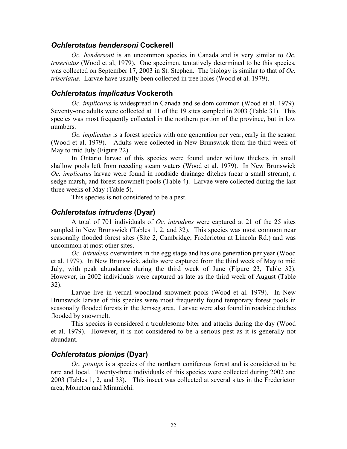#### *Ochlerotatus hendersoni* **Cockerell**

*Oc. hendersoni* is an uncommon species in Canada and is very similar to *Oc. triseriatus* (Wood et al, 1979). One specimen, tentatively determined to be this species, was collected on September 17, 2003 in St. Stephen. The biology is similar to that of *Oc. triseriatus*. Larvae have usually been collected in tree holes (Wood et al. 1979).

### *Ochlerotatus implicatus* **Vockeroth**

*Oc. implicatus* is widespread in Canada and seldom common (Wood et al. 1979). Seventy-one adults were collected at 11 of the 19 sites sampled in 2003 (Table 31). This species was most frequently collected in the northern portion of the province, but in low numbers.

*Oc. implicatus* is a forest species with one generation per year, early in the season (Wood et al. 1979). Adults were collected in New Brunswick from the third week of May to mid July (Figure 22).

 In Ontario larvae of this species were found under willow thickets in small shallow pools left from receding steam waters (Wood et al. 1979). In New Brunswick *Oc. implicatus* larvae were found in roadside drainage ditches (near a small stream), a sedge marsh, and forest snowmelt pools (Table 4). Larvae were collected during the last three weeks of May (Table 5).

This species is not considered to be a pest.

### *Ochlerotatus intrudens* **(Dyar)**

 A total of 701 individuals of *Oc. intrudens* were captured at 21 of the 25 sites sampled in New Brunswick (Tables 1, 2, and 32). This species was most common near seasonally flooded forest sites (Site 2, Cambridge; Fredericton at Lincoln Rd.) and was uncommon at most other sites.

*Oc. intrudens* overwinters in the egg stage and has one generation per year (Wood et al. 1979). In New Brunswick, adults were captured from the third week of May to mid July, with peak abundance during the third week of June (Figure 23, Table 32). However, in 2002 individuals were captured as late as the third week of August (Table 32).

Larvae live in vernal woodland snowmelt pools (Wood et al. 1979). In New Brunswick larvae of this species were most frequently found temporary forest pools in seasonally flooded forests in the Jemseg area. Larvae were also found in roadside ditches flooded by snowmelt.

 This species is considered a troublesome biter and attacks during the day (Wood et al. 1979). However, it is not considered to be a serious pest as it is generally not abundant.

### *Ochlerotatus pionips* **(Dyar)**

*Oc. pionips* is a species of the northern coniferous forest and is considered to be rare and local. Twenty-three individuals of this species were collected during 2002 and 2003 (Tables 1, 2, and 33). This insect was collected at several sites in the Fredericton area, Moncton and Miramichi.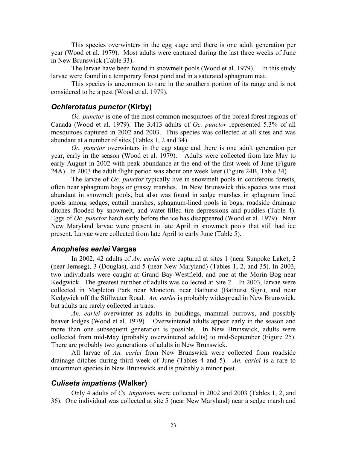This species overwinters in the egg stage and there is one adult generation per year (Wood et al. 1979). Most adults were captured during the last three weeks of June in New Brunswick (Table 33).

The larvae have been found in snowmelt pools (Wood et al. 1979). In this study larvae were found in a temporary forest pond and in a saturated sphagnum mat.

This species is uncommon to rare in the southern portion of its range and is not considered to be a pest (Wood et al. 1979).

### *Ochlerotatus punctor* **(Kirby)**

*Oc. punctor* is one of the most common mosquitoes of the boreal forest regions of Canada (Wood et al. 1979). The 3,413 adults of *Oc. punctor* represented 5.3% of all mosquitoes captured in 2002 and 2003. This species was collected at all sites and was abundant at a number of sites (Tables 1, 2 and 34).

*Oc. punctor* overwinters in the egg stage and there is one adult generation per year, early in the season (Wood et al. 1979). Adults were collected from late May to early August in 2002 with peak abundance at the end of the first week of June (Figure 24A). In 2003 the adult flight period was about one week later (Figure 24B, Table 34)

The larvae of *Oc. punctor* typically live in snowmelt pools in coniferous forests, often near sphagnum bogs or grassy marshes. In New Brunswick this species was most abundant in snowmelt pools, but also was found in sedge marshes in sphagnum lined pools among sedges, cattail marshes, sphagnum-lined pools in bogs, roadside drainage ditches flooded by snowmelt, and water-filled tire depressions and puddles (Table 4). Eggs of *Oc. punctor* hatch early before the ice has disappeared (Wood et al. 1979). Near New Maryland larvae were present in late April in snowmelt pools that still had ice present. Larvae were collected from late April to early June (Table 5).

### *Anopheles earlei* **Vargas**

 In 2002, 42 adults of *An. earlei* were captured at sites 1 (near Sunpoke Lake), 2 (near Jemseg), 3 (Douglas), and 5 (near New Maryland) (Tables 1, 2, and 35). In 2003, two individuals were caught at Grand Bay-Westfield, and one at the Morin Bog near Kedgwick. The greatest number of adults was collected at Site 2. In 2003, larvae were collected in Mapleton Park near Moncton, near Bathurst (Bathurst Sign), and near Kedgwick off the Stillwater Road. *An. earlei* is probably widespread in New Brunswick, but adults are rarely collected in traps.

*An. earlei* overwinter as adults in buildings, mammal burrows, and possibly beaver lodges (Wood et al. 1979). Overwintered adults appear early in the season and more than one subsequent generation is possible. In New Brunswick, adults were collected from mid-May (probably overwintered adults) to mid-September (Figure 25). There are probably two generations of adults in New Brunswick.

 All larvae of *An. earlei* from New Brunswick were collected from roadside drainage ditches during third week of June (Tables 4 and 5). *An. earlei* is a rare to uncommon species in New Brunswick and is probably a minor pest.

### *Culiseta impatiens* **(Walker)**

Only 4 adults of *Cs. impatiens* were collected in 2002 and 2003 (Tables 1, 2, and 36). One individual was collected at site 5 (near New Maryland) near a sedge marsh and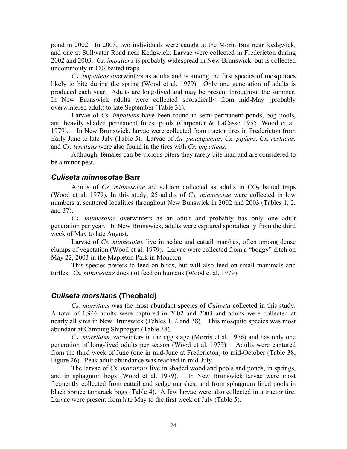pond in 2002. In 2003, two individuals were caught at the Morin Bog near Kedgwick, and one at Stillwater Road near Kedgwick. Larvae were collected in Fredericton during 2002 and 2003. *Cs. impatiens* is probably widespread in New Brunswick, but is collected uncommonly in  $CO<sub>2</sub>$  baited traps.

*Cs. impatiens* overwinters as adults and is among the first species of mosquitoes likely to bite during the spring (Wood et al. 1979). Only one generation of adults is produced each year. Adults are long-lived and may be present throughout the summer. In New Brunswick adults were collected sporadically from mid-May (probably overwintered adult) to late September (Table 36).

Larvae of *Cs. impatiens* have been found in semi-permanent ponds, bog pools, and heavily shaded permanent forest pools (Carpenter & LaCasse 1955, Wood et al. 1979). In New Brunswick, larvae were collected from tractor tires in Fredericton from Early June to late July (Table 5). Larvae of *An. punctipennis, Cx. pipiens, Cx. restuans,* and *Cx. territans* were also found in the tires with *Cs. impatiens.*

Although, females can be vicious biters they rarely bite man and are considered to be a minor pest.

### *Culiseta minnesotae* **Barr**

Adults of  $Cs$ . *minnesotae* are seldom collected as adults in  $CO<sub>2</sub>$  baited traps (Wood et al. 1979). In this study, 25 adults of *Cs. minnesotae* were collected in low numbers at scattered localities throughout New Bunswick in 2002 and 2003 (Tables 1, 2, and 37).

*Cs. minnesotae* overwinters as an adult and probably has only one adult generation per year. In New Brunswick, adults were captured sporadically from the third week of May to late August.

Larvae of *Cs. minnesotae* live in sedge and cattail marshes, often among dense clumps of vegetation (Wood et al. 1979). Larvae were collected from a "boggy" ditch on May 22, 2003 in the Mapleton Park in Moncton.

This species prefers to feed on birds, but will also feed on small mammals and turtles. *Cs. minnesotae* does not feed on humans (Wood et al. 1979).

#### *Culiseta morsitans* **(Theobald)**

*Cs. morsitans* was the most abundant species of *Culiseta* collected in this study. A total of 1,946 adults were captured in 2002 and 2003 and adults were collected at nearly all sites in New Brunswick (Tables 1, 2 and 38). This mosquito species was most abundant at Camping Shippagan (Table 38).

*Cs. morsitans* overwinters in the egg stage (Morris et al. 1976) and has only one generation of long-lived adults per season (Wood et al. 1979). Adults were captured from the third week of June (one in mid-June at Fredericton) to mid-October (Table 38, Figure 26). Peak adult abundance was reached in mid-July.

The larvae of *Cs. morsitans* live in shaded woodland pools and ponds, in springs, and in sphagnum bogs (Wood et al. 1979). In New Brunswick larvae were most frequently collected from cattail and sedge marshes, and from sphagnum lined pools in black spruce tamarack bogs (Table 4). A few larvae were also collected in a tractor tire. Larvae were present from late May to the first week of July (Table 5).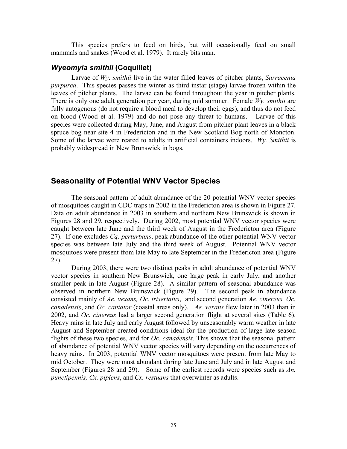This species prefers to feed on birds, but will occasionally feed on small mammals and snakes (Wood et al. 1979). It rarely bits man.

### *Wyeomyia smithii* **(Coquillet)**

 Larvae of *Wy. smithii* live in the water filled leaves of pitcher plants, *Sarracenia purpurea*. This species passes the winter as third instar (stage) larvae frozen within the leaves of pitcher plants. The larvae can be found throughout the year in pitcher plants. There is only one adult generation per year, during mid summer. Female *Wy. smithii* are fully autogenous (do not require a blood meal to develop their eggs), and thus do not feed on blood (Wood et al. 1979) and do not pose any threat to humans. Larvae of this species were collected during May, June, and August from pitcher plant leaves in a black spruce bog near site 4 in Fredericton and in the New Scotland Bog north of Moncton. Some of the larvae were reared to adults in artificial containers indoors. *Wy. Smithii* is probably widespread in New Brunswick in bogs.

### **Seasonality of Potential WNV Vector Species**

 The seasonal pattern of adult abundance of the 20 potential WNV vector species of mosquitoes caught in CDC traps in 2002 in the Fredericton area is shown in Figure 27. Data on adult abundance in 2003 in southern and northern New Brunswick is shown in Figures 28 and 29, respectively. During 2002, most potential WNV vector species were caught between late June and the third week of August in the Fredericton area (Figure 27). If one excludes *Cq. perturbans*, peak abundance of the other potential WNV vector species was between late July and the third week of August. Potential WNV vector mosquitoes were present from late May to late September in the Fredericton area (Figure 27).

During 2003, there were two distinct peaks in adult abundance of potential WNV vector species in southern New Brunswick, one large peak in early July, and another smaller peak in late August (Figure 28). A similar pattern of seasonal abundance was observed in northern New Brunswick (Figure 29). The second peak in abundance consisted mainly of *Ae. vexans, Oc. triseriatus*, and second generation *Ae. cinereus, Oc. canadensis*, and *Oc. cantator* (coastal areas only). *Ae. vexans* flew later in 2003 than in 2002, and *Oc. cinereus* had a larger second generation flight at several sites (Table 6). Heavy rains in late July and early August followed by unseasonably warm weather in late August and September created conditions ideal for the production of large late season flights of these two species, and for *Oc. canadensis*. This shows that the seasonal pattern of abundance of potential WNV vector species will vary depending on the occurrences of heavy rains. In 2003, potential WNV vector mosquitoes were present from late May to mid October. They were must abundant during late June and July and in late August and September (Figures 28 and 29). Some of the earliest records were species such as *An. punctipennis, Cx. pipiens*, and *Cx. restuans* that overwinter as adults.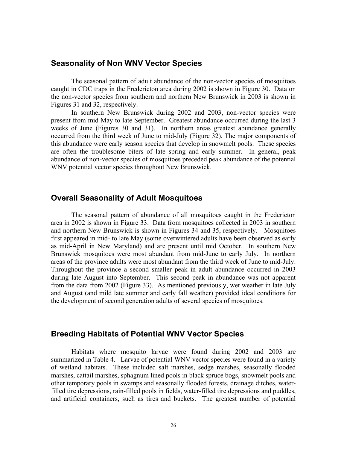# **Seasonality of Non WNV Vector Species**

 The seasonal pattern of adult abundance of the non-vector species of mosquitoes caught in CDC traps in the Fredericton area during 2002 is shown in Figure 30. Data on the non-vector species from southern and northern New Brunswick in 2003 is shown in Figures 31 and 32, respectively.

In southern New Brunswick during 2002 and 2003, non-vector species were present from mid May to late September. Greatest abundance occurred during the last 3 weeks of June (Figures 30 and 31). In northern areas greatest abundance generally occurred from the third week of June to mid-July (Figure 32). The major components of this abundance were early season species that develop in snowmelt pools. These species are often the troublesome biters of late spring and early summer. In general, peak abundance of non-vector species of mosquitoes preceded peak abundance of the potential WNV potential vector species throughout New Brunswick.

# **Overall Seasonality of Adult Mosquitoes**

The seasonal pattern of abundance of all mosquitoes caught in the Fredericton area in 2002 is shown in Figure 33. Data from mosquitoes collected in 2003 in southern and northern New Brunswick is shown in Figures 34 and 35, respectively. Mosquitoes first appeared in mid- to late May (some overwintered adults have been observed as early as mid-April in New Maryland) and are present until mid October. In southern New Brunswick mosquitoes were most abundant from mid-June to early July. In northern areas of the province adults were most abundant from the third week of June to mid-July. Throughout the province a second smaller peak in adult abundance occurred in 2003 during late August into September. This second peak in abundance was not apparent from the data from 2002 (Figure 33). As mentioned previously, wet weather in late July and August (and mild late summer and early fall weather) provided ideal conditions for the development of second generation adults of several species of mosquitoes.

# **Breeding Habitats of Potential WNV Vector Species**

Habitats where mosquito larvae were found during 2002 and 2003 are summarized in Table 4. Larvae of potential WNV vector species were found in a variety of wetland habitats. These included salt marshes, sedge marshes, seasonally flooded marshes, cattail marshes, sphagnum lined pools in black spruce bogs, snowmelt pools and other temporary pools in swamps and seasonally flooded forests, drainage ditches, waterfilled tire depressions, rain-filled pools in fields, water-filled tire depressions and puddles, and artificial containers, such as tires and buckets. The greatest number of potential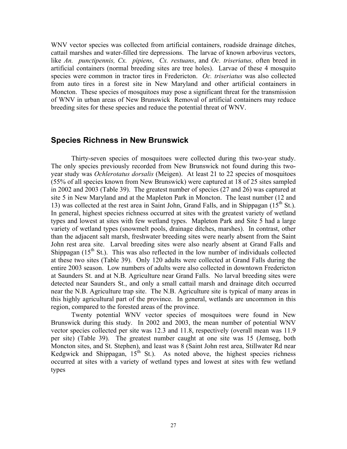WNV vector species was collected from artificial containers, roadside drainage ditches, cattail marshes and water-filled tire depressions. The larvae of known arbovirus vectors, like *An. punctipennis, Cx. pipiens*, *Cx. restuans*, and *Oc. triseriatus,* often breed in artificial containers (normal breeding sites are tree holes). Larvae of these 4 mosquito species were common in tractor tires in Fredericton. *Oc. triseriatus* was also collected from auto tires in a forest site in New Maryland and other artificial containers in Moncton. These species of mosquitoes may pose a significant threat for the transmission of WNV in urban areas of New Brunswick Removal of artificial containers may reduce breeding sites for these species and reduce the potential threat of WNV.

# **Species Richness in New Brunswick**

Thirty-seven species of mosquitoes were collected during this two-year study. The only species previously recorded from New Brunswick not found during this twoyear study was *Ochlerotatus dorsalis* (Meigen). At least 21 to 22 species of mosquitoes (55% of all species known from New Brunswick) were captured at 18 of 25 sites sampled in 2002 and 2003 (Table 39). The greatest number of species (27 and 26) was captured at site 5 in New Maryland and at the Mapleton Park in Moncton. The least number (12 and 13) was collected at the rest area in Saint John, Grand Falls, and in Shippagan  $(15<sup>th</sup>$  St.). In general, highest species richness occurred at sites with the greatest variety of wetland types and lowest at sites with few wetland types. Mapleton Park and Site 5 had a large variety of wetland types (snowmelt pools, drainage ditches, marshes). In contrast, other than the adjacent salt marsh, freshwater breeding sites were nearly absent from the Saint John rest area site. Larval breeding sites were also nearly absent at Grand Falls and Shippagan  $(15<sup>th</sup>$  St.). This was also reflected in the low number of individuals collected at these two sites (Table 39). Only 120 adults were collected at Grand Falls during the entire 2003 season. Low numbers of adults were also collected in downtown Fredericton at Saunders St. and at N.B. Agriculture near Grand Falls. No larval breeding sites were detected near Saunders St., and only a small cattail marsh and drainage ditch occurred near the N.B. Agriculture trap site. The N.B. Agriculture site is typical of many areas in this highly agricultural part of the province. In general, wetlands are uncommon in this region, compared to the forested areas of the province.

Twenty potential WNV vector species of mosquitoes were found in New Brunswick during this study. In 2002 and 2003, the mean number of potential WNV vector species collected per site was 12.3 and 11.8, respectively (overall mean was 11.9 per site) (Table 39). The greatest number caught at one site was 15 (Jemseg, both Moncton sites, and St. Stephen), and least was 8 (Saint John rest area, Stillwater Rd near Kedgwick and Shippagan,  $15^{th}$  St.). As noted above, the highest species richness occurred at sites with a variety of wetland types and lowest at sites with few wetland types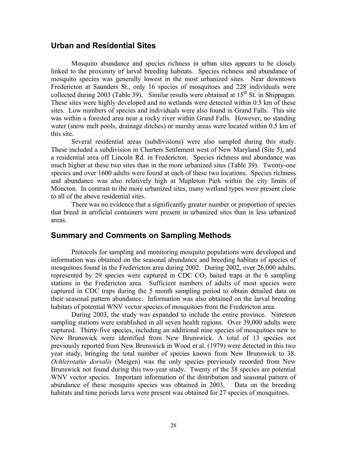### **Urban and Residential Sites**

 Mosquito abundance and species richness in urban sites appears to be closely linked to the proximity of larval breeding habitats. Species richness and abundance of mosquito species was generally lowest in the most urbanized sites. Near downtown Fredericton at Saunders St., only 16 species of mosquitoes and 228 individuals were collected during 2003 (Table 39). Similar results were obtained at  $15<sup>th</sup>$  St. in Shippagan. These sites were highly developed and no wetlands were detected within 0.5 km of these sites. Low numbers of species and individuals were also found in Grand Falls. This site was within a forested area near a rocky river within Grand Falls. However, no standing water (snow melt pools, drainage ditches) or marshy areas were located within 0.5 km of this site.

 Several residential areas (subdivisions) were also sampled during this study. These included a subdivision in Charters Settlement west of New Maryland (Site 5), and a residential area off Lincoln Rd. in Fredericton. Species richness and abundance was much higher at these two sites than in the more urbanized sites (Table 39). Twenty-one species and over 1600 adults were found at each of these two locations. Species richness and abundance was also relatively high at Mapleton Park within the city limits of Moncton. In contrast to the more urbanized sites, many wetland types were present close to all of the above residential sites.

 There was no evidence that a significantly greater number or proportion of species that breed in artificial containers were present in urbanized sites than in less urbanized areas.

# **Summary and Comments on Sampling Methods**

Protocols for sampling and monitoring mosquito populations were developed and information was obtained on the seasonal abundance and breeding habitats of species of mosquitoes found in the Fredericton area during 2002. During 2002, over 26,000 adults, represented by 29 species were captured in CDC  $CO<sub>2</sub>$  baited traps at the 6 sampling stations in the Fredericton area. Sufficient numbers of adults of most species were captured in CDC traps during the 5 month sampling period to obtain detailed data on their seasonal pattern abundance. Information was also obtained on the larval breeding habitats of potential WNV vector species of mosquitoes from the Fredericton area.

During 2003, the study was expanded to include the entire province. Nineteen sampling stations were established in all seven health regions. Over 39,000 adults were captured. Thirty-five species, including an additional nine species of mosquitoes new to New Brunswick were identified from New Brunswick. A total of 13 species not previously reported from New Brunswick in Wood et al. (1979) were detected in this two year study, bringing the total number of species known from New Brunswick to 38. *Ochlerotatus dorsalis* (Meigen) was the only species previously recorded from New Brunswick not found during this two-year study. Twenty of the 38 species are potential WNV vector species. Important information of the distribution and seasonal pattern of abundance of these mosquito species was obtained in 2003. Data on the breeding habitats and time periods larva were present was obtained for 27 species of mosquitoes.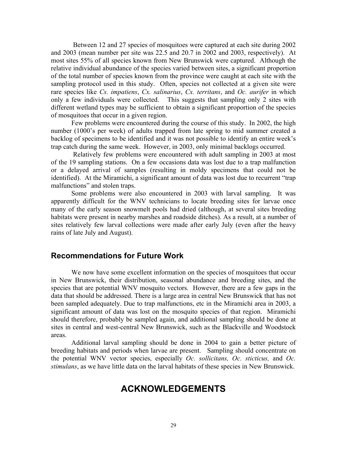Between 12 and 27 species of mosquitoes were captured at each site during 2002 and 2003 (mean number per site was 22.5 and 20.7 in 2002 and 2003, respectively). At most sites 55% of all species known from New Brunswick were captured. Although the relative individual abundance of the species varied between sites, a significant proportion of the total number of species known from the province were caught at each site with the sampling protocol used in this study. Often, species not collected at a given site were rare species like *Cs. impatiens*, *Cx. salinarius*, *Cx. territans*, and *Oc. aurifer* in which only a few individuals were collected. This suggests that sampling only 2 sites with different wetland types may be sufficient to obtain a significant proportion of the species of mosquitoes that occur in a given region.

Few problems were encountered during the course of this study. In 2002, the high number (1000's per week) of adults trapped from late spring to mid summer created a backlog of specimens to be identified and it was not possible to identify an entire week's trap catch during the same week. However, in 2003, only minimal backlogs occurred.

 Relatively few problems were encountered with adult sampling in 2003 at most of the 19 sampling stations. On a few occasions data was lost due to a trap malfunction or a delayed arrival of samples (resulting in moldy specimens that could not be identified). At the Miramichi, a significant amount of data was lost due to recurrent "trap malfunctions" and stolen traps.

Some problems were also encountered in 2003 with larval sampling. It was apparently difficult for the WNV technicians to locate breeding sites for larvae once many of the early season snowmelt pools had dried (although, at several sites breeding habitats were present in nearby marshes and roadside ditches). As a result, at a number of sites relatively few larval collections were made after early July (even after the heavy rains of late July and August).

### **Recommendations for Future Work**

 We now have some excellent information on the species of mosquitoes that occur in New Brunswick, their distribution, seasonal abundance and breeding sites, and the species that are potential WNV mosquito vectors. However, there are a few gaps in the data that should be addressed. There is a large area in central New Brunswick that has not been sampled adequately. Due to trap malfunctions, etc in the Miramichi area in 2003, a significant amount of data was lost on the mosquito species of that region. Miramichi should therefore, probably be sampled again, and additional sampling should be done at sites in central and west-central New Brunswick, such as the Blackville and Woodstock areas.

 Additional larval sampling should be done in 2004 to gain a better picture of breeding habitats and periods when larvae are present. Sampling should concentrate on the potential WNV vector species, especially *Oc. sollicitans, Oc. sticticus,* and *Oc. stimulans*, as we have little data on the larval habitats of these species in New Brunswick.

# **ACKNOWLEDGEMENTS**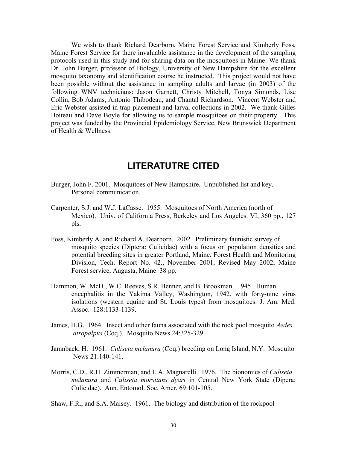We wish to thank Richard Dearborn, Maine Forest Service and Kimberly Foss, Maine Forest Service for there invaluable assistance in the development of the sampling protocols used in this study and for sharing data on the mosquitoes in Maine. We thank Dr. John Burger, professor of Biology, University of New Hampshire for the excellent mosquito taxonomy and identification course he instructed. This project would not have been possible without the assistance in sampling adults and larvae (in 2003) of the following WNV technicians: Jason Garnett, Christy Mitchell, Tonya Simonds, Lise Collin, Bob Adams, Antonio Thibodeau, and Chantal Richardson. Vincent Webster and Eric Webster assisted in trap placement and larval collections in 2002. We thank Gilles Boiteau and Dave Boyle for allowing us to sample mosquitoes on their property. This project was funded by the Provincial Epidemiology Service, New Brunswick Department of Health & Wellness.

# **LITERATUTRE CITED**

- Burger, John F. 2001. Mosquitoes of New Hampshire. Unpublished list and key. Personal communication.
- Carpenter, S.J. and W.J. LaCasse. 1955. Mosquitoes of North America (north of Mexico). Univ. of California Press, Berkeley and Los Angeles. VI, 360 pp., 127 pls.
- Foss, Kimberly A. and Richard A. Dearborn. 2002. Preliminary faunistic survey of mosquito species (Diptera: Culicidae) with a focus on population densities and potential breeding sites in greater Portland, Maine. Forest Health and Monitoring Division, Tech. Report No. 42., November 2001, Revised May 2002, Maine Forest service, Augusta, Maine 38 pp.
- Hammon, W. McD., W.C. Reeves, S.R. Benner, and B. Brookman. 1945. Human encephalitis in the Yakima Valley, Washington, 1942, with forty-nine virus isolations (western equine and St. Louis types) from mosquitoes. J. Am. Med. Assoc. 128:1133-1139.
- James, H.G. 1964. Insect and other fauna associated with the rock pool mosquito *Aedes atropalpus* (Coq.). Mosquito News 24:325-329.
- Jamnback, H. 1961. *Culiseta melanura* (Coq.) breeding on Long Island, N.Y. Mosquito News 21:140-141.
- Morris, C.D., R.H. Zimmerman, and L.A. Magnarelli. 1976. The bionomics of *Culiseta melanura* and *Culiseta morsitans dyari* in Central New York State (Dipera: Culicidae). Ann. Entomol. Soc. Amer. 69:101-105.
- Shaw, F.R., and S.A. Maisey. 1961. The biology and distribution of the rockpool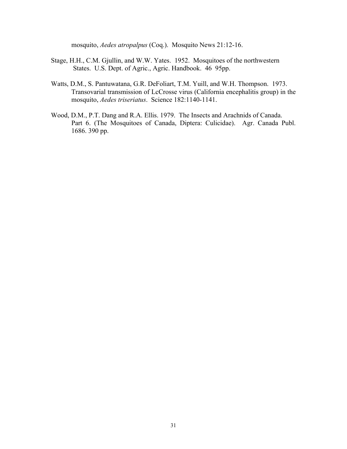mosquito, *Aedes atropalpus* (Coq.). Mosquito News 21:12-16.

- Stage, H.H., C.M. Gjullin, and W.W. Yates. 1952. Mosquitoes of the northwestern States. U.S. Dept. of Agric., Agric. Handbook. 46 95pp.
- Watts, D.M., S. Pantuwatana, G.R. DeFoliart, T.M. Yuill, and W.H. Thompson. 1973. Transovarial transmission of LcCrosse virus (California encephalitis group) in the mosquito, *Aedes triseriatus*. Science 182:1140-1141.
- Wood, D.M., P.T. Dang and R.A. Ellis. 1979. The Insects and Arachnids of Canada. Part 6. (The Mosquitoes of Canada, Diptera: Culicidae). Agr. Canada Publ. 1686. 390 pp.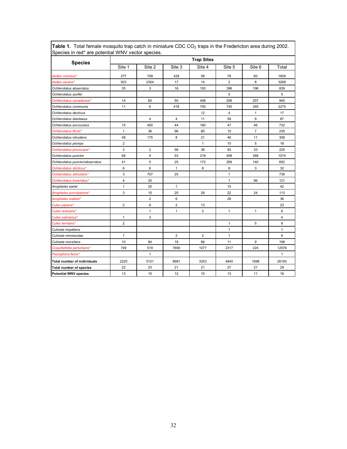| <b>Species</b>                     |                         |                |                | <b>Trap Sites</b> |                |                |                |
|------------------------------------|-------------------------|----------------|----------------|-------------------|----------------|----------------|----------------|
|                                    | Site 1                  | Site 2         | Site 3         | Site 4            | Site 5         | Site 6         | Total          |
| Aedes cinereus*                    | 277                     | 708            | 428            | 58                | 78             | 60             | 1609           |
| Aedes vexans*                      | 923                     | 2304           | 17             | 14                | $\overline{2}$ | 8              | 3268           |
| Ochlerotatus abserratus            | 35                      | 3              | 16             | 193               | 396            | 196            | 839            |
| Ochlerotatus aurifer               |                         |                |                |                   | 5              |                | 5              |
| Ochlerotatus canadensis*           | 14                      | 60             | 50             | 408               | 206            | 207            | 945            |
| Ochlerotatus communis              | 11                      | 6              | 418            | 750               | 745            | 345            | 2275           |
| Ochlerotatus decticus              |                         |                |                | 12                | 4              | $\mathbf{1}$   | 17             |
| Ochlerotatus diantaeus             |                         | $\overline{4}$ | $\overline{4}$ | 11                | 59             | 9              | 87             |
| Ochlerotatus excrucians            | 15                      | 400            | 44             | 180               | 47             | 46             | 732            |
| Ochlerotatus fitchii*              | $\mathbf{1}$            | 36             | 96             | 80                | 15             | $\overline{7}$ | 235            |
| Ochlerotatus intrudens             | 48                      | 175            | 8              | 21                | 46             | 11             | 309            |
| Ochlerotatus pionips               | $\overline{\mathbf{c}}$ |                |                | $\mathbf{1}$      | 10             | 5              | 18             |
| Ochlerotatus provocans*            | 3                       | 2              | 56             | 38                | 93             | 33             | 225            |
| Ochlerotatus punctor               | 68                      | 9              | 53             | 218               | 458            | 268            | 1074           |
| Ochlerotatus punctor/abserratus    | 41                      | 5              | 25             | 172               | 269            | 140            | 652            |
| Ochlerotatus sticticus*            | 6                       | 6              | $\mathbf{1}$   | 8                 | 8              | 3              | 32             |
| Ochlerotatus stimulans*            | 3                       | 707            | 25             |                   | $\mathbf{1}$   |                | 736            |
| Ochlerotatus triseriatus*          | $\overline{4}$          | 20             |                |                   | $\mathbf{1}$   | 96             | 121            |
| Anopheles earlei                   | $\mathbf{1}$            | 25             | $\mathbf{1}$   |                   | 15             |                | 42             |
| Anopheles punctipennis*            | 3                       | 15             | 20             | 29                | 22             | 24             | 113            |
| Anopheles walkeri*                 |                         | $\overline{2}$ | 6              |                   | 28             |                | 36             |
| Culex pipiens*                     | $\overline{2}$          | 6              | $\overline{2}$ | 13                |                |                | 23             |
| Culex restuans*                    |                         | 1              | $\mathbf{1}$   | 2                 | $\mathbf{1}$   | $\mathbf{1}$   | 6              |
| Culex salinarius*                  | $\mathbf{1}$            | 3              |                |                   |                |                | $\overline{4}$ |
| Culex territans*                   | $\overline{2}$          |                |                |                   | $\mathbf{1}$   | 5              | 8              |
| Culiseta impatiens                 |                         |                |                |                   | $\mathbf{1}$   |                | $\mathbf{1}$   |
| Culiseta minnesotae                | $\mathbf{1}$            |                | $\overline{2}$ | $\overline{2}$    | $\mathbf{1}$   |                | 6              |
| Culiseta morsitans                 | 10                      | 84             | 18             | 66                | 11             | 9              | 198            |
| Coquillettidia perturbans*         | 749                     | 519            | 7690           | 1077              | 2317           | 224            | 12576          |
| Psorophora ferox*                  |                         | $\mathbf{1}$   |                |                   |                |                | $\mathbf{1}$   |
| <b>Total number of individuals</b> | 2220                    | 5101           | 8981           | 3353              | 4840           | 1698           | 26193          |
| <b>Total number of species</b>     | 22                      | 23             | 21             | 21                | 27             | 21             | 29             |
| <b>Potential WNV species</b>       | 13                      | 15             | 12             | 10                | 13             | 11             | 16             |

**Table 1.** Total female mosquito trap catch in miniature CDC CO<sub>2</sub> traps in the Fredericton area during 2002. Species in red\* are potential WNV vector species.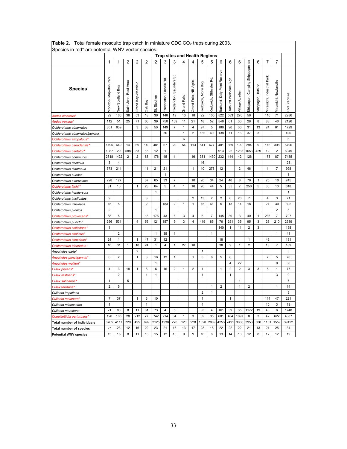| <b>Table 2.</b> Total female mosquito trap catch in miniature CDC CO <sub>2</sub> traps during 2003. |                                                                                                                                                                                                                                                                        |                  |                       |                     |                |              |                         |                         |              |                        |                     |                         |                              |                       |                         |                              |                      |                            |                        |                |
|------------------------------------------------------------------------------------------------------|------------------------------------------------------------------------------------------------------------------------------------------------------------------------------------------------------------------------------------------------------------------------|------------------|-----------------------|---------------------|----------------|--------------|-------------------------|-------------------------|--------------|------------------------|---------------------|-------------------------|------------------------------|-----------------------|-------------------------|------------------------------|----------------------|----------------------------|------------------------|----------------|
|                                                                                                      | Species in red* are potential WNV vector species.<br><b>Trap sites and Health Regions</b><br>6<br>$\overline{7}$<br>$\overline{7}$<br>1<br>$\overline{2}$<br>$\overline{2}$<br>$\overline{2}$<br>$\overline{2}$<br>3<br>3<br>4<br>5<br>6<br>6<br>6<br>6<br>1<br>4<br>5 |                  |                       |                     |                |              |                         |                         |              |                        |                     |                         |                              |                       |                         |                              |                      |                            |                        |                |
|                                                                                                      | あ                                                                                                                                                                                                                                                                      |                  |                       |                     |                |              |                         |                         |              |                        |                     |                         |                              |                       |                         |                              |                      |                            |                        |                |
| <b>Species</b>                                                                                       | <b>Ioncton, Mapleton Park</b>                                                                                                                                                                                                                                          | lew Scotland Bog | Saint John, Rest Area | Grand Bay-Westfield | <b>Dak Bay</b> | Stephen<br>ಹ | Fredericton, Lincoln Rd | redericton, Saunders    | Grand Falls  | Grand Falls, NB Agric. | ledgwick, Morin Bog | ledgwick, Stillwater Rd | Bathurst, Daly Point Reserve | Bathurst Welcome Sign | /illage Acadien         | Shippagan, Camping Shippagan | ö<br>Shippagan, 15th | Viramichi, Industrial Park | Airamichi, Nowlanville | otal capture   |
| Aedes cinereus'                                                                                      | 29<br>166<br>36<br>148<br>19<br>10<br>18<br>22<br>105<br>522<br>583<br>276<br>116<br>71<br>38<br>53<br>18<br>56                                                                                                                                                        |                  |                       |                     |                |              |                         |                         |              |                        |                     |                         |                              |                       |                         | 2286                         |                      |                            |                        |                |
| Aedes vexans'                                                                                        | 112<br>51<br>11<br>25<br>71<br>60<br>39<br>750<br>109<br>21<br>18<br>52<br>546<br>61<br>30<br>28<br>8<br>88<br>46<br>2126<br>301<br>639<br>3<br>38<br>50<br>149<br>$\overline{7}$<br>$\mathbf{1}$<br>4<br>97<br>5<br>186<br>90<br>30<br>31<br>13<br>24<br>61<br>1729   |                  |                       |                     |                |              |                         |                         |              |                        |                     |                         |                              |                       |                         |                              |                      |                            |                        |                |
| Ochlerotatus abserratus                                                                              |                                                                                                                                                                                                                                                                        |                  |                       |                     |                |              |                         |                         |              |                        |                     |                         |                              |                       |                         |                              |                      |                            |                        |                |
| Ochlerotatus abserratus/punctor                                                                      |                                                                                                                                                                                                                                                                        |                  |                       |                     |                |              | 30                      |                         | $\mathbf{1}$ | 2                      | 152                 | 40                      | 138                          | 71                    | 16                      | 37                           | 3                    |                            |                        | 490            |
| Ochlerotatus atropalpus'                                                                             |                                                                                                                                                                                                                                                                        |                  |                       |                     |                |              |                         |                         | 6            |                        |                     |                         |                              |                       |                         |                              |                      |                            |                        | 6              |
| Ochlerotatus canadensis'                                                                             | 1195                                                                                                                                                                                                                                                                   | 649              | 14                    | 69                  | 140            | 481          | 67                      | 20                      | 54           | 113                    | 541                 | 677                     | 481                          | 369                   | 199                     | 294                          | 9                    | 116                        | 308                    | 5796           |
| Ochlerotatus cantator'                                                                               | 1087                                                                                                                                                                                                                                                                   | 29               | 588                   | 53                  | 15             | 12           | $\mathbf{1}$            |                         |              |                        |                     |                         | 913                          | 22                    | 1233                    | 1653                         | 429                  | 12                         | $\overline{2}$         | 6049           |
| Ochlerotatus communis                                                                                | 2818                                                                                                                                                                                                                                                                   | 1422             | 2                     | $\overline{2}$      | 88             | 176          | 45                      | $\mathbf{1}$            |              | 16                     | 381                 | 1430                    | 232                          | 444                   | 42                      | 126                          |                      | 173                        | 87                     | 7485           |
| Ochlerotatus decticus                                                                                | 3                                                                                                                                                                                                                                                                      | 4                |                       |                     |                |              |                         |                         |              |                        | 16                  |                         |                              |                       |                         |                              |                      |                            |                        | 23             |
| Ochlerotatus diantaeus                                                                               | 373                                                                                                                                                                                                                                                                    | 214              | 1                     |                     | 11             | 21           | 21                      |                         |              | 1                      | 10                  | 278                     | 12                           |                       | 2                       | 46                           |                      | 1                          | 7                      | 998            |
| Ochlerotatus euedes                                                                                  |                                                                                                                                                                                                                                                                        |                  |                       |                     |                |              | $\mathbf{1}$            |                         |              |                        |                     |                         |                              |                       |                         |                              |                      |                            |                        | $\mathbf{1}$   |
| Ochlerotatus excrucians                                                                              | 228                                                                                                                                                                                                                                                                    | 127              |                       |                     | 37             | 65           | 33                      | 7                       |              | 10                     | 20                  | 34                      | 24                           | 40                    | 8                       | 76                           | $\mathbf{1}$         | 25                         | 10                     | 745            |
| Ochlerotatus fitchii*                                                                                | 81                                                                                                                                                                                                                                                                     | 10               |                       | $\mathbf{1}$        | 23             | 64           | 5                       | $\overline{\mathbf{4}}$ | 1            | 16                     | 26                  | 44                      | 5                            | 35                    | $\overline{\mathbf{c}}$ | 256                          | 5                    | 30                         | 10                     | 618            |
| Ochlerotatus hendersoni                                                                              |                                                                                                                                                                                                                                                                        |                  |                       |                     |                | 1            |                         |                         |              |                        |                     |                         |                              |                       |                         |                              |                      |                            |                        | $\mathbf{1}$   |
| Ochlerotatus implicatus                                                                              | 9                                                                                                                                                                                                                                                                      |                  |                       |                     | 3              |              |                         |                         |              | 2                      | 13                  | 2                       | 2                            | 6                     | 20                      | 7                            |                      | 4                          | 3                      | 71             |
| Ochlerotatus intrudens                                                                               | 15                                                                                                                                                                                                                                                                     | 5                |                       |                     | $\overline{2}$ |              | 183                     | 2                       | 1            | 1                      | 15                  | 61                      | 5                            | 13                    | 14                      | 18                           |                      | 27                         | 30                     | 392            |
| Ochlerotatus pionips                                                                                 | $\overline{2}$                                                                                                                                                                                                                                                         |                  |                       |                     |                | $\mathbf{1}$ |                         |                         |              |                        |                     |                         |                              |                       |                         |                              |                      |                            | $\overline{2}$         | 5              |
| Ochlerotatus provocans*                                                                              | 58                                                                                                                                                                                                                                                                     | 5                |                       |                     | 18             | 176          | 43                      | 6                       | 3            | $\overline{4}$         | 6                   | $\overline{7}$          | 145                          | 39                    | 3                       | 40                           | $\mathbf{1}$         | 236                        | 7                      | 797            |
| Ochlerotatus punctor                                                                                 | 256                                                                                                                                                                                                                                                                    | 531              | $\mathbf{1}$          | $\overline{4}$      | 53             | 121          | 157                     | 9                       | 3            | $\overline{4}$         | 419                 | 85                      | 76                           | 251                   | 35                      | 95                           | 3                    | 26                         | 210                    | 2339           |
| Ochlerotatus sollicitans*                                                                            | 1                                                                                                                                                                                                                                                                      |                  |                       |                     |                |              |                         |                         |              |                        |                     |                         | 140                          | $\mathbf{1}$          | 11                      | 2                            | 3                    |                            |                        | 158            |
| Ochlerotatus sticticus'                                                                              |                                                                                                                                                                                                                                                                        | $\overline{2}$   |                       |                     |                | 1            | 35                      | 1                       |              |                        |                     | $\mathbf{1}$            |                              |                       |                         |                              |                      |                            | 1                      | 41             |
| Ochlerotatus stimulans'                                                                              | 24                                                                                                                                                                                                                                                                     | $\mathbf{1}$     |                       | $\mathbf{1}$        | 47             | 31           | 12                      |                         |              |                        |                     |                         | 18                           |                       |                         | $\mathbf{1}$                 |                      | 46                         |                        | 181            |
| Ochlerotatus triseriatus*                                                                            | 10                                                                                                                                                                                                                                                                     | 31               | $\mathbf{1}$          | 10                  | 24             | $\mathbf{1}$ | $\overline{4}$          | $\mathbf{1}$            | 27           | 10                     |                     |                         | 38                           | 9                     | 1                       | $\overline{2}$               |                      | 13                         | $\overline{7}$         | 189            |
| Anopheles earlei                                                                                     |                                                                                                                                                                                                                                                                        |                  |                       | $\overline{2}$      |                |              |                         |                         |              |                        | 1                   |                         |                              |                       |                         |                              |                      |                            |                        | 3              |
| Anopheles punctipennis*                                                                              | 6                                                                                                                                                                                                                                                                      | $\overline{2}$   |                       | $\mathbf{1}$        | 3              | 16           | 12                      | 1                       |              | 1                      | 3                   | 8                       | 5                            | 6                     |                         |                              |                      | 7                          | 5                      | 76             |
| Anopheles walkeri*                                                                                   |                                                                                                                                                                                                                                                                        |                  |                       |                     |                | 1            |                         |                         |              |                        |                     |                         |                              | 4                     | 22                      |                              |                      |                            | 9                      | 36             |
| Culex pipiens*                                                                                       | 4                                                                                                                                                                                                                                                                      | 3                | 18                    | $\mathbf{1}$        | 6              | 6            | 16                      | 2                       | 1            | 2                      | $\mathbf{1}$        |                         | 1                            | $\overline{2}$        | 2                       | 3                            | 3                    | 5                          | $\mathbf{1}$           | 77             |
| Culex restuans*                                                                                      |                                                                                                                                                                                                                                                                        | $\overline{2}$   |                       |                     | $\mathbf{1}$   | 1            |                         |                         |              |                        | $\mathbf{1}$        |                         |                              | $\mathbf{1}$          |                         |                              |                      |                            | 3                      | 9              |
| Culex salinarius'                                                                                    | $\mathbf{1}$                                                                                                                                                                                                                                                           |                  | 5                     |                     |                |              |                         |                         |              |                        |                     |                         |                              |                       | 1                       |                              |                      |                            |                        | $\overline{7}$ |
| Culex territans'                                                                                     | $\overline{\mathbf{c}}$                                                                                                                                                                                                                                                | 5                |                       |                     |                |              |                         |                         |              |                        |                     | 1                       | 2                            |                       | 1                       | 2                            |                      |                            | 1                      | 14             |
| Culiseta impatiens                                                                                   |                                                                                                                                                                                                                                                                        |                  |                       |                     |                |              |                         |                         |              |                        | $\overline{2}$      | $\mathbf{1}$            |                              |                       |                         |                              |                      |                            |                        | 3              |
| Culiseta melanura <sup>.</sup>                                                                       | 7                                                                                                                                                                                                                                                                      | 37               |                       | $\mathbf{1}$        | 3              | 10           |                         |                         |              |                        | $\mathbf{1}$        |                         |                              | $\mathbf{1}$          |                         |                              |                      | 114                        | 47                     | 221            |
| Culiseta minnesotae                                                                                  | 1                                                                                                                                                                                                                                                                      |                  |                       |                     | $\mathbf{1}$   |              |                         |                         |              |                        | 4                   |                         |                              |                       |                         |                              |                      | 10                         | 3                      | 19             |
| Culiseta morsitans                                                                                   | 21                                                                                                                                                                                                                                                                     | 80               | 8                     | 11                  | 31             | 73           | 4                       | 5                       |              |                        | 33                  | 4                       | 161                          | 39                    | 35                      | 1172                         | 19                   | 46                         | 6                      | 1748           |
| Coquillettidia perturbans*                                                                           | 120                                                                                                                                                                                                                                                                    | 105              | 28                    | 212                 | 77             | 742          | 214                     | 34                      | $\mathbf{1}$ | 3                      | 39                  | 35                      | 601                          | 404                   | 1097                    | 8                            | 3                    | 42                         | 622                    | 4387           |
| <b>Total number of individuals</b>                                                                   | 6765                                                                                                                                                                                                                                                                   | 4117             | 729                   | 495                 | 699            | 2125         | 1930                    | 228                     | 120          | 228                    | 1820                | 2869                    | 4253                         | 2491                  | 3080                    | 3953                         | 500                  | 1161                       | 1559                   | 39122          |
| <b>Total number of species</b>                                                                       | 27                                                                                                                                                                                                                                                                     | 23               | 12                    | 16                  | 22             | 23           | 21                      | 16                      | 13           | 17                     | 23                  | 18                      | 22                           | 22                    | 22                      | 21                           | 13                   | 21                         | 25                     | 34             |
| <b>Potential WNV species</b>                                                                         | 15                                                                                                                                                                                                                                                                     | 15               | 8                     | 11                  | 13             | 15           | 12                      | 10                      | 9            | 9                      | 10                  | 8                       | 13                           | 14                    | 13                      | 12                           | 8                    | 12                         | 12                     | 19             |

**Table 2.** Total female mosquito trap catch in miniature CDC CO<sub>2</sub> traps during 2003.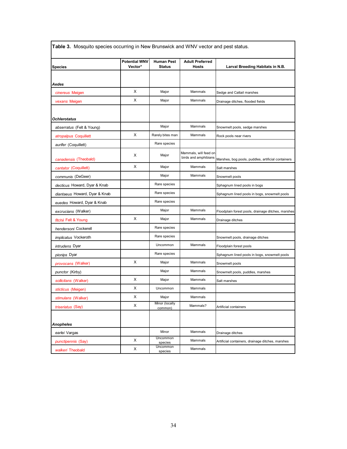| <b>Species</b>                | <b>Potential WNV</b><br>Vector* | <b>Human Pest</b><br><b>Status</b> | <b>Adult Preferred</b><br><b>Hosts</b>        | Larval Breeding Habitats in N.B.                   |
|-------------------------------|---------------------------------|------------------------------------|-----------------------------------------------|----------------------------------------------------|
|                               |                                 |                                    |                                               |                                                    |
| Aedes                         |                                 |                                    |                                               |                                                    |
| cinereus Meigen               | X                               | Major                              | Mammals                                       | Sedge and Cattail marshes                          |
| vexans Meigen                 | X                               | Major                              | Mammals                                       | Drainage ditches, flooded fields                   |
|                               |                                 |                                    |                                               |                                                    |
| <b>Ochlerotatus</b>           |                                 |                                    |                                               |                                                    |
| abserratus (Felt & Young)     |                                 | Major                              | Mammals                                       | Snowmelt pools, sedge marshes                      |
| atropalpus Coquillett         | X                               | Rarely bites man                   | Mammals                                       | Rock pools near rivers                             |
| aurifer (Coquillett)          |                                 | Rare species                       |                                               |                                                    |
| canadensis (Theobald)         | X                               | Major                              | Mammals, will feed on<br>birds and amphibians | Marshes, bog pools, puddles, artificial containers |
| cantator (Coquillett)         | X                               | Major                              | Mammals                                       | Salt marshes                                       |
| communis (DeGeer)             |                                 | Major                              | Mammals                                       | Snowmelt pools                                     |
| decticus Howard, Dyar & Knab  |                                 | Rare species                       |                                               | Sphagnum lined pools in bogs                       |
| diantaeus Howard, Dyar & Knab |                                 | Rare species                       |                                               | Sphagnum lined pools in bogs, snowmelt pools       |
| euedes Howard, Dyar & Knab    |                                 | Rare species                       |                                               |                                                    |
| excrucians (Walker)           |                                 | Major                              | Mammals                                       | Floodplain forest pools, drainage ditches, marshes |
| <i>fitchii</i> Felt & Young   | х                               | Major                              | Mammals                                       | Drainage ditches                                   |
| hendersoni Cockerell          |                                 | Rare species                       |                                               |                                                    |
| <i>implicatus</i> Vockeroth   |                                 | Rare species                       |                                               | Snowmelt pools, drainage ditches                   |
| intrudens Dyar                |                                 | Uncommon                           | Mammals                                       | Floodplain forest pools                            |
| pionips Dyar                  |                                 | Rare species                       |                                               | Sphagnum lined pools in bogs, snowmelt pools       |
| <i>provocans</i> (Walker)     | X                               | Major                              | Mammals                                       | Snowmelt pools                                     |
| punctor (Kirby)               |                                 | Major                              | Mammals                                       | Snowmelt pools, puddles, marshes                   |
| sollicitans (Walker)          | X                               | Major                              | Mammals                                       | Salt marshes                                       |
| sticticus (Meigen)            | X                               | Uncommon                           | Mammals                                       |                                                    |
| stimulans (Walker)            | х                               | Major                              | Mammals                                       |                                                    |
| triseriatus (Say)             | X                               | Minor (locally<br>common)          | Mammals?                                      | Artificial containers                              |
| <b>Anopheles</b>              |                                 |                                    |                                               |                                                    |
| earlei Vargas                 |                                 | Minor                              | Mammals                                       | Drainage ditches                                   |
| punctipennis (Say)            | X                               | Uncommon<br>species                | Mammals                                       | Artificial containers, drainage ditches, marshes   |
| walkeri Theobald              | X                               | Uncommon<br>species                | Mammals                                       |                                                    |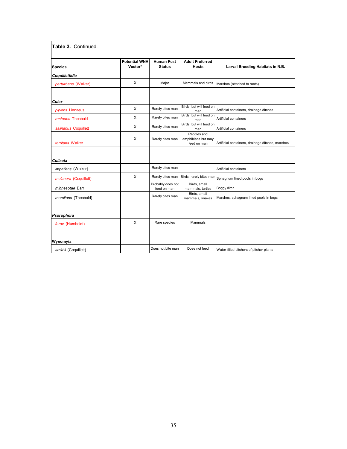| <b>Species</b>        | <b>Potential WNV</b><br>Vector* | <b>Human Pest</b><br><b>Status</b> | <b>Adult Preferred</b><br><b>Hosts</b>            | Larval Breeding Habitats in N.B.                 |
|-----------------------|---------------------------------|------------------------------------|---------------------------------------------------|--------------------------------------------------|
| Coquillettidia        |                                 |                                    |                                                   |                                                  |
| perturbans (Walker)   | $\mathsf{x}$                    | Major                              | Mammals and birds                                 | Marshes (attached to roots)                      |
| <b>Culex</b>          |                                 |                                    |                                                   |                                                  |
| pipiens Linnaeus      | $\mathsf{X}$                    | Rarely bites man                   | Birds, but will feed on<br>man                    | Artificial containers, drainage ditches          |
| restuans Theobald     | X                               | Rarely bites man                   | Birds, but will feed on<br>man                    | Artificial containers                            |
| salinarius Coquillett | X                               | Rarely bites man                   | Birds, but will feed on<br>man                    | Artificial containers                            |
| territans Walker      | X                               | Rarely bites man                   | Reptiles and<br>amphibians but may<br>feed on man | Artificial containers, drainage ditches, marshes |
| Culiseta              |                                 |                                    |                                                   |                                                  |
| impatiens (Walker)    |                                 | Rarely bites man                   |                                                   | Artificial containers                            |
| melanura (Coquillett) | X                               | Rarely bites man                   | Birds, rarely bites man                           | Sphagnum lined pools in bogs                     |
| minnesotae Barr       |                                 | Probably does not<br>feed on man   | Birds, small<br>mammals, turtles                  | Boggy ditch                                      |
| morsitans (Theobald)  |                                 | Rarely bites man                   | Birds, small<br>mammals, snakes                   | Marshes, sphagnum lined pools in bogs            |
|                       |                                 |                                    |                                                   |                                                  |
| Psorophora            |                                 |                                    |                                                   |                                                  |
| ferox (Humboldt)      | $\mathsf{X}$                    | Rare species                       | Mammals                                           |                                                  |
|                       |                                 |                                    |                                                   |                                                  |
| Wyeomyia              |                                 |                                    |                                                   |                                                  |
| smithii (Coquillett)  |                                 | Does not bite man                  | Does not feed                                     | Water-filled pitchers of pitcher plants          |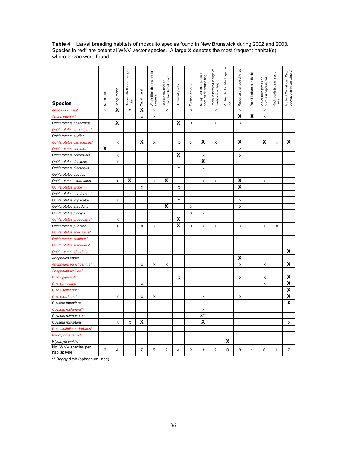**Table 4.** Larval breeding habitats of mosquito species found in New Brunswick during 2002 and 2003. Species in red\* are potential WNV vector species. A large **X** denotes the most frequent habitat(s) where larvae were found.

| <b>Species</b>                      | Salt marsh | Sedge marsh             | Seasonally flooded sedge<br>marsh | Cattail marsh           | Ξ.<br><b>Nater filled depresions</b><br>swamps | Seasonally flooded<br>floodplain forest pools | Snowmelt pools          | Temporary pond          | Sphagnum lined pools in<br>open black spruce bog | Pools in forested margin of<br>black spruce bog | Pitcher plant in black spruce<br>bog | Roadside drainage ditches | Rain filled pools in fields | Water filled (tires and<br>puddles) depressions | Rock pools (streams and<br>rivers) | Artificial Containers (Tires,<br>bucket, plastic containers) |
|-------------------------------------|------------|-------------------------|-----------------------------------|-------------------------|------------------------------------------------|-----------------------------------------------|-------------------------|-------------------------|--------------------------------------------------|-------------------------------------------------|--------------------------------------|---------------------------|-----------------------------|-------------------------------------------------|------------------------------------|--------------------------------------------------------------|
| Aedes cinereus*                     | X          | $\overline{\textsf{x}}$ | $\mathsf X$                       | $\overline{\mathbf{x}}$ | $\mathsf X$                                    | X                                             |                         | $\mathsf X$             |                                                  | Х                                               |                                      | $\mathsf X$               |                             | X                                               |                                    |                                                              |
| Aedes vexans*                       |            |                         |                                   | X                       | X                                              |                                               |                         |                         |                                                  |                                                 |                                      | $\overline{\mathbf{x}}$   | X                           | X                                               |                                    |                                                              |
| Ochlerotatus abserratus             |            | X                       |                                   |                         |                                                |                                               | x                       | $\pmb{\times}$          |                                                  | X                                               |                                      | X                         |                             |                                                 |                                    |                                                              |
| Ochlerotatus atropalpus*            |            |                         |                                   |                         |                                                |                                               |                         |                         |                                                  |                                                 |                                      |                           |                             |                                                 |                                    |                                                              |
| Ochlerotatus aurifer                |            |                         |                                   |                         |                                                |                                               |                         |                         |                                                  |                                                 |                                      |                           |                             |                                                 |                                    |                                                              |
| Ochlerotatus canadensis*            |            | X                       |                                   | X                       | X                                              |                                               | X                       | X                       | х                                                | X                                               |                                      | $\overline{\mathbf{x}}$   |                             | х                                               | X                                  | X                                                            |
| Ochlerotatus cantator*              | X          |                         |                                   |                         |                                                |                                               |                         |                         |                                                  |                                                 |                                      | X                         |                             |                                                 |                                    |                                                              |
| Ochlerotatus communis               |            | X                       |                                   |                         |                                                |                                               | x                       |                         | X                                                |                                                 |                                      | X                         |                             |                                                 |                                    |                                                              |
| Ochlerotatus decticus               |            | X                       |                                   |                         |                                                |                                               |                         |                         | $\overline{\mathbf{x}}$                          |                                                 |                                      |                           |                             |                                                 |                                    |                                                              |
| Ochlerotatus diantaeus              |            |                         |                                   |                         |                                                |                                               | X                       |                         | $\mathsf X$                                      |                                                 |                                      |                           |                             |                                                 |                                    |                                                              |
| Ochlerotatus euedes                 |            |                         |                                   |                         |                                                |                                               |                         |                         |                                                  |                                                 |                                      |                           |                             |                                                 |                                    |                                                              |
| Ochlerotatus excrucians             |            | X                       | X                                 |                         | X                                              | X                                             |                         |                         | X                                                | X                                               |                                      | X                         |                             | X                                               |                                    |                                                              |
| Ochlerotatus fitchii*               |            |                         |                                   | X                       |                                                |                                               | X                       |                         |                                                  |                                                 |                                      | $\overline{\mathbf{x}}$   |                             |                                                 |                                    |                                                              |
| Ochlerotatus hendersoni             |            |                         |                                   |                         |                                                |                                               |                         |                         |                                                  |                                                 |                                      |                           |                             |                                                 |                                    |                                                              |
| Ochlerotatus implicatus             |            | X                       |                                   |                         |                                                |                                               | X                       |                         |                                                  |                                                 |                                      | X                         |                             |                                                 |                                    |                                                              |
| Ochlerotatus intrudens              |            |                         |                                   |                         |                                                | χ                                             |                         | X                       |                                                  |                                                 |                                      | X                         |                             |                                                 |                                    |                                                              |
| Ochlerotatus pionips                |            |                         |                                   |                         |                                                |                                               |                         | $\pmb{\times}$          | X                                                |                                                 |                                      |                           |                             |                                                 |                                    |                                                              |
| Ochlerotatus provocans*             |            | X                       |                                   |                         |                                                |                                               | $\overline{\mathbf{x}}$ |                         |                                                  |                                                 |                                      |                           |                             |                                                 |                                    |                                                              |
| Ochlerotatus punctor                |            | X                       |                                   | X                       | X                                              |                                               | $\overline{\mathbf{X}}$ | X                       | X                                                | $\boldsymbol{\mathsf{X}}$                       |                                      | X                         |                             | $\mathsf X$                                     | $\boldsymbol{\mathsf{X}}$          |                                                              |
| Ochlerotatus sollicitans*           |            |                         |                                   |                         |                                                |                                               |                         |                         |                                                  |                                                 |                                      |                           |                             |                                                 |                                    |                                                              |
| Ochlerotatus sticticus*             |            |                         |                                   |                         |                                                |                                               |                         |                         |                                                  |                                                 |                                      |                           |                             |                                                 |                                    |                                                              |
| Ochlerotatus stimulans*             |            |                         |                                   |                         |                                                |                                               |                         |                         |                                                  |                                                 |                                      |                           |                             |                                                 |                                    |                                                              |
| Ochlerotatus triseriatus*           |            |                         |                                   |                         |                                                |                                               |                         |                         |                                                  |                                                 |                                      |                           |                             |                                                 |                                    | X                                                            |
| Anopheles earlei                    |            |                         |                                   |                         |                                                |                                               |                         |                         |                                                  |                                                 |                                      | x                         |                             |                                                 |                                    |                                                              |
| Anopheles punctipennis*             |            |                         |                                   | X                       | X                                              | X                                             |                         |                         |                                                  |                                                 |                                      | X                         |                             | X                                               |                                    | χ                                                            |
| Anopheles walkeri*                  |            |                         |                                   |                         |                                                |                                               |                         |                         |                                                  |                                                 |                                      |                           |                             |                                                 |                                    |                                                              |
| Culex pipiens*                      |            |                         |                                   |                         |                                                |                                               | х                       |                         |                                                  |                                                 |                                      | X                         |                             | X                                               |                                    | $\pmb{\mathsf{X}}$                                           |
| Culex restuans*                     |            |                         |                                   | X                       |                                                |                                               |                         |                         |                                                  |                                                 |                                      |                           |                             | $\mathsf X$                                     |                                    | $\overline{\mathbf{x}}$                                      |
| Culex salinarius*                   |            |                         |                                   |                         |                                                |                                               |                         |                         |                                                  |                                                 |                                      |                           |                             |                                                 |                                    | $\overline{\mathbf{X}}$                                      |
| Culex territans*                    |            | X                       |                                   | X                       | X                                              |                                               |                         |                         | X                                                |                                                 |                                      | X                         |                             |                                                 |                                    | $\overline{\mathbf{x}}$                                      |
| Culiseta impatiens                  |            |                         |                                   |                         |                                                |                                               |                         |                         |                                                  |                                                 |                                      |                           |                             |                                                 |                                    | $\overline{\mathsf{x}}$                                      |
| Culiseta melanura*                  |            |                         |                                   |                         |                                                |                                               |                         |                         | X                                                |                                                 |                                      |                           |                             |                                                 |                                    |                                                              |
| Culiseta minnesotae                 |            |                         |                                   |                         |                                                |                                               |                         |                         | $x^{\star\star}$                                 |                                                 |                                      |                           |                             |                                                 |                                    |                                                              |
| Culiseta morsitans                  |            | Χ                       | $\mathsf X$                       | χ                       |                                                |                                               |                         |                         | $\overline{\mathbf{x}}$                          |                                                 |                                      |                           |                             |                                                 |                                    | X                                                            |
| Coquillettidia perturbans*          |            |                         |                                   |                         |                                                |                                               |                         |                         |                                                  |                                                 |                                      |                           |                             |                                                 |                                    |                                                              |
| Psorophora ferox*                   |            |                         |                                   |                         |                                                |                                               |                         |                         |                                                  |                                                 |                                      |                           |                             |                                                 |                                    |                                                              |
| Wyomyia smithii                     |            |                         |                                   |                         |                                                |                                               |                         |                         |                                                  |                                                 | X                                    |                           |                             |                                                 |                                    |                                                              |
| No. WNV species per<br>habitat type | 2          | 4                       | 1                                 | 7                       | 5                                              | $\overline{2}$                                | 4                       | $\overline{\mathbf{c}}$ | 3                                                | $\overline{2}$                                  | 0                                    | 8                         | 1                           | 6                                               | 1                                  | 7                                                            |

\*\* Boggy ditch (sphagnum lined)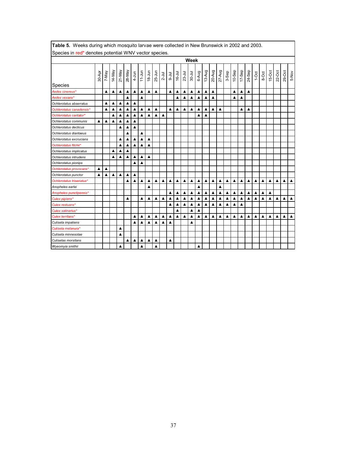| Species in red* denotes potential WNV vector species.                                                                                                                                                                                                                          |                                                                                                                                                                                                                                                                            |                  |        |                  |                  |                  |                  |                  |                  |                  |                  |            |          |                  |                  |                  |                  |                  |                  |           |                  |                  |                  |       |                  |          |                  |                  |
|--------------------------------------------------------------------------------------------------------------------------------------------------------------------------------------------------------------------------------------------------------------------------------|----------------------------------------------------------------------------------------------------------------------------------------------------------------------------------------------------------------------------------------------------------------------------|------------------|--------|------------------|------------------|------------------|------------------|------------------|------------------|------------------|------------------|------------|----------|------------------|------------------|------------------|------------------|------------------|------------------|-----------|------------------|------------------|------------------|-------|------------------|----------|------------------|------------------|
|                                                                                                                                                                                                                                                                                |                                                                                                                                                                                                                                                                            |                  |        |                  |                  |                  |                  |                  |                  |                  |                  |            |          | Week             |                  |                  |                  |                  |                  |           |                  |                  |                  |       |                  |          |                  |                  |
| <b>Species</b>                                                                                                                                                                                                                                                                 | 30-Apr                                                                                                                                                                                                                                                                     | ye <sub>N-</sub> | 14-May | 21-May           | 28-May           | $4 - J$ un       | $11 - Jun$       | $18 - Jun$       | 25-Jun           | $2 -$ Jul        | $9 - Jul$        | $16 -$ Jul | $23-Jul$ | $30 - Jul$       | 6-Aug            | 13-Aug           | 20-Aug           | $27 - Aug$       | 3-Sep            | $10-$ Sep | $17-$ Sep        | 24-Sep           | $1-0ct$          | 8-Oct | 15-Oct           | $22-Oct$ | 29-Oct           | 5-Nov            |
| $\blacktriangle$<br>$\blacktriangle$<br>▲<br>$\blacktriangle$<br>▲<br>Aedes cinereus*<br>▲<br>▲<br>▲<br>▲<br>▲<br>▲<br>▲<br>▲<br>▲<br>▲<br>▲<br>▲<br>▲<br>$\blacktriangle$<br>$\blacktriangle$<br>$\blacktriangle$<br>A<br>Δ<br>▲<br>▲<br>▲<br>▲<br>▲<br>▲<br>▲<br>▲<br>▲<br>▲ |                                                                                                                                                                                                                                                                            |                  |        |                  |                  |                  |                  |                  |                  |                  |                  |            |          |                  |                  |                  |                  |                  |                  |           |                  |                  |                  |       |                  |          |                  |                  |
| Aedes vexans*                                                                                                                                                                                                                                                                  | $\blacktriangle$<br>$\blacktriangle$<br>$\blacktriangle$<br>$\blacktriangle$<br>$\blacktriangle$<br>$\blacktriangle$<br>A<br>$\blacktriangle$<br>$\blacktriangle$<br>$\blacktriangle$<br>$\blacktriangle$<br>▲<br>Δ<br>Δ<br>$\blacktriangle$<br>$\blacktriangle$<br>▲<br>▲ |                  |        |                  |                  |                  |                  |                  |                  |                  |                  |            |          |                  |                  |                  |                  |                  |                  |           |                  |                  |                  |       |                  |          |                  |                  |
| Ochlerotatus abserratus                                                                                                                                                                                                                                                        |                                                                                                                                                                                                                                                                            |                  |        |                  |                  |                  |                  |                  |                  |                  |                  |            |          |                  |                  |                  |                  |                  |                  |           |                  |                  |                  |       |                  |          |                  |                  |
| Ochlerotatus canadensis*                                                                                                                                                                                                                                                       |                                                                                                                                                                                                                                                                            |                  |        |                  |                  |                  |                  |                  |                  |                  |                  |            |          |                  |                  |                  |                  |                  |                  |           |                  |                  |                  |       |                  |          |                  |                  |
| Ochlerotatus cantator*                                                                                                                                                                                                                                                         |                                                                                                                                                                                                                                                                            |                  |        | ▲                | ▲                | ▲                | ▲                | ▲                | ▲                | ▲                |                  |            |          |                  | ▲                | ▲                |                  |                  |                  |           |                  |                  |                  |       |                  |          |                  |                  |
| Ochlerotatus communis                                                                                                                                                                                                                                                          | ▲                                                                                                                                                                                                                                                                          | ▲                | ▲      | ▲                | ▲                | ▲                |                  |                  |                  |                  |                  |            |          |                  |                  |                  |                  |                  |                  |           |                  |                  |                  |       |                  |          |                  |                  |
| Ochlerotatus decticus                                                                                                                                                                                                                                                          |                                                                                                                                                                                                                                                                            |                  |        |                  |                  |                  |                  |                  |                  |                  |                  |            |          |                  |                  |                  |                  |                  |                  |           |                  |                  |                  |       |                  |          |                  |                  |
| Ochlerotatus diantaeus                                                                                                                                                                                                                                                         |                                                                                                                                                                                                                                                                            |                  |        |                  | ▲                |                  | ▲                |                  |                  |                  |                  |            |          |                  |                  |                  |                  |                  |                  |           |                  |                  |                  |       |                  |          |                  |                  |
| Ochlerotatus excrucians                                                                                                                                                                                                                                                        |                                                                                                                                                                                                                                                                            |                  |        | $\blacktriangle$ | $\blacktriangle$ | $\blacktriangle$ | ▲                | $\blacktriangle$ |                  |                  |                  |            |          |                  |                  |                  |                  |                  |                  |           |                  |                  |                  |       |                  |          |                  |                  |
| Ochlerotatus fitchii*                                                                                                                                                                                                                                                          |                                                                                                                                                                                                                                                                            |                  |        | ▲                | ▲                | ▲                | ▲                |                  |                  |                  |                  |            |          |                  |                  |                  |                  |                  |                  |           |                  |                  |                  |       |                  |          |                  |                  |
| Ochlerotatus implicatus                                                                                                                                                                                                                                                        |                                                                                                                                                                                                                                                                            |                  | Δ      |                  | Δ                |                  |                  |                  |                  |                  |                  |            |          |                  |                  |                  |                  |                  |                  |           |                  |                  |                  |       |                  |          |                  |                  |
| Ochlerotatus intrudens                                                                                                                                                                                                                                                         |                                                                                                                                                                                                                                                                            |                  |        | ▲                | Δ                | ▲                | ▲                | $\blacktriangle$ |                  |                  |                  |            |          |                  |                  |                  |                  |                  |                  |           |                  |                  |                  |       |                  |          |                  |                  |
| Ochlerotatus pionips                                                                                                                                                                                                                                                           |                                                                                                                                                                                                                                                                            |                  |        |                  |                  | ▲                | ▲                |                  |                  |                  |                  |            |          |                  |                  |                  |                  |                  |                  |           |                  |                  |                  |       |                  |          |                  |                  |
| Ochlerotatus provocans*                                                                                                                                                                                                                                                        | ▲                                                                                                                                                                                                                                                                          | ▲                |        |                  |                  |                  |                  |                  |                  |                  |                  |            |          |                  |                  |                  |                  |                  |                  |           |                  |                  |                  |       |                  |          |                  |                  |
| Ochlerotatus punctor                                                                                                                                                                                                                                                           | ▲                                                                                                                                                                                                                                                                          | ▲                | ▲      | ▲                | ▲                | ▲                |                  |                  |                  |                  |                  |            |          |                  |                  |                  |                  |                  |                  |           |                  |                  |                  |       |                  |          |                  |                  |
| Ochlerotatus triseriatus*                                                                                                                                                                                                                                                      |                                                                                                                                                                                                                                                                            |                  |        |                  |                  | ▲                | $\blacktriangle$ | $\blacktriangle$ | ▲                | $\blacktriangle$ | $\blacktriangle$ | ▲          | ▲        | $\blacktriangle$ | $\blacktriangle$ | $\blacktriangle$ | $\blacktriangle$ | $\blacktriangle$ | $\blacktriangle$ | ▲         | $\blacktriangle$ | $\blacktriangle$ | $\blacktriangle$ | ▲     | $\blacktriangle$ | ▲        | $\blacktriangle$ | $\blacktriangle$ |
| Anopheles earlei                                                                                                                                                                                                                                                               |                                                                                                                                                                                                                                                                            |                  |        |                  |                  |                  |                  |                  |                  |                  |                  |            |          |                  | ▲                |                  |                  | $\blacktriangle$ |                  |           |                  |                  |                  |       |                  |          |                  |                  |
| Anopheles punctipennis*                                                                                                                                                                                                                                                        |                                                                                                                                                                                                                                                                            |                  |        |                  |                  |                  |                  |                  |                  |                  | $\blacktriangle$ | ▲          | ▲        | $\blacktriangle$ | ▲                | ▲                | ▲                | ▲                | ▲                | ▲         | $\blacktriangle$ | ▲                | ▲                | ▲     | $\blacktriangle$ |          |                  |                  |
| Culex pipiens*                                                                                                                                                                                                                                                                 |                                                                                                                                                                                                                                                                            |                  |        |                  | Δ                |                  | ▲                | $\blacktriangle$ | ▲                | ▲                | $\blacktriangle$ | ▲          | A        | ▲                | $\blacktriangle$ | $\blacktriangle$ | $\blacktriangle$ |                  | ▲                | ▲         | ▲                | ▲                | ▲                | ▲     | ▲                | ▲        | ▲                | $\blacktriangle$ |
| Culex restuans*                                                                                                                                                                                                                                                                |                                                                                                                                                                                                                                                                            |                  |        |                  |                  |                  |                  |                  |                  |                  | ▲                | ▲          | ▲        | ▲                | ▲                | ▲                | ▲                | ▲                | ▲                | ▲         | ▲                |                  |                  |       |                  |          |                  |                  |
| Culex salinarius*                                                                                                                                                                                                                                                              |                                                                                                                                                                                                                                                                            |                  |        |                  |                  |                  |                  |                  |                  |                  |                  | ▲          |          | ▲                |                  |                  |                  |                  |                  |           |                  |                  |                  |       |                  |          |                  |                  |
| Culex territans*                                                                                                                                                                                                                                                               |                                                                                                                                                                                                                                                                            |                  |        |                  |                  | ▲                | ▲                | ▲                | ▲                | ▲                | $\blacktriangle$ | ▲          | ▲        | ▲                | ▲                | ▲                | ▲                | ▲                | ▲                | ▲         | ▲                | ▲                | ▲                | ▲     | ▲                | ▲        | ▲                | ▲                |
| Culiseta impatiens                                                                                                                                                                                                                                                             |                                                                                                                                                                                                                                                                            |                  |        |                  |                  | ▲                | $\blacktriangle$ | ▲                | $\blacktriangle$ | ▲                | $\blacktriangle$ |            |          | ▲                |                  |                  |                  |                  |                  |           |                  |                  |                  |       |                  |          |                  |                  |
| Culiseta melanura*                                                                                                                                                                                                                                                             |                                                                                                                                                                                                                                                                            |                  |        | ▲                |                  |                  |                  |                  |                  |                  |                  |            |          |                  |                  |                  |                  |                  |                  |           |                  |                  |                  |       |                  |          |                  |                  |
| Culiseta minnesotae                                                                                                                                                                                                                                                            |                                                                                                                                                                                                                                                                            |                  |        | ▲                |                  |                  |                  |                  |                  |                  |                  |            |          |                  |                  |                  |                  |                  |                  |           |                  |                  |                  |       |                  |          |                  |                  |
| <b>Culisetas morsitans</b>                                                                                                                                                                                                                                                     |                                                                                                                                                                                                                                                                            |                  |        |                  | Δ                | ▲                | ▲                | $\blacktriangle$ | ▲                |                  | $\blacktriangle$ |            |          |                  |                  |                  |                  |                  |                  |           |                  |                  |                  |       |                  |          |                  |                  |
| Wyeomyia smithii                                                                                                                                                                                                                                                               |                                                                                                                                                                                                                                                                            |                  |        |                  |                  |                  | ▲                |                  | ▲                |                  |                  |            |          |                  |                  |                  |                  |                  |                  |           |                  |                  |                  |       |                  |          |                  |                  |

**Table 5.** Weeks during which mosquito larvae were collected in New Brunswick in 2002 and 2003.

I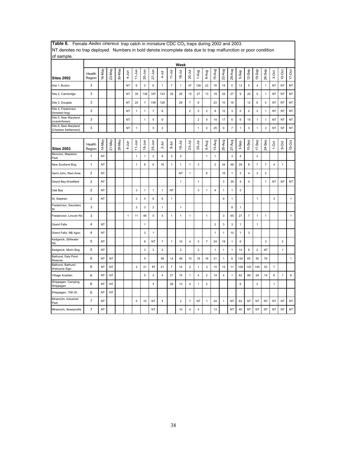| ivi denotes no trap deployed. Trambérs in bold denote incomplete data que to trap mandifetion or poor condition<br>of sample. |                  |           |           |        |              |                           |                         |                         |                         |                |                |                         |                         |                         |                         |                         |                          |                         |                         |                  |                          |                |              |              |
|-------------------------------------------------------------------------------------------------------------------------------|------------------|-----------|-----------|--------|--------------|---------------------------|-------------------------|-------------------------|-------------------------|----------------|----------------|-------------------------|-------------------------|-------------------------|-------------------------|-------------------------|--------------------------|-------------------------|-------------------------|------------------|--------------------------|----------------|--------------|--------------|
|                                                                                                                               |                  |           |           |        |              |                           |                         |                         |                         |                | Week           |                         |                         |                         |                         |                         |                          |                         |                         |                  |                          |                |              |              |
| <b>Sites 2002</b>                                                                                                             | Health<br>Region | 16-May    | 23-May    | 30-May | $4 - Jun$    | $11 - Jun$                | $20 - Jun$              | $27 - Jun$              | $4 -$ Jul               | $11 -$ Jul     | $18 -$ Jul     | $25 -$ Jul              | 1-Aug                   | 8-Aug                   | 15-Aug                  | 22-Aug                  | 29-Aug                   | 5-Sep                   | 12-Sep                  | 19-Sep           | $26-$ Sep                | 3-Oct          | $10-Oct$     | $17-Oct$     |
| Site 1, Burton                                                                                                                | 3                |           |           |        | <b>NT</b>    | 6                         | $\overline{2}$          | 6                       | $\mathbf{1}$            | $\overline{7}$ | $\mathbf{1}$   | 47                      | 128                     | 22                      | 15                      | 14                      | 5                        | 13                      | 5                       | $\overline{4}$   | $\mathbf{1}$             | <b>NT</b>      | <b>NT</b>    | NT           |
| Site 2, Cambridge                                                                                                             | 3                |           |           |        | <b>NT</b>    | 39                        | 138                     | 187                     | 123                     | 35             | 26             | 15                      | 27                      | 13                      | 19                      | 34                      | 27                       | 9                       | 20                      | 5                | $\mathbf{1}$             | <b>NT</b>      | <b>NT</b>    | <b>NT</b>    |
| Site 3, Douglas                                                                                                               | 3                |           |           |        | <b>NT</b>    | 20                        | $\overline{7}$          | 159                     | 128                     |                | 28             | $\overline{7}$          | 8                       |                         | 23                      | 10                      | 16                       |                         | 12                      | 6                | $\overline{\mathbf{4}}$  | <b>NT</b>      | NT           | NT           |
| Site 4, Fredericton<br>(forested bog)                                                                                         | 3                |           |           |        | NT           | $\mathbf{1}$              | 1                       | $\overline{7}$          | 8                       |                |                | $\overline{2}$          | 5                       | $\overline{2}$          | 8                       | 12                      | 3                        | $\overline{2}$          | $\overline{\mathbf{4}}$ | $\overline{2}$   | $\mathbf{1}$             | <b>NT</b>      | NT           | NT           |
| Site 5, New Maryland<br>(marsh/forest)                                                                                        | 3                |           |           |        | NT           |                           | 1                       | 5                       | 6                       |                |                |                         | $\overline{2}$          | 4                       | 14                      | 17                      | 6                        | 6                       | 15                      | $\mathbf{1}$     | 1                        | <b>NT</b>      | NT           | NT           |
| Site 6, New Maryland<br>(Charters Settlement)                                                                                 | 3                |           |           |        | NT           | $\mathbf{1}$              |                         | 5                       | $\mathbf 2$             |                |                |                         | $\mathbf{1}$            | $\overline{\mathbf{c}}$ | 25                      | 9                       | $\overline{\phantom{a}}$ | $\mathbf{1}$            | 3                       | $\mathbf{1}$     | 3                        | <b>NT</b>      | NT           | NT           |
| <b>Sites 2003</b>                                                                                                             | Health<br>Region | 14-May    | 21-May    | 28-May | $4 - Jun$    | $11 - Jun$                | $18 - Jun$              | 25-Jun                  | $2 -$ Jul               | $3-101$        | $16 - Jul$     | $23 -$ Jul              | $30 -$ Jul              | 6-Aug                   | 13-Aug                  | 20-Aug                  | $27 - Aug$               | 3-Sep                   | $10-$ Sep               | $17 -$ Sep       | 24-Sep                   | $1-0$ ct       | 8-Oct        | 15-Oct       |
| Moncton, Mapleton<br>Park                                                                                                     | 1                | NT        |           |        |              | $\mathbf{1}$              | 1                       | $\overline{\mathbf{c}}$ | 8                       | 3              | $\overline{c}$ |                         |                         | 1                       | 1                       |                         | 3                        | $\overline{4}$          |                         | $\mathsf 3$      |                          |                |              |              |
| New Scotland Bog                                                                                                              | $\mathbf{1}$     | <b>NT</b> |           |        |              | $\mathbf{1}$              | 6                       | 6                       | 16                      | 1              | $\mathbf{1}$   | $\mathbf{1}$            | 3                       |                         | $\overline{2}$          | 34                      | 48                       | 29                      | 8                       | $\overline{7}$   | $\overline{\phantom{a}}$ | $\overline{4}$ | $\mathbf{1}$ |              |
| Saint John, Rest Area                                                                                                         | $\overline{2}$   | NT        |           |        |              |                           |                         |                         |                         |                | NT             | $\mathbf{1}$            |                         | 8                       |                         | 16                      | 1                        | 3                       | $\overline{4}$          | 3                | $\overline{2}$           |                |              |              |
| Grand Bay-Westfield                                                                                                           | $\overline{2}$   | <b>NT</b> |           |        |              |                           |                         |                         |                         |                | $\mathbf{1}$   |                         | $\mathbf{1}$            |                         |                         | 3                       | 39                       | $\overline{\mathbf{4}}$ | $\overline{\mathbf{4}}$ |                  | 1                        | <b>NT</b>      | NT           | NT           |
| Oak Bay                                                                                                                       | $\overline{2}$   | NT        |           |        |              | $\ensuremath{\mathsf{3}}$ | 1                       | 1                       | $\mathbf{1}$            | NT             |                |                         | 3                       | 1                       | $\overline{\mathbf{4}}$ | $\mathbf{1}$            | 1                        | $\mathbf 2$             |                         |                  |                          |                |              |              |
| St. Stephen                                                                                                                   | $\mathbf 2$      | NT        |           |        |              | $\ensuremath{\mathsf{3}}$ | $\pmb{4}$               | 8                       | 6                       | $\mathbf{1}$   |                |                         |                         |                         |                         | 9                       | $\mathbf{1}$             |                         |                         | $\mathbf{1}$     |                          | $\mathbf{3}$   |              | $\mathbf{1}$ |
| Fredericton, Saunders<br>St.                                                                                                  | 3                |           |           |        |              | 3                         | 3                       | $\overline{2}$          | $\mathbf{1}$            |                | $\mathbf{1}$   |                         |                         |                         |                         |                         | 8                        | $\mathbf{1}$            |                         |                  |                          |                |              |              |
| Fredericton, Lincoln Rd.                                                                                                      | 3                |           |           |        | $\mathbf{1}$ | 11                        | 46                      | 5                       | 5                       | $\mathbf{1}$   | $\mathbf{1}$   | $\mathbf{1}$            |                         | $\mathbf{1}$            |                         | 3                       | 65                       | 27                      | $\overline{7}$          | $\mathbf{1}$     | $\mathbf{1}$             |                |              | $\mathbf{1}$ |
| <b>Grand Falls</b>                                                                                                            | $\overline{4}$   | NT        |           |        |              |                           | 1                       |                         |                         |                |                |                         |                         |                         | $\overline{2}$          | 3                       | 3                        | $\mathbf{1}$            |                         | $\mathbf{1}$     |                          |                |              |              |
| Grand Falls, NB Agric.                                                                                                        | 4                | <b>NT</b> |           |        |              |                           | 3                       | 1                       |                         |                |                |                         |                         |                         | $\mathbf{1}$            | 1                       | 10                       | $\mathbf{1}$            | 3                       |                  |                          |                |              |              |
| Kedgwick, Stillwater<br>Rd.                                                                                                   | 5                | <b>NT</b> |           |        |              |                           | 6                       | NT                      | $\overline{7}$          | $\mathbf{1}$   | 10             | $\overline{4}$          | 3                       | $\overline{7}$          | 24                      | 19                      | $\mathbf{1}$             | 6                       |                         |                  | 3                        |                | 3            |              |
| Kedgwick, Morin Bog                                                                                                           | 5                | <b>NT</b> |           |        |              |                           | 3                       | 3                       | 3                       |                | $\overline{c}$ |                         | $\overline{2}$          |                         | $\mathbf{1}$            | 1                       | 1                        | 14                      | 6                       | $\boldsymbol{2}$ | NT                       |                | $\mathbf{1}$ |              |
| Bathurst, Daly Point<br>Reserve                                                                                               | 6                | NT        | NT        |        |              |                           | $\overline{\mathbf{4}}$ |                         | 59                      | 14             | 46             | 10                      | 19                      | 16                      | 21                      | 1                       | 6                        | 134                     | 65                      | 50               | 76                       |                |              | $\mathbf{1}$ |
| Bathurst, Bathurst<br>Welcome Sign                                                                                            | 6                | NT        | NT        |        |              | 3                         | 31                      | 17                      | 21                      | 7              | 14             | 2                       | $\mathbf{1}$            | 3                       | 15                      | 13                      | 11                       | 109                     | 143                     | 145              | 53                       | $\overline{7}$ |              |              |
| Village Acadien                                                                                                               | 6                | NT        | <b>NT</b> |        |              |                           | 5                       | 3                       | $\overline{\mathbf{4}}$ | 21             | 15             | $\mathbf{1}$            | $\overline{\mathbf{4}}$ | $\overline{\mathbf{c}}$ | 14                      | $\overline{\mathbf{4}}$ | 1                        | 62                      | 89                      | 24               | 14                       | 6              | $\mathbf{1}$ | 8            |
| Shippagan, Camping<br>Shippagan                                                                                               | 6                | NT        | <b>NT</b> |        |              |                           |                         | 1                       |                         | 26             | 13             | $\overline{\mathbf{4}}$ | $\mathbf{1}$            | $\overline{2}$          |                         |                         |                          | 6                       |                         | $\overline{2}$   |                          | $\mathbf{1}$   |              |              |
| Shippagan, 15th St.                                                                                                           | 6                | NT        | <b>NT</b> |        |              |                           |                         |                         |                         |                |                |                         |                         |                         |                         |                         |                          |                         |                         |                  |                          |                |              |              |
| Miramichi, Industrial<br>Park                                                                                                 | $\overline{7}$   | <b>NT</b> |           |        |              | 5                         | 10                      | NT                      | $\mathbf{1}$            |                | $\overline{2}$ | $\overline{7}$          | <b>NT</b>               | $\mathbf{1}$            | 24                      | $\mathbf{1}$            | NT                       | 63                      | <b>NT</b>               | NT               | NT                       | <b>NT</b>      | <b>NT</b>    | NT           |
| Miramichi, Nowlanville                                                                                                        | $\overline{7}$   | NT        |           |        |              |                           |                         | <b>NT</b>               |                         |                | 10             | $\overline{4}$          | $\overline{\mathbf{4}}$ |                         | 13                      |                         | <b>NT</b>                | 40                      | <b>NT</b>               | <b>NT</b>        | <b>NT</b>                | <b>NT</b>      | <b>NT</b>    | <b>NT</b>    |

Table 6. Female *Aedes cinereus* trap catch in miniature CDC CO<sub>2</sub> traps during 2002 and 2003. NT denotes no trap deployed. Numbers in bold denote incomplete data due to trap malfunction or poor condition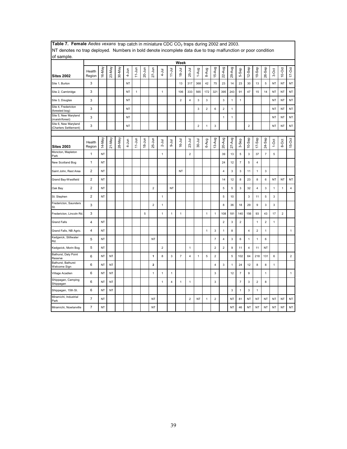| ivi acholes no trap acproyed. Trambers in bold achole incomplete data due to trap manufactori or poor condition<br>of sample. |                         |           |           |        |            |              |            |                         |                |                         |                |                         |                         |              |                  |                         |                |                         |                         |                         |                         |              |                         |                |
|-------------------------------------------------------------------------------------------------------------------------------|-------------------------|-----------|-----------|--------|------------|--------------|------------|-------------------------|----------------|-------------------------|----------------|-------------------------|-------------------------|--------------|------------------|-------------------------|----------------|-------------------------|-------------------------|-------------------------|-------------------------|--------------|-------------------------|----------------|
|                                                                                                                               |                         |           |           |        |            |              |            |                         |                |                         | Week           |                         |                         |              |                  |                         |                |                         |                         |                         |                         |              |                         |                |
| Sites 2002                                                                                                                    | Health<br>Region        | 16-May    | 23-May    | 30-May | 4-Jun      | $11-Jun$     | 20-Jun     | $27 - J$ un             | $4 -$ Jul      | $11 - Ju$               | $18 - Jul$     | 25-Jul                  | 1-Aug                   | 8-Aug        | 15-Aug           | 22-Aug                  | 29-Aug         | 5-Sep                   | 12-Sep                  | 19-Sep                  | $26-$ Sep               | 3-Oct        | 10-Oct                  | $17-Oct$       |
| Site 1, Burton                                                                                                                | 3                       |           |           |        | NT         |              |            |                         |                |                         | 13             | 317                     | 368                     | 42           | 75               | 23                      | 14             | 23                      | 30                      | 13                      | 5                       | <b>NT</b>    | <b>NT</b>               | NT             |
| Site 2, Cambridge                                                                                                             | 3                       |           |           |        | <b>NT</b>  | $\mathbf{1}$ |            |                         | $\mathbf{1}$   |                         | 106            | 333                     | 565                     | 172          | 321              | 395                     | 243            | 91                      | 47                      | 15                      | 14                      | <b>NT</b>    | <b>NT</b>               | <b>NT</b>      |
| Site 3, Douglas                                                                                                               | 3                       |           |           |        | <b>NT</b>  |              |            |                         |                |                         | $\overline{2}$ | $\overline{\mathbf{4}}$ | 3                       | 3            |                  | 3                       | $\mathbf{1}$   | $\mathbf{1}$            |                         |                         |                         | <b>NT</b>    | NT                      | NT             |
| Site 4, Fredericton<br>(forested bog)                                                                                         | 3                       |           |           |        | <b>NT</b>  |              |            |                         |                |                         |                |                         | 3                       | $\mathbf 2$  | 6                | $\overline{2}$          | $\mathbf{1}$   |                         |                         |                         |                         | <b>NT</b>    | NT                      | NT             |
| Site 5, New Maryland<br>(marsh/forest)                                                                                        | 3                       |           |           |        | <b>NT</b>  |              |            |                         |                |                         |                |                         |                         |              |                  | $\mathbf{1}$            | 1              |                         |                         |                         |                         | NT           | NT                      | NT             |
| Site 6, New Maryland<br>(Charters Settlement)                                                                                 | 3                       |           |           |        | NT         |              |            |                         |                |                         |                |                         | $\overline{\mathbf{c}}$ | $\mathbf{1}$ | 3                |                         |                |                         | $\overline{\mathbf{c}}$ |                         |                         | NT           | <b>NT</b>               | NT             |
|                                                                                                                               |                         |           |           |        |            |              |            |                         |                |                         |                |                         |                         |              |                  |                         |                |                         |                         |                         |                         |              |                         |                |
| <b>Sites 2003</b>                                                                                                             | Health<br>Region        | 14-May    | 21-May    | 28-May | $4 - J$ un | $11-Jun$     | $18 - Jun$ | 25-Jun                  | $2 -$ Jul      | $-1$ ul                 | 16-Jul         | $23 - Jul$              | $30 -$ Jul              | 6-Aug        | 13-Aug           | 20-Aug                  | $27 - Aug$     | 3-Sep                   | $10-$ Sep               | 17-Sep                  | 24-Sep                  | $1-0ct$      | 8-Oct                   | 15-Oct         |
| Moncton, Mapleton<br>Park                                                                                                     | 1                       | NT        |           |        |            |              |            |                         | $\mathbf{1}$   |                         |                | $\overline{2}$          |                         |              |                  | 39                      | 13             | 5                       | 3                       | 37                      | $\overline{\mathbf{7}}$ | $\sqrt{5}$   |                         |                |
| New Scotland Bog                                                                                                              | 1                       | NT        |           |        |            |              |            |                         |                |                         |                |                         |                         |              |                  | 24                      | 12             | $\overline{7}$          | 5                       | $\overline{\mathbf{4}}$ |                         |              |                         |                |
| Saint John, Rest Area                                                                                                         | $\overline{2}$          | NT        |           |        |            |              |            |                         |                |                         | NT             |                         |                         |              |                  | 4                       | $\mathbf 3$    | 3                       | 11                      | 1                       | 3                       |              |                         |                |
| Grand Bay-Westfield                                                                                                           | $\overline{c}$          | NT        |           |        |            |              |            |                         |                |                         |                |                         |                         |              |                  | 14                      | 12             | 8                       | 23                      | 8                       | 6                       | NT           | NT                      | $\sf{NT}$      |
| Oak Bay                                                                                                                       | $\overline{2}$          | NT        |           |        |            |              |            | $\overline{2}$          |                | NT                      |                |                         |                         |              |                  | 5                       | $\overline{5}$ | 3                       | 32                      | 4                       | 3                       | $\mathbf{1}$ | $\mathbf{1}$            | $\overline{4}$ |
| St. Stephen                                                                                                                   | $\overline{\mathbf{c}}$ | ΝT        |           |        |            |              |            |                         | 1              |                         |                |                         |                         |              |                  | 5                       | 10             |                         | 3                       | 11                      | 5                       | 3            |                         |                |
| Fredericton, Saunders<br>St.                                                                                                  | 3                       |           |           |        |            |              |            | $\overline{2}$          | $\mathbf{1}$   |                         |                |                         |                         |              |                  | 8                       | 36             | 18                      | 29                      | 9                       | 3                       | $\mathsf 3$  |                         |                |
| Fredericton, Lincoln Rd                                                                                                       | 3                       |           |           |        |            |              | 5          |                         | 1              | 1                       | $\mathbf{1}$   |                         |                         | $\mathbf{1}$ | 1                | 108                     | 181            | 140                     | 156                     | 93                      | 43                      | 17           | $\overline{\mathbf{c}}$ |                |
| <b>Grand Falls</b>                                                                                                            | $\pmb{4}$               | <b>NT</b> |           |        |            |              |            |                         |                |                         |                |                         |                         |              |                  | $\overline{2}$          | $\mathbf{3}$   | $\overline{2}$          |                         | $\mathbf{1}$            | $\overline{2}$          | $\mathbf{1}$ |                         |                |
| Grand Falls, NB Agric.                                                                                                        | 4                       | NT        |           |        |            |              |            |                         |                |                         |                |                         |                         | $\mathbf{1}$ | 3                | $\mathbf{1}$            | 8              |                         | $\overline{4}$          | $\overline{2}$          | $\mathbf{1}$            |              |                         | $\mathbf{1}$   |
| Kedgwick, Stillwater<br>Rd.                                                                                                   | 5                       | NT        |           |        |            |              |            | NT                      |                |                         |                |                         |                         |              | $\overline{7}$   | $\overline{\mathbf{4}}$ | $\mathbf{3}$   | 6                       | $\mathbf{1}$            | $\mathbf{1}$            | 6                       |              |                         |                |
| Kedgwick, Morin Bog                                                                                                           | 5                       | NT        |           |        |            |              |            |                         | $\overline{2}$ |                         |                | $\mathbf{1}$            |                         |              | $\overline{2}$   | $\overline{c}$          | 9              | 11                      | 4                       | 11                      | NT                      |              |                         |                |
| Bathurst, Daly Point<br>Reserve                                                                                               | 6                       | NT        | NT        |        |            |              |            | $\mathbf{1}$            | 8              | 3                       | $\overline{7}$ | 4                       | 1                       | 5            | $\overline{2}$   |                         | 5              | 102                     | 64                      | 218                     | 131                     | 6            |                         | $\overline{2}$ |
| Bathurst, Bathurst<br>Welcome Sign                                                                                            | 6                       | NT        | <b>NT</b> |        |            |              |            | $\overline{\mathbf{2}}$ |                |                         |                |                         |                         |              | 4                | 3                       | $\mathbf{1}$   | 24                      | 12                      | 8                       | 8                       | $\mathbf{1}$ |                         |                |
| Village Acadien                                                                                                               | 6                       | NT        | <b>NT</b> |        |            |              |            | $\mathbf{1}$            | $\mathbf{1}$   | $\mathbf{1}$            |                |                         |                         |              | 3                |                         | 12             | $\overline{7}$          | 9                       |                         | $\mathbf{1}$            |              |                         | $\mathbf{1}$   |
| Shippagan, Camping<br>Shippagan                                                                                               | 6                       | NT        | NT        |        |            |              |            |                         | $\mathbf{1}$   | $\overline{\mathbf{4}}$ | $\mathbf{1}$   | $\mathbf{1}$            |                         |              | 3                |                         |                | $\overline{\mathbf{7}}$ | $\mathsf 3$             | $\mathbf 2$             | 8                       |              |                         |                |
| Shippagan, 15th St.                                                                                                           | 6                       | NT        | <b>NT</b> |        |            |              |            |                         |                |                         |                |                         |                         |              |                  |                         | 3              | $\mathbf{1}$            | 3                       | $\mathbf{1}$            |                         |              |                         |                |
| Miramichi, Industrial<br>Park                                                                                                 | $\overline{7}$          | NT        |           |        |            |              |            | NT                      |                |                         |                | $\boldsymbol{2}$        | NT                      | $\mathbf{1}$ | $\boldsymbol{2}$ |                         | ΝT             | 81                      | NT                      | NT                      | NT                      | NT           | <b>NT</b>               | NT             |
| Miramichi, Nowlanville                                                                                                        | $\overline{7}$          | NT        |           |        |            |              |            | <b>NT</b>               |                |                         |                |                         |                         |              |                  |                         | <b>NT</b>      | 46                      | <b>NT</b>               | <b>NT</b>               | <b>NT</b>               | <b>NT</b>    | <b>NT</b>               | <b>NT</b>      |

**Table 7. Female** *Aedes vexans* trap catch in miniature CDC CO<sub>2</sub> traps during 2002 and 2003. NT denotes no trap deployed. Numbers in bold denote incomplete data due to trap malfunction or poor condition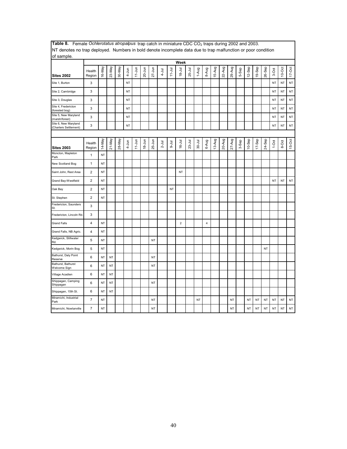| INT deficies no trap deployed. Numbers in bold deficie incomplete data due to trap manufiction or poor condition<br>of sample. |                         |           |           |        |           |           |            |            |            |            |                |            |            |                         |        |        |        |       |           |           |           |           |           |            |
|--------------------------------------------------------------------------------------------------------------------------------|-------------------------|-----------|-----------|--------|-----------|-----------|------------|------------|------------|------------|----------------|------------|------------|-------------------------|--------|--------|--------|-------|-----------|-----------|-----------|-----------|-----------|------------|
|                                                                                                                                |                         |           |           |        |           |           |            |            |            |            | Week           |            |            |                         |        |        |        |       |           |           |           |           |           |            |
| <b>Sites 2002</b>                                                                                                              | Health<br>Region        | 16-May    | 23-May    | 30-May | $4 - Jun$ | $11$ -Jun | $20 - Jun$ | $27 - Jun$ | $4 - J$ ul | $11 - Jul$ | $18 - Jul$     | 25-Jul     | 1-Aug      | 8-Aug                   | 15-Aug | 22-Aug | 29-Aug | 5-Sep | $12-$ Sep | 19-Sep    | 26-Sep    | 3-Oct     | $10-Oct$  | $17 - Oct$ |
| Site 1, Burton                                                                                                                 | 3                       |           |           |        | <b>NT</b> |           |            |            |            |            |                |            |            |                         |        |        |        |       |           |           |           | <b>NT</b> | <b>NT</b> | $\sf{NT}$  |
| Site 2, Cambridge                                                                                                              | 3                       |           |           |        | NT        |           |            |            |            |            |                |            |            |                         |        |        |        |       |           |           |           | NT        | <b>NT</b> | NT         |
| Site 3, Douglas                                                                                                                | 3                       |           |           |        | <b>NT</b> |           |            |            |            |            |                |            |            |                         |        |        |        |       |           |           |           | <b>NT</b> | <b>NT</b> | $\sf{NT}$  |
| Site 4, Fredericton<br>(forested bog)                                                                                          | 3                       |           |           |        | <b>NT</b> |           |            |            |            |            |                |            |            |                         |        |        |        |       |           |           |           | <b>NT</b> | <b>NT</b> | NT         |
| Site 5, New Maryland<br>(marsh/forest)                                                                                         | 3                       |           |           |        | <b>NT</b> |           |            |            |            |            |                |            |            |                         |        |        |        |       |           |           |           | <b>NT</b> | <b>NT</b> | NT         |
| Site 6, New Maryland<br>(Charters Settlement)                                                                                  | 3                       |           |           |        | <b>NT</b> |           |            |            |            |            |                |            |            |                         |        |        |        |       |           |           |           | <b>NT</b> | <b>NT</b> | $\sf{NT}$  |
|                                                                                                                                |                         |           |           |        |           |           |            |            |            |            |                |            |            |                         |        |        |        |       |           |           |           |           |           |            |
| <b>Sites 2003</b>                                                                                                              | Health<br>Region        | 14-May    | 21-May    | 28-May | $4-Jun$   | $11-Jun$  | $18 - Jun$ | 25-Jun     | $2 -$ Jul  | $-4$       | $16 - Jul$     | $23 - Jul$ | $30 - Jul$ | 6-Aug                   | 13-Aug | 20-Aug | 27-Aug | 3-Sep | $10-$ Sep | 17-Sep    | 24-Sep    | $1-0ct$   | 8-Oct     | $15-Ort$   |
| Moncton, Mapleton<br>Park                                                                                                      | 1                       | NT        |           |        |           |           |            |            |            |            |                |            |            |                         |        |        |        |       |           |           |           |           |           |            |
| New Scotland Bog                                                                                                               | 1                       | <b>NT</b> |           |        |           |           |            |            |            |            |                |            |            |                         |        |        |        |       |           |           |           |           |           |            |
| Saint John, Rest Area                                                                                                          | $\overline{\mathbf{c}}$ | NT        |           |        |           |           |            |            |            |            | NT             |            |            |                         |        |        |        |       |           |           |           |           |           |            |
| Grand Bay-Westfield                                                                                                            | 2                       | NT        |           |        |           |           |            |            |            |            |                |            |            |                         |        |        |        |       |           |           |           | <b>NT</b> | <b>NT</b> | $\sf{NT}$  |
| Oak Bay                                                                                                                        | $\mathbf 2$             | NT        |           |        |           |           |            |            |            | NT         |                |            |            |                         |        |        |        |       |           |           |           |           |           |            |
| St. Stephen                                                                                                                    | 2                       | NT        |           |        |           |           |            |            |            |            |                |            |            |                         |        |        |        |       |           |           |           |           |           |            |
| Fredericton, Saunders<br>St.                                                                                                   | 3                       |           |           |        |           |           |            |            |            |            |                |            |            |                         |        |        |        |       |           |           |           |           |           |            |
| Fredericton, Lincoln Rd                                                                                                        | 3                       |           |           |        |           |           |            |            |            |            |                |            |            |                         |        |        |        |       |           |           |           |           |           |            |
| <b>Grand Falls</b>                                                                                                             | 4                       | NT        |           |        |           |           |            |            |            |            | $\overline{2}$ |            |            | $\overline{\mathbf{4}}$ |        |        |        |       |           |           |           |           |           |            |
| Grand Falls, NB Agric.                                                                                                         | $\overline{4}$          | NT        |           |        |           |           |            |            |            |            |                |            |            |                         |        |        |        |       |           |           |           |           |           |            |
| Kedgwick, Stillwater<br>Rd.                                                                                                    | 5                       | NT        |           |        |           |           |            | <b>NT</b>  |            |            |                |            |            |                         |        |        |        |       |           |           |           |           |           |            |
| Kedgwick, Morin Bog                                                                                                            | 5                       | NT        |           |        |           |           |            |            |            |            |                |            |            |                         |        |        |        |       |           |           | <b>NT</b> |           |           |            |
| Bathurst, Daly Point<br>Reserve                                                                                                | 6                       | NT        | $\sf{NT}$ |        |           |           |            | <b>NT</b>  |            |            |                |            |            |                         |        |        |        |       |           |           |           |           |           |            |
| Bathurst, Bathurst<br>Welcome Sign                                                                                             | 6                       | NT        | <b>NT</b> |        |           |           |            | NT         |            |            |                |            |            |                         |        |        |        |       |           |           |           |           |           |            |
| Village Acadien                                                                                                                | 6                       | NT        | <b>NT</b> |        |           |           |            |            |            |            |                |            |            |                         |        |        |        |       |           |           |           |           |           |            |
| Shippagan, Camping<br>Shippagan                                                                                                | 6                       | NT        | NT        |        |           |           |            | NT         |            |            |                |            |            |                         |        |        |        |       |           |           |           |           |           |            |
| Shippagan, 15th St.                                                                                                            | 6                       | NT        | NT        |        |           |           |            |            |            |            |                |            |            |                         |        |        |        |       |           |           |           |           |           |            |
| Miramichi, Industrial<br>Park                                                                                                  | $\overline{7}$          | NT        |           |        |           |           |            | NT         |            |            |                |            | NT         |                         |        |        | NT     |       | NT        | <b>NT</b> | NT        | <b>NT</b> | <b>NT</b> | NT         |
| Miramichi, Nowlanville                                                                                                         | 7                       | NT        |           |        |           |           |            | NT         |            |            |                |            |            |                         |        |        | NT     |       | NT        | <b>NT</b> | NT        | <b>NT</b> | NT        | <b>NT</b>  |

Table 8. Female *Ochlerotatus atropalpus* trap catch in miniature CDC CO<sub>2</sub> traps during 2002 and 2003. NT denotes no trap deployed. Numbers in bold denote incomplete data due to trap malfunction or poor condition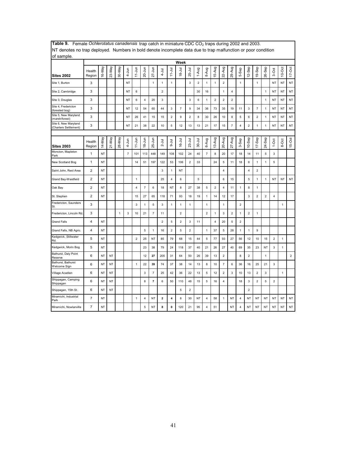| of sample.                                    |                  |        |           |              |                |                |                |                |                         |                         |                         |                |                |                         |                |                          |                         |                         |                         |                         |                |                         |              |                |
|-----------------------------------------------|------------------|--------|-----------|--------------|----------------|----------------|----------------|----------------|-------------------------|-------------------------|-------------------------|----------------|----------------|-------------------------|----------------|--------------------------|-------------------------|-------------------------|-------------------------|-------------------------|----------------|-------------------------|--------------|----------------|
|                                               |                  |        |           |              |                |                |                |                |                         |                         | Week                    |                |                |                         |                |                          |                         |                         |                         |                         |                |                         |              |                |
| <b>Sites 2002</b>                             | Health<br>Region | 16-May | 23-May    | 30-May       | $4 - Jun$      | $11 - Jun$     | 20-Jun         | $27 - Jun$     | $\frac{1}{2}$           | $11 - Jul$              | $18 - Jul$              | $25 -$ Jul     | 1-Aug          | 8-Aug                   | 15-Aug         | 22-Aug                   | 29-Aug                  | 5-Sep                   | 12-Sep                  | 19-Sep                  | 26-Sep         | 3-Oct                   | $10$ -Oct    | $17-Oct$       |
| Site 1, Burton                                | 3                |        |           |              | NT             |                |                | $\mathbf{1}$   | $\mathbf{1}$            | $\mathbf{1}$            |                         | $\mathbf{3}$   | $\overline{2}$ | $\mathbf{1}$            | $\mathbf{1}$   | $\overline{c}$           |                         | $\mathbf{1}$            |                         | $\mathbf{1}$            |                | <b>NT</b>               | NT           | <b>NT</b>      |
| Site 2, Cambridge                             | 3                |        |           |              | NT             | 6              |                |                | $\overline{2}$          |                         |                         |                | 30             | 16                      |                | 1                        | 4                       |                         |                         |                         | 1              | NT                      | NT           | NT             |
| Site 3, Douglas                               | 3                |        |           |              | ΝT             | 6              | 4              | 20             | 3                       |                         |                         | $\mathbf{3}$   | 6              | $\mathbf{1}$            | $\sqrt{2}$     | $\overline{\mathbf{c}}$  | $\overline{\mathbf{c}}$ |                         |                         |                         | 1              | <b>NT</b>               | NT           | <b>NT</b>      |
| Site 4, Fredericton<br>(forested bog)         | 3                |        |           |              | NT             | 12             | 54             | 60             | 44                      | 3                       | $\overline{7}$          | 9              | 34             | 36                      | 73             | 35                       | 19                      | 11                      | 3                       | $\overline{7}$          | 1              | <b>NT</b>               | NT           | NT             |
| Site 5, New Maryland<br>(marsh/forest)        | 3                |        |           |              | NT             | 26             | 41             | 15             | 15                      | $\overline{\mathbf{c}}$ | 9                       | $\mathbf 2$    | 8              | 30                      | 26             | 10                       | 8                       | 5                       | 6                       | $\overline{\mathbf{c}}$ | $\mathbf{1}$   | NT                      | NT           | <b>NT</b>      |
| Site 6, New Maryland<br>(Charters Settlement) | 3                |        |           |              | NT             | 21             | 38             | 22             | 10                      | 5                       | 12                      | 13             | 13             | 21                      | 17             | 15                       | $\overline{7}$          | $\overline{\mathbf{4}}$ | $\mathbf 2$             | 1                       | $\mathbf{1}$   | <b>NT</b>               | NT           | <b>NT</b>      |
|                                               |                  |        |           |              |                |                |                |                |                         |                         |                         |                |                |                         |                |                          |                         |                         |                         |                         |                |                         |              |                |
| <b>Sites 2003</b>                             | Health<br>Region | 14-May | 21-May    | 28-May       | $4 - Jun$      | $11 - Jun$     | $18 - Jun$     | 25-Jun         | $2 -$ Jul               | <b>Drr</b>              | $16 - J ul$             | $23 -$ Jul     | $30 - Jul$     | 6-Aug                   | 13-Aug         | 20-Aug                   | $27-Aug$                | 3-Sep                   | $10-$ Sep               | $17-$ Sep               | 24-Sep         | $1-0ct$                 | 8-Oct        | 15-Oct         |
| Moncton, Mapleton<br>Park                     | 1                | NT     |           |              | $\overline{7}$ | 101            | 113            | 448            | 149                     | 108                     | 102                     | 24             | 40             | 7                       | 8              | 20                       | 17                      | 18                      | 14                      | 11                      | 5              | 3                       |              |                |
| New Scotland Bog                              | $\mathbf{1}$     | NT     |           |              |                | 14             | 51             | 197            | 122                     | 53                      | 106                     | $\overline{2}$ | 33             |                         | 24             | 5                        | 11                      | 18                      | 6                       | $\mathbf{1}$            | $\mathbf{1}$   | 5                       |              |                |
| Saint John, Rest Area                         | $\overline{2}$   | NT     |           |              |                |                |                |                | 3                       | $\mathbf{1}$            | ΝT                      |                |                |                         |                | 4                        |                         |                         | 4                       | $\overline{\mathbf{c}}$ |                |                         |              |                |
| Grand Bay-Westfield                           | $\overline{2}$   | NT     |           |              |                | $\mathbf{1}$   |                |                | 25                      | 4                       | 6                       |                | 5              |                         |                | 6                        | 15                      |                         | $\overline{5}$          | $\mathbf{1}$            | $\mathbf{1}$   | <b>NT</b>               | <b>NT</b>    | <b>NT</b>      |
| Oak Bay                                       | $\overline{2}$   | NT     |           |              |                | 4              | $\overline{7}$ | 6              | 18                      | ΝT                      | 8                       | 27             | 38             | 5                       | $\overline{2}$ | 4                        | 11                      | $\mathbf{1}$            | 8                       | 1                       |                |                         |              |                |
| St. Stephen                                   | $\mathbf 2$      | NT     |           |              |                | 15             | 27             | 65             | 118                     | 71                      | 93                      | 18             | 19             | 1                       | 14             | 12                       | 17                      |                         | 3                       | $\overline{\mathbf{c}}$ | $\overline{2}$ | $\overline{4}$          |              |                |
| Fredericton, Saunders<br>St.                  | 3                |        |           |              |                | 3              | 1              | 5              | 3                       | $\mathbf{1}$            | 1                       | $\mathbf{1}$   |                | 1                       |                | 1                        |                         | $\overline{2}$          |                         |                         |                |                         | $\mathbf{1}$ |                |
| Fredericton, Lincoln Rd.                      | 3                |        |           | $\mathbf{1}$ | 3              | 10             | 21             | $\overline{7}$ | 11                      |                         | $\overline{\mathbf{c}}$ |                |                | $\overline{\mathbf{c}}$ | $\mathbf{1}$   | 3                        | $\overline{\mathbf{c}}$ | $\mathbf{1}$            | $\overline{\mathbf{c}}$ | 1                       |                |                         |              |                |
| <b>Grand Falls</b>                            | 4                | NT     |           |              |                |                |                |                | $\overline{2}$          | 5                       | $\overline{\mathbf{c}}$ | 3              | 11             |                         | $\overline{4}$ | 20                       | 5                       | $\overline{2}$          |                         |                         |                |                         |              |                |
| Grand Falls, NB Agric.                        | 4                | NT     |           |              |                |                | 5              | $\mathbf{1}$   | 16                      | $\overline{2}$          | 5                       | $\mathbf 2$    |                | 1                       | 37             | 5                        | 28                      | $\mathbf{1}$            | 1                       | 9                       |                |                         |              |                |
| Kedgwick, Stillwater<br>Rd.                   | 5                | NT     |           |              |                | $\overline{2}$ | 25             | NT             | 85                      | 79                      | 68                      | 15             | 44             | 5                       | 77             | 93                       | 27                      | 56                      | 12                      | 10                      | 15             | $\overline{\mathbf{c}}$ | $\mathbf{1}$ |                |
| Kedgwick, Morin Bog                           | 5                | NT     |           |              |                |                | 23             | 38             | 79                      | 24                      | 118                     | 37             | 40             | 21                      | 26             | 27                       | 40                      | 69                      | 35                      | 23                      | NT             | 3                       | $\mathbf{1}$ |                |
| Bathurst, Daly Point<br>Reserve               | 6                | NT     | <b>NT</b> |              |                |                | 12             | 27             | 205                     | 31                      | 64                      | 50             | 26             | 39                      | 13             | $\overline{2}$           |                         | 8                       | $\overline{\mathbf{c}}$ |                         | 1              |                         |              | $\overline{c}$ |
| Bathurst, Bathurst<br>Welcome Sign            | 6                | NT     | <b>NT</b> |              |                | $\mathbf{1}$   | 22             | 39             | 74                      | 37                      | 38                      | 14             | 13             | 8                       | 10             | $\overline{\phantom{a}}$ | 6                       | 36                      | 16                      | 25                      | 21             | 3                       |              |                |
| Village Acadien                               | 6                | NT     | <b>NT</b> |              |                |                | 3              | $\overline{7}$ | 25                      | 42                      | 36                      | 22             | 13             | 5                       | 12             | $\overline{\mathbf{c}}$  | 3                       | 10                      | 13                      | $\overline{\mathbf{c}}$ | 3              |                         | $\mathbf{1}$ |                |
| Shippagan, Camping<br>Shippagan               | 6                | NT     | NT        |              |                |                | 8              | $\overline{7}$ | 6                       | 50                      | 110                     | 48             | 15             | 5                       | 16             | 4                        |                         | 18                      | 3                       | $\overline{\mathbf{c}}$ | 5              | $\overline{\mathbf{c}}$ |              |                |
| Shippagan, 15th St.                           | 6                | NT     | <b>NT</b> |              |                |                |                |                |                         |                         | 5                       | $\overline{2}$ |                |                         |                |                          |                         |                         | $\overline{2}$          |                         |                |                         |              |                |
| Miramichi, Industrial<br>Park                 | $\overline{7}$   | NT     |           |              |                | 1              | 4              | NT             | $\overline{\mathbf{2}}$ | 4                       | 8                       | 30             | NT             | 4                       | 58             | 1                        | ΝT                      | $\overline{4}$          | NT                      | ΝT                      | NT             | NT                      | NT           | NT             |
| Miramichi, Nowlanville                        | $\overline{7}$   | NT     |           |              |                |                | 5              | NT             | 8                       | 0                       | 120                     | 21             | 95             | 4                       | 51             |                          | NT                      | $\overline{4}$          | NT                      | NT                      | NT             | <b>NT</b>               | NT           | <b>NT</b>      |

Table 9. Female *Ochlerotatus canadensis* trap catch in miniature CDC CO<sub>2</sub> traps during 2002 and 2003. NT denotes no trap deployed. Numbers in bold denote incomplete data due to trap malfunction or poor condition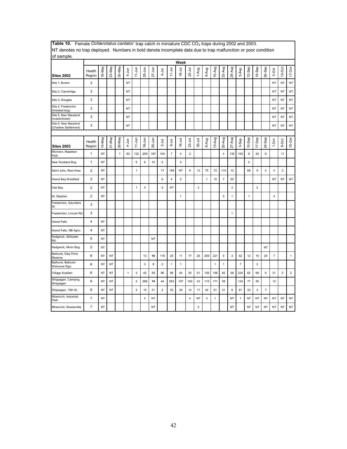| of sample.                                    | no trap approved. Transport in bord denote incomplete data due to trap manufacture poor condition |           |            |              |           |                |                |            |                         |                |                         |                         |                         |              |        |                         |              |                           |                |                         |                |                         |                |              |
|-----------------------------------------------|---------------------------------------------------------------------------------------------------|-----------|------------|--------------|-----------|----------------|----------------|------------|-------------------------|----------------|-------------------------|-------------------------|-------------------------|--------------|--------|-------------------------|--------------|---------------------------|----------------|-------------------------|----------------|-------------------------|----------------|--------------|
|                                               |                                                                                                   |           |            |              |           |                |                |            |                         |                | Week                    |                         |                         |              |        |                         |              |                           |                |                         |                |                         |                |              |
| <b>Sites 2002</b>                             | Health<br>Region                                                                                  | 16-May    | 23-May     | 30-May       | $4 - Jun$ | $11 - Jun$     | 20-Jun         | $27 - Jun$ | $4 - J$ ul              | $11 - Jul$     | $18 - 31$               | 25-Jul                  | 1-Aug                   | 8-Aug        | 15-Aug | 22-Aug                  | 29-Aug       | 5-Sep                     | 12-Sep         | 19-Sep                  | 26-Sep         | 3-Oct                   | 10-Oct         | $17 - Oct$   |
| Site 1, Burton                                | 3                                                                                                 |           |            |              | NT        |                |                |            |                         |                |                         |                         |                         |              |        |                         |              |                           |                |                         |                | <b>NT</b>               | <b>NT</b>      | $\sf{NT}$    |
| Site 2, Cambridge                             | 3                                                                                                 |           |            |              | NT        |                |                |            |                         |                |                         |                         |                         |              |        |                         |              |                           |                |                         |                | NT                      | NT             | NT           |
| Site 3, Douglas                               | 3                                                                                                 |           |            |              | NT        |                |                |            |                         |                |                         |                         |                         |              |        |                         |              |                           |                |                         |                | ΝT                      | <b>NT</b>      | <b>NT</b>    |
| Site 4, Fredericton<br>(forested bog)         | 3                                                                                                 |           |            |              | NT        |                |                |            |                         |                |                         |                         |                         |              |        |                         |              |                           |                |                         |                | NT                      | <b>NT</b>      | <b>NT</b>    |
| Site 5, New Maryland<br>(marsh/forest)        | 3                                                                                                 |           |            |              | NT        |                |                |            |                         |                |                         |                         |                         |              |        |                         |              |                           |                |                         |                | NT                      | NT             | <b>NT</b>    |
| Site 6, New Maryland<br>(Charters Settlement) | 3                                                                                                 |           |            |              | <b>NT</b> |                |                |            |                         |                |                         |                         |                         |              |        |                         |              |                           |                |                         |                | <b>NT</b>               | <b>NT</b>      | NT           |
|                                               |                                                                                                   |           |            |              |           |                |                |            |                         |                |                         |                         |                         |              |        |                         |              |                           |                |                         |                |                         |                |              |
| <b>Sites 2003</b>                             | Health<br>Region                                                                                  | YeM-41    | $21 - May$ | 28-May       | 4-Jun     | $11 - Jun$     | $18 - Jun$     | $25 - Jun$ | $2 -$ Jul               | $9-1$ ul       | $16 -$ Jul              | $23-Jul$                | $30 - J$ ul             | 6-Aug        | 13-Aug | 20-Aug                  | 27-Aug       | 3-Sep                     | $10-$ Sep      | $17-$ Sep               | 24-Sep         | $1-0ct$                 | 8-Oct          | $15-Oct$     |
| Moncton, Mapleton<br>Park                     | $\mathbf{1}$                                                                                      | NT        |            | $\mathbf{1}$ | 93        | 122            | 209            | 197        | 104                     | $\overline{7}$ | $\overline{\mathbf{4}}$ | $\overline{\mathbf{c}}$ |                         |              |        | $\overline{\mathbf{4}}$ | 135          | 163                       | 9              | 20                      | 6              |                         | 11             |              |
| New Scotland Bog                              | $\mathbf{1}$                                                                                      | NT        |            |              |           | 5              | 6              | 10         | $\overline{2}$          |                | 4                       |                         |                         |              |        |                         |              |                           | $\overline{2}$ |                         |                |                         |                |              |
| Saint John, Rest Area                         | $\overline{\mathbf{c}}$                                                                           | NT        |            |              |           | 1              |                |            | 17                      | 189            | NT                      | 6                       | 13                      | 75           | 72     | 115                     | 12           |                           | 68             | 9                       | 4              | 4                       | 3              |              |
| Grand Bay-Westfield                           | $\overline{2}$                                                                                    | <b>NT</b> |            |              |           |                |                |            | 6                       | $\overline{4}$ | 5                       |                         |                         | $\mathbf{1}$ | $10$   | $\overline{7}$          | 20           |                           |                |                         |                | <b>NT</b>               | <b>NT</b>      | NT           |
| Oak Bay                                       | $\overline{2}$                                                                                    | <b>NT</b> |            |              |           | $\mathbf{1}$   | $\overline{4}$ |            | $\overline{c}$          | NT             |                         |                         | 3                       |              |        |                         | 3            |                           |                | $\overline{2}$          |                |                         |                |              |
| St. Stephen                                   | $\overline{2}$                                                                                    | NT        |            |              |           |                |                |            |                         |                | $\mathbf{1}$            |                         |                         |              |        | 5                       | $\mathbf{1}$ |                           | $\mathbf{1}$   |                         |                | $\overline{\mathbf{4}}$ |                |              |
| Fredericton, Saunders<br>St.                  | 3                                                                                                 |           |            |              |           |                |                |            |                         |                |                         |                         |                         |              |        |                         |              |                           |                |                         |                |                         |                |              |
| Fredericton, Lincoln Rd.                      | 3                                                                                                 |           |            |              |           |                |                |            |                         |                |                         |                         |                         |              |        |                         | $\mathbf{1}$ |                           |                |                         |                |                         |                |              |
| <b>Grand Falls</b>                            | 4                                                                                                 | NT        |            |              |           |                |                |            |                         |                |                         |                         |                         |              |        |                         |              |                           |                |                         |                |                         |                |              |
| Grand Falls, NB Agric.                        | $\overline{\mathbf{4}}$                                                                           | <b>NT</b> |            |              |           |                |                |            |                         |                |                         |                         |                         |              |        |                         |              |                           |                |                         |                |                         |                |              |
| Kedgwick, Stillwater<br>Rd.                   | 5                                                                                                 | NT        |            |              |           |                |                | <b>NT</b>  |                         |                |                         |                         |                         |              |        |                         |              |                           |                |                         |                |                         |                |              |
| Kedgwick, Morin Bog                           | 5                                                                                                 | NT        |            |              |           |                |                |            |                         |                |                         |                         |                         |              |        |                         |              |                           |                |                         | <b>NT</b>      |                         |                |              |
| Bathurst, Daly Point<br>Reserve               | 6                                                                                                 | NT        | NT         |              |           |                | 13             | 19         | 119                     | 25             | 11                      | 77                      | 26                      | 259          | 221    | 5                       | 3            | 62                        | 12             | 15                      | 24             | $\overline{7}$          |                | $\mathbf{1}$ |
| Bathurst, Bathurst<br>Welcome Sign            | 6                                                                                                 | NT        | NT         |              |           |                | 3              | 3          | $\overline{2}$          | $\mathbf{1}$   | $\mathbf{1}$            |                         |                         |              | 1      | 1                       |              | $\overline{\mathfrak{c}}$ |                | $\overline{2}$          |                |                         |                |              |
| Village Acadien                               | 6                                                                                                 | ΝT        | NT         |              | 1         | 3              | 42             | 59         | 86                      | 98             | 44                      | 25                      | 51                      | 126          | 156    | 82                      | 58           | 224                       | 62             | 68                      | 9              | 31                      | $\overline{2}$ | $\mathbf 2$  |
| Shippagan, Camping<br>Shippagan               | 6                                                                                                 | <b>NT</b> | NT         |              |           | $\overline{c}$ | 288            | 14         | 44                      | 283            | 197                     | 162                     | 43                      | 115          | 171    | 58                      |              | 124                       | 77             | 56                      |                | 12                      |                |              |
| Shippagan, 15th St.                           | 6                                                                                                 | NT        | NT         |              |           | 3              | 15             | 31         | $\overline{\mathbf{c}}$ | 40             | 39                      | 14                      | 17                      | 42           | 61     | 31                      | 9            | 81                        | 33             | $\overline{\mathbf{4}}$ | $\overline{7}$ |                         |                |              |
| Miramichi, Industrial<br>Park                 | $\overline{7}$                                                                                    | <b>NT</b> |            |              |           |                | 3              | <b>NT</b>  |                         |                |                         | 4                       | NT                      | $\mathbf{3}$ | 1      |                         | NT           | $\mathbf{1}$              | <b>NT</b>      | NT                      | <b>NT</b>      | <b>NT</b>               | <b>NT</b>      | NT           |
| Miramichi, Nowlanville                        | $\overline{7}$                                                                                    | <b>NT</b> |            |              |           |                |                | <b>NT</b>  |                         |                |                         |                         | $\overline{\mathbf{c}}$ |              |        |                         | <b>NT</b>    |                           | <b>NT</b>      | NT                      | <b>NT</b>      | <b>NT</b>               | <b>NT</b>      | <b>NT</b>    |

Table 10. Female Ochlerotatus cantator trap catch in miniature CDC CO<sub>2</sub> traps during 2002 and 2003. NT denotes no trap deployed. Numbers in bold denote incomplete data due to trap malfunction or poor condition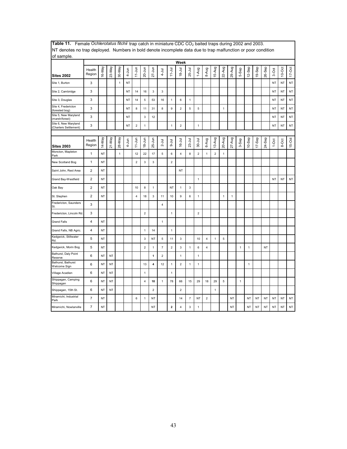| of sample.                                    |                         |           |           |              |           |                         |                         |                         |                |                         |                         |                |                |                         |                |              |              |              |              |        |           |           |           |           |
|-----------------------------------------------|-------------------------|-----------|-----------|--------------|-----------|-------------------------|-------------------------|-------------------------|----------------|-------------------------|-------------------------|----------------|----------------|-------------------------|----------------|--------------|--------------|--------------|--------------|--------|-----------|-----------|-----------|-----------|
|                                               |                         |           |           |              |           |                         |                         |                         |                |                         | Week                    |                |                |                         |                |              |              |              |              |        |           |           |           |           |
| <b>Sites 2002</b>                             | Health<br>Region        | 16-May    | 23-May    | 30-May       | 4-Jun     | $11 - Jun$              | $20 - Jun$              | $27 - Jun$              | $4 -$ Jul      | $11 -$ Jul              | $18 - 11$               | $25-Jul$       | 1-Aug          | 8-Aug                   | 15-Aug         | 22-Aug       | 29-Aug       | 5-Sep        | 12-Sep       | 19-Sep | 26-Sep    | 3-Oct     | $10$ -Oct | $17-Oct$  |
| Site 1, Burton                                | 3                       |           |           | $\mathbf{1}$ | <b>NT</b> |                         |                         |                         |                |                         |                         |                |                |                         |                |              |              |              |              |        |           | <b>NT</b> | <b>NT</b> | NT        |
| Site 2, Cambridge                             | 3                       |           |           |              | NT        | 14                      | 16                      | $\mathbf{3}$            | $\mathsf 3$    |                         |                         |                |                |                         |                |              |              |              |              |        |           | <b>NT</b> | NT        | NT        |
| Site 3, Douglas                               | 3                       |           |           |              | NT        | 14                      | 5                       | 53                      | 16             | 1                       | 6                       | $\mathbf{1}$   |                |                         |                |              |              |              |              |        |           | NT        | NT        | <b>NT</b> |
| Site 4, Fredericton<br>(forested bog)         | 3                       |           |           |              | <b>NT</b> | 8                       | 11                      | 31                      | 8              | 9                       | $\overline{c}$          | 5              | 5              |                         |                | $\mathbf{1}$ |              |              |              |        |           | <b>NT</b> | <b>NT</b> | <b>NT</b> |
| Site 5, New Maryland<br>(marsh/forest)        | 3                       |           |           |              | <b>NT</b> |                         | 3                       | 12                      |                |                         |                         |                |                |                         |                |              |              |              |              |        |           | <b>NT</b> | <b>NT</b> | <b>NT</b> |
| Site 6, New Maryland<br>(Charters Settlement) | 3                       |           |           |              | NT        | $\overline{\mathbf{c}}$ | $\mathbf{1}$            |                         |                | $\mathbf{1}$            | $\overline{c}$          |                | $\mathbf{1}$   |                         |                |              |              |              |              |        |           | <b>NT</b> | <b>NT</b> | <b>NT</b> |
|                                               |                         |           |           |              |           |                         |                         |                         |                |                         |                         |                |                |                         |                |              |              |              |              |        |           |           |           |           |
| <b>Sites 2003</b>                             | Health<br>Region        | 14-May    | 21-May    | 28-May       | 4-Jun     | $11 - Jun$              | $18 - Jun$              | $25 - Jun$              | $2 -$ Jul      | $9-1$ ul                | $16 - Jul$              | $23-Jul$       | $30 - Jul$     | 6-Aug                   | 13-Aug         | 20-Aug       | 27-Aug       | $3-$ Sep     | 10-Sep       | 17-Sep | 24-Sep    | $1-0ct$   | 8-Oct     | $15-Oct$  |
| Moncton, Mapleton<br>Park                     | $\mathbf{1}$            | <b>NT</b> |           | $\mathbf{1}$ |           | 12                      | 22                      | 17                      | 5              | 6                       | $\overline{\mathbf{4}}$ | 8              | $\overline{c}$ | $\mathbf{1}$            | $\overline{2}$ | $\mathbf{1}$ |              |              |              |        |           |           |           |           |
| New Scotland Bog                              | $\mathbf{1}$            | NT        |           |              |           | $\overline{c}$          | 3                       | $\mathbf{3}$            |                | $\overline{c}$          |                         |                |                |                         |                |              |              |              |              |        |           |           |           |           |
| Saint John, Rest Area                         | $\overline{2}$          | <b>NT</b> |           |              |           |                         |                         |                         |                |                         | <b>NT</b>               |                |                |                         |                |              |              |              |              |        |           |           |           |           |
| Grand Bay-Westfield                           | $\overline{c}$          | NT        |           |              |           |                         |                         |                         |                |                         |                         |                | $\mathbf{1}$   |                         |                |              |              |              |              |        |           | <b>NT</b> | <b>NT</b> | NT        |
| Oak Bay                                       | $\overline{2}$          | <b>NT</b> |           |              |           | 10                      | 8                       | $\mathbf{1}$            |                | <b>NT</b>               | $\mathbf{1}$            | $\mathbf 3$    |                |                         |                |              |              |              |              |        |           |           |           |           |
| St. Stephen                                   | $\mathbf 2$             | NT        |           |              |           | $\overline{\mathbf{4}}$ | 18                      | 3                       | 11             | 10                      | 9                       | 6              | $\mathbf{1}$   |                         |                | $\mathbf{1}$ | $\mathbf{1}$ |              |              |        |           |           |           |           |
| Fredericton, Saunders<br>St.                  | 3                       |           |           |              |           |                         |                         |                         | 4              |                         |                         |                |                |                         |                |              |              |              |              |        |           |           |           |           |
| Fredericton, Lincoln Rd.                      | 3                       |           |           |              |           |                         | $\overline{2}$          |                         |                | $\mathbf{1}$            |                         |                | $\overline{2}$ |                         |                |              |              |              |              |        |           |           |           |           |
| <b>Grand Falls</b>                            | 4                       | NT        |           |              |           |                         |                         |                         | $\mathbf{1}$   |                         |                         |                |                |                         |                |              |              |              |              |        |           |           |           |           |
| Grand Falls, NB Agric.                        | $\overline{\mathbf{4}}$ | <b>NT</b> |           |              |           |                         | $\mathbf{1}$            | 14                      |                | $\mathbf{1}$            |                         |                |                |                         |                |              |              |              |              |        |           |           |           |           |
| Kedgwick, Stillwater<br>Rd.                   | 5                       | NT        |           |              |           |                         | 3                       | NT                      | 5              | 11                      | 3                       |                | 10             | 4                       | 1              | 5            |              |              |              |        |           |           |           |           |
| Kedgwick, Morin Bog                           | 5                       | <b>NT</b> |           |              |           |                         | $\overline{2}$          | 1                       | $\overline{7}$ | $\overline{2}$          | 3                       | $\mathbf{1}$   | 6              | 4                       |                |              |              | $\mathbf{1}$ | 1            |        | <b>NT</b> |           |           |           |
| Bathurst, Daly Point<br>Reserve               | 6                       | NT        | NT        |              |           |                         |                         | 1                       | $\overline{c}$ |                         | $\mathbf{1}$            |                | 1              |                         |                |              |              |              |              |        |           |           |           |           |
| Bathurst, Bathurst<br>Welcome Sign            | $\,6\,$                 | <b>NT</b> | <b>NT</b> |              |           |                         | 13                      | $\overline{\mathbf{4}}$ | 12             | $\mathbf{1}$            | $\mathbf 2$             | $\mathbf{1}$   | $\mathbf{1}$   |                         |                |              |              |              | $\mathbf{1}$ |        |           |           |           |           |
| Village Acadien                               | 6                       | NT        | NT        |              |           |                         | $\mathbf{1}$            |                         |                | $\mathbf{1}$            |                         |                |                |                         |                |              |              |              |              |        |           |           |           |           |
| Shippagan, Camping<br>Shippagan               | 6                       | <b>NT</b> | NT        |              |           |                         | $\overline{\mathbf{4}}$ | 10                      | $\mathbf{1}$   | 78                      | 66                      | 15             | 29             | 18                      | 29             | 5            |              | 1            |              |        |           |           |           |           |
| Shippagan, 15th St.                           | 6                       | NT        | NT        |              |           |                         |                         | $\overline{2}$          |                |                         | $\overline{2}$          |                |                |                         | $\mathbf{1}$   |              |              |              |              |        |           |           |           |           |
| Miramichi, Industrial<br>Park                 | $\overline{7}$          | NT        |           |              |           | 6                       | 1                       | NT                      |                |                         | 14                      | $\overline{7}$ | NT             | $\overline{\mathbf{c}}$ |                |              | NT           |              | NT           | NT     | ΝT        | NT        | <b>NT</b> | NT        |
| Miramichi, Nowlanville                        | $\overline{7}$          | <b>NT</b> |           |              |           |                         |                         | <b>NT</b>               |                | $\overline{\mathbf{2}}$ | $\overline{\mathbf{4}}$ | $\mathsf 3$    | $\mathbf{1}$   |                         |                |              | <b>NT</b>    |              | <b>NT</b>    | NT     | <b>NT</b> | <b>NT</b> | NT        | <b>NT</b> |

Table 11. Female *Ochlerotatus fitchii* trap catch in miniature CDC CO<sub>2</sub> baited traps during 2002 and 2003. NT denotes no trap deployed. Numbers in bold denote incomplete data due to trap malfunction or poor condition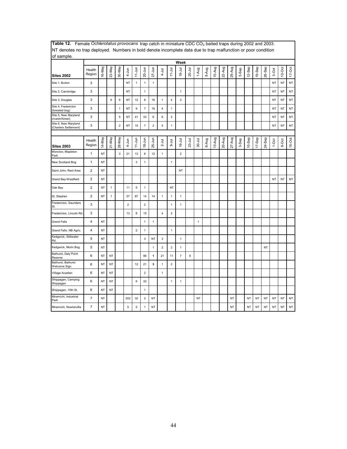| of sample.                                    |                         |           |              |              |                |                |                           |              |                         |                         |                         |            |              |       |        |        |           |       |           |           |           |           |           |            |
|-----------------------------------------------|-------------------------|-----------|--------------|--------------|----------------|----------------|---------------------------|--------------|-------------------------|-------------------------|-------------------------|------------|--------------|-------|--------|--------|-----------|-------|-----------|-----------|-----------|-----------|-----------|------------|
|                                               |                         |           |              |              |                |                |                           |              |                         |                         | Week                    |            |              |       |        |        |           |       |           |           |           |           |           |            |
| <b>Sites 2002</b>                             | Health<br>Region        | 16-May    | 23-May       | 30-May       | $4 - Jun$      | $11$ -Jun      | 20-Jun                    | $27 - Jun$   | $4 - J$ ul              | $11 -$ Jul              | $18 - Jul$              | 25-Jul     | 1-Aug        | 8-Aug | 15-Aug | 22-Aug | 29-Aug    | 5-Sep | 12-Sep    | 19-Sep    | 26-Sep    | 3-Oct     | $10-Oct$  | $17 - Oct$ |
| Site 1, Burton                                | 3                       |           |              |              | <b>NT</b>      | $\mathbf{1}$   | $\mathbf{1}$              | $\mathbf{1}$ |                         |                         |                         |            |              |       |        |        |           |       |           |           |           | <b>NT</b> | <b>NT</b> | NT         |
| Site 2, Cambridge                             | 3                       |           |              |              | <b>NT</b>      |                | $\mathbf{1}$              |              |                         |                         | 1                       |            |              |       |        |        |           |       |           |           |           | <b>NT</b> | NT        | NT         |
| Site 3, Douglas                               | 3                       |           | 6            | 6            | <b>NT</b>      | 12             | 8                         | 16           | $\mathbf{1}$            | $\overline{\mathbf{4}}$ | 3                       |            |              |       |        |        |           |       |           |           |           | <b>NT</b> | NT        | NT         |
| Site 4, Fredericton<br>(forested bog)         | 3                       |           |              | $\mathbf{1}$ | <b>NT</b>      | 9              | $\overline{7}$            | 16           | $\overline{4}$          | $\mathbf{1}$            |                         |            |              |       |        |        |           |       |           |           |           | <b>NT</b> | NT        | NT         |
| Site 5, New Maryland<br>(marsh/forest)        | 3                       |           |              | 5            | NT             | 41             | 33                        | 6            | 6                       | $\mathbf 2$             |                         |            |              |       |        |        |           |       |           |           |           | NT        | NT        | NT         |
| Site 6, New Maryland<br>(Charters Settlement) | 3                       |           |              | $\mathbf 2$  | <b>NT</b>      | 15             | $\overline{\mathfrak{c}}$ | $\mathbf 2$  | $\sqrt{5}$              | $\mathbf{1}$            |                         |            |              |       |        |        |           |       |           |           |           | <b>NT</b> | NT        | NT         |
|                                               |                         |           |              |              |                |                |                           |              |                         |                         |                         |            |              |       |        |        |           |       |           |           |           |           |           |            |
| <b>Sites 2003</b>                             | Health<br>Region        | 14-May    | 21-May       | 28-May       | 4-Jun          | $11 - Jun$     | $18 - Jun$                | $25 - Jun$   | $2 -$ Jul               | <b>Drr</b>              | 16-Jul                  | $23 - Jul$ | $30 - J$ ul  | 6-Aug | 13-Aug | 20-Aug | 27-Aug    | 3-Sep | $10-$ Sep | 17-Sep    | 24-Sep    | $1-0ct$   | 8-Oct     | 15-Oct     |
| Moncton, Mapleton<br>Park                     | 1                       | NT        |              | $\mathsf 3$  | 21             | 13             | 6                         | 12           | $\mathbf{1}$            |                         | $\overline{\mathbf{c}}$ |            |              |       |        |        |           |       |           |           |           |           |           |            |
| New Scotland Bog                              | $\mathbf{1}$            | NT        |              |              |                | $\mathbf{3}$   | $\mathbf{1}$              |              |                         | $\mathbf{1}$            |                         |            |              |       |        |        |           |       |           |           |           |           |           |            |
| Saint John, Rest Area                         | 2                       | <b>NT</b> |              |              |                |                |                           |              |                         |                         | NT                      |            |              |       |        |        |           |       |           |           |           |           |           |            |
| Grand Bay-Westfield                           | $\overline{\mathbf{c}}$ | NT        |              |              |                |                |                           |              |                         |                         |                         |            |              |       |        |        |           |       |           |           |           | <b>NT</b> | <b>NT</b> | NT         |
| Oak Bay                                       | $\overline{c}$          | <b>NT</b> | $\mathbf{1}$ |              | 11             | $\sqrt{5}$     | $\mathbf{1}$              |              |                         | NT                      |                         |            |              |       |        |        |           |       |           |           |           |           |           |            |
| St. Stephen                                   | $\overline{2}$          | <b>NT</b> | $\mathbf{1}$ |              | 57             | 87             | 14                        | 14           | $\mathbf{1}$            | $\mathbf{1}$            | $\mathbf{1}$            |            |              |       |        |        |           |       |           |           |           |           |           |            |
| Fredericton, Saunders<br>St.                  | 3                       |           |              |              | $\overline{2}$ |                | $\overline{\mathbf{c}}$   |              |                         | $\mathbf{1}$            | 1                       |            |              |       |        |        |           |       |           |           |           |           |           |            |
| Fredericton, Lincoln Rd.                      | 3                       |           |              |              | 13             | 8              | 15                        |              | $\overline{\mathbf{4}}$ | $\mathbf 2$             |                         |            |              |       |        |        |           |       |           |           |           |           |           |            |
| <b>Grand Falls</b>                            | $\overline{\mathbf{4}}$ | <b>NT</b> |              |              |                |                | 1                         | $\mathbf{1}$ |                         |                         |                         |            | $\mathbf{1}$ |       |        |        |           |       |           |           |           |           |           |            |
| Grand Falls, NB Agric.                        | 4                       | NT        |              |              |                | $\overline{c}$ | 1                         |              |                         | $\mathbf{1}$            |                         |            |              |       |        |        |           |       |           |           |           |           |           |            |
| Kedgwick, Stillwater<br>Rd.                   | 5                       | NT        |              |              |                |                | 3                         | NT           | 3                       |                         | $\mathbf{1}$            |            |              |       |        |        |           |       |           |           |           |           |           |            |
| Kedgwick, Morin Bog                           | 5                       | <b>NT</b> |              |              |                |                |                           | $\mathbf{1}$ | $\overline{2}$          | $\overline{2}$          | $\mathbf{1}$            |            |              |       |        |        |           |       |           |           | <b>NT</b> |           |           |            |
| Bathurst, Daly Point<br>Reserve               | 6                       | NT        | <b>NT</b>    |              |                |                | 96                        | $\mathbf{1}$ | 21                      | 11                      | $\overline{7}$          | 9          |              |       |        |        |           |       |           |           |           |           |           |            |
| Bathurst, Bathurst<br>Welcome Sign            | 6                       | NT        | NT           |              |                | 12             | 21                        | 3            | $\mathbf{1}$            | $\overline{c}$          |                         |            |              |       |        |        |           |       |           |           |           |           |           |            |
| Village Acadien                               | 6                       | NT        | NT           |              |                |                | $\mathbf 2$               |              | $\mathbf{1}$            |                         |                         |            |              |       |        |        |           |       |           |           |           |           |           |            |
| Shippagan, Camping<br>Shippagan               | 6                       | NT        | <b>NT</b>    |              |                | 6              | 32                        |              |                         | $\mathbf{1}$            | 1                       |            |              |       |        |        |           |       |           |           |           |           |           |            |
| Shippagan, 15th St.                           | 6                       | NT        | <b>NT</b>    |              |                |                | 1                         |              |                         |                         |                         |            |              |       |        |        |           |       |           |           |           |           |           |            |
| Miramichi, Industrial<br>Park                 | $\overline{7}$          | <b>NT</b> |              |              | 202            | 32             | $\mathbf 2$               | <b>NT</b>    |                         |                         |                         |            | <b>NT</b>    |       |        |        | <b>NT</b> |       | <b>NT</b> | <b>NT</b> | NT        | <b>NT</b> | NT        | NT         |
| Miramichi, Nowlanville                        | $\overline{7}$          | <b>NT</b> |              |              | $\overline{5}$ | $\overline{c}$ | 1                         | NT           |                         |                         |                         |            |              |       |        |        | <b>NT</b> |       | <b>NT</b> | <b>NT</b> | NT        | <b>NT</b> | NT        | NT         |

Table 12. Female *Ochlerotatus provocans* trap catch in miniature CDC CO<sub>2</sub> baited traps during 2002 and 2003. NT denotes no trap deployed. Numbers in bold denote incomplete data due to trap malfunction or poor condition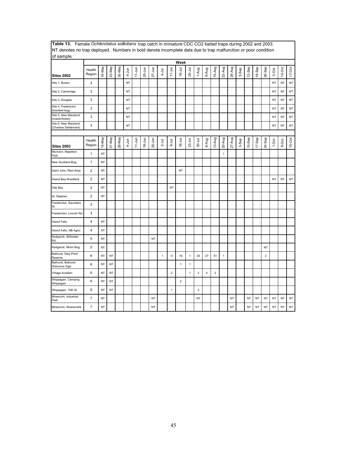| INT denotes no trap deployed. Numbers in bold denote incomplete data due to trap malfunction or poor condition |                         |           |           |        |           |            |            |            |              |                |                |              |                |                |                |              |            |       |           |        |                |           |           |           |
|----------------------------------------------------------------------------------------------------------------|-------------------------|-----------|-----------|--------|-----------|------------|------------|------------|--------------|----------------|----------------|--------------|----------------|----------------|----------------|--------------|------------|-------|-----------|--------|----------------|-----------|-----------|-----------|
| of sample.                                                                                                     |                         |           |           |        |           |            |            |            |              |                | Week           |              |                |                |                |              |            |       |           |        |                |           |           |           |
| <b>Sites 2002</b>                                                                                              | Health<br>Region        | 16-May    | 23-May    | 30-May | $4 - Jun$ | $11$ -Jun  | $20 - Jun$ | $27 - Jun$ | $4 - J$ ul   | $11 -$ Jul     | $18 - Jul$     | 25-Jul       | 1-Aug          | 8-Aug          | 15-Aug         | 22-Aug       | 29-Aug     | 5-Sep | 12-Sep    | 19-Sep | 26-Sep         | 3-Oct     | $10$ -Oct | $17-Oct$  |
| Site 1, Burton                                                                                                 | 3                       |           |           |        | <b>NT</b> |            |            |            |              |                |                |              |                |                |                |              |            |       |           |        |                | <b>NT</b> | <b>NT</b> | NT        |
| Site 2, Cambridge                                                                                              | 3                       |           |           |        | NT        |            |            |            |              |                |                |              |                |                |                |              |            |       |           |        |                | NT        | <b>NT</b> | NT        |
| Site 3, Douglas                                                                                                | 3                       |           |           |        | <b>NT</b> |            |            |            |              |                |                |              |                |                |                |              |            |       |           |        |                | NT        | <b>NT</b> | NT        |
| Site 4, Fredericton<br>(forested bog)                                                                          | 3                       |           |           |        | <b>NT</b> |            |            |            |              |                |                |              |                |                |                |              |            |       |           |        |                | <b>NT</b> | <b>NT</b> | NT        |
| Site 5, New Maryland<br>(marsh/forest)                                                                         | 3                       |           |           |        | <b>NT</b> |            |            |            |              |                |                |              |                |                |                |              |            |       |           |        |                | <b>NT</b> | <b>NT</b> | NT        |
| Site 6, New Maryland<br>(Charters Settlement)                                                                  | 3                       |           |           |        | NT        |            |            |            |              |                |                |              |                |                |                |              |            |       |           |        |                | NT        | <b>NT</b> | NT        |
|                                                                                                                |                         |           |           |        |           |            |            |            |              |                |                |              |                |                |                |              |            |       |           |        |                |           |           |           |
| <b>Sites 2003</b>                                                                                              | Health<br>Region        | 14-May    | $21-May$  | 28-May | 4-Jun     | $11 - Jun$ | $18 - Jun$ | $25 - Jun$ | $2 -$ Jul    | $9-1$ ul       | $16 - Jul$     | $23 -$ Jul   | $30 - Jul$     | 6-Aug          | 13-Aug         | 20-Aug       | $27 - Aug$ | 3-Sep | $10-$ Sep | 17-Sep | 24-Sep         | $1-0ct$   | 8-Oct     | $15-0ct$  |
| Moncton, Mapleton<br>Park                                                                                      | $\mathbf{1}$            | NT        |           |        |           |            |            |            |              |                |                |              |                |                |                | $\mathbf{1}$ |            |       |           |        |                |           |           |           |
| New Scotland Bog                                                                                               | 1                       | <b>NT</b> |           |        |           |            |            |            |              |                |                |              |                |                |                |              |            |       |           |        |                |           |           |           |
| Saint John, Rest Area                                                                                          | $\overline{2}$          | <b>NT</b> |           |        |           |            |            |            |              |                | <b>NT</b>      |              |                |                |                |              |            |       |           |        |                |           |           |           |
| Grand Bay-Westfield                                                                                            | $\mathbf 2$             | NT        |           |        |           |            |            |            |              |                |                |              |                |                |                |              |            |       |           |        |                | <b>NT</b> | NT        | <b>NT</b> |
| Oak Bay                                                                                                        | $\overline{2}$          | NT        |           |        |           |            |            |            |              | NT             |                |              |                |                |                |              |            |       |           |        |                |           |           |           |
| St. Stephen                                                                                                    | $\overline{c}$          | NT        |           |        |           |            |            |            |              |                |                |              |                |                |                |              |            |       |           |        |                |           |           |           |
| Fredericton, Saunders<br>St.                                                                                   | 3                       |           |           |        |           |            |            |            |              |                |                |              |                |                |                |              |            |       |           |        |                |           |           |           |
| Fredericton, Lincoln Rd                                                                                        | 3                       |           |           |        |           |            |            |            |              |                |                |              |                |                |                |              |            |       |           |        |                |           |           |           |
| <b>Grand Falls</b>                                                                                             | $\overline{\mathbf{4}}$ | NT        |           |        |           |            |            |            |              |                |                |              |                |                |                |              |            |       |           |        |                |           |           |           |
| Grand Falls, NB Agric.                                                                                         | $\overline{4}$          | NT        |           |        |           |            |            |            |              |                |                |              |                |                |                |              |            |       |           |        |                |           |           |           |
| Kedgwick, Stillwater<br>Rd.                                                                                    | 5                       | NT        |           |        |           |            |            | <b>NT</b>  |              |                |                |              |                |                |                |              |            |       |           |        |                |           |           |           |
| Kedgwick, Morin Bog                                                                                            | 5                       | <b>NT</b> |           |        |           |            |            |            |              |                |                |              |                |                |                |              |            |       |           |        | <b>NT</b>      |           |           |           |
| Bathurst, Daly Point<br>Reserve                                                                                | 6                       | NT        | <b>NT</b> |        |           |            |            |            | $\mathbf{1}$ | 9              | 16             | $\mathbf 1$  | 30             | 27             | 51             | $\mathbf{1}$ |            |       |           |        | $\overline{2}$ |           |           |           |
| Bathurst, Bathurst<br>Welcome Sign                                                                             | 6                       | <b>NT</b> | NT        |        |           |            |            |            |              |                | $\mathbf{1}$   | $\mathbf{1}$ |                |                |                |              |            |       |           |        |                |           |           |           |
| Village Acadien                                                                                                | 6                       | <b>NT</b> | NT        |        |           |            |            |            |              | $\overline{2}$ |                | $\mathbf{1}$ | $\overline{2}$ | $\overline{4}$ | $\overline{c}$ |              |            |       |           |        |                |           |           |           |
| Shippagan, Camping<br>Shippagan                                                                                | 6                       | NT        | NT        |        |           |            |            |            |              |                | $\overline{2}$ |              |                |                |                |              |            |       |           |        |                |           |           |           |
| Shippagan, 15th St.                                                                                            | 6                       | <b>NT</b> | <b>NT</b> |        |           |            |            |            |              | $\mathbf{1}$   |                |              | $\overline{2}$ |                |                |              |            |       |           |        |                |           |           |           |
| Miramichi, Industrial<br>Park                                                                                  | $\overline{7}$          | <b>NT</b> |           |        |           |            |            | <b>NT</b>  |              |                |                |              | <b>NT</b>      |                |                |              | <b>NT</b>  |       | <b>NT</b> | NT     | <b>NT</b>      | <b>NT</b> | <b>NT</b> | NT        |
| Miramichi, Nowlanville                                                                                         | $\overline{7}$          | <b>NT</b> |           |        |           |            |            | <b>NT</b>  |              |                |                |              |                |                |                |              | <b>NT</b>  |       | NT        | NT     | <b>NT</b>      | <b>NT</b> | <b>NT</b> | NT        |

**Table 13.** Female *Ochlerotatus sollicitans* trap catch in miniature CDC CO2 baited traps during 2002 and 2003. NT denotes no trap deployed. Numbers in bold denote incomplete data due to trap malfunction or poor condition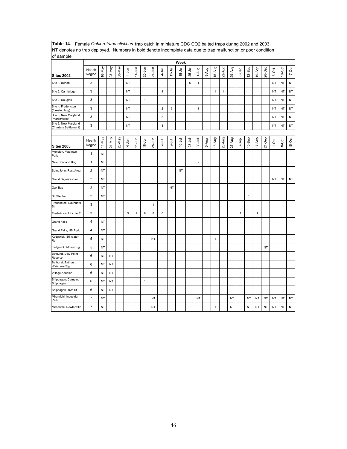| [NT denotes no trap deployed. Numbers in bold denote incomplete data due to trap malfunction or poor condition |                  |           |           |        |           |                |              |              |                         |             |            |            |                |       |              |              |           |              |              |              |           |           |           |           |
|----------------------------------------------------------------------------------------------------------------|------------------|-----------|-----------|--------|-----------|----------------|--------------|--------------|-------------------------|-------------|------------|------------|----------------|-------|--------------|--------------|-----------|--------------|--------------|--------------|-----------|-----------|-----------|-----------|
| of sample.                                                                                                     |                  |           |           |        |           |                |              |              |                         |             | Week       |            |                |       |              |              |           |              |              |              |           |           |           |           |
| <b>Sites 2002</b>                                                                                              | Health<br>Region | 16-May    | 23-May    | 30-May | $4 - Jun$ | $11-Jun$       | $20 - Jun$   | $27 - Jun$   | $4 -$ Jul               | $11 -$ Jul  | $18 - Jul$ | 25-Jul     | 1-Aug          | 8-Aug | 15-Aug       | 22-Aug       | 29-Aug    | 5-Sep        | 12-Sep       | 19-Sep       | 26-Sep    | 3-Oct     | $10-Oct$  | $17$ -Oct |
| Site 1, Burton                                                                                                 | 3                |           |           |        | <b>NT</b> |                |              |              |                         |             |            | $\sqrt{5}$ | $\mathbf{1}$   |       |              |              |           |              |              |              |           | <b>NT</b> | <b>NT</b> | NT        |
| Site 2, Cambridge                                                                                              | 3                |           |           |        | NT        |                |              |              | 4                       |             |            |            |                |       | $\mathbf{1}$ | $\mathbf{1}$ |           |              |              |              |           | <b>NT</b> | <b>NT</b> | NT        |
| Site 3, Douglas                                                                                                | 3                |           |           |        | NT        |                | $\mathbf{1}$ |              |                         |             |            |            |                |       |              |              |           |              |              |              |           | NT        | <b>NT</b> | NT        |
| Site 4, Fredericton<br>(forested bog)                                                                          | 3                |           |           |        | <b>NT</b> |                |              |              | $\overline{\mathbf{c}}$ | 5           |            |            | $\mathbf{1}$   |       |              |              |           |              |              |              |           | <b>NT</b> | <b>NT</b> | NT        |
| Site 5, New Maryland<br>(marsh/forest)                                                                         | 3                |           |           |        | <b>NT</b> |                |              |              | $\sqrt{5}$              | $\mathsf 3$ |            |            |                |       |              |              |           |              |              |              |           | NT        | <b>NT</b> | NT        |
| Site 6, New Maryland<br>(Charters Settlement)                                                                  | 3                |           |           |        | NT        |                |              |              | 3                       |             |            |            |                |       |              |              |           |              |              |              |           | <b>NT</b> | <b>NT</b> | NT        |
|                                                                                                                |                  |           |           |        |           |                |              |              |                         |             |            |            |                |       |              |              |           |              |              |              |           |           |           |           |
| <b>Sites 2003</b>                                                                                              | Health<br>Region | 14-May    | 21-May    | 28-May | 4-Jun     | $11 - Jun$     | $18 - Jun$   | $25 - Jun$   | $2 -$ Jul               | $9-1$ ul    | $16 - Jul$ | $23 -$ Jul | $30 - J$ ul    | 6-Aug | 13-Aug       | 20-Aug       | $27-Aug$  | 3-Sep        | $10-$ Sep    | 17-Sep       | 24-Sep    | $1-0ct$   | 8-Oct     | 15-Oct    |
| Moncton, Mapleton<br>Park                                                                                      | $\mathbf{1}$     | <b>NT</b> |           |        |           |                |              |              |                         |             |            |            |                |       |              |              |           |              |              |              |           |           |           |           |
| New Scotland Bog                                                                                               | 1                | <b>NT</b> |           |        |           |                |              |              |                         |             |            |            | $\overline{2}$ |       |              |              |           |              |              |              |           |           |           |           |
| Saint John, Rest Area                                                                                          | $\mathbf 2$      | <b>NT</b> |           |        |           |                |              |              |                         |             | <b>NT</b>  |            |                |       |              |              |           |              |              |              |           |           |           |           |
| Grand Bay-Westfield                                                                                            | 2                | <b>NT</b> |           |        |           |                |              |              |                         |             |            |            |                |       |              |              |           |              |              |              |           | <b>NT</b> | <b>NT</b> | NT        |
| Oak Bay                                                                                                        | $\mathbf 2$      | <b>NT</b> |           |        |           |                |              |              |                         | <b>NT</b>   |            |            |                |       |              |              |           |              |              |              |           |           |           |           |
| St. Stephen                                                                                                    | $\overline{c}$   | NT        |           |        |           |                |              |              |                         |             |            |            |                |       |              |              |           |              | $\mathbf{1}$ |              |           |           |           |           |
| Fredericton, Saunders<br>St.                                                                                   | 3                |           |           |        |           |                |              | $\mathbf{1}$ |                         |             |            |            |                |       |              |              |           |              |              |              |           |           |           |           |
| Fredericton, Lincoln Rd                                                                                        | 3                |           |           |        | 5         | $\overline{7}$ | $\bf8$       | 8            | 6                       |             |            |            |                |       |              |              |           | $\mathbf{1}$ |              | $\mathbf{1}$ |           |           |           |           |
| <b>Grand Falls</b>                                                                                             | $\overline{4}$   | <b>NT</b> |           |        |           |                |              |              |                         |             |            |            |                |       |              |              |           |              |              |              |           |           |           |           |
| Grand Falls, NB Agric.                                                                                         | $\overline{4}$   | <b>NT</b> |           |        |           |                |              |              |                         |             |            |            |                |       |              |              |           |              |              |              |           |           |           |           |
| Kedgwick, Stillwater<br>Rd.                                                                                    | 5                | <b>NT</b> |           |        |           |                |              | <b>NT</b>    |                         |             |            |            |                |       | $\mathbf{1}$ |              |           |              |              |              |           |           |           |           |
| Kedgwick, Morin Bog                                                                                            | 5                | <b>NT</b> |           |        |           |                |              |              |                         |             |            |            |                |       |              |              |           |              |              |              | <b>NT</b> |           |           |           |
| Bathurst, Daly Point<br>Reserve                                                                                | 6                | NT        | <b>NT</b> |        |           |                |              |              |                         |             |            |            |                |       |              |              |           |              |              |              |           |           |           |           |
| Bathurst, Bathurst<br>Welcome Sign                                                                             | 6                | <b>NT</b> | <b>NT</b> |        |           |                |              |              |                         |             |            |            |                |       |              |              |           |              |              |              |           |           |           |           |
| Village Acadien                                                                                                | 6                | NT        | <b>NT</b> |        |           |                |              |              |                         |             |            |            |                |       |              |              |           |              |              |              |           |           |           |           |
| Shippagan, Camping<br>Shippagan                                                                                | 6                | NT        | NT        |        |           |                | $\mathbf{1}$ |              |                         |             |            |            |                |       |              |              |           |              |              |              |           |           |           |           |
| Shippagan, 15th St.                                                                                            | 6                | NT        | NT        |        |           |                |              |              |                         |             |            |            |                |       |              |              |           |              |              |              |           |           |           |           |
| Miramichi, Industrial<br>Park                                                                                  | $\overline{7}$   | <b>NT</b> |           |        |           |                |              | <b>NT</b>    |                         |             |            |            | <b>NT</b>      |       |              |              | <b>NT</b> |              | NT           | NT           | <b>NT</b> | <b>NT</b> | NT        | NT        |
| Miramichi, Nowlanville                                                                                         | $\overline{7}$   | <b>NT</b> |           |        |           |                |              | <b>NT</b>    |                         |             |            |            |                |       | $\mathbf{1}$ |              | <b>NT</b> |              | <b>NT</b>    | NT           | NT        | <b>NT</b> | <b>NT</b> | NT        |

**Table 14.** Female *Ochlerotatus sticticus* trap catch in miniature CDC CO2 baited traps during 2002 and 2003. NT denotes no trap deployed. Numbers in bold denote incomplete data due to trap malfunction or poor condition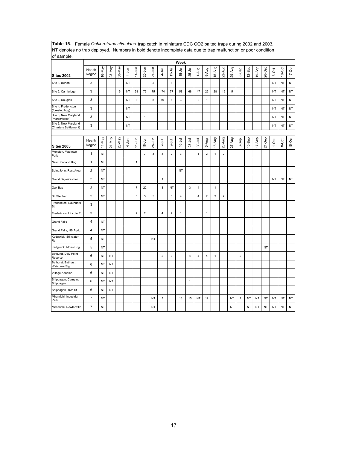| INT denotes no trap deployed. Numbers in bold denote incomplete data due to trap maifunction or poor condition<br>of sample. |                         |           |           |        |           |                |                |                |                         |                |              |                         |                         |                |              |                  |                |                |           |           |           |           |           |            |
|------------------------------------------------------------------------------------------------------------------------------|-------------------------|-----------|-----------|--------|-----------|----------------|----------------|----------------|-------------------------|----------------|--------------|-------------------------|-------------------------|----------------|--------------|------------------|----------------|----------------|-----------|-----------|-----------|-----------|-----------|------------|
|                                                                                                                              |                         |           |           |        |           |                |                |                |                         |                | Week         |                         |                         |                |              |                  |                |                |           |           |           |           |           |            |
| <b>Sites 2002</b>                                                                                                            | Health<br>Region        | 16-May    | 23-May    | 30-May | $4 - Jun$ | $11$ -Jun      | 20-Jun         | $27 - Jun$     | $4 - J$ ul              | $11 -$ Jul     | $18 - Jul$   | $25 -$ Jul              | 1-Aug                   | 8-Aug          | 15-Aug       | 22-Aug           | 29-Aug         | 5-Sep          | 12-Sep    | 19-Sep    | 26-Sep    | 3-Oct     | $10$ -Oct | $17 - Oct$ |
| Site 1, Burton                                                                                                               | 3                       |           |           |        | <b>NT</b> |                |                | $\overline{2}$ |                         | $\mathbf{1}$   |              |                         |                         |                |              |                  |                |                |           |           |           | <b>NT</b> | <b>NT</b> | NT         |
| Site 2, Cambridge                                                                                                            | 3                       |           |           | 9      | <b>NT</b> | 53             | 75             | 75             | 174                     | 77             | 58           | 68                      | 47                      | 22             | 28           | 16               | $\overline{5}$ |                |           |           |           | <b>NT</b> | <b>NT</b> | NT         |
| Site 3, Douglas                                                                                                              | 3                       |           |           |        | NT        | 3              |                | 5              | 10                      | $\mathbf{1}$   | 3            |                         | $\overline{2}$          | $\mathbf{1}$   |              |                  |                |                |           |           |           | <b>NT</b> | <b>NT</b> | NT         |
| Site 4, Fredericton<br>(forested bog)                                                                                        | 3                       |           |           |        | <b>NT</b> |                |                |                |                         |                |              |                         |                         |                |              |                  |                |                |           |           |           | <b>NT</b> | <b>NT</b> | NT         |
| Site 5, New Maryland<br>(marsh/forest)                                                                                       | 3                       |           |           |        | <b>NT</b> |                | $\mathbf{1}$   |                |                         |                |              |                         |                         |                |              |                  |                |                |           |           |           | <b>NT</b> | NT        | NT         |
| Site 6, New Maryland<br>(Charters Settlement)                                                                                | 3                       |           |           |        | <b>NT</b> |                |                |                |                         |                |              |                         |                         |                |              |                  |                |                |           |           |           | <b>NT</b> | NT        | NT         |
|                                                                                                                              |                         |           |           |        |           |                |                |                |                         |                |              |                         |                         |                |              |                  |                |                |           |           |           |           |           |            |
| <b>Sites 2003</b>                                                                                                            | Health<br>Region        | 14-May    | $21-May$  | 28-May | 4-Jun     | $11 - Jun$     | $18 - Jun$     | 25-Jun         | $2 -$ Jul               | lnr-9          | $16 - Jul$   | $23-Jul$                | $30 - Jul$              | 6-Aug          | 13-Aug       | 20-Aug           | 27-Aug         | 3-Sep          | 10-Sep    | 17-Sep    | 24-Sep    | $1-0ct$   | 8-Oct     | $15-Oct$   |
| Moncton, Mapleton<br>Park                                                                                                    | $\mathbf{1}$            | <b>NT</b> |           |        |           |                | $\overline{7}$ | 3              | $\mathsf 3$             | $\overline{2}$ | 3            |                         | $\mathbf{1}$            | $\overline{2}$ | $\mathbf{1}$ | $\overline{2}$   |                |                |           |           |           |           |           |            |
| New Scotland Bog                                                                                                             | $\mathbf{1}$            | NT        |           |        |           | $\mathbf{1}$   |                |                |                         |                |              |                         |                         |                |              |                  |                |                |           |           |           |           |           |            |
| Saint John, Rest Area                                                                                                        | $\overline{2}$          | NT        |           |        |           |                |                |                |                         |                | NT           |                         |                         |                |              |                  |                |                |           |           |           |           |           |            |
| Grand Bay-Westfield                                                                                                          | $\overline{2}$          | NT        |           |        |           |                |                |                | $\mathbf{1}$            |                |              |                         |                         |                |              |                  |                |                |           |           |           | <b>NT</b> | <b>NT</b> | NT         |
| Oak Bay                                                                                                                      | $\overline{2}$          | NT        |           |        |           | $\overline{7}$ | 22             |                | 8                       | NT             | $\mathbf{1}$ | 3                       | $\overline{4}$          | 1              | 1            |                  |                |                |           |           |           |           |           |            |
| St. Stephen                                                                                                                  | $\overline{2}$          | NT        |           |        |           | $\mathbf 5$    | 3              | 5              |                         | 3              | $\pmb{4}$    |                         | 4                       | $\mathbf 2$    | 3            | $\boldsymbol{2}$ |                |                |           |           |           |           |           |            |
| Fredericton, Saunders<br>St.                                                                                                 | 3                       |           |           |        |           |                |                |                |                         |                |              |                         |                         |                |              |                  |                |                |           |           |           |           |           |            |
| Fredericton, Lincoln Rd.                                                                                                     | 3                       |           |           |        |           | $\overline{2}$ | $\overline{2}$ |                | $\overline{\mathbf{4}}$ | $\overline{2}$ | $\mathbf{1}$ |                         |                         | $\mathbf{1}$   |              |                  |                |                |           |           |           |           |           |            |
| <b>Grand Falls</b>                                                                                                           | $\overline{\mathbf{4}}$ | <b>NT</b> |           |        |           |                |                |                |                         |                |              |                         |                         |                |              |                  |                |                |           |           |           |           |           |            |
| Grand Falls, NB Agric.                                                                                                       | $\overline{\mathbf{4}}$ | <b>NT</b> |           |        |           |                |                |                |                         |                |              |                         |                         |                |              |                  |                |                |           |           |           |           |           |            |
| Kedgwick, Stillwater<br>Rd.                                                                                                  | 5                       | <b>NT</b> |           |        |           |                |                | <b>NT</b>      |                         |                |              |                         |                         |                |              |                  |                |                |           |           |           |           |           |            |
| Kedgwick, Morin Bog                                                                                                          | 5                       | <b>NT</b> |           |        |           |                |                |                |                         |                |              |                         |                         |                |              |                  |                |                |           |           | <b>NT</b> |           |           |            |
| Bathurst, Daly Point<br>Reserve                                                                                              | 6                       | NT        | NT        |        |           |                |                |                | $\overline{2}$          | $\mathsf 3$    |              | $\overline{\mathbf{4}}$ | $\overline{\mathbf{4}}$ | 4              | $\mathbf{1}$ |                  |                | $\overline{c}$ |           |           |           |           |           |            |
| Bathurst, Bathurst<br>Welcome Sign                                                                                           | 6                       | NT        | NT        |        |           |                |                |                |                         |                |              |                         |                         |                |              |                  |                |                |           |           |           |           |           |            |
| Village Acadien                                                                                                              | 6                       | NT        | NT        |        |           |                |                |                |                         |                |              |                         |                         |                |              |                  |                |                |           |           |           |           |           |            |
| Shippagan, Camping<br>Shippagan                                                                                              | 6                       | <b>NT</b> | <b>NT</b> |        |           |                |                |                |                         |                |              | $\mathbf{1}$            |                         |                |              |                  |                |                |           |           |           |           |           |            |
| Shippagan, 15th St.                                                                                                          | 6                       | <b>NT</b> | <b>NT</b> |        |           |                |                |                |                         |                |              |                         |                         |                |              |                  |                |                |           |           |           |           |           |            |
| Miramichi, Industrial<br>Park                                                                                                | $\overline{7}$          | NT        |           |        |           |                |                | NT             | 5                       |                | 13           | 15                      | NT                      | 12             |              |                  | <b>NT</b>      | $\overline{1}$ | NT        | <b>NT</b> | <b>NT</b> | <b>NT</b> | <b>NT</b> | NT         |
| Miramichi, Nowlanville                                                                                                       | $\overline{7}$          | <b>NT</b> |           |        |           |                |                | NT             |                         |                |              |                         |                         |                |              |                  | <b>NT</b>      |                | <b>NT</b> | <b>NT</b> | <b>NT</b> | <b>NT</b> | <b>NT</b> | NT         |

**Table 15.** Female *Ochlerotatus stimulans* trap catch in miniature CDC CO2 baited traps during 2002 and 2003. NT denotes no trap deployed. Numbers in bold denote incomplete data due to trap malfunction or poor condition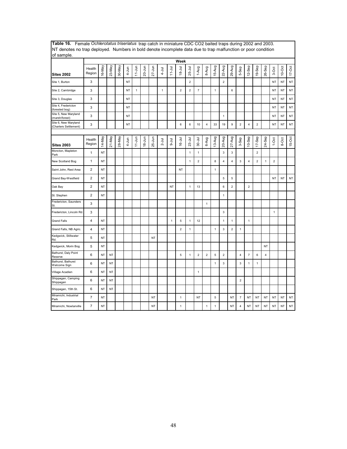| INT denotes no trap deployed. Thumbers in bold denote incomplete data due to trap maifunction or poor condition<br>of sample. |                         |           |           |        |           |              |            |            |              |              |                |                         |                |                |              |                |                         |                          |                         |                |                         |                |           |          |
|-------------------------------------------------------------------------------------------------------------------------------|-------------------------|-----------|-----------|--------|-----------|--------------|------------|------------|--------------|--------------|----------------|-------------------------|----------------|----------------|--------------|----------------|-------------------------|--------------------------|-------------------------|----------------|-------------------------|----------------|-----------|----------|
|                                                                                                                               |                         |           |           |        |           |              |            |            |              |              | Week           |                         |                |                |              |                |                         |                          |                         |                |                         |                |           |          |
| <b>Sites 2002</b>                                                                                                             | Health<br>Region        | 16-May    | 23-May    | 30-May | 4-Jun     | $11-Jun$     | 20-Jun     | $27 - Jun$ | $4 - J$ ul   | $11 - Jul$   | $18 - Jul$     | $25 -$ Jul              | 1-Aug          | 8-Aug          | 15-Aug       | 22-Aug         | 29-Aug                  | 5-Sep                    | 12-Sep                  | 19-Sep         | 26-Sep                  | 3-Oct          | $10-Oct$  | $17-Oct$ |
| Site 1, Burton                                                                                                                | 3                       |           |           |        | NT        |              |            |            |              |              |                | $\overline{2}$          |                |                |              | $\overline{2}$ |                         |                          |                         |                |                         | <b>NT</b>      | NT        | NT       |
| Site 2, Cambridge                                                                                                             | 3                       |           |           |        | NT        | $\mathbf{1}$ |            |            | $\mathbf{1}$ |              | $\overline{2}$ | $\overline{\mathbf{c}}$ | $\overline{7}$ |                | $\mathbf{1}$ |                | 6                       |                          |                         |                |                         | <b>NT</b>      | <b>NT</b> | NT       |
| Site 3, Douglas                                                                                                               | 3                       |           |           |        | NT        |              |            |            |              |              |                |                         |                |                |              |                |                         |                          |                         |                |                         | <b>NT</b>      | <b>NT</b> | NT       |
| Site 4, Fredericton<br>(forested bog)                                                                                         | 3                       |           |           |        | <b>NT</b> |              |            |            |              |              |                |                         |                |                |              |                |                         |                          |                         |                |                         | <b>NT</b>      | <b>NT</b> | NT       |
| Site 5, New Maryland<br>(marsh/forest)                                                                                        | 3                       |           |           |        | NT        |              |            |            |              |              |                |                         |                |                |              | $\mathbf{1}$   |                         |                          |                         |                |                         | <b>NT</b>      | NT        | NT       |
| Site 6, New Maryland<br>(Charters Settlement)                                                                                 | 3                       |           |           |        | NT        |              |            |            |              |              | 6              | 6                       | 10             | 4              | 33           | 19             | 9                       | $\mathbf 2$              | $\overline{4}$          | $\mathbf 2$    |                         | NT             | NT        | NT       |
|                                                                                                                               |                         |           |           |        |           |              |            |            |              |              |                |                         |                |                |              |                |                         |                          |                         |                |                         |                |           |          |
| <b>Sites 2003</b>                                                                                                             | Health<br>Region        | 14-May    | 21-May    | 28-May | 4-Jun     | $11-Jun$     | $18 - Jun$ | $25 - Jun$ | $2 -$ Jul    | $9 -$ Jul    | 16-Jul         | $23-Jul$                | 30-Jul         | 6-Aug          | 13-Aug       | 20-Aug         | $27-Aug$                | 3-Sep                    | $10-$ Sep               | 17-Sep         | 24-Sep                  | $1-0ct$        | 8-Oct     | $15-Oct$ |
| Moncton, Mapleton<br>Park                                                                                                     | 1                       | NT        |           |        |           |              |            |            |              |              |                | $\mathbf{1}$            | $\mathbf{1}$   |                |              | $\overline{3}$ | $\mathbf{3}$            |                          |                         | $\overline{2}$ |                         |                |           |          |
| New Scotland Bog                                                                                                              | $\mathbf{1}$            | NT        |           |        |           |              |            |            |              |              |                | $\mathbf{1}$            | $\overline{2}$ |                | 8            | $\overline{4}$ | 4                       | 3                        | $\overline{\mathbf{4}}$ | $\overline{2}$ | $\mathbf{1}$            | $\overline{2}$ |           |          |
| Saint John, Rest Area                                                                                                         | $\overline{2}$          | <b>NT</b> |           |        |           |              |            |            |              |              | <b>NT</b>      |                         |                |                | $\mathbf{1}$ |                |                         |                          |                         |                |                         |                |           |          |
| Grand Bay-Westfield                                                                                                           | $\overline{\mathbf{c}}$ | NT        |           |        |           |              |            |            |              |              |                |                         |                |                |              | 5              | 5                       |                          |                         |                |                         | <b>NT</b>      | NT        | NT       |
| Oak Bay                                                                                                                       | $\overline{\mathbf{c}}$ | NT        |           |        |           |              |            |            |              | NT           |                | $\mathbf{1}$            | 13             |                |              | 6              | $\overline{\mathbf{c}}$ |                          | $\boldsymbol{2}$        |                |                         |                |           |          |
| St. Stephen                                                                                                                   | $\overline{c}$          | <b>NT</b> |           |        |           |              |            |            |              |              |                |                         |                |                |              | $\mathbf{1}$   |                         |                          |                         |                |                         |                |           |          |
| Fredericton, Saunders<br>St.                                                                                                  | 3                       |           |           |        |           |              |            |            |              |              |                |                         |                | $\mathbf{1}$   |              |                |                         |                          |                         |                |                         |                |           |          |
| Fredericton, Lincoln Rd.                                                                                                      | 3                       |           |           |        |           |              |            |            |              |              |                |                         |                |                |              | $\mathbf{3}$   |                         |                          |                         |                |                         | $\mathbf{1}$   |           |          |
| <b>Grand Falls</b>                                                                                                            | 4                       | NT        |           |        |           |              |            |            |              | $\mathbf{1}$ | 5              | $\mathbf{1}$            | 12             |                |              | $\mathbf{1}$   | $\mathbf{1}$            |                          | $\mathbf{1}$            |                |                         |                |           |          |
| Grand Falls, NB Agric.                                                                                                        | 4                       | NT        |           |        |           |              |            |            |              |              | $\overline{c}$ | 1                       |                |                | $\mathbf{1}$ | $\mathsf 3$    | $\overline{2}$          | 1                        |                         |                |                         |                |           |          |
| Kedgwick, Stillwater<br>Rd.                                                                                                   | 5                       | NT        |           |        |           |              |            | <b>NT</b>  |              |              |                |                         |                |                |              |                |                         |                          |                         |                |                         |                |           |          |
| Kedgwick, Morin Bog                                                                                                           | 5                       | <b>NT</b> |           |        |           |              |            |            |              |              |                |                         |                |                |              |                |                         |                          |                         |                | <b>NT</b>               |                |           |          |
| Bathurst, Daly Point<br>Reserve                                                                                               | 6                       | <b>NT</b> | <b>NT</b> |        |           |              |            |            |              |              | 5              | $\mathbf{1}$            | $\overline{c}$ | $\overline{2}$ | 5            | $\overline{2}$ |                         | 4                        | $\overline{7}$          | 6              | $\overline{\mathbf{4}}$ |                |           |          |
| Bathurst, Bathurst<br>Welcome Sign                                                                                            | 6                       | <b>NT</b> | <b>NT</b> |        |           |              |            |            |              |              |                |                         |                |                | $\mathbf{1}$ | $\mathsf 3$    |                         | 3                        | $\mathbf{1}$            | $\mathbf{1}$   |                         |                |           |          |
| Village Acadien                                                                                                               | 6                       | <b>NT</b> | NT        |        |           |              |            |            |              |              |                |                         | $\mathbf{1}$   |                |              |                |                         |                          |                         |                |                         |                |           |          |
| Shippagan, Camping<br>Shippagan                                                                                               | 6                       | <b>NT</b> | <b>NT</b> |        |           |              |            |            |              |              |                |                         |                |                |              |                |                         | $\overline{2}$           |                         |                |                         |                |           |          |
| Shippagan, 15th St.                                                                                                           | 6                       | <b>NT</b> | NT        |        |           |              |            |            |              |              |                |                         |                |                |              |                |                         |                          |                         |                |                         |                |           |          |
| Miramichi, Industrial<br>Park                                                                                                 | $\overline{7}$          | <b>NT</b> |           |        |           |              |            | NT         |              |              | $\mathbf{1}$   |                         | <b>NT</b>      |                | 5            |                | NT                      | $\overline{\phantom{a}}$ | NT                      | NT             | <b>NT</b>               | NT             | ΝT        | NT       |
| Miramichi, Nowlanville                                                                                                        | $\overline{7}$          | <b>NT</b> |           |        |           |              |            | <b>NT</b>  |              |              | 1              |                         |                | $\mathbf{1}$   | $\mathbf{1}$ |                | <b>NT</b>               | $\overline{4}$           | <b>NT</b>               | <b>NT</b>      | NT                      | <b>NT</b>      | <b>NT</b> | NT       |

**Table 16.** Female *Ochlerotatus triseriatus* trap catch in miniature CDC CO2 baited traps during 2002 and 2003. NT denotes no trap deployed. Numbers in bold denote incomplete data due to trap malfunction or poor condition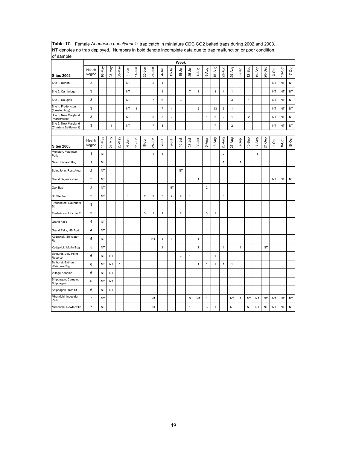| INT denotes no trap deployed. Numbers in bold denote incomplete data due to trap maifunction or poor condition<br>of sample. |                         |              |              |             |              |              |                |                |                |                |                |                |                |                |                         |                |              |              |                |              |              |           |           |            |
|------------------------------------------------------------------------------------------------------------------------------|-------------------------|--------------|--------------|-------------|--------------|--------------|----------------|----------------|----------------|----------------|----------------|----------------|----------------|----------------|-------------------------|----------------|--------------|--------------|----------------|--------------|--------------|-----------|-----------|------------|
|                                                                                                                              |                         |              |              |             |              |              |                |                |                |                | Week           |                |                |                |                         |                |              |              |                |              |              |           |           |            |
| <b>Sites 2002</b>                                                                                                            | Health<br>Region        | 16-May       | 23-May       | 30-May      | $4 - Jun$    | $11$ -Jun    | 20-Jun         | $27 - Jun$     | $4 - J$ ul     | $11 - Jul$     | $18 - Jul$     | $25 -$ Jul     | 1-Aug          | 8-Aug          | 15-Aug                  | 22-Aug         | 29-Aug       | 5-Sep        | 12-Sep         | 19-Sep       | 26-Sep       | 3-Oct     | $10$ -Oct | $17 - Oct$ |
| Site 1, Burton                                                                                                               | 3                       |              |              |             | <b>NT</b>    |              |                | $\overline{2}$ | $\mathbf{1}$   |                |                |                |                |                |                         |                |              |              |                |              |              | <b>NT</b> | <b>NT</b> | NT         |
| Site 2, Cambridge                                                                                                            | 3                       |              |              |             | <b>NT</b>    |              |                |                | $\mathbf{1}$   |                |                | $\overline{7}$ | $\mathbf{1}$   | $\mathbf{1}$   | 3                       | $\mathbf{1}$   | $\mathbf{1}$ |              |                |              |              | <b>NT</b> | <b>NT</b> | NT         |
| Site 3, Douglas                                                                                                              | 3                       |              |              |             | <b>NT</b>    |              |                | $\overline{7}$ | 6              |                | 3              |                |                |                |                         |                | 3            |              | $\mathbf{1}$   |              |              | <b>NT</b> | NT        | NT         |
| Site 4, Fredericton<br>(forested bog)                                                                                        | 3                       |              |              |             | <b>NT</b>    | $\mathbf{1}$ |                |                | $\overline{7}$ | $\mathbf{1}$   |                | $\mathbf{1}$   | $\overline{c}$ |                | 13                      | $\mathsf 3$    | $\mathbf{1}$ |              |                |              |              | <b>NT</b> | <b>NT</b> | NT         |
| Site 5, New Maryland<br>(marsh/forest)                                                                                       | 3                       |              |              |             | <b>NT</b>    |              |                | 5              | 5              | $\overline{2}$ |                |                | $\overline{c}$ | $\mathbf{1}$   | $\mathbf 2$             | $\overline{2}$ | 1            |              | $\overline{2}$ |              |              | <b>NT</b> | <b>NT</b> | NT         |
| Site 6, New Maryland<br>(Charters Settlement)                                                                                | 3                       | $\mathbf{1}$ | $\mathbf{1}$ |             | <b>NT</b>    |              |                | $\overline{7}$ | $\mathsf 3$    |                | $\mathbf{1}$   |                |                |                | $\overline{\mathbf{7}}$ |                | $\mathbf 2$  |              |                |              |              | <b>NT</b> | <b>NT</b> | NT         |
|                                                                                                                              |                         |              |              |             |              |              |                |                |                |                |                |                |                |                |                         |                |              |              |                |              |              |           |           |            |
| <b>Sites 2003</b>                                                                                                            | Health<br>Region        | YeM-41       | $21-May$     | 28-May      | 4-Jun        | $11 - Jun$   | $18 - Jun$     | 25-Jun         | $2 -$ Jul      | $9-1$ ul       | $16 -$ Jul     | $23-Jul$       | $30 - Jul$     | 6-Aug          | 13-Aug                  | 20-Aug         | 27-Aug       | 3-Sep        | 10-Sep         | $17-$ Sep    | 24-Sep       | $1-0ct$   | 8-Oct     | $15-Oct$   |
| Moncton, Mapleton<br>Park                                                                                                    | $\mathbf{1}$            | <b>NT</b>    |              |             |              |              |                | $\mathbf{1}$   | $\mathbf{1}$   |                | $\mathbf{1}$   |                |                |                |                         | $\overline{2}$ |              |              |                | $\mathbf{1}$ |              |           |           |            |
| New Scotland Bog                                                                                                             | $\mathbf{1}$            | NT           |              |             |              |              |                |                |                |                |                |                |                |                |                         | $\mathbf{1}$   |              | $\mathbf{1}$ |                |              |              |           |           |            |
| Saint John, Rest Area                                                                                                        | $\overline{2}$          | <b>NT</b>    |              |             |              |              |                |                |                |                | <b>NT</b>      |                |                |                |                         |                |              |              |                |              |              |           |           |            |
| Grand Bay-Westfield                                                                                                          | $\overline{2}$          | NT           |              |             |              |              |                |                |                |                |                |                | $\mathbf{1}$   |                |                         |                |              |              |                |              |              | <b>NT</b> | NT        | NT         |
| Oak Bay                                                                                                                      | $\overline{2}$          | NT           |              |             |              |              | $\mathbf{1}$   |                |                | NT             |                |                |                | $\overline{2}$ |                         |                |              |              |                |              |              |           |           |            |
| St. Stephen                                                                                                                  | $\overline{2}$          | NT           |              |             | $\mathbf{1}$ |              | $\overline{2}$ | $\overline{2}$ | 3              | $\overline{2}$ | $\sqrt{2}$     | $\mathbf{1}$   |                |                |                         | $\mathbf{3}$   |              |              |                |              |              |           |           |            |
| Fredericton, Saunders<br>St.                                                                                                 | 3                       |              |              |             |              |              |                |                |                |                |                |                |                | $\mathbf{1}$   |                         |                |              |              |                |              |              |           |           |            |
| Fredericton, Lincoln Rd.                                                                                                     | 3                       |              |              |             |              |              | $\mathsf 3$    | $\mathbf{1}$   | $\mathbf{1}$   |                | $\overline{2}$ | $\mathbf{1}$   |                | $\mathbf{3}$   | $\mathbf{1}$            |                |              |              |                |              |              |           |           |            |
| <b>Grand Falls</b>                                                                                                           | $\overline{\mathbf{4}}$ | NT           |              |             |              |              |                |                |                |                |                |                |                |                |                         |                |              |              |                |              |              |           |           |            |
| Grand Falls, NB Agric.                                                                                                       | $\overline{\mathbf{4}}$ | NT           |              |             |              |              |                |                |                |                |                |                |                | $\mathbf 1$    |                         |                |              |              |                |              |              |           |           |            |
| Kedgwick, Stillwater<br>Rd.                                                                                                  | 5                       | <b>NT</b>    |              | $\mathbf 1$ |              |              |                | <b>NT</b>      | $\mathbf{1}$   | $\mathbf{1}$   | $\mathbf{1}$   |                | $\mathbf{1}$   | 1              |                         |                |              |              |                |              | $\mathbf{1}$ |           |           |            |
| Kedgwick, Morin Bog                                                                                                          | 5                       | <b>NT</b>    |              |             |              |              |                |                | $\mathbf{1}$   |                |                |                | $\mathbf{1}$   |                |                         | $\mathbf{1}$   |              | $\mathbf{1}$ |                |              | <b>NT</b>    |           |           |            |
| Bathurst, Daly Point<br>Reserve                                                                                              | 6                       | NT           | NT           |             |              |              |                |                |                |                | 3              | $\mathbf{1}$   |                |                | $\mathbf{1}$            |                |              |              |                |              |              |           |           |            |
| Bathurst, Bathurst<br>Welcome Sign                                                                                           | 6                       | NT           | NT           | $\mathbf 1$ |              |              |                |                |                |                |                |                | $\overline{1}$ | $\mathbf{1}$   | $\mathbf{1}$            | $\mathbf{1}$   | $\mathbf{1}$ |              |                |              |              |           |           |            |
| Village Acadien                                                                                                              | 6                       | NT           | NT           |             |              |              |                |                |                |                |                |                |                |                |                         |                |              |              |                |              |              |           |           |            |
| Shippagan, Camping<br>Shippagan                                                                                              | 6                       | <b>NT</b>    | <b>NT</b>    |             |              |              |                |                |                |                |                |                |                |                |                         |                |              |              |                |              |              |           |           |            |
| Shippagan, 15th St.                                                                                                          | 6                       | <b>NT</b>    | <b>NT</b>    |             |              |              |                |                |                |                |                |                |                |                |                         |                |              |              |                |              |              |           |           |            |
| Miramichi, Industrial<br>Park                                                                                                | $\overline{7}$          | NT           |              |             |              |              |                | NT             |                |                |                | 5              | NT             | $\mathbf{1}$   |                         |                | <b>NT</b>    | $\mathbf{1}$ | NT             | <b>NT</b>    | <b>NT</b>    | <b>NT</b> | NT        | NT         |
| Miramichi, Nowlanville                                                                                                       | $\overline{7}$          | NT           |              |             |              |              |                | NT             |                |                |                | 1              |                | 3              | $\mathbf{1}$            |                | <b>NT</b>    |              | <b>NT</b>      | <b>NT</b>    | NT           | <b>NT</b> | <b>NT</b> | NT         |

**Table 17.** Female *Anopheles punctipennis* trap catch in miniature CDC CO2 baited traps during 2002 and 2003. NT denotes no trap deployed. Numbers in bold denote incomplete data due to trap malfunction or poor condition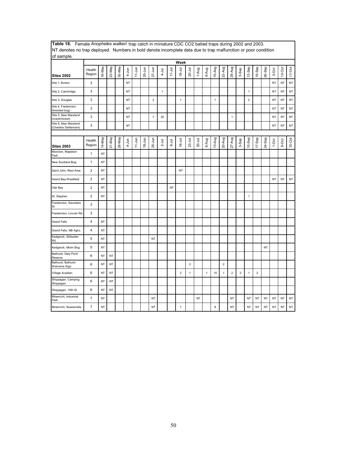| INT denotes no trap deployed. Numbers in bold denote incomplete data due to trap malfunction or poor condition |                  |           |           |        |           |            |            |                |             |            |                |                |             |       |              |                |                |                |                |                |           |           |           |           |
|----------------------------------------------------------------------------------------------------------------|------------------|-----------|-----------|--------|-----------|------------|------------|----------------|-------------|------------|----------------|----------------|-------------|-------|--------------|----------------|----------------|----------------|----------------|----------------|-----------|-----------|-----------|-----------|
| of sample.                                                                                                     |                  |           |           |        |           |            |            |                |             |            | Week           |                |             |       |              |                |                |                |                |                |           |           |           |           |
| <b>Sites 2002</b>                                                                                              | Health<br>Region | 16-May    | 23-May    | 30-May | $4 - Jun$ | $11 - Jun$ | $20 - Jun$ | $27 - Jun$     | $4 -$ Jul   | $11 -$ Jul | $18 - Jul$     | 25-Jul         | 1-Aug       | 8-Aug | 15-Aug       | 22-Aug         | 29-Aug         | 5-Sep          | 12-Sep         | 19-Sep         | 26-Sep    | 3-Oct     | $10-Oct$  | $17-Oct$  |
| Site 1, Burton                                                                                                 | 3                |           |           |        | <b>NT</b> |            |            |                |             |            |                |                |             |       |              |                |                |                |                |                |           | NT        | <b>NT</b> | NT        |
| Site 2, Cambridge                                                                                              | 3                |           |           |        | <b>NT</b> |            |            |                | $\mathbf 1$ |            |                |                |             |       |              |                |                |                | 1              |                |           | <b>NT</b> | <b>NT</b> | NT        |
| Site 3, Douglas                                                                                                | 3                |           |           |        | <b>NT</b> |            |            | $\overline{2}$ |             |            | $\mathbf{1}$   |                |             |       | $\mathbf{1}$ |                |                |                | $\overline{2}$ |                |           | <b>NT</b> | NT        | NT        |
| Site 4, Fredericton<br>(forested bog)                                                                          | 3                |           |           |        | <b>NT</b> |            |            |                |             |            |                |                |             |       |              |                |                |                |                |                |           | <b>NT</b> | <b>NT</b> | <b>NT</b> |
| Site 5, New Maryland<br>(marsh/forest)                                                                         | 3                |           |           |        | <b>NT</b> |            |            | $\overline{7}$ | 20          |            |                |                |             |       |              |                | $\mathbf{1}$   |                |                |                |           | <b>NT</b> | <b>NT</b> | NT        |
| Site 6, New Maryland<br>(Charters Settlement)                                                                  | 3                |           |           |        | NT        |            |            |                |             |            |                |                |             |       |              |                |                |                |                |                |           | <b>NT</b> | NT        | NT        |
|                                                                                                                |                  |           |           |        |           |            |            |                |             |            |                |                |             |       |              |                |                |                |                |                |           |           |           |           |
| <b>Sites 2003</b>                                                                                              | Health<br>Region | 14-May    | 21-May    | 28-May | 4-Jun     | $11 - Jun$ | $18 - Jun$ | $25 - Jun$     | $2 -$ Jul   | $9 -$ Jul  | $16 - Jul$     | $23 -$ Jul     | $30 - J$ ul | 6-Aug | 13-Aug       | 20-Aug         | 27-Aug         | 3-Sep          | $10-$ Sep      | 17-Sep         | 24-Sep    | $1-0ct$   | 8-Oct     | $15-Oct$  |
| Moncton, Mapleton<br>Park                                                                                      | $\mathbf{1}$     | NT        |           |        |           |            |            |                |             |            |                |                |             |       |              |                |                |                |                |                |           |           |           |           |
| New Scotland Bog                                                                                               | 1                | <b>NT</b> |           |        |           |            |            |                |             |            |                |                |             |       |              |                |                |                |                |                |           |           |           |           |
| Saint John, Rest Area                                                                                          | $\boldsymbol{2}$ | <b>NT</b> |           |        |           |            |            |                |             |            | <b>NT</b>      |                |             |       |              |                |                |                |                |                |           |           |           |           |
| Grand Bay-Westfield                                                                                            | $\overline{c}$   | <b>NT</b> |           |        |           |            |            |                |             |            |                |                |             |       |              |                |                |                |                |                |           | <b>NT</b> | <b>NT</b> | NT        |
| Oak Bay                                                                                                        | $\overline{2}$   | <b>NT</b> |           |        |           |            |            |                |             | NT         |                |                |             |       |              |                |                |                |                |                |           |           |           |           |
| St. Stephen                                                                                                    | $\overline{c}$   | NT        |           |        |           |            |            |                |             |            |                |                |             |       |              |                |                |                | $\mathbf{1}$   |                |           |           |           |           |
| Fredericton, Saunders<br>St.                                                                                   | 3                |           |           |        |           |            |            |                |             |            |                |                |             |       |              |                |                |                |                |                |           |           |           |           |
| Fredericton, Lincoln Rd.                                                                                       | 3                |           |           |        |           |            |            |                |             |            |                |                |             |       |              |                |                |                |                |                |           |           |           |           |
| <b>Grand Falls</b>                                                                                             | $\overline{4}$   | <b>NT</b> |           |        |           |            |            |                |             |            |                |                |             |       |              |                |                |                |                |                |           |           |           |           |
| Grand Falls, NB Agric.                                                                                         | $\overline{4}$   | <b>NT</b> |           |        |           |            |            |                |             |            |                |                |             |       |              |                |                |                |                |                |           |           |           |           |
| Kedgwick, Stillwater<br>Rd.                                                                                    | 5                | <b>NT</b> |           |        |           |            |            | <b>NT</b>      |             |            |                |                |             |       |              |                |                |                |                |                |           |           |           |           |
| Kedgwick, Morin Bog                                                                                            | 5                | <b>NT</b> |           |        |           |            |            |                |             |            |                |                |             |       |              |                |                |                |                |                | <b>NT</b> |           |           |           |
| Bathurst, Daly Point<br>Reserve                                                                                | 6                | <b>NT</b> | <b>NT</b> |        |           |            |            |                |             |            |                |                |             |       |              |                |                |                |                |                |           |           |           |           |
| Bathurst, Bathurst<br>Welcome Sign                                                                             | 6                | <b>NT</b> | NT        |        |           |            |            |                |             |            |                | $\overline{2}$ |             |       |              | $\overline{2}$ |                |                |                |                |           |           |           |           |
| Village Acadien                                                                                                | 6                | <b>NT</b> | NT        |        |           |            |            |                |             |            | $\overline{2}$ | 1              |             | 1     | 10           | $\mathbf{1}$   | $\overline{2}$ | $\overline{2}$ | $\mathbf{1}$   | $\overline{c}$ |           |           |           |           |
| Shippagan, Camping<br>Shippagan                                                                                | 6                | NT        | <b>NT</b> |        |           |            |            |                |             |            |                |                |             |       |              |                |                |                |                |                |           |           |           |           |
| Shippagan, 15th St.                                                                                            | 6                | <b>NT</b> | <b>NT</b> |        |           |            |            |                |             |            |                |                |             |       |              |                |                |                |                |                |           |           |           |           |
| Miramichi, Industrial<br>Park                                                                                  | $\overline{7}$   | <b>NT</b> |           |        |           |            |            | <b>NT</b>      |             |            |                |                | NT          |       |              |                | <b>NT</b>      |                | NT             | <b>NT</b>      | NT        | <b>NT</b> | NT        | NT        |
| Miramichi, Nowlanville                                                                                         | $\overline{7}$   | NT        |           |        |           |            |            | <b>NT</b>      |             |            | 1              |                |             |       | 8            |                | <b>NT</b>      |                | NT             | NT             | NT        | <b>NT</b> | NT        | NT        |

**Table 18.** Female *Anopheles walkeri* trap catch in miniature CDC CO2 baited traps during 2002 and 2003. NT denotes no trap deployed. Numbers in bold denote incomplete data due to trap malfunction or poor condition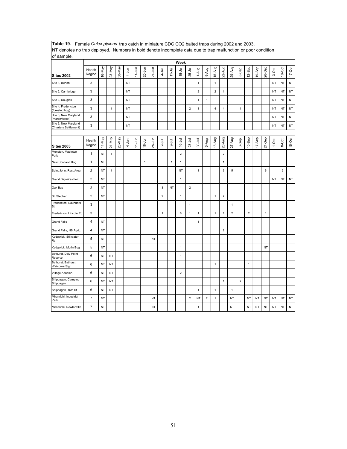| The defects no trup deproyed. Trampers in bold denote incomplete data due to trup mandholon or poor condition<br>of sample. |                         |           |              |        |           |            |              |            |                           |              |                |                         |                         |              |                         |                         |                |                         |                |           |              |           |                |           |
|-----------------------------------------------------------------------------------------------------------------------------|-------------------------|-----------|--------------|--------|-----------|------------|--------------|------------|---------------------------|--------------|----------------|-------------------------|-------------------------|--------------|-------------------------|-------------------------|----------------|-------------------------|----------------|-----------|--------------|-----------|----------------|-----------|
|                                                                                                                             |                         |           |              |        |           |            |              |            |                           |              | Week           |                         |                         |              |                         |                         |                |                         |                |           |              |           |                |           |
| <b>Sites 2002</b>                                                                                                           | Health<br>Region        | 16-May    | 23-May       | 30-May | $4 - Jun$ | $11-Jun$   | 20-Jun       | $27 - Jun$ | $4 - J$ ul                | $11 - Jul$   | $18 - Jul$     | 25-Jul                  | 1-Aug                   | 8-Aug        | 15-Aug                  | 22-Aug                  | 29-Aug         | 5-Sep                   | 12-Sep         | 19-Sep    | 26-Sep       | 3-Oct     | $10$ -Oct      | $17-Ort$  |
| Site 1, Burton                                                                                                              | 3                       |           |              |        | <b>NT</b> |            |              |            |                           |              |                |                         | $\mathbf{1}$            |              | $\mathbf{1}$            |                         |                |                         |                |           |              | <b>NT</b> | <b>NT</b>      | $\sf{NT}$ |
| Site 2, Cambridge                                                                                                           | 3                       |           |              |        | NT        |            |              |            |                           |              | $\mathbf{1}$   |                         | $\overline{\mathbf{c}}$ |              | $\overline{2}$          | $\mathbf{1}$            |                |                         |                |           |              | <b>NT</b> | <b>NT</b>      | NT        |
| Site 3, Douglas                                                                                                             | 3                       |           |              |        | NT        |            |              |            |                           |              |                |                         | $\mathbf{1}$            | $\mathbf{1}$ |                         |                         |                |                         |                |           |              | <b>NT</b> | NT             | NT        |
| Site 4, Fredericton<br>(forested bog)                                                                                       | 3                       |           | $\mathbf{1}$ |        | <b>NT</b> |            |              |            |                           |              |                | $\overline{2}$          | $\mathbf{1}$            | $\mathbf{1}$ | $\overline{\mathbf{4}}$ | 4                       |                | 1                       |                |           |              | <b>NT</b> | <b>NT</b>      | <b>NT</b> |
| Site 5, New Maryland<br>(marsh/forest)                                                                                      | 3                       |           |              |        | NT        |            |              |            |                           |              |                |                         |                         |              |                         |                         |                |                         |                |           |              | NT        | NT             | NT        |
| Site 6, New Maryland<br>(Charters Settlement)                                                                               | 3                       |           |              |        | NT        |            |              |            |                           |              |                |                         |                         |              |                         |                         |                |                         |                |           |              | <b>NT</b> | <b>NT</b>      | NT        |
|                                                                                                                             |                         |           |              |        |           |            |              |            |                           |              |                |                         |                         |              |                         |                         |                |                         |                |           |              |           |                |           |
| <b>Sites 2003</b>                                                                                                           | Health<br>Region        | 14-May    | $21-May$     | 28-May | $4 - Jun$ | $11 - Jun$ | $18 - Jun$   | $25 - Jun$ | $2 -$ Jul                 | $9 - J$ ul   | $16 - Jul$     | $23 -$ Jul              | $30 - J$ ul             | 6-Aug        | 13-Aug                  | 20-Aug                  | $27-Aug$       | 3-Sep                   | $10-$ Sep      | 17-Sep    | 24-Sep       | $1-0ct$   | 8-Oct          | 15-Oct    |
| Moncton, Mapleton<br>Park                                                                                                   | $\mathbf{1}$            | NT        | $\mathbf{1}$ |        |           |            |              |            |                           |              | $\overline{2}$ |                         |                         |              |                         | $\overline{\mathbf{c}}$ |                |                         |                |           |              |           |                |           |
| New Scotland Bog                                                                                                            | $\mathbf{1}$            | NT        |              |        |           |            | $\mathbf{1}$ |            |                           | $\mathbf{1}$ | $\mathbf{1}$   |                         |                         |              |                         | $\mathbf{1}$            |                |                         |                |           |              |           |                |           |
| Saint John, Rest Area                                                                                                       | $\overline{2}$          | <b>NT</b> | $\mathbf{1}$ |        |           |            |              |            |                           |              | NT             |                         | $\mathbf{1}$            |              |                         | 3                       | 5              |                         |                |           | 6            |           | $\overline{2}$ |           |
| Grand Bay-Westfield                                                                                                         | $\overline{\mathbf{c}}$ | NT        |              |        |           |            |              |            |                           |              | $\mathbf{1}$   |                         |                         |              |                         |                         |                |                         |                |           |              | <b>NT</b> | <b>NT</b>      | NT        |
| Oak Bay                                                                                                                     | $\mathbf 2$             | <b>NT</b> |              |        |           |            |              |            | $\ensuremath{\mathsf{3}}$ | NT           | $\mathbf{1}$   | $\mathbf 2$             |                         |              |                         |                         |                |                         |                |           |              |           |                |           |
| St. Stephen                                                                                                                 | $\overline{2}$          | <b>NT</b> |              |        |           |            |              |            | $\overline{2}$            |              | $\mathbf{1}$   |                         |                         |              | $\mathbf{1}$            | $\overline{2}$          |                |                         |                |           |              |           |                |           |
| Fredericton, Saunders<br>St.                                                                                                | 3                       |           |              |        |           |            |              |            |                           |              |                | 1                       |                         |              |                         |                         | 1              |                         |                |           |              |           |                |           |
| Fredericton, Lincoln Rd.                                                                                                    | 3                       |           |              |        |           |            |              |            | $\mathbf{1}$              |              | 6              | 1                       | $\mathbf{1}$            |              | $\mathbf{1}$            | $\mathbf{1}$            | $\overline{2}$ |                         | $\overline{2}$ |           | $\mathbf{1}$ |           |                |           |
| <b>Grand Falls</b>                                                                                                          | $\overline{4}$          | NT        |              |        |           |            |              |            |                           |              |                |                         | $\mathbf{1}$            |              |                         |                         |                |                         |                |           |              |           |                |           |
| Grand Falls, NB Agric.                                                                                                      | $\overline{\mathbf{4}}$ | NT        |              |        |           |            |              |            |                           |              |                |                         |                         |              |                         | $\overline{\mathbf{c}}$ |                |                         |                |           |              |           |                |           |
| Kedgwick, Stillwater<br>Rd.                                                                                                 | 5                       | NT        |              |        |           |            |              | <b>NT</b>  |                           |              |                |                         |                         |              |                         |                         |                |                         |                |           |              |           |                |           |
| Kedgwick, Morin Bog                                                                                                         | 5                       | <b>NT</b> |              |        |           |            |              |            |                           |              | $\mathbf{1}$   |                         |                         |              |                         |                         |                |                         |                |           | <b>NT</b>    |           |                |           |
| Bathurst, Daly Point<br>Reserve                                                                                             | 6                       | NT        | <b>NT</b>    |        |           |            |              |            |                           |              | $\mathbf{1}$   |                         |                         |              |                         |                         |                |                         |                |           |              |           |                |           |
| Bathurst, Bathurst<br>Welcome Sign                                                                                          | 6                       | NT        | NT           |        |           |            |              |            |                           |              |                |                         |                         |              | $\mathbf{1}$            |                         |                |                         | 1              |           |              |           |                |           |
| Village Acadien                                                                                                             | 6                       | NT        | NT           |        |           |            |              |            |                           |              | $\mathbf 2$    |                         |                         |              |                         |                         |                |                         |                |           |              |           |                |           |
| Shippagan, Camping<br>Shippagan                                                                                             | 6                       | NT        | NT           |        |           |            |              |            |                           |              |                |                         |                         |              |                         | $\mathbf{1}$            |                | $\overline{\mathbf{c}}$ |                |           |              |           |                |           |
| Shippagan, 15th St.                                                                                                         | 6                       | NT        | NT           |        |           |            |              |            |                           |              |                |                         | $\mathbf{1}$            |              | $\mathbf{1}$            |                         | $\mathbf{1}$   |                         |                |           |              |           |                |           |
| Miramichi, Industrial<br>Park                                                                                               | $\overline{7}$          | <b>NT</b> |              |        |           |            |              | <b>NT</b>  |                           |              |                | $\overline{\mathbf{c}}$ | NT                      | $\mathbf 2$  | $\mathbf{1}$            |                         | <b>NT</b>      |                         | <b>NT</b>      | NT        | NT           | <b>NT</b> | <b>NT</b>      | $\sf{NT}$ |
| Miramichi, Nowlanville                                                                                                      | $\overline{7}$          | <b>NT</b> |              |        |           |            |              | <b>NT</b>  |                           |              |                |                         | 1                       |              |                         |                         | <b>NT</b>      |                         | <b>NT</b>      | <b>NT</b> | <b>NT</b>    | <b>NT</b> | <b>NT</b>      | NT        |

**Table 19.** Female *Culex pipiens* trap catch in miniature CDC CO2 baited traps during 2002 and 2003. NT denotes no trap deployed. Numbers in bold denote incomplete data due to trap malfunction or poor condition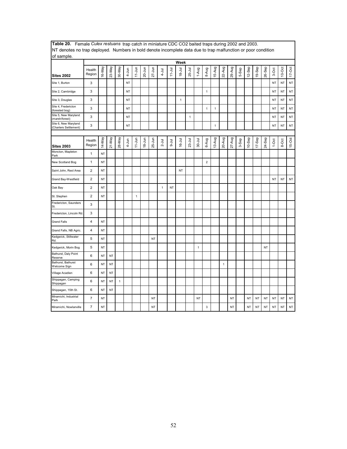| per denotes no trap deployed. Teambers in bold denote incomplete data due to trap manufaction or poor condition<br>of sample. |                         |           |        |              |           |              |            |            |              |            |              |              |             |                |              |              |           |       |           |           |           |           |           |            |
|-------------------------------------------------------------------------------------------------------------------------------|-------------------------|-----------|--------|--------------|-----------|--------------|------------|------------|--------------|------------|--------------|--------------|-------------|----------------|--------------|--------------|-----------|-------|-----------|-----------|-----------|-----------|-----------|------------|
|                                                                                                                               |                         |           |        |              |           |              |            |            |              |            | Week         |              |             |                |              |              |           |       |           |           |           |           |           |            |
| <b>Sites 2002</b>                                                                                                             | Health<br>Region        | 16-May    | 23-May | 30-May       | $4 - Jun$ | $11 - Jun$   | $20 - Jun$ | $27 - Jun$ | $4 - J$ ul   | $11 - Jul$ | $18 - Jul$   | 25-Jul       | 1-Aug       | 8-Aug          | 15-Aug       | 22-Aug       | 29-Aug    | 5-Sep | $12-$ Sep | 19-Sep    | 26-Sep    | 3-Oct     | $10-Oct$  | $17 - Oct$ |
| Site 1, Burton                                                                                                                | 3                       |           |        |              | <b>NT</b> |              |            |            |              |            |              |              |             |                |              |              |           |       |           |           |           | NT        | <b>NT</b> | NT         |
| Site 2, Cambridge                                                                                                             | 3                       |           |        |              | <b>NT</b> |              |            |            |              |            |              |              |             | $\mathbf{1}$   |              |              |           |       |           |           |           | <b>NT</b> | NT        | NT         |
| Site 3, Douglas                                                                                                               | 3                       |           |        |              | <b>NT</b> |              |            |            |              |            | $\mathbf{1}$ |              |             |                |              |              |           |       |           |           |           | <b>NT</b> | <b>NT</b> | NT         |
| Site 4, Fredericton<br>(forested bog)                                                                                         | 3                       |           |        |              | <b>NT</b> |              |            |            |              |            |              |              |             | $\mathbf{1}$   | $\mathbf{1}$ |              |           |       |           |           |           | <b>NT</b> | <b>NT</b> | NT         |
| Site 5, New Maryland<br>(marsh/forest)                                                                                        | 3                       |           |        |              | <b>NT</b> |              |            |            |              |            |              | $\mathbf{1}$ |             |                |              |              |           |       |           |           |           | <b>NT</b> | <b>NT</b> | NT         |
| Site 6, New Maryland<br>(Charters Settlement)                                                                                 | 3                       |           |        |              | <b>NT</b> |              |            |            |              |            |              |              |             |                | 1            |              |           |       |           |           |           | NT        | NT        | NT         |
|                                                                                                                               |                         |           |        |              |           |              |            |            |              |            |              |              |             |                |              |              |           |       |           |           |           |           |           |            |
| <b>Sites 2003</b>                                                                                                             | Health<br>Region        | 14-May    | 21-May | 28-May       | $4 - Jun$ | $11 - Jun$   | $18 - Jun$ | $25 - Jun$ | $2 -$ Jul    | lnr-9      | $16 - Jul$   | $23 -$ Jul   | $30 -$ Jul  | 6-Aug          | 13-Aug       | 20-Aug       | 27-Aug    | 3-Sep | $10-$ Sep | $17-$ Sep | 24-Sep    | $1-0ct$   | 8-Oct     | $15-Oct$   |
| Moncton, Mapleton<br>Park                                                                                                     | $\mathbf{1}$            | NT        |        |              |           |              |            |            |              |            |              |              |             |                |              |              |           |       |           |           |           |           |           |            |
| New Scotland Bog                                                                                                              | $\mathbf{1}$            | NT        |        |              |           |              |            |            |              |            |              |              |             | $\overline{2}$ |              |              |           |       |           |           |           |           |           |            |
| Saint John, Rest Area                                                                                                         | $\overline{2}$          | NT        |        |              |           |              |            |            |              |            | NT           |              |             |                |              |              |           |       |           |           |           |           |           |            |
| Grand Bay-Westfield                                                                                                           | $\overline{2}$          | NT        |        |              |           |              |            |            |              |            |              |              |             |                |              |              |           |       |           |           |           | <b>NT</b> | <b>NT</b> | $\sf{NT}$  |
| Oak Bay                                                                                                                       | $\overline{\mathbf{c}}$ | NT        |        |              |           |              |            |            | $\mathbf{1}$ | NT         |              |              |             |                |              |              |           |       |           |           |           |           |           |            |
| St. Stephen                                                                                                                   | $\overline{2}$          | NT        |        |              |           | $\mathbf{1}$ |            |            |              |            |              |              |             |                |              |              |           |       |           |           |           |           |           |            |
| Fredericton, Saunders<br>St.                                                                                                  | 3                       |           |        |              |           |              |            |            |              |            |              |              |             |                |              |              |           |       |           |           |           |           |           |            |
| Fredericton, Lincoln Rd.                                                                                                      | 3                       |           |        |              |           |              |            |            |              |            |              |              |             |                |              |              |           |       |           |           |           |           |           |            |
| <b>Grand Falls</b>                                                                                                            | 4                       | NT        |        |              |           |              |            |            |              |            |              |              |             |                |              |              |           |       |           |           |           |           |           |            |
| Grand Falls, NB Agric.                                                                                                        | 4                       | NT        |        |              |           |              |            |            |              |            |              |              |             |                |              |              |           |       |           |           |           |           |           |            |
| Kedgwick, Stillwater<br>Rd.                                                                                                   | 5                       | NT        |        |              |           |              |            | <b>NT</b>  |              |            |              |              |             |                |              |              |           |       |           |           |           |           |           |            |
| Kedgwick, Morin Bog                                                                                                           | 5                       | NT        |        |              |           |              |            |            |              |            |              |              | $\mathbf 1$ |                |              |              |           |       |           |           | <b>NT</b> |           |           |            |
| Bathurst, Daly Point<br>Reserve                                                                                               | 6                       | NT        | NT     |              |           |              |            |            |              |            |              |              |             |                |              |              |           |       |           |           |           |           |           |            |
| Bathurst, Bathurst<br>Welcome Sign                                                                                            | 6                       | NT        | NT     |              |           |              |            |            |              |            |              |              |             |                |              | $\mathbf{1}$ |           |       |           |           |           |           |           |            |
| Village Acadien                                                                                                               | 6                       | NΤ        | ΝT     |              |           |              |            |            |              |            |              |              |             |                |              |              |           |       |           |           |           |           |           |            |
| Shippagan, Camping<br>Shippagan                                                                                               | 6                       | NT        | NT     | $\mathbf{1}$ |           |              |            |            |              |            |              |              |             |                |              |              |           |       |           |           |           |           |           |            |
| Shippagan, 15th St.                                                                                                           | 6                       | NT        | NT     |              |           |              |            |            |              |            |              |              |             |                |              |              |           |       |           |           |           |           |           |            |
| Miramichi, Industrial<br>Park                                                                                                 | $\overline{7}$          | <b>NT</b> |        |              |           |              |            | <b>NT</b>  |              |            |              |              | NT          |                |              |              | <b>NT</b> |       | <b>NT</b> | <b>NT</b> | <b>NT</b> | <b>NT</b> | <b>NT</b> | NT         |
| Miramichi, Nowlanville                                                                                                        | $\overline{7}$          | NT        |        |              |           |              |            | NT         |              |            |              |              |             | 3              |              |              | <b>NT</b> |       | NT        | <b>NT</b> | <b>NT</b> | <b>NT</b> | <b>NT</b> | NT         |

**Table 20.** Female *Culex restuans* trap catch in miniature CDC CO2 baited traps during 2002 and 2003. NT denotes no trap deployed. Numbers in bold denote incomplete data due to trap malfunction or poor condition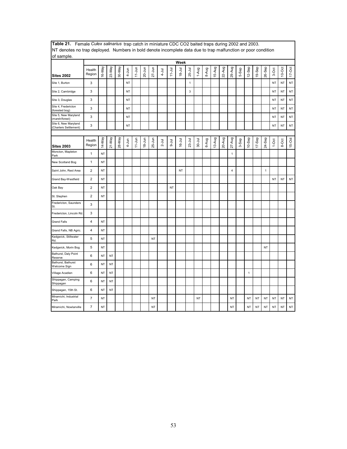| The activities no trap acproyed. Trafficers in bold activity incomplete data and to trap manufacture of poor condition<br>of sample. |                         |           |           |        |           |            |            |            |            |            |            |              |             |       |        |        |                         |       |              |        |              |           |           |           |
|--------------------------------------------------------------------------------------------------------------------------------------|-------------------------|-----------|-----------|--------|-----------|------------|------------|------------|------------|------------|------------|--------------|-------------|-------|--------|--------|-------------------------|-------|--------------|--------|--------------|-----------|-----------|-----------|
|                                                                                                                                      |                         |           |           |        |           |            |            |            |            |            | Week       |              |             |       |        |        |                         |       |              |        |              |           |           |           |
| <b>Sites 2002</b>                                                                                                                    | Health<br>Region        | 16-May    | 23-May    | 30-May | 4-Jun     | $11$ -Jun  | 20-Jun     | $27 - Jun$ | $4 - J$ ul | $11 -$ Jul | $18 - Jul$ | 25-Jul       | 1-Aug       | 8-Aug | 15-Aug | 22-Aug | 29-Aug                  | 5-Sep | 12-Sep       | 19-Sep | 26-Sep       | 3-Oct     | $10$ -Oct | $17-Oct$  |
| Site 1, Burton                                                                                                                       | 3                       |           |           |        | NT        |            |            |            |            |            |            | $\mathbf{1}$ |             |       |        |        |                         |       |              |        |              | <b>NT</b> | NT        | $\sf{NT}$ |
| Site 2, Cambridge                                                                                                                    | 3                       |           |           |        | <b>NT</b> |            |            |            |            |            |            | $\mathbf{3}$ |             |       |        |        |                         |       |              |        |              | <b>NT</b> | <b>NT</b> | $\sf{NT}$ |
| Site 3, Douglas                                                                                                                      | 3                       |           |           |        | <b>NT</b> |            |            |            |            |            |            |              |             |       |        |        |                         |       |              |        |              | <b>NT</b> | <b>NT</b> | NT        |
| Site 4, Fredericton<br>(forested bog)                                                                                                | 3                       |           |           |        | NT        |            |            |            |            |            |            |              |             |       |        |        |                         |       |              |        |              | NT        | NT        | NT        |
| Site 5, New Maryland<br>(marsh/forest)                                                                                               | 3                       |           |           |        | <b>NT</b> |            |            |            |            |            |            |              |             |       |        |        |                         |       |              |        |              | NT        | NT        | NT        |
| Site 6, New Maryland<br>(Charters Settlement)                                                                                        | 3                       |           |           |        | <b>NT</b> |            |            |            |            |            |            |              |             |       |        |        |                         |       |              |        |              | <b>NT</b> | <b>NT</b> | $\sf{NT}$ |
|                                                                                                                                      |                         |           |           |        |           |            |            |            |            |            |            |              |             |       |        |        |                         |       |              |        |              |           |           |           |
| <b>Sites 2003</b>                                                                                                                    | Health<br>Region        | 14-May    | 21-May    | 28-May | 4-Jun     | $11 - Jun$ | $18 - Jun$ | 25-Jun     | $2 -$ Jul  | $9 -$ Jul  | $16 - Jul$ | 23-Jul       | $30 - J$ ul | 6-Aug | 13-Aug | 20-Aug | $27 - Aug$              | 3-Sep | $10-$ Sep    | 17-Sep | 24-Sep       | $1-0ct$   | 8-Oct     | 15-Oct    |
| Moncton, Mapleton<br>Park                                                                                                            | $\mathbf{1}$            | NT        |           |        |           |            |            |            |            |            |            |              |             |       |        |        | $\mathbf{1}$            |       |              |        |              |           |           |           |
| New Scotland Bog                                                                                                                     | $\mathbf{1}$            | NT        |           |        |           |            |            |            |            |            |            |              |             |       |        |        |                         |       |              |        |              |           |           |           |
| Saint John, Rest Area                                                                                                                | $\mathbf 2$             | <b>NT</b> |           |        |           |            |            |            |            |            | NT         |              |             |       |        |        | $\overline{\mathbf{4}}$ |       |              |        | $\mathbf{1}$ |           |           |           |
| Grand Bay-Westfield                                                                                                                  | $\overline{\mathbf{c}}$ | <b>NT</b> |           |        |           |            |            |            |            |            |            |              |             |       |        |        |                         |       |              |        |              | NT        | NT        | $\sf{NT}$ |
| Oak Bay                                                                                                                              | $\mathbf 2$             | <b>NT</b> |           |        |           |            |            |            |            | NT         |            |              |             |       |        |        |                         |       |              |        |              |           |           |           |
| St. Stephen                                                                                                                          | $\mathbf 2$             | NT        |           |        |           |            |            |            |            |            |            |              |             |       |        |        |                         |       |              |        |              |           |           |           |
| Fredericton, Saunders<br>St.                                                                                                         | 3                       |           |           |        |           |            |            |            |            |            |            |              |             |       |        |        |                         |       |              |        |              |           |           |           |
| Fredericton, Lincoln Rd.                                                                                                             | 3                       |           |           |        |           |            |            |            |            |            |            |              |             |       |        |        |                         |       |              |        |              |           |           |           |
| <b>Grand Falls</b>                                                                                                                   | 4                       | NT        |           |        |           |            |            |            |            |            |            |              |             |       |        |        |                         |       |              |        |              |           |           |           |
| Grand Falls, NB Agric.                                                                                                               | 4                       | NT        |           |        |           |            |            |            |            |            |            |              |             |       |        |        |                         |       |              |        |              |           |           |           |
| Kedgwick, Stillwater<br>Rd.                                                                                                          | 5                       | <b>NT</b> |           |        |           |            |            | <b>NT</b>  |            |            |            |              |             |       |        |        |                         |       |              |        |              |           |           |           |
| Kedgwick, Morin Bog                                                                                                                  | $\,$ 5 $\,$             | <b>NT</b> |           |        |           |            |            |            |            |            |            |              |             |       |        |        |                         |       |              |        | NT           |           |           |           |
| Bathurst, Daly Point<br>Reserve                                                                                                      | 6                       | NT        | NT        |        |           |            |            |            |            |            |            |              |             |       |        |        |                         |       |              |        |              |           |           |           |
| Bathurst, Bathurst<br>Welcome Sign                                                                                                   | 6                       | NT        | NT        |        |           |            |            |            |            |            |            |              |             |       |        |        |                         |       |              |        |              |           |           |           |
| Village Acadien                                                                                                                      | 6                       | <b>NT</b> | NT        |        |           |            |            |            |            |            |            |              |             |       |        |        |                         |       | $\mathbf{1}$ |        |              |           |           |           |
| Shippagan, Camping<br>Shippagan                                                                                                      | 6                       | <b>NT</b> | <b>NT</b> |        |           |            |            |            |            |            |            |              |             |       |        |        |                         |       |              |        |              |           |           |           |
| Shippagan, 15th St.                                                                                                                  | 6                       | NT        | NT        |        |           |            |            |            |            |            |            |              |             |       |        |        |                         |       |              |        |              |           |           |           |
| Miramichi, Industrial<br>Park                                                                                                        | $\overline{7}$          | <b>NT</b> |           |        |           |            |            | <b>NT</b>  |            |            |            |              | NT          |       |        |        | NT                      |       | NT           | NT     | NT           | <b>NT</b> | <b>NT</b> | $\sf{NT}$ |
| Miramichi, Nowlanville                                                                                                               | $\overline{7}$          | <b>NT</b> |           |        |           |            |            | <b>NT</b>  |            |            |            |              |             |       |        |        | NT                      |       | NT           | NT     | NT           | <b>NT</b> | <b>NT</b> | <b>NT</b> |

**Table 21.** Female *Culex salinarius* trap catch in miniature CDC CO2 baited traps during 2002 and 2003. NT denotes no trap deployed. Numbers in bold denote incomplete data due to trap malfunction or poor condition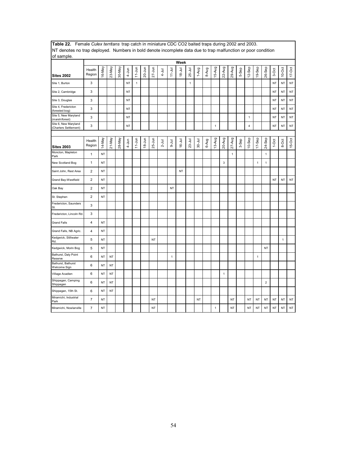| NT denotes no trap deployed. Numbers in bold denote incomplete data due to trap malfunction or poor condition<br>of sample. |                         |           |           |        |           |              |            |            |           |              |            |              |            |       |              |              |              |          |                         |              |                |           |              |           |
|-----------------------------------------------------------------------------------------------------------------------------|-------------------------|-----------|-----------|--------|-----------|--------------|------------|------------|-----------|--------------|------------|--------------|------------|-------|--------------|--------------|--------------|----------|-------------------------|--------------|----------------|-----------|--------------|-----------|
|                                                                                                                             |                         |           |           |        |           |              |            |            |           |              | Week       |              |            |       |              |              |              |          |                         |              |                |           |              |           |
| <b>Sites 2002</b>                                                                                                           | Health<br>Region        | 16-May    | 23-May    | 30-May | $4 - Jun$ | $11-Jun$     | 20-Jun     | $27 - Jun$ | $4 -$ Jul | $11 -$ Jul   | $18 - Jul$ | $25 -$ Jul   | 1-Aug      | 8-Aug | 15-Aug       | 22-Aug       | 29-Aug       | 5-Sep    | $12-$ Sep               | 19-Sep       | 26-Sep         | 3-Oct     | $10$ -Oct    | $17-Oct$  |
| Site 1, Burton                                                                                                              | 3                       |           |           |        | NT        | $\mathbf{1}$ |            |            |           |              |            | $\mathbf{1}$ |            |       |              |              |              |          |                         |              |                | <b>NT</b> | <b>NT</b>    | NT        |
| Site 2, Cambridge                                                                                                           | 3                       |           |           |        | NT        |              |            |            |           |              |            |              |            |       |              |              |              |          |                         |              |                | NT        | <b>NT</b>    | NT        |
| Site 3, Douglas                                                                                                             | 3                       |           |           |        | NT        |              |            |            |           |              |            |              |            |       |              |              |              |          |                         |              |                | NT        | NT           | <b>NT</b> |
| Site 4, Fredericton<br>(forested bog)                                                                                       | 3                       |           |           |        | NT        |              |            |            |           |              |            |              |            |       |              |              |              |          |                         |              |                | <b>NT</b> | <b>NT</b>    | NT        |
| Site 5, New Maryland<br>(marsh/forest)                                                                                      | 3                       |           |           |        | NT        |              |            |            |           |              |            |              |            |       |              |              |              |          | $\mathbf{1}$            |              |                | NT        | <b>NT</b>    | NT        |
| Site 6, New Maryland<br>Charters Settlement)                                                                                | 3                       |           |           |        | NT        |              |            |            |           |              |            |              |            |       | $\mathbf{1}$ |              |              |          | $\overline{\mathbf{4}}$ |              |                | <b>NT</b> | NT           | NT        |
|                                                                                                                             |                         |           |           |        |           |              |            |            |           |              |            |              |            |       |              |              |              |          |                         |              |                |           |              |           |
| <b>Sites 2003</b>                                                                                                           | Health<br>Region        | 14-May    | 21-May    | 28-May | 4-Jun     | $11 - Jun$   | $18 - Jun$ | $25-Jun$   | $2 -$ Jul | $9 -$ Jul    | 16-Jul     | $23 -$ Jul   | $30 -$ Jul | 6-Aug | 13-Aug       | 20-Aug       | $27-Aug$     | $3-$ Sep | 10-Sep                  | 17-Sep       | 24-Sep         | $1-0ct$   | 8-Oct        | 15-Oct    |
| Moncton, Mapleton<br>Park                                                                                                   | $\mathbf{1}$            | NT        |           |        |           |              |            |            |           |              |            |              |            |       |              |              | $\mathbf{1}$ |          |                         |              | $\mathbf{1}$   |           |              |           |
| New Scotland Bog                                                                                                            | $\mathbf{1}$            | NT        |           |        |           |              |            |            |           |              |            |              |            |       |              | 3            |              |          |                         | $\mathbf{1}$ | 1              |           |              |           |
| Saint John, Rest Area                                                                                                       | $\overline{2}$          | <b>NT</b> |           |        |           |              |            |            |           |              | NT         |              |            |       |              |              |              |          |                         |              |                |           |              |           |
| Grand Bay-Westfield                                                                                                         | $\overline{2}$          | NT        |           |        |           |              |            |            |           |              |            |              |            |       |              |              |              |          |                         |              |                | NT        | NT           | NT        |
| Oak Bay                                                                                                                     | $\overline{\mathbf{c}}$ | NT        |           |        |           |              |            |            |           | <b>NT</b>    |            |              |            |       |              |              |              |          |                         |              |                |           |              |           |
| St. Stephen                                                                                                                 | 2                       | <b>NT</b> |           |        |           |              |            |            |           |              |            |              |            |       |              |              |              |          |                         |              |                |           |              |           |
| Fredericton, Saunders<br>St.                                                                                                | 3                       |           |           |        |           |              |            |            |           |              |            |              |            |       |              |              |              |          |                         |              |                |           |              |           |
| Fredericton, Lincoln Rd.                                                                                                    | 3                       |           |           |        |           |              |            |            |           |              |            |              |            |       |              |              |              |          |                         |              |                |           |              |           |
| <b>Grand Falls</b>                                                                                                          | 4                       | NT        |           |        |           |              |            |            |           |              |            |              |            |       |              |              |              |          |                         |              |                |           |              |           |
| Grand Falls, NB Agric.                                                                                                      | 4                       | NT        |           |        |           |              |            |            |           |              |            |              |            |       |              |              |              |          |                         |              |                |           |              |           |
| Kedgwick, Stillwater<br>Rd.                                                                                                 | 5                       | NT        |           |        |           |              |            | NT         |           |              |            |              |            |       |              |              |              |          |                         |              |                |           | $\mathbf{1}$ |           |
| Kedgwick, Morin Bog                                                                                                         | 5                       | NT        |           |        |           |              |            |            |           |              |            |              |            |       |              |              |              |          |                         |              | <b>NT</b>      |           |              |           |
| Bathurst, Daly Point<br>Reserve                                                                                             | 6                       | NT        | <b>NT</b> |        |           |              |            |            |           | $\mathbf{1}$ |            |              |            |       |              |              |              |          |                         | $\mathbf{1}$ |                |           |              |           |
| Bathurst, Bathurst<br>Welcome Sign                                                                                          | 6                       | NT        | NT        |        |           |              |            |            |           |              |            |              |            |       |              |              |              |          |                         |              |                |           |              |           |
| Village Acadien                                                                                                             | 6                       | NT        | <b>NT</b> |        |           |              |            |            |           |              |            |              |            |       |              | $\mathbf{1}$ |              |          |                         |              |                |           |              |           |
| Shippagan, Camping<br>Shippagan                                                                                             | 6                       | NT        | NT        |        |           |              |            |            |           |              |            |              |            |       |              |              |              |          |                         |              | $\overline{2}$ |           |              |           |
| Shippagan, 15th St.                                                                                                         | 6                       | NT        | NT        |        |           |              |            |            |           |              |            |              |            |       |              |              |              |          |                         |              |                |           |              |           |
| Miramichi, Industrial<br>Park                                                                                               | $\overline{7}$          | NT        |           |        |           |              |            | NT         |           |              |            |              | <b>NT</b>  |       |              |              | <b>NT</b>    |          | NT                      | NT           | <b>NT</b>      | NT        | NT           | NT        |
| Miramichi, Nowlanville                                                                                                      | $\overline{7}$          | NT        |           |        |           |              |            | NT         |           |              |            |              |            |       | $\,$ 1 $\,$  |              | NT           |          | NT                      | NT           | <b>NT</b>      | NT        | NT           | <b>NT</b> |

**Table 22.** Female *Culex territans* trap catch in miniature CDC CO2 baited traps during 2002 and 2003.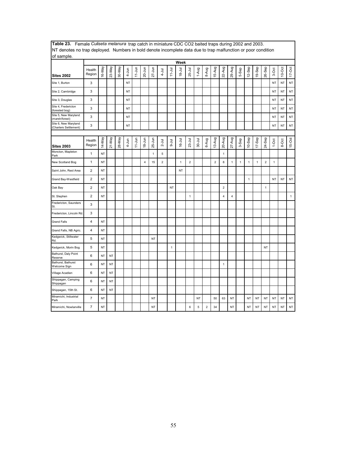| INT denotes no trap deployed. Numbers in bold denote incomplete data due to trap malfunction or poor condition |                         |           |           |        |           |            |                         |              |                |             |            |                |            |                |                |                |              |       |              |              |                |              |           |              |
|----------------------------------------------------------------------------------------------------------------|-------------------------|-----------|-----------|--------|-----------|------------|-------------------------|--------------|----------------|-------------|------------|----------------|------------|----------------|----------------|----------------|--------------|-------|--------------|--------------|----------------|--------------|-----------|--------------|
| of sample.                                                                                                     |                         |           |           |        |           |            |                         |              |                |             | Week       |                |            |                |                |                |              |       |              |              |                |              |           |              |
| <b>Sites 2002</b>                                                                                              | Health<br>Region        | 16-May    | 23-May    | 30-May | $4 - Jun$ | $11$ -Jun  | $20 - Jun$              | $27 - Jun$   | $4 - J$ ul     | $11 -$ Jul  | $18 - Jul$ | 25-Jul         | 1-Aug      | 8-Aug          | 15-Aug         | 22-Aug         | 29-Aug       | 5-Sep | 12-Sep       | 19-Sep       | 26-Sep         | 3-Oct        | $10$ -Oct | $17-Oct$     |
| Site 1, Burton                                                                                                 | 3                       |           |           |        | <b>NT</b> |            |                         |              |                |             |            |                |            |                |                |                |              |       |              |              |                | <b>NT</b>    | <b>NT</b> | NT           |
| Site 2, Cambridge                                                                                              | 3                       |           |           |        | NT        |            |                         |              |                |             |            |                |            |                |                |                |              |       |              |              |                | NT           | <b>NT</b> | NT           |
| Site 3, Douglas                                                                                                | 3                       |           |           |        | <b>NT</b> |            |                         |              |                |             |            |                |            |                |                |                |              |       |              |              |                | NT           | <b>NT</b> | NT           |
| Site 4, Fredericton<br>(forested bog)                                                                          | 3                       |           |           |        | <b>NT</b> |            |                         |              |                |             |            |                |            |                |                |                |              |       |              |              |                | <b>NT</b>    | <b>NT</b> | NT           |
| Site 5, New Maryland<br>(marsh/forest)                                                                         | 3                       |           |           |        | <b>NT</b> |            |                         |              |                |             |            |                |            |                |                |                |              |       |              |              |                | <b>NT</b>    | <b>NT</b> | NT           |
| Site 6, New Maryland<br>(Charters Settlement)                                                                  | 3                       |           |           |        | NT        |            |                         |              |                |             |            |                |            |                |                |                |              |       |              |              |                | NT           | <b>NT</b> | NT           |
|                                                                                                                |                         |           |           |        |           |            |                         |              |                |             |            |                |            |                |                |                |              |       |              |              |                |              |           |              |
| <b>Sites 2003</b>                                                                                              | Health<br>Region        | 14-May    | $21-May$  | 28-May | 4-Jun     | $11 - Jun$ | $18 - Jun$              | 25-Jun       | $2 -$ Jul      | $9-1$ ul    | $16 - Jul$ | $23-Jul$       | $30 -$ Jul | 6-Aug          | 13-Aug         | 20-Aug         | 27-Aug       | 3-Sep | $10-$ Sep    | 17-Sep       | 24-Sep         | $1-0ct$      | 8-Oct     | 15-Oct       |
| Moncton, Mapleton<br>Park                                                                                      | $\mathbf{1}$            | NT        |           |        |           |            |                         | $\mathbf{1}$ | 5              |             |            |                |            |                |                | $\mathbf{1}$   |              |       |              |              |                |              |           |              |
| New Scotland Bog                                                                                               | 1                       | NT        |           |        |           |            | $\overline{\mathbf{4}}$ | 15           | $\overline{2}$ |             | 1          | $\overline{c}$ |            |                | $\overline{2}$ | 8              | $\mathbf{1}$ | 1     | $\mathbf{1}$ | $\mathbf{1}$ | $\overline{2}$ | $\mathbf{1}$ |           |              |
| Saint John, Rest Area                                                                                          | $\overline{2}$          | <b>NT</b> |           |        |           |            |                         |              |                |             | <b>NT</b>  |                |            |                |                |                |              |       |              |              |                |              |           |              |
| Grand Bay-Westfield                                                                                            | 2                       | NT        |           |        |           |            |                         |              |                |             |            |                |            |                |                |                |              |       | $\mathbf{1}$ |              |                | <b>NT</b>    | <b>NT</b> | NT           |
| Oak Bay                                                                                                        | $\overline{2}$          | NT        |           |        |           |            |                         |              |                | NT          |            |                |            |                |                | $\overline{2}$ |              |       |              |              | $\mathbf{1}$   |              |           |              |
| St. Stephen                                                                                                    | $\overline{c}$          | NT        |           |        |           |            |                         |              |                |             |            | 1              |            |                |                | $\overline{4}$ | 4            |       |              |              |                |              |           | $\mathbf{1}$ |
| Fredericton, Saunders<br>St.                                                                                   | 3                       |           |           |        |           |            |                         |              |                |             |            |                |            |                |                |                |              |       |              |              |                |              |           |              |
| Fredericton, Lincoln Rd                                                                                        | 3                       |           |           |        |           |            |                         |              |                |             |            |                |            |                |                |                |              |       |              |              |                |              |           |              |
| <b>Grand Falls</b>                                                                                             | 4                       | NT        |           |        |           |            |                         |              |                |             |            |                |            |                |                |                |              |       |              |              |                |              |           |              |
| Grand Falls, NB Agric.                                                                                         | $\overline{\mathbf{4}}$ | NT        |           |        |           |            |                         |              |                |             |            |                |            |                |                |                |              |       |              |              |                |              |           |              |
| Kedgwick, Stillwater<br>Rd.                                                                                    | 5                       | NT        |           |        |           |            |                         | <b>NT</b>    |                |             |            |                |            |                |                |                |              |       |              |              |                |              |           |              |
| Kedgwick, Morin Bog                                                                                            | 5                       | <b>NT</b> |           |        |           |            |                         |              |                | $\mathbf 1$ |            |                |            |                |                |                |              |       |              |              | <b>NT</b>      |              |           |              |
| Bathurst, Daly Point<br>Reserve                                                                                | 6                       | NT        | <b>NT</b> |        |           |            |                         |              |                |             |            |                |            |                |                |                |              |       |              |              |                |              |           |              |
| Bathurst, Bathurst<br>Welcome Sign                                                                             | 6                       | NT        | NT        |        |           |            |                         |              |                |             |            |                |            |                |                | $\mathbf{1}$   |              |       |              |              |                |              |           |              |
| Village Acadien                                                                                                | 6                       | <b>NT</b> | NT        |        |           |            |                         |              |                |             |            |                |            |                |                |                |              |       |              |              |                |              |           |              |
| Shippagan, Camping<br>Shippagan                                                                                | 6                       | NT        | NT        |        |           |            |                         |              |                |             |            |                |            |                |                |                |              |       |              |              |                |              |           |              |
| Shippagan, 15th St.                                                                                            | 6                       | <b>NT</b> | <b>NT</b> |        |           |            |                         |              |                |             |            |                |            |                |                |                |              |       |              |              |                |              |           |              |
| Miramichi, Industrial<br>Park                                                                                  | $\overline{7}$          | <b>NT</b> |           |        |           |            |                         | <b>NT</b>    |                |             |            |                | <b>NT</b>  |                | 50             | 63             | <b>NT</b>    |       | <b>NT</b>    | NT           | <b>NT</b>      | <b>NT</b>    | NT        | NT           |
| Miramichi, Nowlanville                                                                                         | $\overline{7}$          | <b>NT</b> |           |        |           |            |                         | <b>NT</b>    |                |             |            | 6              | 5          | $\overline{2}$ | 34             |                | <b>NT</b>    |       | NT           | NT           | <b>NT</b>      | <b>NT</b>    | <b>NT</b> | NT           |

**Table 23.** Female *Culiseta melanura* trap catch in miniature CDC CO2 baited traps during 2002 and 2003. NT denotes no trap deployed. Numbers in bold denote incomplete data due to trap malfunction or poor condition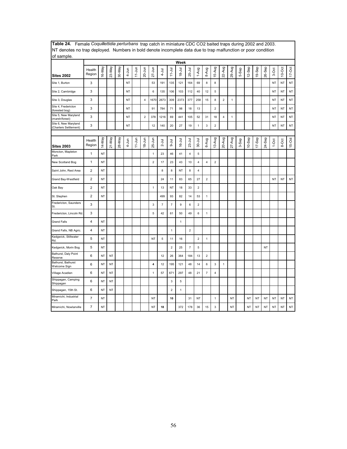| NT denotes no trap deployed. Numbers in bold denote incomplete data due to trap malfunction or poor condition |                         |           |           |        |           |            |                         |                         |                |                           |              |                |                         |                           |                |                         |              |       |                      |           |           |           |           |           |
|---------------------------------------------------------------------------------------------------------------|-------------------------|-----------|-----------|--------|-----------|------------|-------------------------|-------------------------|----------------|---------------------------|--------------|----------------|-------------------------|---------------------------|----------------|-------------------------|--------------|-------|----------------------|-----------|-----------|-----------|-----------|-----------|
| of sample.<br>Week                                                                                            |                         |           |           |        |           |            |                         |                         |                |                           |              |                |                         |                           |                |                         |              |       |                      |           |           |           |           |           |
| <b>Sites 2002</b>                                                                                             | Health<br>Region        | 16-May    | 23-May    | 30-May | $4 - Jun$ | $11$ -Jun  | $20 - Jun$              | $27 - Jun$              | $4 -$ Jul      | $11 - Jul$                | $18 -$ Jul   | 25-Jul         | 1-Aug                   | 8-Aug                     | 15-Aug         | 22-Aug                  | 29-Aug       | 5-Sep | Sep<br>$\frac{1}{2}$ | 19-Sep    | 26-Sep    | 3-Oct     | $10-Oct$  | $17-Oct$  |
| Site 1, Burton                                                                                                | 3                       |           |           |        | NT        |            |                         | 53                      | 191            | 135                       | 121          | 164            | 69                      | 8                         | 8              |                         |              |       |                      |           |           | <b>NT</b> | NT        | NT        |
| Site 2, Cambridge                                                                                             | 3                       |           |           |        | <b>NT</b> |            |                         | 6                       | 135            | 106                       | 103          | 112            | 40                      | 12                        | 5              |                         |              |       |                      |           |           | <b>NT</b> | <b>NT</b> | NT        |
| Site 3, Douglas                                                                                               | 3                       |           |           |        | <b>NT</b> |            | $\overline{\mathbf{4}}$ | 1670                    | 2673           | 309                       | 2373         | 377            | 258                     | 15                        | 8              | $\mathbf 2$             | $\mathbf{1}$ |       |                      |           |           | <b>NT</b> | <b>NT</b> | NT        |
| Site 4, Fredericton<br>(forested bog)                                                                         | 3                       |           |           |        | <b>NT</b> |            |                         | 91                      | 784            | 71                        | 98           | 18             | 13                      |                           | $\overline{2}$ |                         |              |       |                      |           |           | <b>NT</b> | NT        | NT        |
| Site 5, New Maryland<br>(marsh/forest)                                                                        | 3                       |           |           |        | NT        |            | $\mathbf 2$             | 378                     | 1216           | 69                        | 441          | 105            | 52                      | 31                        | 18             | $\overline{\mathbf{4}}$ | $\mathbf{1}$ |       |                      |           |           | NT        | NT        | NT        |
| Site 6, New Maryland<br>(Charters Settlement)                                                                 | 3                       |           |           |        | NT        |            |                         | 12                      | 140            | 20                        | 27           | 19             | $\mathbf{1}$            | $\ensuremath{\mathsf{3}}$ | $\mathbf 2$    |                         |              |       |                      |           |           | NT        | <b>NT</b> | NT        |
| <b>Sites 2003</b>                                                                                             | Health<br>Region        | 14-May    | 21-May    | 28-May | 4-Jun     | $11 - Jun$ | $18 - Jun$              | 25-Jun                  | $2 -$ Jul      | $9-1$ ul                  | $16 -$ Jul   | $23-Jul$       | $30 - J$ ul             | 6-Aug                     | 13-Aug         | 20-Aug                  | $27-Aug$     | 3-Sep | $10-$ Sep            | $17-$ Sep | 24-Sep    | $1-0ct$   | 8-Oct     | $15-0ct$  |
| Moncton, Mapleton<br>Park                                                                                     | 1                       | <b>NT</b> |           |        |           |            |                         | $\mathbf{1}$            | 23             | 46                        | 41           | 4              | 5                       |                           |                |                         |              |       |                      |           |           |           |           |           |
| New Scotland Bog                                                                                              | $\mathbf{1}$            | <b>NT</b> |           |        |           |            |                         | $\overline{2}$          | 17             | 23                        | 43           | 10             | $\overline{\mathbf{4}}$ | $\overline{\mathbf{4}}$   | $\mathbf 2$    |                         |              |       |                      |           |           |           |           |           |
| Saint John, Rest Area                                                                                         | $\overline{c}$          | NT        |           |        |           |            |                         |                         | 8              | 8                         | <b>NT</b>    | 8              | $\overline{4}$          |                           |                |                         |              |       |                      |           |           |           |           |           |
| Grand Bay-Westfield                                                                                           | $\overline{2}$          | NT        |           |        |           |            |                         |                         | 24             | 11                        | 83           | 65             | 27                      | $\overline{2}$            |                |                         |              |       |                      |           |           | <b>NT</b> | NT        | NT        |
| Oak Bay                                                                                                       | $\overline{\mathbf{c}}$ | NT        |           |        |           |            |                         | $\mathbf{1}$            | 13             | NT                        | 18           | 33             | $\mathbf 2$             |                           |                |                         |              |       |                      |           |           |           |           |           |
| St. Stephen                                                                                                   | $\overline{\mathbf{c}}$ | <b>NT</b> |           |        |           |            |                         |                         | 499            | 93                        | 82           | 14             | 53                      | 1                         |                |                         |              |       |                      |           |           |           |           |           |
| Fredericton, Saunders<br>St.                                                                                  | 3                       |           |           |        |           |            |                         | $\overline{3}$          | $\overline{7}$ | $\overline{\mathfrak{c}}$ | 9            | 6              | $\overline{2}$          |                           |                |                         |              |       |                      |           |           |           |           |           |
| Fredericton, Lincoln Rd.                                                                                      | 3                       |           |           |        |           |            |                         | 5                       | 42             | 61                        | 50           | 49             | 6                       | $\mathbf{1}$              |                |                         |              |       |                      |           |           |           |           |           |
| <b>Grand Falls</b>                                                                                            | 4                       | NT        |           |        |           |            |                         |                         |                |                           | $\mathbf{1}$ |                |                         |                           |                |                         |              |       |                      |           |           |           |           |           |
| Grand Falls, NB Agric.                                                                                        | 4                       | <b>NT</b> |           |        |           |            |                         |                         |                | $\mathbf{1}$              |              | $\overline{2}$ |                         |                           |                |                         |              |       |                      |           |           |           |           |           |
| Kedgwick, Stillwater<br>Rd.                                                                                   | 5                       | NT        |           |        |           |            |                         | <b>NT</b>               | 5              | 11                        | 16           |                | $\mathbf 2$             | $\mathbf{1}$              |                |                         |              |       |                      |           |           |           |           |           |
| Kedgwick, Morin Bog                                                                                           | 5                       | <b>NT</b> |           |        |           |            |                         |                         |                | $\overline{2}$            | 25           | $\overline{7}$ | 5                       |                           |                |                         |              |       |                      |           | <b>NT</b> |           |           |           |
| Bathurst, Daly Point<br>Reserve                                                                               | 6                       | <b>NT</b> | <b>NT</b> |        |           |            |                         |                         | 12             | 26                        | 364          | 184            | 13                      | $\overline{2}$            |                |                         |              |       |                      |           |           |           |           |           |
| Bathurst, Bathurst<br>Welcome Sign                                                                            | 6                       | NT        | NT        |        |           |            |                         | $\overline{\mathbf{4}}$ | 12             | 195                       | 121          | 48             | 14                      | 6                         | 3              | $\mathbf{1}$            |              |       |                      |           |           |           |           |           |
| Village Acadien                                                                                               | 6                       | <b>NT</b> | NT        |        |           |            |                         | 1                       | 57             | 671                       | 297          | 48             | 21                      | $\overline{7}$            | 4              |                         |              |       |                      |           |           |           |           |           |
| Shippagan, Camping<br>Shippagan                                                                               | 6                       | <b>NT</b> | NT        |        |           |            |                         |                         |                | 3                         | 5            |                |                         |                           |                |                         |              |       |                      |           |           |           |           |           |
| Shippagan, 15th St.                                                                                           | 6                       | <b>NT</b> | NT        |        |           |            |                         |                         |                | $\overline{2}$            | $\mathbf{1}$ |                |                         |                           |                |                         |              |       |                      |           |           |           |           |           |
| Miramichi, Industrial<br>Park                                                                                 | $\overline{7}$          | NT        |           |        |           |            |                         | <b>NT</b>               |                | 10                        |              | 31             | NT                      |                           | $\mathbf{1}$   |                         | <b>NT</b>    |       | NT                   | ΝT        | NT        | NT        | NT        | NT        |
| Miramichi, Nowlanville                                                                                        | $\overline{7}$          | <b>NT</b> |           |        |           |            |                         | <b>NT</b>               | 18             |                           | 372          | 178            | 36                      | 15                        | 3              |                         | <b>NT</b>    |       | NT                   | <b>NT</b> | NT        | <b>NT</b> | NT        | <b>NT</b> |

**Table 24.** Female *Coquillettidia perturbans* trap catch in miniature CDC CO2 baited traps during 2002 and 2003. NT denotes no trap deployed. Numbers in bold denote incomplete data due to trap malfunction or poor condition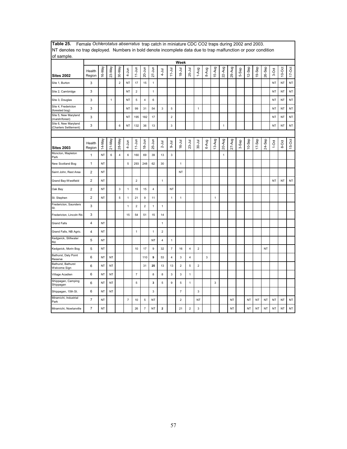| of sample.                                    |                  |           |              |                         |                |                |                           |                |                |                |                         |                |                |       |              |              |           |       |           |            |           |           |           |           |
|-----------------------------------------------|------------------|-----------|--------------|-------------------------|----------------|----------------|---------------------------|----------------|----------------|----------------|-------------------------|----------------|----------------|-------|--------------|--------------|-----------|-------|-----------|------------|-----------|-----------|-----------|-----------|
|                                               |                  |           |              |                         |                |                |                           |                |                |                | Week                    |                |                |       |              |              |           |       |           |            |           |           |           |           |
| <b>Sites 2002</b>                             | Health<br>Region | 16-May    | 23-May       | 30-May                  | $4 - Jun$      | $11 - Jun$     | $20 - Jun$                | $27 - Jun$     | $4 - J$ ul     | $11 - Jul$     | $18 - Jul$              | 25-Jul         | 1-Aug          | 8-Aug | 15-Aug       | 22-Aug       | 29-Aug    | 5-Sep | 12-Sep    | 19-Sep     | 26-Sep    | 3-Oct     | $10-Oct$  | $17-Oct$  |
| Site 1, Burton                                | 3                |           |              | $\overline{2}$          | <b>NT</b>      | 17             | 15                        | $\mathbf{1}$   |                |                |                         |                |                |       |              |              |           |       |           |            |           | <b>NT</b> | <b>NT</b> | NT        |
| Site 2, Cambridge                             | 3                |           |              |                         | <b>NT</b>      | $\mathbf 2$    |                           | $\mathbf{1}$   |                |                |                         |                |                |       |              |              |           |       |           |            |           | <b>NT</b> | NT        | NT        |
| Site 3, Douglas                               | 3                |           | $\mathbf{1}$ |                         | <b>NT</b>      | 5              | $\overline{\mathbf{4}}$   | 6              |                |                |                         |                |                |       |              |              |           |       |           |            |           | <b>NT</b> | <b>NT</b> | NT        |
| Site 4, Fredericton<br>(forested bog)         | 3                |           |              |                         | <b>NT</b>      | 99             | 31                        | 54             | $\mathsf 3$    | 5              |                         |                | 1              |       |              |              |           |       |           |            |           | <b>NT</b> | <b>NT</b> | NT        |
| Site 5, New Maryland<br>(marsh/forest)        | 3                |           |              |                         | <b>NT</b>      | 195            | 182                       | 17             |                | $\overline{2}$ |                         |                |                |       |              |              |           |       |           |            |           | <b>NT</b> | NT        | NT        |
| Site 6, New Maryland<br>(Charters Settlement) | 3                |           |              | 6                       | NT             | 132            | 36                        | 13             |                | 3              |                         |                |                |       |              | $\mathbf{1}$ |           |       |           |            |           | NT        | NT        | NT        |
|                                               |                  |           |              |                         |                |                |                           |                |                |                |                         |                |                |       |              |              |           |       |           |            |           |           |           |           |
| <b>Sites 2003</b>                             | Health<br>Region | 14-May    | 21-May       | 28-May                  | $4-Jun$        | $11 - Jun$     | $18 - Jun$                | 25-Jun         | $2 -$ Jul      | $-9 - 1$ ul    | $16 - Jul$              | $23 - Jul$     | $30 -$ Jul     | 6-Aug | 13-Aug       | 20-Aug       | 27-Aug    | 3-Sep | $10-$ Sep | $17 -$ Sep | 24-Sep    | $1-0ct$   | 8-Oct     | $15-Ort$  |
| Moncton, Mapleton<br>Park                     | $\mathbf{1}$     | NT        | 6            | $\overline{\mathbf{4}}$ | 6              | 160            | 69                        | 39             | 13             | 3              |                         |                |                |       |              | $\mathbf{1}$ |           |       |           |            |           |           |           |           |
| New Scotland Bog                              | $\mathbf{1}$     | ΝT        |              |                         | 5              | 293            | 248                       | 62             | 30             |                | 1                       |                |                |       |              |              |           |       |           |            |           |           |           |           |
| Saint John, Rest Area                         | $\mathbf 2$      | NT        |              |                         |                |                |                           |                |                |                | <b>NT</b>               |                |                |       |              |              |           |       |           |            |           |           |           |           |
| Grand Bay-Westfield                           | $\overline{2}$   | <b>NT</b> |              |                         |                | $\overline{2}$ |                           |                | $\mathbf{1}$   |                |                         |                |                |       |              |              |           |       |           |            |           | <b>NT</b> | <b>NT</b> | <b>NT</b> |
| Oak Bay                                       | $\overline{2}$   | NT        |              | $\mathbf{3}$            | $\mathbf{1}$   | 15             | 15                        | $\overline{4}$ |                | <b>NT</b>      |                         |                |                |       |              |              |           |       |           |            |           |           |           |           |
| St. Stephen                                   | $\overline{2}$   | NT        |              | $\overline{5}$          | 1              | 21             | 9                         | 11             |                | $\mathbf{1}$   | 1                       |                |                |       | $\mathbf{1}$ |              |           |       |           |            |           |           |           |           |
| Fredericton, Saunders<br>St.                  | 3                |           |              |                         | 1              | $\overline{2}$ | $\overline{2}$            | 1              | $\mathbf{1}$   |                |                         |                |                |       |              |              |           |       |           |            |           |           |           |           |
| Fredericton, Lincoln Rd.                      | 3                |           |              |                         | 15             | 54             | 51                        | 15             | 14             |                |                         |                |                |       |              |              |           |       |           |            |           |           |           |           |
| <b>Grand Falls</b>                            | $\overline{4}$   | NT        |              |                         |                |                |                           |                | $\mathbf{1}$   |                |                         |                |                |       |              |              |           |       |           |            |           |           |           |           |
| Grand Falls, NB Agric.                        | $\overline{4}$   | NT        |              |                         |                | $\mathbf{1}$   |                           | $\mathbf{1}$   | $\mathbf 2$    |                |                         |                |                |       |              |              |           |       |           |            |           |           |           |           |
| Kedgwick, Stillwater<br>Rd.                   | 5                | NT        |              |                         |                |                |                           | <b>NT</b>      | $\overline{4}$ | $\mathbf{1}$   |                         |                |                |       |              |              |           |       |           |            |           |           |           |           |
| Kedgwick, Morin Bog                           | 5                | ΝT        |              |                         |                | 10             | 17                        | 9              | 32             | $\overline{7}$ | 16                      | 4              | $\overline{2}$ |       |              |              |           |       |           |            | NT        |           |           |           |
| Bathurst, Daly Point<br>Reserve               | 6                | ΝT        | ΝT           |                         |                |                | 110                       | 9              | 53             | 4              | 3                       | $\overline{4}$ |                | 3     |              |              |           |       |           |            |           |           |           |           |
| Bathurst, Bathurst<br>Welcome Sign            | 6                | NT        | NT           |                         |                |                | 31                        | 25             | 13             | 13             | $\overline{\mathbf{c}}$ | 5              | $\overline{2}$ |       |              |              |           |       |           |            |           |           |           |           |
| Village Acadien                               | 6                | NT        | NT           |                         |                | $\overline{7}$ |                           | 8              | 8              | $\mathbf{3}$   | 3                       | $\mathbf{1}$   |                |       |              |              |           |       |           |            |           |           |           |           |
| Shippagan, Camping<br>Shippagan               | 6                | NT        | NT           |                         |                | $\overline{5}$ |                           | 3              | 5              | 9              | 5                       | $\mathbf{1}$   |                |       | 3            |              |           |       |           |            |           |           |           |           |
| Shippagan, 15th St.                           | 6                | NT        | NT           |                         |                |                |                           | $\mathsf 3$    |                |                | $\overline{7}$          |                | 3              |       |              |              |           |       |           |            |           |           |           |           |
| Miramichi, Industrial<br>Park                 | $\overline{7}$   | NT        |              |                         | $\overline{7}$ | 10             | 5                         | NT             |                |                | $\overline{2}$          |                | NT             |       |              |              | <b>NT</b> |       | <b>NT</b> | <b>NT</b>  | <b>NT</b> | <b>NT</b> | <b>NT</b> | NT        |
| Miramichi, Nowlanville                        | $\overline{7}$   | NT        |              |                         |                | 26             | $\overline{\mathfrak{c}}$ | NT             | $\mathbf{2}$   |                | 21                      | $\mathbf 2$    | 3              |       |              |              | <b>NT</b> |       | NT        | <b>NT</b>  | <b>NT</b> | <b>NT</b> | <b>NT</b> | NT        |

**Table 25.** Female *Ochlerotatus abserratus* trap catch in miniature CDC CO2 traps during 2002 and 2003. NT denotes no trap deployed. Numbers in bold denote incomplete data due to trap malfunction or poor condition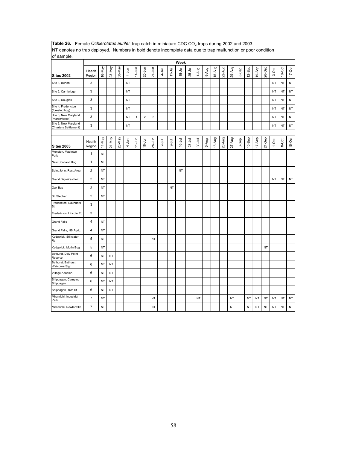| The defects no trup deproyed. Trainbers in bold denote incomplete data due to trup mandroton or poor condition<br>of sample. |                         |           |           |        |           |              |                |                |            |            |            |          |             |       |        |        |        |       |           |           |           |           |           |               |
|------------------------------------------------------------------------------------------------------------------------------|-------------------------|-----------|-----------|--------|-----------|--------------|----------------|----------------|------------|------------|------------|----------|-------------|-------|--------|--------|--------|-------|-----------|-----------|-----------|-----------|-----------|---------------|
|                                                                                                                              |                         |           |           |        |           |              |                |                |            |            | Week       |          |             |       |        |        |        |       |           |           |           |           |           |               |
| <b>Sites 2002</b>                                                                                                            | Health<br>Region        | 16-May    | 23-May    | 30-May | 4-Jun     | $11-Jun$     | $20 - Jun$     | $27 - Jun$     | $4 - J$ ul | $11 - Jul$ | $18 -$ Jul | 25-Jul   | 1-Aug       | 8-Aug | 15-Aug | 22-Aug | 29-Aug | 5-Sep | 12-Sep    | 19-Sep    | 26-Sep    | 3-Oct     | $10$ -Oct | $17 - Oct$    |
| Site 1, Burton                                                                                                               | 3                       |           |           |        | <b>NT</b> |              |                |                |            |            |            |          |             |       |        |        |        |       |           |           |           | <b>NT</b> | <b>NT</b> | $\mathsf{NT}$ |
| Site 2, Cambridge                                                                                                            | 3                       |           |           |        | <b>NT</b> |              |                |                |            |            |            |          |             |       |        |        |        |       |           |           |           | <b>NT</b> | <b>NT</b> | $\mathsf{NT}$ |
| Site 3, Douglas                                                                                                              | 3                       |           |           |        | NT        |              |                |                |            |            |            |          |             |       |        |        |        |       |           |           |           | NT        | <b>NT</b> | NT            |
| Site 4, Fredericton<br>(forested bog)                                                                                        | 3                       |           |           |        | NT        |              |                |                |            |            |            |          |             |       |        |        |        |       |           |           |           | NT        | <b>NT</b> | $\sf{NT}$     |
| Site 5, New Maryland<br>(marsh/forest)                                                                                       | 3                       |           |           |        | <b>NT</b> | $\mathbf{1}$ | $\overline{2}$ | $\overline{2}$ |            |            |            |          |             |       |        |        |        |       |           |           |           | <b>NT</b> | <b>NT</b> | <b>NT</b>     |
| Site 6, New Maryland<br>(Charters Settlement)                                                                                | 3                       |           |           |        | <b>NT</b> |              |                |                |            |            |            |          |             |       |        |        |        |       |           |           |           | <b>NT</b> | <b>NT</b> | NT            |
|                                                                                                                              |                         |           |           |        |           |              |                |                |            |            |            |          |             |       |        |        |        |       |           |           |           |           |           |               |
| <b>Sites 2003</b>                                                                                                            | Health<br>Region        | 14-May    | $21-May$  | 28-May | 4-Jun     | $11 - Jun$   | $18 - Jun$     | $25 - Jun$     | $2 -$ Jul  | lnr-9      | $16 -$ Jul | $23-Jul$ | $30 - J$ ul | 6-Aug | 13-Aug | 20-Aug | 27-Aug | 3-Sep | $10-$ Sep | $17-$ Sep | 24-Sep    | $1-Oct$   | 8-Oct     | 15-Oct        |
| Moncton, Mapleton<br>Park                                                                                                    | $\mathbf{1}$            | NT        |           |        |           |              |                |                |            |            |            |          |             |       |        |        |        |       |           |           |           |           |           |               |
| New Scotland Bog                                                                                                             | $\mathbf{1}$            | <b>NT</b> |           |        |           |              |                |                |            |            |            |          |             |       |        |        |        |       |           |           |           |           |           |               |
| Saint John, Rest Area                                                                                                        | $\overline{\mathbf{c}}$ | <b>NT</b> |           |        |           |              |                |                |            |            | NT         |          |             |       |        |        |        |       |           |           |           |           |           |               |
| Grand Bay-Westfield                                                                                                          | $\overline{2}$          | NT        |           |        |           |              |                |                |            |            |            |          |             |       |        |        |        |       |           |           |           | <b>NT</b> | <b>NT</b> | NT            |
| Oak Bay                                                                                                                      | $\overline{2}$          | <b>NT</b> |           |        |           |              |                |                |            | NT         |            |          |             |       |        |        |        |       |           |           |           |           |           |               |
| St. Stephen                                                                                                                  | $\overline{2}$          | <b>NT</b> |           |        |           |              |                |                |            |            |            |          |             |       |        |        |        |       |           |           |           |           |           |               |
| Fredericton, Saunders<br>St.                                                                                                 | 3                       |           |           |        |           |              |                |                |            |            |            |          |             |       |        |        |        |       |           |           |           |           |           |               |
| Fredericton, Lincoln Rd.                                                                                                     | 3                       |           |           |        |           |              |                |                |            |            |            |          |             |       |        |        |        |       |           |           |           |           |           |               |
| <b>Grand Falls</b>                                                                                                           | $\overline{\mathbf{4}}$ | <b>NT</b> |           |        |           |              |                |                |            |            |            |          |             |       |        |        |        |       |           |           |           |           |           |               |
| Grand Falls, NB Agric.                                                                                                       | $\overline{\mathbf{4}}$ | NT        |           |        |           |              |                |                |            |            |            |          |             |       |        |        |        |       |           |           |           |           |           |               |
| Kedgwick, Stillwater<br>Rd.                                                                                                  | 5                       | NT        |           |        |           |              |                | <b>NT</b>      |            |            |            |          |             |       |        |        |        |       |           |           |           |           |           |               |
| Kedgwick, Morin Bog                                                                                                          | 5                       | NT        |           |        |           |              |                |                |            |            |            |          |             |       |        |        |        |       |           |           | <b>NT</b> |           |           |               |
| Bathurst, Daly Point<br>Reserve                                                                                              | 6                       | NT        | NT        |        |           |              |                |                |            |            |            |          |             |       |        |        |        |       |           |           |           |           |           |               |
| Bathurst, Bathurst<br>Welcome Sign                                                                                           | 6                       | NT        | NT        |        |           |              |                |                |            |            |            |          |             |       |        |        |        |       |           |           |           |           |           |               |
| Village Acadien                                                                                                              | 6                       | <b>NT</b> | <b>NT</b> |        |           |              |                |                |            |            |            |          |             |       |        |        |        |       |           |           |           |           |           |               |
| Shippagan, Camping<br>Shippagan                                                                                              | 6                       | NT        | <b>NT</b> |        |           |              |                |                |            |            |            |          |             |       |        |        |        |       |           |           |           |           |           |               |
| Shippagan, 15th St.                                                                                                          | 6                       | NT        | NT        |        |           |              |                |                |            |            |            |          |             |       |        |        |        |       |           |           |           |           |           |               |
| Miramichi, Industrial<br>Park                                                                                                | $\overline{7}$          | NT        |           |        |           |              |                | <b>NT</b>      |            |            |            |          | <b>NT</b>   |       |        |        | NT     |       | <b>NT</b> | <b>NT</b> | NT        | <b>NT</b> | <b>NT</b> | $\sf{NT}$     |
| Miramichi, Nowlanville                                                                                                       | $\overline{7}$          | <b>NT</b> |           |        |           |              |                | <b>NT</b>      |            |            |            |          |             |       |        |        | NT     |       | <b>NT</b> | <b>NT</b> | <b>NT</b> | <b>NT</b> | <b>NT</b> | NT            |

Table 26. Female *Ochlerotatus aurifer* trap catch in miniature CDC CO<sub>2</sub> traps during 2002 and 2003. NT denotes no trap deployed. Numbers in bold denote incomplete data due to trap malfunction or poor condition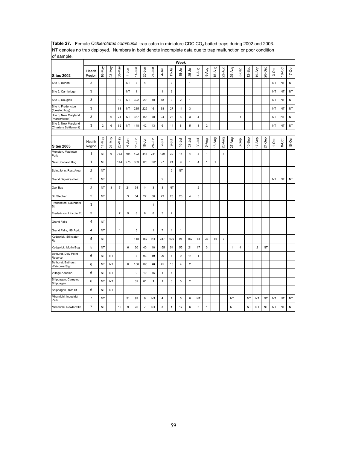| of sample.                                    |                  |                |           |                |              |              |                         |              |                         |                |                |                |                         |                |        |              |              |                         |           |                |        |           |        |           |
|-----------------------------------------------|------------------|----------------|-----------|----------------|--------------|--------------|-------------------------|--------------|-------------------------|----------------|----------------|----------------|-------------------------|----------------|--------|--------------|--------------|-------------------------|-----------|----------------|--------|-----------|--------|-----------|
|                                               |                  |                |           |                |              |              |                         |              |                         |                | Week           |                |                         |                |        |              |              |                         |           |                |        |           |        |           |
| <b>Sites 2002</b>                             | Health<br>Region | 16-May         | 23-May    | 30-May         | 4-Jun        | $11 - Jun$   | 20-Jun                  | $27 - Jun$   | $-1$ ul                 | $11 -$ Jul     | $18 - 11$      | 25-Jul         | 1-Aug                   | 8-Aug          | 15-Aug | 22-Aug       | 29-Aug       | 5-Sep                   | 12-Sep    | 19-Sep         | 26-Sep | 3-Oct     | 10-Oct | $17$ -Oct |
| Site 1, Burton                                | 3                |                |           |                | NT           | $\mathbf{3}$ | $\overline{\mathbf{4}}$ |              |                         | 3              |                | $\mathbf{1}$   |                         |                |        |              |              |                         |           |                |        | NT        | NT     | NT        |
| Site 2, Cambridge                             | 3                |                |           |                | NT           | $\mathbf{1}$ |                         |              | $\mathbf{1}$            | 3              | 1              |                |                         |                |        |              |              |                         |           |                |        | <b>NT</b> | NT     | NT        |
| Site 3, Douglas                               | 3                |                |           | 12             | NT           | 322          | 20                      | 40           | 18                      | 3              | $\overline{c}$ | $\mathbf{1}$   |                         |                |        |              |              |                         |           |                |        | <b>NT</b> | NT     | NT        |
| Site 4, Fredericton<br>(forested bog)         | 3                |                |           | 63             | NT           | 235          | 229                     | 161          | 38                      | 27             | 11             | 3              |                         |                |        |              |              |                         |           |                |        | NT        | NT     | NT        |
| Site 5, New Maryland<br>(marsh/forest)        | 3                |                | 9         | 74             | <b>NT</b>    | 367          | 156                     | 78           | 24                      | 23             | 6              | 3              | $\overline{4}$          |                |        |              |              | $\mathbf{1}$            |           |                |        | <b>NT</b> | NT     | NT        |
| Site 6, New Maryland<br>(Charters Settlement) | 3                | $\overline{c}$ | 6         | 62             | <b>NT</b>    | 148          | 42                      | 43           | 6                       | 14             | 8              | $\mathbf 5$    | $\mathbf{1}$            | $\overline{c}$ |        |              |              |                         |           |                |        | <b>NT</b> | NT     | NT        |
|                                               |                  |                |           |                |              |              |                         |              |                         |                |                |                |                         |                |        |              |              |                         |           |                |        |           |        |           |
| <b>Sites 2003</b>                             | Health<br>Region | 14-May         | $21-May$  | 28-May         | 4-Jun        | $11 - Jun$   | $18 - Jun$              | $25 - Jun$   | $2 -$ Jul               | $-4$           | $16 - Jul$     | $23 -$ Jul     | $30 - Jul$              | 6-Aug          | 13-Aug | 20-Aug       | 27-Aug       | 3-Sep                   | $10-$ Sep | $17-$ Sep      | 24-Sep | $1-0ct$   | 8-Oct  | $15-0ct$  |
| Moncton, Mapleton<br>Park                     | 1                | <b>NT</b>      | 6         | 762            | 784          | 402          | 441                     | 241          | 129                     | 30             | 14             | 4              | $\overline{\mathbf{4}}$ | 1              |        | $\mathbf{1}$ |              |                         |           |                |        |           |        |           |
| New Scotland Bog                              | $\mathbf{1}$     | NT             |           | 144            | 275          | 353          | 123                     | 392          | 97                      | 24             | 9              | $\mathbf{1}$   | $\overline{\mathbf{4}}$ | $\mathbf{1}$   | 1      |              |              |                         |           |                |        |           |        |           |
| Saint John, Rest Area                         | 2                | <b>NT</b>      |           |                |              |              |                         |              |                         | $\overline{2}$ | NT             |                |                         |                |        |              |              |                         |           |                |        |           |        |           |
| Grand Bay-Westfield                           | $\overline{c}$   | <b>NT</b>      |           |                |              |              |                         |              | $\overline{2}$          |                |                |                |                         |                |        |              |              |                         |           |                |        | <b>NT</b> | NT     | NT        |
| Oak Bay                                       | $\overline{c}$   | <b>NT</b>      | 3         | $\overline{7}$ | 21           | 34           | 14                      | $\mathbf{3}$ | $\mathsf 3$             | NΤ             | $\mathbf{1}$   |                | $\overline{c}$          |                |        |              |              |                         |           |                |        |           |        |           |
| St. Stephen                                   | $\overline{c}$   | <b>NT</b>      |           |                | $\mathbf{3}$ | 34           | 22                      | 36           | 23                      | 23             | 26             | 4              | 5                       |                |        |              |              |                         |           |                |        |           |        |           |
| Fredericton, Saunders<br>St.                  | 3                |                |           |                |              |              |                         | 1            |                         |                |                |                |                         |                |        |              |              |                         |           |                |        |           |        |           |
| Fredericton, Lincoln Rd.                      | 3                |                |           | $\overline{7}$ | 9            | 8            | 8                       | 8            | $\mathsf 3$             | $\overline{2}$ |                |                |                         |                |        |              |              |                         |           |                |        |           |        |           |
| <b>Grand Falls</b>                            | 4                | <b>NT</b>      |           |                |              |              |                         |              |                         |                |                |                |                         |                |        |              |              |                         |           |                |        |           |        |           |
| Grand Falls, NB Agric.                        | 4                | <b>NT</b>      |           | $\mathbf{1}$   |              | 5            |                         | $\mathbf{1}$ | $\overline{7}$          | $\mathbf{1}$   | $\mathbf{1}$   |                |                         |                |        |              |              |                         |           |                |        |           |        |           |
| Kedgwick, Stillwater<br>Rd.                   | 5                | <b>NT</b>      |           |                |              | 118          | 162                     | <b>NT</b>    | 347                     | 400            | 95             | 162            | 88                      | 33             | 14     | 3            |              |                         |           |                |        |           |        |           |
| Kedgwick, Morin Bog                           | 5                | <b>NT</b>      |           |                | 6            | 20           | 40                      | 10           | 155                     | 54             | 55             | 21             | 17                      | 3              |        |              | $\mathbf{1}$ | $\overline{\mathbf{4}}$ | 1         | $\overline{2}$ | NT     |           |        |           |
| Bathurst, Daly Point<br>Reserve               | 6                | <b>NT</b>      | <b>NT</b> |                |              | $\mathbf{3}$ | 93                      | 19           | 90                      | 6              | 9              | 11             | $\mathbf{1}$            |                |        |              |              |                         |           |                |        |           |        |           |
| Bathurst, Bathurst<br>Welcome Sign            | 6                | <b>NT</b>      | <b>NT</b> |                | 6            | 168          | 180                     | 26           | 45                      | 13             | 4              | $\overline{2}$ |                         |                |        |              |              |                         |           |                |        |           |        |           |
| Village Acadien                               | 6                | NT             | NT        |                |              | 9            | 10                      | 16           | $\mathbf{1}$            | 4              |                |                |                         |                |        |              |              |                         |           |                |        |           |        |           |
| Shippagan, Camping<br>Shippagan               | 6                | <b>NT</b>      | NT        |                |              | 32           | 81                      | 1            | $\mathbf{1}$            | 3              | 5              | $\overline{2}$ |                         |                |        |              |              |                         |           |                |        |           |        |           |
| Shippagan, 15th St.                           | 6                | <b>NT</b>      | NT        |                |              |              |                         |              |                         |                |                |                |                         |                |        |              |              |                         |           |                |        |           |        |           |
| Miramichi, Industrial<br>Park                 | $\overline{7}$   | <b>NT</b>      |           |                | 51           | 99           | 9                       | NT           | $\overline{\mathbf{4}}$ | 1              | 5              | 6              | <b>NT</b>               |                |        |              | <b>NT</b>    |                         | <b>NT</b> | <b>NT</b>      | NT     | <b>NT</b> | NT     | NT        |
| Miramichi, Nowlanville                        | $\overline{7}$   | <b>NT</b>      |           | 10             | 9            | 25           | $\overline{7}$          | NT           | 5                       | $\mathbf{1}$   | 17             | 6              | 6                       | $\mathbf{1}$   |        |              | <b>NT</b>    |                         | <b>NT</b> | NT             | NT     | <b>NT</b> | NT     | NT        |

Table 27. Female *Ochlerotatus communis* trap catch in miniature CDC CO<sub>2</sub> baited traps during 2002 and 2003. NT denotes no trap deployed. Numbers in bold denote incomplete data due to trap malfunction or poor condition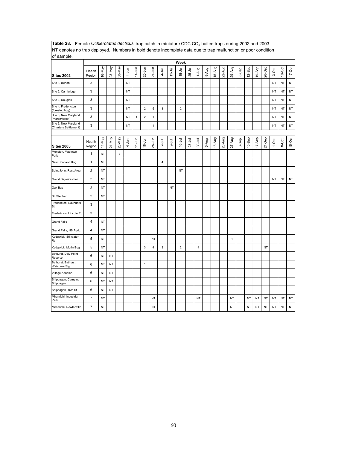| ivi denotes no trap deployed. Trambérs in bold denote incomplete data due to trap manufiction of poor condition<br>of sample. |                         |           |           |             |           |              |                         |                           |                         |            |                |          |                         |       |        |        |              |       |           |           |           |           |           |           |
|-------------------------------------------------------------------------------------------------------------------------------|-------------------------|-----------|-----------|-------------|-----------|--------------|-------------------------|---------------------------|-------------------------|------------|----------------|----------|-------------------------|-------|--------|--------|--------------|-------|-----------|-----------|-----------|-----------|-----------|-----------|
|                                                                                                                               |                         |           |           |             |           |              |                         |                           |                         |            | Week           |          |                         |       |        |        |              |       |           |           |           |           |           |           |
| Sites 2002                                                                                                                    | Health<br>Region        | 16-May    | 23-May    | 30-May      | $4 - Jun$ | $11-Jun$     | $20 - Jun$              | $27 - Jun$                | $4 - J$ ul              | $11 - Jul$ | $18 - Jul$     | 25-Jul   | 1-Aug                   | 8-Aug | 15-Aug | 22-Aug | 29-Aug       | 5-Sep | 12-Sep    | 19-Sep    | 26-Sep    | 3-Oct     | $10$ -Oct | $17-Oct$  |
| Site 1, Burton                                                                                                                | 3                       |           |           |             | NT        |              |                         |                           |                         |            |                |          |                         |       |        |        |              |       |           |           |           | <b>NT</b> | NT        | $\sf{NT}$ |
| Site 2, Cambridge                                                                                                             | 3                       |           |           |             | <b>NT</b> |              |                         |                           |                         |            |                |          |                         |       |        |        |              |       |           |           |           | <b>NT</b> | <b>NT</b> | $\sf{NT}$ |
| Site 3, Douglas                                                                                                               | 3                       |           |           |             | <b>NT</b> |              |                         |                           |                         |            |                |          |                         |       |        |        |              |       |           |           |           | <b>NT</b> | <b>NT</b> | NT        |
| Site 4, Fredericton<br>(forested bog)                                                                                         | 3                       |           |           |             | <b>NT</b> |              | $\overline{\mathbf{c}}$ | $\mathbf 5$               | 3                       |            | $\overline{c}$ |          |                         |       |        |        |              |       |           |           |           | <b>NT</b> | NT        | NT        |
| Site 5, New Maryland<br>(marsh/forest)                                                                                        | 3                       |           |           |             | NT        | $\mathbf{1}$ | $\overline{\mathbf{c}}$ | $\mathbf{1}$              |                         |            |                |          |                         |       |        |        |              |       |           |           |           | <b>NT</b> | NT        | NT        |
| Site 6, New Maryland<br>(Charters Settlement)                                                                                 | 3                       |           |           |             | <b>NT</b> |              |                         | $\mathbf{1}$              |                         |            |                |          |                         |       |        |        |              |       |           |           |           | <b>NT</b> | <b>NT</b> | NT        |
|                                                                                                                               |                         |           |           |             |           |              |                         |                           |                         |            |                |          |                         |       |        |        |              |       |           |           |           |           |           |           |
| <b>Sites 2003</b>                                                                                                             | Health<br>Region        | 14-May    | 21-May    | 28-May      | 4-Jun     | $11-Jun$     | $18 - Jun$              | $25 - Jun$                | $2 -$ Jul               | $9-1$ ul   | $16 - Jul$     | $23-Jul$ | $30 - Jul$              | 6-Aug | 13-Aug | 20-Aug | $27-Aug$     | 3-Sep | $10-$ Sep | $17-$ Sep | 24-Sep    | $1-0ct$   | 8-Oct     | 15-Oct    |
| Moncton, Mapleton<br>Park                                                                                                     | $\mathbf{1}$            | NT        |           | $\mathsf 3$ |           |              |                         |                           |                         |            |                |          |                         |       |        |        |              |       |           |           |           |           |           |           |
| New Scotland Bog                                                                                                              | $\mathbf{1}$            | NT        |           |             |           |              |                         |                           | $\overline{\mathbf{4}}$ |            |                |          |                         |       |        |        |              |       |           |           |           |           |           |           |
| Saint John, Rest Area                                                                                                         | $\overline{2}$          | NT        |           |             |           |              |                         |                           |                         |            | NT             |          |                         |       |        |        |              |       |           |           |           |           |           |           |
| Grand Bay-Westfield                                                                                                           | $\overline{\mathbf{c}}$ | NT        |           |             |           |              |                         |                           |                         |            |                |          |                         |       |        |        |              |       |           |           |           | NT        | NT        | $\sf{NT}$ |
| Oak Bay                                                                                                                       | $\mathbf 2$             | NT        |           |             |           |              |                         |                           |                         | NT         |                |          |                         |       |        |        |              |       |           |           |           |           |           |           |
| St. Stephen                                                                                                                   | $\mathbf 2$             | NT        |           |             |           |              |                         |                           |                         |            |                |          |                         |       |        |        |              |       |           |           |           |           |           |           |
| Fredericton, Saunders<br>St.                                                                                                  | 3                       |           |           |             |           |              |                         |                           |                         |            |                |          |                         |       |        |        |              |       |           |           |           |           |           |           |
| Fredericton, Lincoln Rd.                                                                                                      | 3                       |           |           |             |           |              |                         |                           |                         |            |                |          |                         |       |        |        |              |       |           |           |           |           |           |           |
| <b>Grand Falls</b>                                                                                                            | 4                       | NT        |           |             |           |              |                         |                           |                         |            |                |          |                         |       |        |        |              |       |           |           |           |           |           |           |
| Grand Falls, NB Agric.                                                                                                        | $\pmb{4}$               | NT        |           |             |           |              |                         |                           |                         |            |                |          |                         |       |        |        |              |       |           |           |           |           |           |           |
| Kedgwick, Stillwater<br>Rd.                                                                                                   | 5                       | NT        |           |             |           |              |                         | <b>NT</b>                 |                         |            |                |          |                         |       |        |        | $\mathbf{1}$ |       |           |           |           |           |           |           |
| Kedgwick, Morin Bog                                                                                                           | 5                       | NT        |           |             |           |              | 3                       | $\ensuremath{\mathsf{4}}$ | $\mathbf{3}$            |            | $\overline{2}$ |          | $\overline{\mathbf{4}}$ |       |        |        |              |       |           |           | <b>NT</b> |           |           |           |
| Bathurst, Daly Point<br>Reserve                                                                                               | 6                       | NT        | <b>NT</b> |             |           |              |                         |                           |                         |            |                |          |                         |       |        |        |              |       |           |           |           |           |           |           |
| Bathurst, Bathurst<br>Welcome Sign                                                                                            | 6                       | NT        | <b>NT</b> |             |           |              | $\mathbf{1}$            |                           |                         |            |                |          |                         |       |        |        |              |       |           |           |           |           |           |           |
| Village Acadien                                                                                                               | 6                       | NT        | <b>NT</b> |             |           |              |                         |                           |                         |            |                |          |                         |       |        |        |              |       |           |           |           |           |           |           |
| Shippagan, Camping<br>Shippagan                                                                                               | 6                       | NT        | <b>NT</b> |             |           |              |                         |                           |                         |            |                |          |                         |       |        |        |              |       |           |           |           |           |           |           |
| Shippagan, 15th St.                                                                                                           | 6                       | NT        | <b>NT</b> |             |           |              |                         |                           |                         |            |                |          |                         |       |        |        |              |       |           |           |           |           |           |           |
| Miramichi, Industrial<br>Park                                                                                                 | $\overline{7}$          | NT        |           |             |           |              |                         | <b>NT</b>                 |                         |            |                |          | NT                      |       |        |        | <b>NT</b>    |       | <b>NT</b> | NT        | <b>NT</b> | <b>NT</b> | <b>NT</b> | $\sf{NT}$ |
| Miramichi, Nowlanville                                                                                                        | $\overline{7}$          | <b>NT</b> |           |             |           |              |                         | <b>NT</b>                 |                         |            |                |          |                         |       |        |        | NT           |       | <b>NT</b> | <b>NT</b> | <b>NT</b> | <b>NT</b> | <b>NT</b> | NT        |

Table 28. Female Ochlerotatus decticus trap catch in miniature CDC CO<sub>2</sub> baited traps during 2002 and 2003. NT denotes no trap deployed. Numbers in bold denote incomplete data due to trap malfunction or poor condition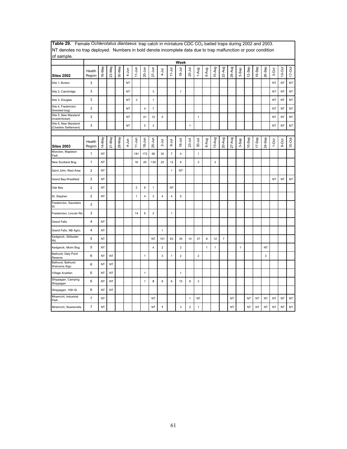| The derived no trup deproyed. Trainbero in bold denote incomplete data due to trup mandrotion or poor condition<br>of sample. |                         |           |           |        |           |                |                         |                |                         |                |                         |                |                         |              |                |                           |          |              |        |           |        |           |           |               |
|-------------------------------------------------------------------------------------------------------------------------------|-------------------------|-----------|-----------|--------|-----------|----------------|-------------------------|----------------|-------------------------|----------------|-------------------------|----------------|-------------------------|--------------|----------------|---------------------------|----------|--------------|--------|-----------|--------|-----------|-----------|---------------|
|                                                                                                                               |                         |           |           |        |           |                |                         |                |                         |                | Week                    |                |                         |              |                |                           |          |              |        |           |        |           |           |               |
| <b>Sites 2002</b>                                                                                                             | Health<br>Region        | 16-May    | 23-May    | 30-May | $4 - Jun$ | $11 - Jun$     | 20-Jun                  | $27 - Jun$     | $4 - J$ ul              | $11 - Jul$     | $18 - Jul$              | 25-Jul         | 1-Aug                   | 8-Aug        | 15-Aug         | 22-Aug                    | 29-Aug   | 5-Sep        | 12-Sep | 19-Sep    | 26-Sep | 3-Oct     | $10$ -Oct | $17-Oct$      |
| Site 1, Burton                                                                                                                | 3                       |           |           |        | <b>NT</b> |                |                         |                |                         |                |                         |                |                         |              |                |                           |          |              |        |           |        | <b>NT</b> | <b>NT</b> | $\sf{NT}$     |
| Site 2, Cambridge                                                                                                             | 3                       |           |           |        | NT        |                |                         | $\mathbf{3}$   |                         |                | $\mathbf{1}$            |                |                         |              |                |                           |          |              |        |           |        | <b>NT</b> | <b>NT</b> | NT            |
| Site 3, Douglas                                                                                                               | 3                       |           |           |        | NT        | 3              |                         | $\mathbf{1}$   |                         |                |                         |                |                         |              |                |                           |          |              |        |           |        | NT        | NT        | NT            |
| Site 4, Fredericton<br>(forested bog)                                                                                         | 3                       |           |           |        | NT        |                | $\overline{\mathbf{4}}$ | $\overline{7}$ |                         |                |                         |                |                         |              |                |                           |          |              |        |           |        | <b>NT</b> | <b>NT</b> | NT            |
| Site 5, New Maryland<br>(marsh/forest)                                                                                        | 3                       |           |           |        | <b>NT</b> |                | 41                      | 12             | 5                       |                |                         |                | $\mathbf{1}$            |              |                |                           |          |              |        |           |        | NT        | <b>NT</b> | NT            |
| Site 6, New Maryland<br>(Charters Settlement)                                                                                 | 3                       |           |           |        | NT        |                | 5                       | $\mathbf{3}$   |                         |                |                         | $\mathbf{1}$   |                         |              |                |                           |          |              |        |           |        | <b>NT</b> | <b>NT</b> | $\mathsf{NT}$ |
|                                                                                                                               |                         |           |           |        |           |                |                         |                |                         |                |                         |                |                         |              |                |                           |          |              |        |           |        |           |           |               |
| <b>Sites 2003</b>                                                                                                             | Health<br>Region        | 14-May    | 21-May    | 28-May | 4-Jun     | $11 - Jun$     | $18 - Jun$              | $25 - Jun$     | $2 -$ Jul               | lnr-9          | $16 - Jul$              | $23-Jul$       | $30 - J$ ul             | 6-Aug        | 13-Aug         | 20-Aug                    | $27-Aug$ | 3-Sep        | 10-Sep | $17-$ Sep | 24-Sep | $1-0ct$   | 8-Oct     | $15-Ort$      |
| Moncton, Mapleton<br>Park                                                                                                     | $\mathbf{1}$            | <b>NT</b> |           |        |           | 181            | 172                     | 56             | 30                      | $\overline{7}$ | $\overline{\mathbf{4}}$ |                | $\mathbf{1}$            |              |                |                           |          |              |        |           |        |           |           |               |
| New Scotland Bog                                                                                                              | $\mathbf{1}$            | NT        |           |        |           | 16             | 40                      | 130            | 22                      | 12             | 8                       |                | 3                       |              | $\overline{2}$ |                           |          |              |        |           |        |           |           |               |
| Saint John, Rest Area                                                                                                         | $\overline{\mathbf{c}}$ | NT        |           |        |           |                |                         |                |                         | $\mathbf{1}$   | NT                      |                |                         |              |                |                           |          |              |        |           |        |           |           |               |
| Grand Bay-Westfield                                                                                                           | $\mathbf 2$             | <b>NT</b> |           |        |           |                |                         |                |                         |                |                         |                |                         |              |                |                           |          |              |        |           |        | <b>NT</b> | <b>NT</b> | NT            |
| Oak Bay                                                                                                                       | $\overline{2}$          | NT        |           |        |           | $\overline{2}$ | 8                       | $\mathbf{1}$   |                         | NT             |                         |                |                         |              |                |                           |          |              |        |           |        |           |           |               |
| St. Stephen                                                                                                                   | $\overline{2}$          | NT        |           |        |           | $\mathbf{1}$   | $\overline{\mathbf{4}}$ | $\mathsf 3$    | $\overline{\mathbf{4}}$ | $\overline{4}$ | 5                       |                |                         |              |                |                           |          |              |        |           |        |           |           |               |
| Fredericton, Saunders<br>St.                                                                                                  | 3                       |           |           |        |           |                |                         |                |                         |                |                         |                |                         |              |                |                           |          |              |        |           |        |           |           |               |
| Fredericton, Lincoln Rd.                                                                                                      | 3                       |           |           |        |           | 14             | 6                       | $\overline{2}$ |                         | $\mathbf{1}$   |                         |                |                         |              |                |                           |          |              |        |           |        |           |           |               |
| <b>Grand Falls</b>                                                                                                            | $\overline{\mathbf{4}}$ | NT        |           |        |           |                |                         |                |                         |                |                         |                |                         |              |                |                           |          |              |        |           |        |           |           |               |
| Grand Falls, NB Agric.                                                                                                        | 4                       | NT        |           |        |           |                |                         |                | $\mathbf{1}$            |                |                         |                |                         |              |                |                           |          |              |        |           |        |           |           |               |
| Kedgwick, Stillwater<br>Rd.                                                                                                   | 5                       | <b>NT</b> |           |        |           |                |                         | <b>NT</b>      | 101                     | 63             | 35                      | 14             | 37                      | $\bf 8$      | 12             | $\overline{\mathfrak{c}}$ |          |              |        |           |        |           |           |               |
| Kedgwick, Morin Bog                                                                                                           | 5                       | NT        |           |        |           |                |                         | $\overline{4}$ | $\overline{2}$          |                | $\overline{2}$          |                |                         | $\mathbf{1}$ | $\mathbf{1}$   |                           |          | $\mathbf{1}$ |        |           | NT     |           |           |               |
| Bathurst, Daly Point<br>Reserve                                                                                               | 6                       | NT        | NT        |        |           |                | $\mathbf{1}$            |                | 3                       | 1              | $\overline{c}$          |                | $\overline{\mathbf{c}}$ |              |                |                           |          |              |        |           | 3      |           |           |               |
| Bathurst, Bathurst<br>Welcome Sign                                                                                            | 6                       | NT        | NT        |        |           |                |                         |                |                         |                |                         |                |                         |              |                |                           |          |              |        |           |        |           |           |               |
| Village Acadien                                                                                                               | 6                       | <b>NT</b> | <b>NT</b> |        |           |                | $\mathbf{1}$            |                |                         |                | $\mathbf{1}$            |                |                         |              |                |                           |          |              |        |           |        |           |           |               |
| Shippagan, Camping<br>Shippagan                                                                                               | 6                       | <b>NT</b> | <b>NT</b> |        |           |                | $\mathbf{1}$            | 5              | 8                       | 6              | 15                      | 8              | 3                       |              |                |                           |          |              |        |           |        |           |           |               |
| Shippagan, 15th St.                                                                                                           | 6                       | NT        | NT        |        |           |                |                         |                |                         |                |                         |                |                         |              |                |                           |          |              |        |           |        |           |           |               |
| Miramichi, Industrial<br>Park                                                                                                 | $\overline{7}$          | NT        |           |        |           |                |                         | <b>NT</b>      |                         |                |                         | 1              | NT                      |              |                |                           | NT       |              | NT     | NT        | NT     | <b>NT</b> | <b>NT</b> | $\sf{NT}$     |
| Miramichi, Nowlanville                                                                                                        | $\overline{7}$          | <b>NT</b> |           |        |           |                |                         | <b>NT</b>      | 1                       |                | 3                       | $\overline{c}$ | 1                       |              |                |                           | NT       |              | NT     | NT        | NT     | <b>NT</b> | <b>NT</b> | <b>NT</b>     |

**Table 29.** Female *Ochlerotatus diantaeus* trap catch in miniature CDC CO<sub>2</sub> baited traps during 2002 and 2003. NT denotes no trap deployed. Numbers in bold denote incomplete data due to trap malfunction or poor condition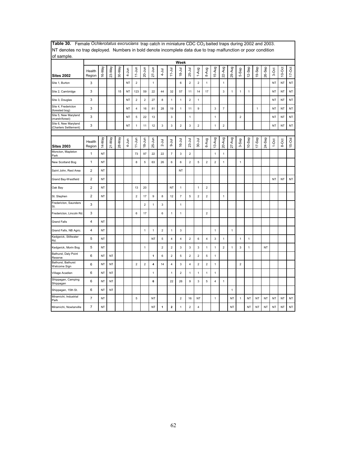| of sample.                                    |                  |           |           |        |           |                         |                |                         |                |                         |                           |                         |                         |                         |                |                         |              |                |           |        |           |           |           |            |
|-----------------------------------------------|------------------|-----------|-----------|--------|-----------|-------------------------|----------------|-------------------------|----------------|-------------------------|---------------------------|-------------------------|-------------------------|-------------------------|----------------|-------------------------|--------------|----------------|-----------|--------|-----------|-----------|-----------|------------|
|                                               |                  |           |           |        |           |                         |                |                         |                |                         | Week                      |                         |                         |                         |                |                         |              |                |           |        |           |           |           |            |
| Sites 2002                                    | Health<br>Region | 16-May    | 23-May    | 30-May | $4 - Jun$ | $11$ -Jun               | 20-Jun         | $27 - Jun$              | $4 - J$ ul     | $11 - Jul$              | $18 - 11$                 | 25-Jul                  | 1-Aug                   | 8-Aug                   | 15-Aug         | 22-Aug                  | 29-Aug       | 5-Sep          | $12-$ Sep | 19-Sep | 26-Sep    | 3-Oct     | $10-Oct$  | $17 - Oct$ |
| Site 1, Burton                                | 3                |           |           |        | ΝT        | $\overline{2}$          |                | $\mathbf{1}$            |                |                         | 6                         | $\overline{2}$          | $\overline{c}$          | 1                       |                | 1                       |              |                |           |        |           | NT        | NT        | NT         |
| Site 2, Cambridge                             | 3                |           |           | 15     | NT        | 123                     | 59             | 22                      | 44             | 32                      | 57                        | 11                      | 14                      | 17                      |                | 3                       | 1            | $\mathbf 1$    | 1         |        |           | <b>NT</b> | NT        | <b>NT</b>  |
| Site 3, Douglas                               | 3                |           |           |        | <b>NT</b> | $\overline{2}$          | $\overline{2}$ | 27                      | 8              | $\mathbf{1}$            | $\mathbf{1}$              | $\overline{2}$          | $\mathbf{1}$            |                         |                |                         |              |                |           |        |           | <b>NT</b> | <b>NT</b> | <b>NT</b>  |
| Site 4, Fredericton<br>(forested bog)         | 3                |           |           |        | <b>NT</b> | $\overline{\mathbf{4}}$ | 16             | 81                      | 28             | 19                      | 1                         | 11                      | 9                       |                         | $\mathbf{3}$   | $\overline{7}$          |              |                |           | 1      |           | <b>NT</b> | <b>NT</b> | NT         |
| Site 5, New Maryland<br>(marsh/forest)        | 3                |           |           |        | NT        | 5                       | 22             | 13                      |                | 3                       |                           | $\mathbf{1}$            |                         |                         | $\mathbf{1}$   |                         |              | $\overline{2}$ |           |        |           | <b>NT</b> | NT        | <b>NT</b>  |
| Site 6, New Maryland<br>(Charters Settlement) | 3                |           |           |        | <b>NT</b> | $\mathbf{1}$            | 11             | 12                      | $\mathbf 3$    | 3                       | $\overline{2}$            | $\mathbf{3}$            | $\overline{c}$          |                         | $\mathbf{1}$   | $\overline{c}$          |              |                |           |        |           | <b>NT</b> | NT        | <b>NT</b>  |
|                                               |                  |           |           |        |           |                         |                |                         |                |                         |                           |                         |                         |                         |                |                         |              |                |           |        |           |           |           |            |
| <b>Sites 2003</b>                             | Health<br>Region | 14-May    | 21-May    | 28-May | 4-Jun     | $11 - Jun$              | $18 - Jun$     | $25 - Jun$              | $2 -$ Jul      | $\overline{5}$          | $16 - Jul$                | $23 -$ Jul              | $30 - J$ ul             | 6-Aug                   | 13-Aug         | 20-Aug                  | $27 - Aug$   | 3-Sep          | $10-$ Sep | 17-Sep | 24-Sep    | $1-0ct$   | 8-Oct     | 15-Oct     |
| Moncton, Mapleton<br>Park                     | $\mathbf{1}$     | <b>NT</b> |           |        |           | 73                      | 97             | 22                      | 22             | $\overline{\mathbf{7}}$ | $\mathsf 3$               | $\mathbf 2$             |                         |                         | $\mathbf{1}$   | $\mathbf{1}$            |              |                |           |        |           |           |           |            |
| New Scotland Bog                              | $\mathbf{1}$     | NT        |           |        |           | 8                       | 5              | 63                      | 26             | 6                       | 6                         | $\overline{2}$          | 5                       | $\overline{2}$          | $\overline{2}$ | $\mathbf{1}$            |              | $\mathbf{1}$   |           |        |           |           |           |            |
| Saint John, Rest Area                         | $\overline{2}$   | NT        |           |        |           |                         |                |                         |                |                         | NT                        |                         |                         |                         |                |                         |              |                |           |        |           |           |           |            |
| Grand Bay-Westfield                           | $\overline{2}$   | <b>NT</b> |           |        |           |                         |                |                         |                |                         |                           |                         |                         |                         |                |                         |              |                |           |        |           | <b>NT</b> | <b>NT</b> | <b>NT</b>  |
| Oak Bay                                       | $\overline{2}$   | NT        |           |        |           | 13                      | 20             |                         |                | NT                      | 1                         |                         | 1                       | $\overline{2}$          |                |                         |              |                |           |        |           |           |           |            |
| St. Stephen                                   | $\mathbf 2$      | NT        |           |        |           | $\boldsymbol{2}$        | 17             | 9                       | 8              | 12                      | $\overline{\mathfrak{c}}$ | 5                       | $\boldsymbol{2}$        | $\boldsymbol{2}$        |                | 1                       |              |                |           |        |           |           |           |            |
| Fredericton, Saunders<br>St.                  | 3                |           |           |        |           |                         | $\overline{2}$ | $\mathbf{1}$            | $\mathbf 3$    |                         | $\mathbf{1}$              |                         |                         |                         |                |                         |              |                |           |        |           |           |           |            |
| Fredericton, Lincoln Rd.                      | 3                |           |           |        |           | 6                       | 17             |                         | 6              | $\mathbf{1}$            | $\mathbf{1}$              |                         |                         | $\overline{\mathbf{c}}$ |                |                         |              |                |           |        |           |           |           |            |
| <b>Grand Falls</b>                            | 4                | NT        |           |        |           |                         |                |                         |                |                         |                           |                         |                         |                         |                |                         |              |                |           |        |           |           |           |            |
| Grand Falls, NB Agric.                        | 4                | NT        |           |        |           |                         | 1              | $\mathbf{1}$            | $\overline{2}$ | $\mathbf{1}$            | 3                         |                         |                         |                         | $\mathbf{1}$   |                         | $\mathbf{1}$ |                |           |        |           |           |           |            |
| Kedgwick, Stillwater<br>Rd.                   | 5                | NT        |           |        |           |                         |                | NT                      | 5              | $\overline{4}$          | 4                         | $\overline{2}$          | 6                       | 4                       | 3              | 1                       |              | $\mathbf{1}$   | 1         |        |           |           |           |            |
| Kedgwick, Morin Bog                           | 5                | NT        |           |        |           |                         | 1              |                         | $\overline{2}$ | $\overline{c}$          | 3                         | 3                       | 3                       | 1                       | $\mathbf{1}$   | $\overline{\mathbf{c}}$ | $\mathbf{1}$ | $\mathsf 3$    | 1         |        | NT        |           |           |            |
| Bathurst, Daly Point<br>Reserve               | 6                | NT        | <b>NT</b> |        |           |                         |                | 1                       | 6              | $\overline{2}$          | 5                         | $\overline{2}$          | $\overline{\mathbf{c}}$ | 5                       | $\mathbf{1}$   |                         |              |                |           |        |           |           |           |            |
| Bathurst, Bathurst<br>Welcome Sign            | 6                | NT        | <b>NT</b> |        |           | $\overline{c}$          | $\mathbf 2$    | $\overline{\mathbf{4}}$ | 14             | $\overline{\mathbf{4}}$ | 3                         | $\overline{\mathbf{4}}$ | $\overline{\mathbf{c}}$ | $\boldsymbol{2}$        | $\mathbf{1}$   |                         |              | $\sqrt{2}$     |           |        |           |           |           |            |
| Village Acadien                               | 6                | NT        | <b>NT</b> |        |           |                         |                | $\mathbf{1}$            |                | $\mathbf{1}$            | $\overline{2}$            | $\mathbf{1}$            | $\mathbf{1}$            | $\mathbf{1}$            | $\mathbf{1}$   |                         |              |                |           |        |           |           |           |            |
| Shippagan, Camping<br>Shippagan               | 6                | NT        | <b>NT</b> |        |           |                         |                | 6                       |                | 22                      | 26                        | 9                       | 3                       | 5                       | $\overline{4}$ | $\mathbf{1}$            |              |                |           |        |           |           |           |            |
| Shippagan, 15th St.                           | 6                | NT        | <b>NT</b> |        |           |                         |                |                         |                |                         |                           |                         |                         |                         |                |                         | $\mathbf{1}$ |                |           |        |           |           |           |            |
| Miramichi, Industrial<br>Park                 | $\overline{7}$   | NT        |           |        |           | $\sqrt{5}$              |                | NT                      |                |                         | $\overline{2}$            | 16                      | <b>NT</b>               |                         | $\overline{1}$ |                         | NT           | $\mathbf{1}$   | <b>NT</b> | NT     | NT        | <b>NT</b> | NT        | NT         |
| Miramichi, Nowlanville                        | $\overline{7}$   | <b>NT</b> |           |        |           |                         |                | NT                      | $\mathbf{1}$   | $\overline{\mathbf{2}}$ | 1                         | $\overline{2}$          | 4                       |                         |                |                         | NT           |                | NT        | NT     | <b>NT</b> | <b>NT</b> | NT        | <b>NT</b>  |

Table 30. Female Ochlerotatus excrucians trap catch in miniature CDC CO<sub>2</sub> baited traps during 2002 and 2003. NT denotes no trap deployed. Numbers in bold denote incomplete data due to trap malfunction or poor condition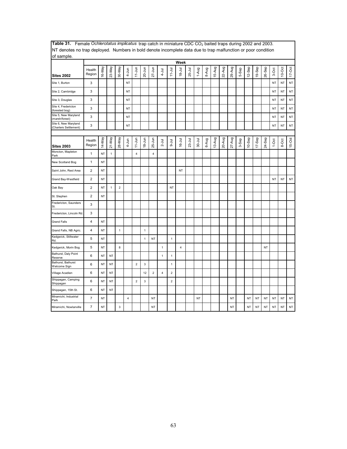| The defects no trup deproyed. Trainbers in bold denote incomplete data due to trup mandroton or poor condition<br>of sample. |                         |           |              |             |                |                         |              |                |                |                |                |          |             |       |        |        |        |       |           |           |           |           |           |            |
|------------------------------------------------------------------------------------------------------------------------------|-------------------------|-----------|--------------|-------------|----------------|-------------------------|--------------|----------------|----------------|----------------|----------------|----------|-------------|-------|--------|--------|--------|-------|-----------|-----------|-----------|-----------|-----------|------------|
|                                                                                                                              |                         |           |              |             |                |                         |              |                |                |                | Week           |          |             |       |        |        |        |       |           |           |           |           |           |            |
| <b>Sites 2002</b>                                                                                                            | Health<br>Region        | 16-May    | 23-May       | 30-May      | 4-Jun          | $11-Jun$                | $20 - Jun$   | $27 - Jun$     | $4 - J$ ul     | $11 - Jul$     | $18 - Jul$     | 25-Jul   | 1-Aug       | 8-Aug | 15-Aug | 22-Aug | 29-Aug | 5-Sep | 12-Sep    | 19-Sep    | 26-Sep    | 3-Oct     | $10$ -Oct | $17 - Oct$ |
| Site 1, Burton                                                                                                               | 3                       |           |              |             | <b>NT</b>      |                         |              |                |                |                |                |          |             |       |        |        |        |       |           |           |           | <b>NT</b> | <b>NT</b> | NT         |
| Site 2, Cambridge                                                                                                            | 3                       |           |              |             | <b>NT</b>      |                         |              |                |                |                |                |          |             |       |        |        |        |       |           |           |           | <b>NT</b> | <b>NT</b> | NT         |
| Site 3, Douglas                                                                                                              | 3                       |           |              |             | NT             |                         |              |                |                |                |                |          |             |       |        |        |        |       |           |           |           | NT        | <b>NT</b> | NT         |
| Site 4, Fredericton<br>(forested bog)                                                                                        | 3                       |           |              |             | NT             |                         |              |                |                |                |                |          |             |       |        |        |        |       |           |           |           | NT        | <b>NT</b> | NT         |
| Site 5, New Maryland<br>(marsh/forest)                                                                                       | 3                       |           |              |             | <b>NT</b>      |                         |              |                |                |                |                |          |             |       |        |        |        |       |           |           |           | <b>NT</b> | <b>NT</b> | <b>NT</b>  |
| Site 6, New Maryland<br>(Charters Settlement)                                                                                | 3                       |           |              |             | <b>NT</b>      |                         |              |                |                |                |                |          |             |       |        |        |        |       |           |           |           | <b>NT</b> | <b>NT</b> | NT         |
|                                                                                                                              |                         |           |              |             |                |                         |              |                |                |                |                |          |             |       |        |        |        |       |           |           |           |           |           |            |
| <b>Sites 2003</b>                                                                                                            | Health<br>Region        | 14-May    | 21-May       | 28-May      | 4-Jun          | $11-Jun$                | $18 - Jun$   | $25 - Jun$     | $2 -$ Jul      | lnr-9          | $16 -$ Jul     | $23-Jul$ | $30 - J$ ul | 6-Aug | 13-Aug | 20-Aug | 27-Aug | 3-Sep | 10-Sep    | $17-$ Sep | 24-Sep    | $1-0ct$   | 8-Oct     | 15-Oct     |
| Moncton, Mapleton<br>Park                                                                                                    | $\mathbf{1}$            | NT        | $\mathbf{1}$ |             |                | 4                       |              | $\overline{4}$ |                |                |                |          |             |       |        |        |        |       |           |           |           |           |           |            |
| New Scotland Bog                                                                                                             | $\mathbf{1}$            | <b>NT</b> |              |             |                |                         |              |                |                |                |                |          |             |       |        |        |        |       |           |           |           |           |           |            |
| Saint John, Rest Area                                                                                                        | $\overline{\mathbf{c}}$ | <b>NT</b> |              |             |                |                         |              |                |                |                | NT             |          |             |       |        |        |        |       |           |           |           |           |           |            |
| Grand Bay-Westfield                                                                                                          | $\overline{2}$          | <b>NT</b> |              |             |                |                         |              |                |                |                |                |          |             |       |        |        |        |       |           |           |           | <b>NT</b> | <b>NT</b> | NT         |
| Oak Bay                                                                                                                      | $\overline{2}$          | <b>NT</b> | $\mathbf{1}$ | $\mathbf 2$ |                |                         |              |                |                | NT             |                |          |             |       |        |        |        |       |           |           |           |           |           |            |
| St. Stephen                                                                                                                  | $\overline{2}$          | <b>NT</b> |              |             |                |                         |              |                |                |                |                |          |             |       |        |        |        |       |           |           |           |           |           |            |
| Fredericton, Saunders<br>St.                                                                                                 | 3                       |           |              |             |                |                         |              |                |                |                |                |          |             |       |        |        |        |       |           |           |           |           |           |            |
| Fredericton, Lincoln Rd.                                                                                                     | 3                       |           |              |             |                |                         |              |                |                |                |                |          |             |       |        |        |        |       |           |           |           |           |           |            |
| <b>Grand Falls</b>                                                                                                           | $\overline{\mathbf{4}}$ | <b>NT</b> |              |             |                |                         |              |                |                |                |                |          |             |       |        |        |        |       |           |           |           |           |           |            |
| Grand Falls, NB Agric.                                                                                                       | $\overline{\mathbf{4}}$ | NT        |              | $\mathbf 1$ |                |                         | $\mathbf{1}$ |                |                |                |                |          |             |       |        |        |        |       |           |           |           |           |           |            |
| Kedgwick, Stillwater<br>Rd.                                                                                                  | 5                       | <b>NT</b> |              |             |                |                         | $\mathbf{1}$ | <b>NT</b>      |                | $\mathbf{1}$   |                |          |             |       |        |        |        |       |           |           |           |           |           |            |
| Kedgwick, Morin Bog                                                                                                          | 5                       | <b>NT</b> |              | 8           |                |                         |              |                | $\mathbf{1}$   |                | $\overline{4}$ |          |             |       |        |        |        |       |           |           | <b>NT</b> |           |           |            |
| Bathurst, Daly Point<br>Reserve                                                                                              | 6                       | NT        | NT           |             |                |                         |              |                | 1              | 1              |                |          |             |       |        |        |        |       |           |           |           |           |           |            |
| Bathurst, Bathurst<br>Welcome Sign                                                                                           | 6                       | NT        | NT           |             |                | $\overline{\mathbf{c}}$ | $\mathsf 3$  |                |                | $\mathbf{1}$   |                |          |             |       |        |        |        |       |           |           |           |           |           |            |
| Village Acadien                                                                                                              | 6                       | <b>NT</b> | <b>NT</b>    |             |                |                         | 12           | $\overline{2}$ | $\overline{4}$ | $\overline{2}$ |                |          |             |       |        |        |        |       |           |           |           |           |           |            |
| Shippagan, Camping<br>Shippagan                                                                                              | 6                       | <b>NT</b> | NT           |             |                | $\overline{2}$          | 3            |                |                | $\overline{2}$ |                |          |             |       |        |        |        |       |           |           |           |           |           |            |
| Shippagan, 15th St.                                                                                                          | 6                       | NT        | NT           |             |                |                         |              |                |                |                |                |          |             |       |        |        |        |       |           |           |           |           |           |            |
| Miramichi, Industrial<br>Park                                                                                                | $\overline{7}$          | NT        |              |             | $\overline{4}$ |                         |              | <b>NT</b>      |                |                |                |          | <b>NT</b>   |       |        |        | NT     |       | <b>NT</b> | NT        | NT        | <b>NT</b> | <b>NT</b> | $\sf{NT}$  |
| Miramichi, Nowlanville                                                                                                       | $\overline{7}$          | <b>NT</b> |              | $\mathsf 3$ |                |                         |              | <b>NT</b>      |                |                |                |          |             |       |        |        | NT     |       | <b>NT</b> | <b>NT</b> | <b>NT</b> | <b>NT</b> | <b>NT</b> | NT         |

**Table 31.** Female *Ochlerotatus implicatus* trap catch in miniature CDC CO<sub>2</sub> baited traps during 2002 and 2003. NT denotes no trap deployed. Numbers in bold denote incomplete data due to trap malfunction or poor condition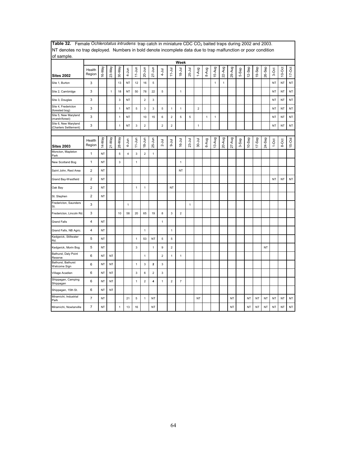| of sample.                                    |                  |           |              |                           |                |              |                |                         |                |                         |                           |              |                |              |              |              |            |       |           |           |           |           |           |            |
|-----------------------------------------------|------------------|-----------|--------------|---------------------------|----------------|--------------|----------------|-------------------------|----------------|-------------------------|---------------------------|--------------|----------------|--------------|--------------|--------------|------------|-------|-----------|-----------|-----------|-----------|-----------|------------|
|                                               |                  |           |              |                           |                |              |                |                         |                |                         | Week                      |              |                |              |              |              |            |       |           |           |           |           |           |            |
| <b>Sites 2002</b>                             | Health<br>Region | I6-May    | 23-May       | 30-May                    | $4 - Jun$      | $11 - Jun$   | $20 - Jun$     | $27 - Jun$              | $4 - J$ ul     | $11 -$ Jul              | lnr-81                    | 25-Jul       | 1-Aug          | 8-Aug        | 15-Aug       | 22-Aug       | 29-Aug     | 5-Sep | 12-Sep    | 19-Sep    | 26-Sep    | 3-Oct     | $10$ -Oct | $17 - Oct$ |
| Site 1, Burton                                | 3                |           |              | 13                        | NT             | 12           | 16             | 5                       |                |                         |                           |              |                |              | 1            | $\mathbf{1}$ |            |       |           |           |           | NT        | NT        | NT         |
| Site 2, Cambridge                             | 3                |           | $\mathbf{1}$ | 18                        | <b>NT</b>      | 50           | 78             | 22                      | $\sqrt{5}$     |                         | $\mathbf{1}$              |              |                |              |              |              |            |       |           |           |           | <b>NT</b> | NT        | NT         |
| Site 3, Douglas                               | 3                |           |              | 3                         | <b>NT</b>      |              | $\overline{2}$ | 3                       |                |                         |                           |              |                |              |              |              |            |       |           |           |           | <b>NT</b> | NT        | NT         |
| Site 4, Fredericton<br>(forested bog)         | 3                |           |              | $\mathbf{1}$              | <b>NT</b>      | $\mathbf 5$  | 3              | $\mathsf 3$             | $\,$ 5         | $\mathbf{1}$            | 1                         |              | $\overline{2}$ |              |              |              |            |       |           |           |           | <b>NT</b> | NT        | NT         |
| Site 5, New Maryland<br>(marsh/forest)        | 3                |           |              | $\mathbf{1}$              | <b>NT</b>      |              | 10             | 15                      | 6              | $\overline{2}$          | 5                         | 5            |                | $\mathbf{1}$ | $\mathbf{1}$ |              |            |       |           |           |           | <b>NT</b> | NT        | NT         |
| Site 6, New Maryland<br>(Charters Settlement) | 3                |           |              | $\mathbf{1}$              | <b>NT</b>      | 3            | $\mathbf 2$    |                         | $\overline{2}$ | $\overline{\mathbf{c}}$ |                           |              | $\mathbf{1}$   |              |              |              |            |       |           |           |           | <b>NT</b> | NT        | NT         |
|                                               |                  |           |              |                           |                |              |                |                         |                |                         |                           |              |                |              |              |              |            |       |           |           |           |           |           |            |
| <b>Sites 2003</b>                             | Health<br>Region | 14-May    | 21-May       | 28-May                    | 4-Jun          | $11 - Jun$   | $18 - Jun$     | 25-Jun                  | $2 -$ Jul      | $-4$                    | $16 - Jul$                | $23-Jul$     | $30 - Jul$     | 6-Aug        | 13-Aug       | 20-Aug       | $27 - Aug$ | 3-Sep | 10-Sep    | 17-Sep    | 24-Sep    | $1-0ct$   | 8-Oct     | $15-Oct$   |
| Moncton, Mapleton<br>Park                     | 1                | <b>NT</b> |              | 5                         | $\overline{4}$ | $\mathbf{3}$ | $\overline{2}$ | $\mathbf{1}$            |                |                         |                           |              |                |              |              |              |            |       |           |           |           |           |           |            |
| New Scotland Bog                              | $\mathbf{1}$     | NT        |              | $\ensuremath{\mathsf{3}}$ |                | $\mathbf{1}$ |                |                         |                |                         | $\mathbf{1}$              |              |                |              |              |              |            |       |           |           |           |           |           |            |
| Saint John, Rest Area                         | 2                | <b>NT</b> |              |                           |                |              |                |                         |                |                         | <b>NT</b>                 |              |                |              |              |              |            |       |           |           |           |           |           |            |
| Grand Bay-Westfield                           | $\overline{2}$   | NT        |              |                           |                |              |                |                         |                |                         |                           |              |                |              |              |              |            |       |           |           |           | <b>NT</b> | <b>NT</b> | NT         |
| Oak Bay                                       | $\overline{c}$   | NT        |              |                           |                | $\mathbf{1}$ | 1              |                         |                | NT                      |                           |              |                |              |              |              |            |       |           |           |           |           |           |            |
| St. Stephen                                   | $\overline{c}$   | NT        |              |                           |                |              |                |                         |                |                         |                           |              |                |              |              |              |            |       |           |           |           |           |           |            |
| Fredericton, Saunders<br>St.                  | 3                |           |              |                           | $\mathbf{1}$   |              |                |                         |                |                         |                           | $\mathbf{1}$ |                |              |              |              |            |       |           |           |           |           |           |            |
| Fredericton, Lincoln Rd.                      | 3                |           |              | 10                        | 58             | 20           | 65             | 19                      | 8              | 3                       | $\overline{2}$            |              |                |              |              |              |            |       |           |           |           |           |           |            |
| <b>Grand Falls</b>                            | 4                | NT        |              |                           |                |              |                |                         | $\mathbf{1}$   |                         |                           |              |                |              |              |              |            |       |           |           |           |           |           |            |
| Grand Falls, NB Agric.                        | 4                | <b>NT</b> |              |                           |                |              | $\mathbf{1}$   |                         |                | $\mathbf{1}$            |                           |              |                |              |              |              |            |       |           |           |           |           |           |            |
| Kedgwick, Stillwater<br>Rd.                   | 5                | <b>NT</b> |              |                           |                | $\mathbf{1}$ | 53             | <b>NT</b>               | $\sqrt{5}$     | 5                       |                           |              |                |              |              |              |            |       |           |           |           |           |           |            |
| Kedgwick, Morin Bog                           | 5                | NT        |              |                           |                | 3            |                | $\mathbf{1}$            | 9              | $\mathbf 2$             |                           |              |                |              |              |              |            |       |           |           | <b>NT</b> |           |           |            |
| Bathurst, Daly Point<br>Reserve               | 6                | NT        | <b>NT</b>    |                           |                |              | 1              |                         | $\overline{2}$ | $\mathbf{1}$            | $\mathbf{1}$              |              |                |              |              |              |            |       |           |           |           |           |           |            |
| Bathurst, Bathurst<br>Welcome Sign            | 6                | NT        | <b>NT</b>    |                           |                | $\mathbf{1}$ | 3              | $\mathbf 2$             | 3              |                         |                           |              |                |              |              |              |            |       |           |           |           |           |           |            |
| Village Acadien                               | 6                | NT        | NT           |                           |                | 3            | 6              | $\sqrt{2}$              | 3              |                         |                           |              |                |              |              |              |            |       |           |           |           |           |           |            |
| Shippagan, Camping<br>Shippagan               | 6                | <b>NT</b> | <b>NT</b>    |                           |                | $\mathbf{1}$ | $\overline{2}$ | $\overline{\mathbf{4}}$ | $\mathbf{1}$   | $\overline{2}$          | $\overline{\mathfrak{c}}$ |              |                |              |              |              |            |       |           |           |           |           |           |            |
| Shippagan, 15th St.                           | 6                | <b>NT</b> | <b>NT</b>    |                           |                |              |                |                         |                |                         |                           |              |                |              |              |              |            |       |           |           |           |           |           |            |
| Miramichi, Industrial<br>Park                 | $\overline{7}$   | <b>NT</b> |              |                           | 21             | $\sqrt{5}$   | $\mathbf{1}$   | <b>NT</b>               |                |                         |                           |              | NT             |              |              |              | <b>NT</b>  |       | <b>NT</b> | <b>NT</b> | NT        | <b>NT</b> | <b>NT</b> | NT         |
| Miramichi, Nowlanville                        | $\overline{7}$   | <b>NT</b> |              | $\mathbf{1}$              | 13             | 16           |                | NT                      |                |                         |                           |              |                |              |              |              | <b>NT</b>  |       | <b>NT</b> | <b>NT</b> | NT        | <b>NT</b> | NT        | NT         |

Table 32. Female *Ochlerotatus intrudens* trap catch in miniature CDC CO<sub>2</sub> baited traps during 2002 and 2003. NT denotes no trap deployed. Numbers in bold denote incomplete data due to trap malfunction or poor condition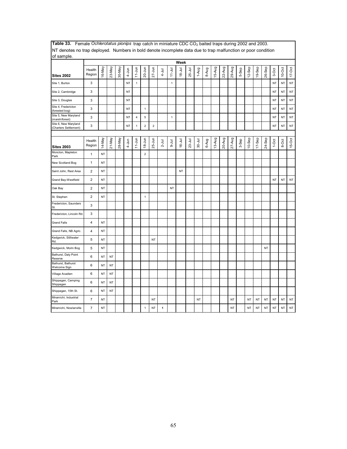| NT denotes no trap deployed. Numbers in bold denote incomplete data due to trap malfunction or poor condition |                         |           |        |        |           |                         |                |            |           |              |            |            |            |       |        |        |            |       |           |           |           |           |           |           |
|---------------------------------------------------------------------------------------------------------------|-------------------------|-----------|--------|--------|-----------|-------------------------|----------------|------------|-----------|--------------|------------|------------|------------|-------|--------|--------|------------|-------|-----------|-----------|-----------|-----------|-----------|-----------|
| of sample.                                                                                                    |                         |           |        |        |           |                         |                |            |           |              |            |            |            |       |        |        |            |       |           |           |           |           |           |           |
|                                                                                                               |                         |           |        |        |           |                         |                |            |           |              | Week       |            |            |       |        |        |            |       |           |           |           |           |           |           |
| <b>Sites 2002</b>                                                                                             | Health<br>Region        | 16-May    | 23-May | 30-May | $4 - Jun$ | $11 - Jun$              | 20-Jun         | $27 - Jun$ | $4 -$ Jul | $11 -$ Jul   | $18 - Jul$ | 25-Jul     | 1-Aug      | 8-Aug | 15-Aug | 22-Aug | 29-Aug     | 5-Sep | $12-$ Sep | 19-Sep    | 26-Sep    | 3-Oct     | $10$ -Oct | $17$ -Oct |
| Site 1, Burton                                                                                                | 3                       |           |        |        | NT        | $\mathbf{1}$            |                |            |           | $\mathbf{1}$ |            |            |            |       |        |        |            |       |           |           |           | NT        | <b>NT</b> | NT        |
| Site 2, Cambridge                                                                                             | 3                       |           |        |        | <b>NT</b> |                         |                |            |           |              |            |            |            |       |        |        |            |       |           |           |           | NT        | <b>NT</b> | NT        |
| Site 3, Douglas                                                                                               | 3                       |           |        |        | NT        |                         |                |            |           |              |            |            |            |       |        |        |            |       |           |           |           | <b>NT</b> | <b>NT</b> | NT        |
| Site 4, Fredericton<br>forested bog)                                                                          | 3                       |           |        |        | NT        |                         | $\mathbf{1}$   |            |           |              |            |            |            |       |        |        |            |       |           |           |           | NT        | NT        | NT        |
| Site 5, New Maryland<br>(marsh/forest)                                                                        | 3                       |           |        |        | NT        | $\overline{\mathbf{4}}$ | 5              |            |           | $\mathbf{1}$ |            |            |            |       |        |        |            |       |           |           |           | NT        | <b>NT</b> | <b>NT</b> |
| Site 6, New Maryland<br>(Charters Settlement)                                                                 | 3                       |           |        |        | NT        | $\mathbf{1}$            | $\mathbf 2$    | $\sqrt{2}$ |           |              |            |            |            |       |        |        |            |       |           |           |           | <b>NT</b> | <b>NT</b> | NT        |
|                                                                                                               |                         |           |        |        |           |                         |                |            |           |              |            |            |            |       |        |        |            |       |           |           |           |           |           |           |
| <b>Sites 2003</b>                                                                                             | Health<br>Region        | 14-May    | 21-May | 28-May | 4-Jun     | $11 - Jun$              | $18 - Jun$     | $25 - Jun$ | $2 -$ Jul | $9 -$ Jul    | $16 - Jul$ | $23 -$ Jul | $30 - Jul$ | 6-Aug | 13-Aug | 20-Aug | $27 - Aug$ | 3-Sep | 10-Sep    | $17-$ Sep | 24-Sep    | $1-0$ ct  | 8-Oct     | 15-Oct    |
| Moncton, Mapleton<br>Park                                                                                     | $\mathbf{1}$            | <b>NT</b> |        |        |           |                         | $\overline{2}$ |            |           |              |            |            |            |       |        |        |            |       |           |           |           |           |           |           |
| New Scotland Bog                                                                                              | $\mathbf{1}$            | <b>NT</b> |        |        |           |                         |                |            |           |              |            |            |            |       |        |        |            |       |           |           |           |           |           |           |
| Saint John, Rest Area                                                                                         | $\mathbf{2}$            | NT        |        |        |           |                         |                |            |           |              | NT         |            |            |       |        |        |            |       |           |           |           |           |           |           |
| Grand Bay-Westfield                                                                                           | $\overline{\mathbf{c}}$ | NT        |        |        |           |                         |                |            |           |              |            |            |            |       |        |        |            |       |           |           |           | <b>NT</b> | <b>NT</b> | NT        |
| Oak Bay                                                                                                       | $\overline{2}$          | NT        |        |        |           |                         |                |            |           | NT           |            |            |            |       |        |        |            |       |           |           |           |           |           |           |
| St. Stephen                                                                                                   | $\overline{c}$          | <b>NT</b> |        |        |           |                         | $\mathbf{1}$   |            |           |              |            |            |            |       |        |        |            |       |           |           |           |           |           |           |
| Fredericton, Saunders<br>St.                                                                                  | 3                       |           |        |        |           |                         |                |            |           |              |            |            |            |       |        |        |            |       |           |           |           |           |           |           |
| Fredericton, Lincoln Rd.                                                                                      | 3                       |           |        |        |           |                         |                |            |           |              |            |            |            |       |        |        |            |       |           |           |           |           |           |           |
| <b>Grand Falls</b>                                                                                            | $\pmb{4}$               | NT        |        |        |           |                         |                |            |           |              |            |            |            |       |        |        |            |       |           |           |           |           |           |           |
| Grand Falls, NB Agric.                                                                                        | 4                       | NT        |        |        |           |                         |                |            |           |              |            |            |            |       |        |        |            |       |           |           |           |           |           |           |
| Kedgwick, Stillwater<br>Rd.                                                                                   | 5                       | <b>NT</b> |        |        |           |                         |                | <b>NT</b>  |           |              |            |            |            |       |        |        |            |       |           |           |           |           |           |           |
| Kedgwick, Morin Bog                                                                                           | 5                       | NT        |        |        |           |                         |                |            |           |              |            |            |            |       |        |        |            |       |           |           | <b>NT</b> |           |           |           |
| Bathurst, Daly Point<br>Reserve                                                                               | 6                       | NT        | NT     |        |           |                         |                |            |           |              |            |            |            |       |        |        |            |       |           |           |           |           |           |           |
| Bathurst, Bathurst<br>Welcome Sign                                                                            | 6                       | NT        | NT     |        |           |                         |                |            |           |              |            |            |            |       |        |        |            |       |           |           |           |           |           |           |
| Village Acadien                                                                                               | 6                       | NT        | NT     |        |           |                         |                |            |           |              |            |            |            |       |        |        |            |       |           |           |           |           |           |           |
| Shippagan, Camping<br>Shippagan                                                                               | 6                       | NT        | NT     |        |           |                         |                |            |           |              |            |            |            |       |        |        |            |       |           |           |           |           |           |           |
| Shippagan, 15th St.                                                                                           | 6                       | NT        | NT     |        |           |                         |                |            |           |              |            |            |            |       |        |        |            |       |           |           |           |           |           |           |
| Miramichi, Industrial<br>Park                                                                                 | $\overline{7}$          | <b>NT</b> |        |        |           |                         |                | <b>NT</b>  |           |              |            |            | <b>NT</b>  |       |        |        | <b>NT</b>  |       | NT        | <b>NT</b> | <b>NT</b> | <b>NT</b> | <b>NT</b> | NT        |
| Miramichi, Nowlanville                                                                                        | $\overline{7}$          | NT        |        |        |           |                         | $\mathbf{1}$   | <b>NT</b>  | 1         |              |            |            |            |       |        |        | NT         |       | NT        | NT        | NT        | NT        | <b>NT</b> | NT        |

Table 33. Female Ochlerotatus pionips trap catch in miniature CDC CO<sub>2</sub> baited traps during 2002 and 2003.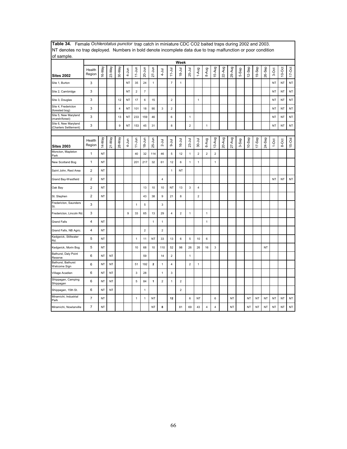| achoted no trup deployed. Transfero in bold denote incomplete data due to trup manufacture of poor condition<br>of sample. |                         |           |           |                         |           |                         |                |              |                           |                         |                |                         |                         |                         |                         |        |        |       |           |           |           |           |           |            |
|----------------------------------------------------------------------------------------------------------------------------|-------------------------|-----------|-----------|-------------------------|-----------|-------------------------|----------------|--------------|---------------------------|-------------------------|----------------|-------------------------|-------------------------|-------------------------|-------------------------|--------|--------|-------|-----------|-----------|-----------|-----------|-----------|------------|
|                                                                                                                            |                         |           |           |                         |           |                         |                |              |                           |                         | Week           |                         |                         |                         |                         |        |        |       |           |           |           |           |           |            |
| <b>Sites 2002</b>                                                                                                          | Health<br>Region        | 16-May    | 23-May    | 30-May                  | $4 - Jun$ | $11$ -Jun               | 20-Jun         | $27 - Jun$   | $4 - J$ ul                | $11 - Jul$              | $18 - Jul$     | 25-Jul                  | 1-Aug                   | 8-Aug                   | 15-Aug                  | 22-Aug | 29-Aug | 5-Sep | 12-Sep    | 19-Sep    | 26-Sep    | 3-Oct     | $10$ -Oct | $17 - Oct$ |
| Site 1, Burton                                                                                                             | 3                       |           |           |                         | NT        | 35                      | 24             | $\mathbf{1}$ |                           | $\overline{7}$          | $\mathbf{1}$   |                         |                         |                         |                         |        |        |       |           |           |           | <b>NT</b> | <b>NT</b> | NT         |
| Site 2, Cambridge                                                                                                          | 3                       |           |           |                         | <b>NT</b> | $\overline{\mathbf{c}}$ | $\overline{7}$ |              |                           |                         |                |                         |                         |                         |                         |        |        |       |           |           |           | <b>NT</b> | <b>NT</b> | NT         |
| Site 3, Douglas                                                                                                            | 3                       |           |           | 12                      | NT        | 17                      | 6              | 15           |                           | $\overline{2}$          |                |                         | 1                       |                         |                         |        |        |       |           |           |           | NT        | NT        | NT         |
| Site 4, Fredericton<br>(forested bog)                                                                                      | 3                       |           |           | $\overline{\mathbf{4}}$ | NT        | 101                     | 18             | 90           | $\ensuremath{\mathsf{3}}$ | $\mathbf 2$             |                |                         |                         |                         |                         |        |        |       |           |           |           | NT        | <b>NT</b> | NT         |
| Site 5, New Maryland<br>(marsh/forest)                                                                                     | 3                       |           |           | 13                      | NT        | 233                     | 159            | 46           |                           | 6                       |                | 1                       |                         |                         |                         |        |        |       |           |           |           | <b>NT</b> | NT        | <b>NT</b>  |
| Site 6, New Maryland<br>(Charters Settlement)                                                                              | 3                       |           |           | 9                       | <b>NT</b> | 153                     | 45             | 31           |                           | $\bf 8$                 |                | $\boldsymbol{2}$        |                         | $\mathbf{1}$            |                         |        |        |       |           |           |           | <b>NT</b> | <b>NT</b> | NT         |
|                                                                                                                            |                         |           |           |                         |           |                         |                |              |                           |                         |                |                         |                         |                         |                         |        |        |       |           |           |           |           |           |            |
| <b>Sites 2003</b>                                                                                                          | Health<br>Region        | 14-May    | 21-May    | 28-May                  | 4-Jun     | $11 - Jun$              | $18 - Jun$     | $25 - Jun$   | $2 -$ Jul                 | $9-1$ ul                | $16 - Jul$     | $23-Jul$                | $30 - Jul$              | 6-Aug                   | 13-Aug                  | 20-Aug | 27-Aug | 3-Sep | $10-$ Sep | $17-$ Sep | 24-Sep    | $1-0ct$   | 8-Oct     | 15-Oct     |
| Moncton, Mapleton<br>Park                                                                                                  | $\mathbf{1}$            | NT        |           |                         |           | 40                      | 32             | 114          | 46                        | $\mathbf 5$             | 12             | $\mathbf{1}$            | $\mathbf 2$             | $\mathbf 2$             | $\overline{2}$          |        |        |       |           |           |           |           |           |            |
| New Scotland Bog                                                                                                           | $\mathbf{1}$            | <b>NT</b> |           |                         |           | 201                     | 217            | 32           | 61                        | 12                      | 6              | 1                       | $\mathbf{1}$            |                         | $\mathbf{1}$            |        |        |       |           |           |           |           |           |            |
| Saint John, Rest Area                                                                                                      | $\overline{\mathbf{c}}$ | NT        |           |                         |           |                         |                |              |                           | $\mathbf{1}$            | NT             |                         |                         |                         |                         |        |        |       |           |           |           |           |           |            |
| Grand Bay-Westfield                                                                                                        | $\overline{2}$          | NT        |           |                         |           |                         |                |              | $\overline{\mathbf{4}}$   |                         |                |                         |                         |                         |                         |        |        |       |           |           |           | <b>NT</b> | <b>NT</b> | <b>NT</b>  |
| Oak Bay                                                                                                                    | $\overline{2}$          | NT        |           |                         |           |                         | 13             | 10           | 10                        | NT                      | 13             | 3                       | $\overline{\mathbf{4}}$ |                         |                         |        |        |       |           |           |           |           |           |            |
| St. Stephen                                                                                                                | $\overline{2}$          | NT        |           |                         |           |                         | 43             | 38           | 9                         | 21                      | 8              |                         | $\overline{2}$          |                         |                         |        |        |       |           |           |           |           |           |            |
| Fredericton, Saunders<br>St.                                                                                               | 3                       |           |           |                         |           | $\mathbf{1}$            | 5              |              | 3                         |                         |                |                         |                         |                         |                         |        |        |       |           |           |           |           |           |            |
| Fredericton, Lincoln Rd.                                                                                                   | 3                       |           |           |                         | 9         | 33                      | 65             | 13           | 29                        | $\overline{\mathbf{4}}$ | $\overline{2}$ | 1                       |                         | $\mathbf{1}$            |                         |        |        |       |           |           |           |           |           |            |
| <b>Grand Falls</b>                                                                                                         | $\overline{\mathbf{4}}$ | <b>NT</b> |           |                         |           |                         |                | 1            | 1                         |                         |                |                         |                         | $\mathbf{1}$            |                         |        |        |       |           |           |           |           |           |            |
| Grand Falls, NB Agric.                                                                                                     | 4                       | <b>NT</b> |           |                         |           |                         | $\overline{2}$ |              | $\overline{2}$            |                         |                |                         |                         |                         |                         |        |        |       |           |           |           |           |           |            |
| Kedgwick, Stillwater<br>Rd.                                                                                                | 5                       | NT        |           |                         |           | 1                       | 11             | <b>NT</b>    | 33                        | 13                      | 6              | $\mathbf 5$             | 10                      | 6                       |                         |        |        |       |           |           |           |           |           |            |
| Kedgwick, Morin Bog                                                                                                        | 5                       | NT        |           |                         |           | 10                      | 68             | 10           | 110                       | 52                      | 98             | 26                      | 26                      | 16                      | 3                       |        |        |       |           |           | NT        |           |           |            |
| Bathurst, Daly Point<br>Reserve                                                                                            | 6                       | ΝT        | NT        |                         |           |                         | 59             |              | 14                        | $\overline{2}$          |                | 1                       |                         |                         |                         |        |        |       |           |           |           |           |           |            |
| Bathurst, Bathurst<br>Welcome Sign                                                                                         | 6                       | NT        | NT        |                         |           | 51                      | 192            | $\mathbf 2$  | $\mathbf{1}$              | $\overline{4}$          |                | $\overline{\mathbf{c}}$ | $\mathbf{1}$            |                         |                         |        |        |       |           |           |           |           |           |            |
| Village Acadien                                                                                                            | 6                       | <b>NT</b> | <b>NT</b> |                         |           | 3                       | 28             |              | $\mathbf{1}$              | $\mathsf 3$             |                |                         |                         |                         |                         |        |        |       |           |           |           |           |           |            |
| Shippagan, Camping<br>Shippagan                                                                                            | 6                       | <b>NT</b> | <b>NT</b> |                         |           | 5                       | 84             | 1            | $\overline{c}$            | $\mathbf{1}$            | $\overline{c}$ |                         |                         |                         |                         |        |        |       |           |           |           |           |           |            |
| Shippagan, 15th St.                                                                                                        | 6                       | NT        | NT        |                         |           |                         | $\mathbf{1}$   |              |                           |                         | $\overline{c}$ |                         |                         |                         |                         |        |        |       |           |           |           |           |           |            |
| Miramichi, Industrial<br>Park                                                                                              | $\overline{7}$          | <b>NT</b> |           |                         |           | $\mathbf{1}$            | $\mathbf{1}$   | <b>NT</b>    |                           | 12                      |                | 6                       | NT                      |                         | $\boldsymbol{6}$        |        | NT     |       | <b>NT</b> | NT        | NT        | <b>NT</b> | <b>NT</b> | $\sf{NT}$  |
| Miramichi, Nowlanville                                                                                                     | $\overline{7}$          | NT        |           |                         |           |                         |                | <b>NT</b>    | 8                         |                         | 81             | 69                      | 43                      | $\overline{\mathbf{4}}$ | $\overline{\mathbf{4}}$ |        | NT     |       | <b>NT</b> | NT        | <b>NT</b> | <b>NT</b> | <b>NT</b> | NT         |

**Table 34.** Female *Ochlerotatus punctor* trap catch in miniature CDC CO2 baited traps during 2002 and 2003. NT denotes no trap deployed. Numbers in bold denote incomplete data due to trap malfunction or poor condition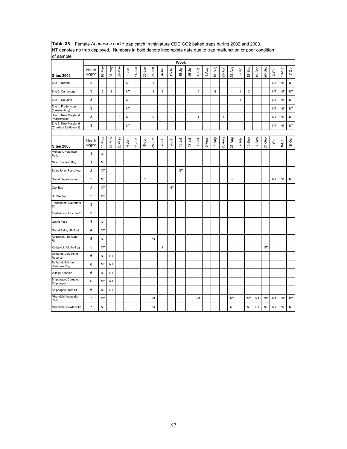| INT denotes no trap deployed. TNumbers in bold denote incomplete data due to trap maifunction or poor condition<br>of sample. |                  |                |           |              |           |            |              |              |              |            |            |          |              |       |        |              |              |              |                |        |           |           |           |          |
|-------------------------------------------------------------------------------------------------------------------------------|------------------|----------------|-----------|--------------|-----------|------------|--------------|--------------|--------------|------------|------------|----------|--------------|-------|--------|--------------|--------------|--------------|----------------|--------|-----------|-----------|-----------|----------|
|                                                                                                                               |                  |                |           |              |           |            |              |              |              |            | Week       |          |              |       |        |              |              |              |                |        |           |           |           |          |
| <b>Sites 2002</b>                                                                                                             | Health<br>Region | 16-May         | 23-May    | 30-May       | $4 - Jun$ | $11$ -Jun  | $20 - Jun$   | $27 - Jun$   | $4 - J$ ul   | $11 - Jul$ | $18 - Jul$ | 25-Jul   | 1-Aug        | 8-Aug | 15-Aug | 22-Aug       | 29-Aug       | 5-Sep        | 12-Sep         | 19-Sep | 26-Sep    | 3-Oct     | $10$ -Oct | $17-Oct$ |
| Site 1, Burton                                                                                                                | 3                |                |           |              | <b>NT</b> |            |              | $\mathbf{1}$ |              |            |            |          |              |       |        |              |              |              |                |        |           | NT        | <b>NT</b> | NT       |
| Site 2, Cambridge                                                                                                             | 3                | $\overline{2}$ | 3         |              | NT        |            |              | 4            | 1            |            | 1          | 1        | 4            |       | 6      |              |              | $\mathbf{1}$ | $\overline{2}$ |        |           | NT        | <b>NT</b> | NT       |
| Site 3, Douglas                                                                                                               | 3                |                |           |              | <b>NT</b> |            |              |              |              |            |            |          |              |       |        |              |              | $\mathbf{1}$ |                |        |           | <b>NT</b> | NT        | NT       |
| Site 4, Fredericton<br>(forested bog)                                                                                         | 3                |                |           |              | <b>NT</b> |            |              |              |              |            |            |          |              |       |        |              |              |              |                |        |           | <b>NT</b> | NT        | NT       |
| Site 5, New Maryland<br>(marsh/forest)                                                                                        | 3                |                |           | $\mathbf{1}$ | NT        |            |              | 9            |              | 3          |            |          | $\mathbf{1}$ |       |        | $\mathbf{1}$ |              |              |                |        |           | NT        | NT        | NT       |
| Site 6, New Maryland<br>(Charters Settlement)                                                                                 | 3                |                |           |              | NT        |            |              |              |              |            |            |          |              |       |        |              |              |              |                |        |           | NT        | NT        | NT       |
|                                                                                                                               |                  |                |           |              |           |            |              |              |              |            |            |          |              |       |        |              |              |              |                |        |           |           |           |          |
| <b>Sites 2003</b>                                                                                                             | Health<br>Region | 14-May         | 21-May    | 28-May       | 4-Jun     | $11 - Jun$ | $18 - Jun$   | 25-Jun       | $2 -$ Jul    | $9 -$ Jul  | $16 - Jul$ | $23-Jul$ | $30 - J$ ul  | 6-Aug | 13-Aug | 20-Aug       | 27-Aug       | 3-Sep        | $10-$ Sep      | 17-Sep | 24-Sep    | $1-0ct$   | 8-Oct     | $15-Oct$ |
| Moncton, Mapleton<br>Park                                                                                                     | 1                | <b>NT</b>      |           |              |           |            |              |              |              |            |            |          |              |       |        |              |              |              |                |        |           |           |           |          |
| New Scotland Bog                                                                                                              | $\mathbf{1}$     | <b>NT</b>      |           |              |           |            |              |              |              |            |            |          |              |       |        |              |              |              |                |        |           |           |           |          |
| Saint John, Rest Area                                                                                                         | $\mathbf 2$      | <b>NT</b>      |           |              |           |            |              |              |              |            | <b>NT</b>  |          |              |       |        |              |              |              |                |        |           |           |           |          |
| Grand Bay-Westfield                                                                                                           | $\overline{c}$   | <b>NT</b>      |           |              |           |            | $\mathbf{1}$ |              |              |            |            |          |              |       |        |              | $\mathbf{1}$ |              |                |        |           | <b>NT</b> | <b>NT</b> | NT       |
| Oak Bay                                                                                                                       | $\overline{2}$   | <b>NT</b>      |           |              |           |            |              |              |              | <b>NT</b>  |            |          |              |       |        |              |              |              |                |        |           |           |           |          |
| St. Stephen                                                                                                                   | $\overline{2}$   | NT             |           |              |           |            |              |              |              |            |            |          |              |       |        |              |              |              |                |        |           |           |           |          |
| Fredericton, Saunders<br>St.                                                                                                  | 3                |                |           |              |           |            |              |              |              |            |            |          |              |       |        |              |              |              |                |        |           |           |           |          |
| Fredericton, Lincoln Rd.                                                                                                      | 3                |                |           |              |           |            |              |              |              |            |            |          |              |       |        |              |              |              |                |        |           |           |           |          |
| <b>Grand Falls</b>                                                                                                            | 4                | <b>NT</b>      |           |              |           |            |              |              |              |            |            |          |              |       |        |              |              |              |                |        |           |           |           |          |
| Grand Falls, NB Agric.                                                                                                        | 4                | <b>NT</b>      |           |              |           |            |              |              |              |            |            |          |              |       |        |              |              |              |                |        |           |           |           |          |
| Kedgwick, Stillwater<br>Rd.                                                                                                   | 5                | <b>NT</b>      |           |              |           |            |              | <b>NT</b>    |              |            |            |          |              |       |        |              |              |              |                |        |           |           |           |          |
| Kedgwick, Morin Bog                                                                                                           | 5                | NT             |           |              |           |            |              |              | $\mathbf{1}$ |            |            |          |              |       |        |              |              |              |                |        | NT        |           |           |          |
| Bathurst, Daly Point<br>Reserve                                                                                               | 6                | NT             | NT        |              |           |            |              |              |              |            |            |          |              |       |        |              |              |              |                |        |           |           |           |          |
| Bathurst, Bathurst<br>Welcome Sign                                                                                            | 6                | <b>NT</b>      | NT        |              |           |            |              |              |              |            |            |          |              |       |        |              |              |              |                |        |           |           |           |          |
| Village Acadien                                                                                                               | 6                | NT             | NT        |              |           |            |              |              |              |            |            |          |              |       |        |              |              |              |                |        |           |           |           |          |
| Shippagan, Camping<br>Shippagan                                                                                               | 6                | <b>NT</b>      | NT        |              |           |            |              |              |              |            |            |          |              |       |        |              |              |              |                |        |           |           |           |          |
| Shippagan, 15th St.                                                                                                           | 6                | <b>NT</b>      | <b>NT</b> |              |           |            |              |              |              |            |            |          |              |       |        |              |              |              |                |        |           |           |           |          |
| Miramichi, Industrial<br>Park                                                                                                 | $\overline{7}$   | <b>NT</b>      |           |              |           |            |              | <b>NT</b>    |              |            |            |          | <b>NT</b>    |       |        |              | <b>NT</b>    |              | <b>NT</b>      | NT     | <b>NT</b> | <b>NT</b> | <b>NT</b> | NT       |
| Miramichi, Nowlanville                                                                                                        | $\overline{7}$   | <b>NT</b>      |           |              |           |            |              | <b>NT</b>    |              |            |            |          |              |       |        |              | <b>NT</b>    |              | <b>NT</b>      | NT     | <b>NT</b> | <b>NT</b> | <b>NT</b> | NT       |

**Table 35.** Female *Anopheles earlei* trap catch in miniature CDC CO2 baited traps during 2002 and 2003. NT denotes no trap deployed. Numbers in bold denote incomplete data due to trap malfunction or poor condition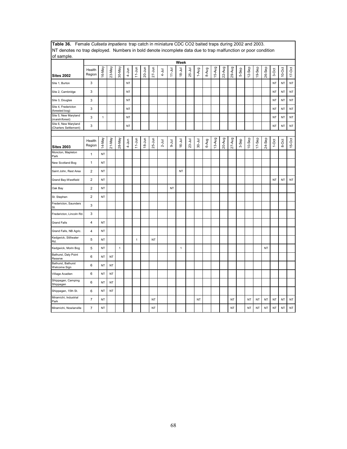| NT denotes no trap deployed. Numbers in bold denote incomplete data due to trap malfunction or poor condition<br>of sample. |                          |           |           |             |           |            |            |            |            |            |              |            |            |       |        |          |           |       |           |           |        |           |           |           |
|-----------------------------------------------------------------------------------------------------------------------------|--------------------------|-----------|-----------|-------------|-----------|------------|------------|------------|------------|------------|--------------|------------|------------|-------|--------|----------|-----------|-------|-----------|-----------|--------|-----------|-----------|-----------|
|                                                                                                                             |                          |           |           |             |           |            |            |            |            |            | Week         |            |            |       |        |          |           |       |           |           |        |           |           |           |
| <b>Sites 2002</b>                                                                                                           | Health<br>Region         | 16-May    | 23-May    | 30-May      | $4 - Jun$ | $11$ -Jun  | $20 - Jun$ | $27 - Jun$ | $4 - J$ ul | $11 - Jul$ | $18 - Jul$   | 25-Jul     | 1-Aug      | 8-Aug | 15-Aug | $22-Aug$ | 29-Aug    | 5-Sep | $12-$ Sep | 19-Sep    | 26-Sep | 3-Oct     | $10-Oct$  | $17-Oct$  |
| Site 1, Burton                                                                                                              | 3                        |           |           |             | NT        |            |            |            |            |            |              |            |            |       |        |          |           |       |           |           |        | <b>NT</b> | <b>NT</b> | NT        |
| Site 2, Cambridge                                                                                                           | 3                        |           |           |             | NT        |            |            |            |            |            |              |            |            |       |        |          |           |       |           |           |        | <b>NT</b> | NT        | NT        |
| Site 3, Douglas                                                                                                             | 3                        |           |           |             | <b>NT</b> |            |            |            |            |            |              |            |            |       |        |          |           |       |           |           |        | NT        | <b>NT</b> | NT        |
| Site 4, Fredericton<br>(forested bog)                                                                                       | 3                        |           |           |             | NT        |            |            |            |            |            |              |            |            |       |        |          |           |       |           |           |        | NT        | NT        | NT        |
| Site 5, New Maryland<br>(marsh/forest)                                                                                      | 3                        | 1         |           |             | <b>NT</b> |            |            |            |            |            |              |            |            |       |        |          |           |       |           |           |        | <b>NT</b> | <b>NT</b> | NT        |
| Site 6, New Maryland<br>Charters Settlement)                                                                                | 3                        |           |           |             | <b>NT</b> |            |            |            |            |            |              |            |            |       |        |          |           |       |           |           |        | <b>NT</b> | <b>NT</b> | $\sf{NT}$ |
|                                                                                                                             |                          |           |           |             |           |            |            |            |            |            |              |            |            |       |        |          |           |       |           |           |        |           |           |           |
| <b>Sites 2003</b>                                                                                                           | Health<br>Region         | 14-May    | 21-May    | 28-May      | 4-Jun     | $11 - Jun$ | $18 - Jun$ | $25 - Jun$ | $2 -$ Jul  | $-1$ ul    | 16-Jul       | $23 -$ Jul | $30 -$ Jul | 6-Aug | 13-Aug | 20-Aug   | $27-Aug$  | 3-Sep | $10-$ Sep | 17-Sep    | 24-Sep | $1-0ct$   | 8-Oct     | 15-Oct    |
| Moncton, Mapleton<br>Park                                                                                                   | $\mathbf{1}$             | NT        |           |             |           |            |            |            |            |            |              |            |            |       |        |          |           |       |           |           |        |           |           |           |
| New Scotland Bog                                                                                                            | $\mathbf{1}$             | NT        |           |             |           |            |            |            |            |            |              |            |            |       |        |          |           |       |           |           |        |           |           |           |
| Saint John, Rest Area                                                                                                       | $\overline{\mathbf{c}}$  | NT        |           |             |           |            |            |            |            |            | NT           |            |            |       |        |          |           |       |           |           |        |           |           |           |
| Grand Bay-Westfield                                                                                                         | $\overline{2}$           | NT        |           |             |           |            |            |            |            |            |              |            |            |       |        |          |           |       |           |           |        | NT        | NT        | NT        |
| Oak Bay                                                                                                                     | $\overline{2}$           | NT        |           |             |           |            |            |            |            | NT         |              |            |            |       |        |          |           |       |           |           |        |           |           |           |
| St. Stephen                                                                                                                 | $\overline{2}$           | <b>NT</b> |           |             |           |            |            |            |            |            |              |            |            |       |        |          |           |       |           |           |        |           |           |           |
| Fredericton, Saunders<br>St.                                                                                                | 3                        |           |           |             |           |            |            |            |            |            |              |            |            |       |        |          |           |       |           |           |        |           |           |           |
| Fredericton, Lincoln Rd.                                                                                                    | 3                        |           |           |             |           |            |            |            |            |            |              |            |            |       |        |          |           |       |           |           |        |           |           |           |
| <b>Grand Falls</b>                                                                                                          | 4                        | NT        |           |             |           |            |            |            |            |            |              |            |            |       |        |          |           |       |           |           |        |           |           |           |
| Grand Falls, NB Agric.                                                                                                      | 4                        | <b>NT</b> |           |             |           |            |            |            |            |            |              |            |            |       |        |          |           |       |           |           |        |           |           |           |
| Kedgwick, Stillwater<br>Rd.                                                                                                 | 5                        | ΝT        |           |             |           | 1          |            | NT         |            |            |              |            |            |       |        |          |           |       |           |           |        |           |           |           |
| Kedgwick, Morin Bog                                                                                                         | 5                        | NT        |           | $\mathbf 1$ |           |            |            |            |            |            | $\mathbf{1}$ |            |            |       |        |          |           |       |           |           | NT     |           |           |           |
| Bathurst, Daly Point<br>Reserve                                                                                             | 6                        | NT        | NT        |             |           |            |            |            |            |            |              |            |            |       |        |          |           |       |           |           |        |           |           |           |
| Bathurst, Bathurst<br>Welcome Sign                                                                                          | 6                        | NT        | <b>NT</b> |             |           |            |            |            |            |            |              |            |            |       |        |          |           |       |           |           |        |           |           |           |
| Village Acadien                                                                                                             | 6                        | NT        | <b>NT</b> |             |           |            |            |            |            |            |              |            |            |       |        |          |           |       |           |           |        |           |           |           |
| Shippagan, Camping<br>Shippagan                                                                                             | 6                        | NT        | NT        |             |           |            |            |            |            |            |              |            |            |       |        |          |           |       |           |           |        |           |           |           |
| Shippagan, 15th St.                                                                                                         | 6                        | ΝT        | NT        |             |           |            |            |            |            |            |              |            |            |       |        |          |           |       |           |           |        |           |           |           |
| Miramichi, Industrial<br>Park                                                                                               | $\overline{\mathcal{I}}$ | NT        |           |             |           |            |            | NT         |            |            |              |            | NT         |       |        |          | NT        |       | ΝT        | NT        | NT     | <b>NT</b> | <b>NT</b> | NT        |
| Miramichi, Nowlanville                                                                                                      | $\overline{7}$           | NT        |           |             |           |            |            | NT         |            |            |              |            |            |       |        |          | <b>NT</b> |       | NT        | <b>NT</b> | NT     | <b>NT</b> | NT        | NT        |

**Table 36.** Female *Culiseta impatiens* trap catch in miniature CDC CO2 baited traps during 2002 and 2003.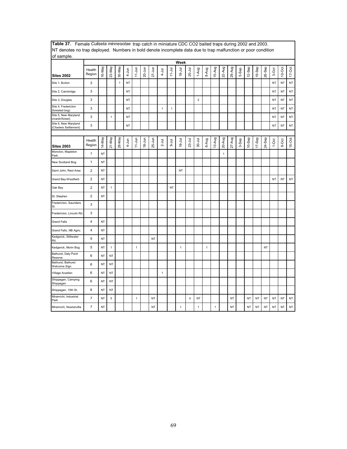| INT denotes no trap deployed. TNumbers in bold denote incomplete data due to trap maifunction or poor condition<br>of sample. |                  |           |              |              |           |              |            |            |              |              |              |          |                |              |              |              |           |       |           |           |           |           |           |            |
|-------------------------------------------------------------------------------------------------------------------------------|------------------|-----------|--------------|--------------|-----------|--------------|------------|------------|--------------|--------------|--------------|----------|----------------|--------------|--------------|--------------|-----------|-------|-----------|-----------|-----------|-----------|-----------|------------|
|                                                                                                                               |                  |           |              |              |           |              |            |            |              |              | Week         |          |                |              |              |              |           |       |           |           |           |           |           |            |
| <b>Sites 2002</b>                                                                                                             | Health<br>Region | 16-May    | 23-May       | 30-May       | 4-Jun     | $11 - Jun$   | $20 - Jun$ | $27 - Jun$ | $4 - J$ ul   | $11 - Jul$   | $18 - Jul$   | 25-Jul   | 1-Aug          | 8-Aug        | 15-Aug       | 22-Aug       | 29-Aug    | 5-Sep | 12-Sep    | 19-Sep    | 26-Sep    | 3-Oct     | $10$ -Oct | $17 - Oct$ |
| Site 1, Burton                                                                                                                | 3                |           |              | $\mathbf{1}$ | NT        |              |            |            |              |              |              |          |                |              |              |              |           |       |           |           |           | NT        | NT        | NT         |
| Site 2, Cambridge                                                                                                             | 3                |           |              |              | ΝT        |              |            |            |              |              |              |          |                |              |              |              |           |       |           |           |           | NT        | NT        | NT         |
| Site 3, Douglas                                                                                                               | 3                |           |              |              | NT        |              |            |            |              |              |              |          | $\overline{2}$ |              |              |              |           |       |           |           |           | NT        | NT        | NT         |
| Site 4, Fredericton<br>(forested bog)                                                                                         | 3                |           |              |              | NT        |              |            |            | $\mathbf{1}$ | $\mathbf{1}$ |              |          |                |              |              |              |           |       |           |           |           | <b>NT</b> | <b>NT</b> | NT         |
| Site 5, New Maryland<br>(marsh/forest)                                                                                        | 3                |           | $\mathbf{1}$ |              | <b>NT</b> |              |            |            |              |              |              |          |                |              |              |              |           |       |           |           |           | <b>NT</b> | <b>NT</b> | NT         |
| Site 6, New Maryland<br>(Charters Settlement)                                                                                 | 3                |           |              |              | <b>NT</b> |              |            |            |              |              |              |          |                |              |              |              |           |       |           |           |           | <b>NT</b> | NT        | NT         |
|                                                                                                                               |                  |           |              |              |           |              |            |            |              |              |              |          |                |              |              |              |           |       |           |           |           |           |           |            |
| <b>Sites 2003</b>                                                                                                             | Health<br>Region | 14-May    | 21-May       | 28-May       | 4-Jun     | $11 - Jun$   | $18 - Jun$ | 25-Jun     | $2 -$ Jul    | B-Jul        | $16 -$ Jul   | $23-Jul$ | $30 -$ Jul     | 6-Aug        | 13-Aug       | 20-Aug       | 27-Aug    | 3-Sep | $10-$ Sep | 17-Sep    | 24-Sep    | $1-0ct$   | 8-Oct     | $15-Oct$   |
| Moncton, Mapleton<br>Park                                                                                                     | $\mathbf{1}$     | <b>NT</b> |              |              |           |              |            |            |              |              |              |          |                |              |              | $\mathbf{1}$ |           |       |           |           |           |           |           |            |
| New Scotland Bog                                                                                                              | 1                | <b>NT</b> |              |              |           |              |            |            |              |              |              |          |                |              |              |              |           |       |           |           |           |           |           |            |
| Saint John, Rest Area                                                                                                         | $\overline{2}$   | <b>NT</b> |              |              |           |              |            |            |              |              | <b>NT</b>    |          |                |              |              |              |           |       |           |           |           |           |           |            |
| Grand Bay-Westfield                                                                                                           | 2                | <b>NT</b> |              |              |           |              |            |            |              |              |              |          |                |              |              |              |           |       |           |           |           | <b>NT</b> | <b>NT</b> | $\sf{NT}$  |
| Oak Bay                                                                                                                       | $\overline{2}$   | <b>NT</b> | $\mathbf{1}$ |              |           |              |            |            |              | <b>NT</b>    |              |          |                |              |              |              |           |       |           |           |           |           |           |            |
| St. Stephen                                                                                                                   | $\overline{c}$   | <b>NT</b> |              |              |           |              |            |            |              |              |              |          |                |              |              |              |           |       |           |           |           |           |           |            |
| Fredericton, Saunders<br>St.                                                                                                  | 3                |           |              |              |           |              |            |            |              |              |              |          |                |              |              |              |           |       |           |           |           |           |           |            |
| Fredericton, Lincoln Rd.                                                                                                      | 3                |           |              |              |           |              |            |            |              |              |              |          |                |              |              |              |           |       |           |           |           |           |           |            |
| <b>Grand Falls</b>                                                                                                            | 4                | <b>NT</b> |              |              |           |              |            |            |              |              |              |          |                |              |              |              |           |       |           |           |           |           |           |            |
| Grand Falls, NB Agric.                                                                                                        | 4                | <b>NT</b> |              |              |           |              |            |            |              |              |              |          |                |              |              |              |           |       |           |           |           |           |           |            |
| Kedgwick, Stillwater<br>Rd.                                                                                                   | 5                | <b>NT</b> |              |              |           |              |            | <b>NT</b>  |              |              |              |          |                |              |              |              |           |       |           |           |           |           |           |            |
| Kedgwick, Morin Bog                                                                                                           | 5                | <b>NT</b> | $\mathbf{1}$ |              |           | $\mathbf{1}$ |            |            |              |              | $\mathbf{1}$ |          |                | $\mathbf{1}$ |              |              |           |       |           |           | <b>NT</b> |           |           |            |
| Bathurst, Daly Point<br>Reserve                                                                                               | 6                | <b>NT</b> | NT           |              |           |              |            |            |              |              |              |          |                |              |              |              |           |       |           |           |           |           |           |            |
| Bathurst, Bathurst<br>Welcome Sign                                                                                            | 6                | <b>NT</b> | NT           |              |           |              |            |            |              |              |              |          |                |              |              |              |           |       |           |           |           |           |           |            |
| Village Acadien                                                                                                               | 6                | <b>NT</b> | <b>NT</b>    |              |           |              |            |            | 1            |              |              |          |                |              |              |              |           |       |           |           |           |           |           |            |
| Shippagan, Camping<br>Shippagan                                                                                               | 6                | <b>NT</b> | <b>NT</b>    |              |           |              |            |            |              |              |              |          |                |              |              |              |           |       |           |           |           |           |           |            |
| Shippagan, 15th St.                                                                                                           | 6                | <b>NT</b> | NT           |              |           |              |            |            |              |              |              |          |                |              |              |              |           |       |           |           |           |           |           |            |
| Miramichi, Industrial<br>Park                                                                                                 | $\overline{7}$   | NT        | 5            |              |           | $\mathbf{1}$ |            | <b>NT</b>  |              |              |              | 4        | <b>NT</b>      |              |              |              | <b>NT</b> |       | NT        | <b>NT</b> | NT        | <b>NT</b> | NT        | NT         |
| Miramichi, Nowlanville                                                                                                        | $\overline{7}$   | <b>NT</b> |              |              |           |              |            | <b>NT</b>  |              |              | $\mathbf{1}$ |          | $\mathbf{1}$   |              | $\mathbf{1}$ |              | <b>NT</b> |       | <b>NT</b> | <b>NT</b> | <b>NT</b> | <b>NT</b> | NT        | NT         |

**Table 37.** Female *Culiseta minnesotae* trap catch in miniature CDC CO2 baited traps during 2002 and 2003. NT denotes no trap deployed. Numbers in bold denote incomplete data due to trap malfunction or poor condition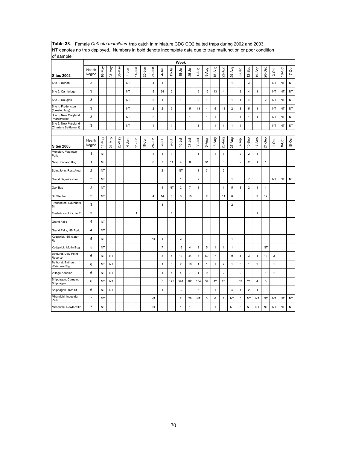| INT denotes no trap deployed. Thumbers in bold denote incomplete data due to trap maifunction or poor condition<br>of sample. |                         |           |           |        |           |              |              |                |                |                |                |                |                |                |                |                |                |                         |                         |                |                         |              |           |              |
|-------------------------------------------------------------------------------------------------------------------------------|-------------------------|-----------|-----------|--------|-----------|--------------|--------------|----------------|----------------|----------------|----------------|----------------|----------------|----------------|----------------|----------------|----------------|-------------------------|-------------------------|----------------|-------------------------|--------------|-----------|--------------|
|                                                                                                                               |                         |           |           |        |           |              |              |                |                |                | Week           |                |                |                |                |                |                |                         |                         |                |                         |              |           |              |
| <b>Sites 2002</b>                                                                                                             | Health<br>Region        | 16-May    | 23-May    | 30-May | $4 - Jun$ | $11 - Jun$   | $20 - Jun$   | $27 - Jun$     | $4 -$ Jul      | $11 - Jul$     | $18 - Jul$     | 25-Jul         | 1-Aug          | 8-Aug          | 15-Aug         | 22-Aug         | 29-Aug         | Sep<br>ය                | 12-Sep                  | 19-Sep         | 26-Sep                  | 3-Oct        | $10-Oct$  | $17-Oct$     |
| Site 1, Burton                                                                                                                | 3                       |           |           |        | NT        |              |              | 4              | 1              |                | $\mathbf{1}$   |                |                |                |                |                | 1              |                         | 3                       |                |                         | NT           | NT        | NT           |
| Site 2, Cambridge                                                                                                             | 3                       |           |           |        | NT        |              |              | 5              | 34             | $\overline{2}$ | $\mathbf{1}$   |                | 6              | 12             | 13             | $\overline{4}$ |                | $\overline{\mathbf{c}}$ | $\overline{\mathbf{4}}$ | 1              |                         | <b>NT</b>    | NT        | NT           |
| Site 3, Douglas                                                                                                               | 3                       |           |           |        | <b>NT</b> |              |              | $\overline{2}$ | $\mathbf{1}$   |                | $\mathbf{1}$   |                | $\overline{2}$ | $\mathbf{1}$   |                |                | $\mathbf{1}$   | $\overline{\mathbf{4}}$ | $\overline{4}$          |                | $\overline{2}$          | <b>NT</b>    | <b>NT</b> | NT           |
| Site 4, Fredericton<br>(forested bog)                                                                                         | 3                       |           |           |        | <b>NT</b> |              | $\mathbf{1}$ | $\overline{2}$ | $\overline{2}$ | 9              | $\mathbf{1}$   | 5              | 13             | $\overline{4}$ | 5              | 13             | $\overline{2}$ | 3                       | 5                       | $\mathbf{1}$   |                         | <b>NT</b>    | <b>NT</b> | NT           |
| Site 5, New Maryland<br>(marsh/forest)                                                                                        | 3                       |           |           |        | <b>NT</b> |              |              | $\overline{2}$ |                |                |                | $\mathbf{1}$   |                | $\mathbf{1}$   | 1              | $\mathsf 3$    |                | 1                       | $\mathbf{1}$            | 1              |                         | <b>NT</b>    | <b>NT</b> | NT           |
| Site 6, New Maryland<br>(Charters Settlement)                                                                                 | 3                       |           |           |        | NT        |              |              | $\mathbf{1}$   |                | $\mathbf{1}$   |                |                | $\mathbf{1}$   | 1              | $\mathbf{1}$   | $\mathbf{1}$   | 1              | 1                       | 1                       |                |                         | NT           | NT        | NT           |
|                                                                                                                               |                         |           |           |        |           |              |              |                |                |                |                |                |                |                |                |                |                |                         |                         |                |                         |              |           |              |
| <b>Sites 2003</b>                                                                                                             | Health<br>Region        | 14-May    | 21-May    | 28-May | 4-Jun     | $11 - Jun$   | $18 - Jun$   | 25-Jun         | $2 -$ Jul      | B-Jul          | $16 - Jul$     | $23-Jul$       | $30 -$ Jul     | 6-Aug          | 13-Aug         | 20-Aug         | 27-Aug         | 3-Sep                   | $10-$ Sep               | 17-Sep         | 24-Sep                  | $1-0ct$      | 8-Oct     | $15-Oct$     |
| Moncton, Mapleton<br>Park                                                                                                     | $\mathbf{1}$            | NT        |           |        |           |              |              | $\mathbf{1}$   | $\mathbf{1}$   | $\mathbf{1}$   | $\mathbf{1}$   |                | $\mathbf{1}$   | $\mathbf{1}$   | $\mathbf{1}$   | $\overline{7}$ |                | $\overline{\mathbf{c}}$ | $\overline{2}$          | 3              |                         |              |           |              |
| New Scotland Bog                                                                                                              | $\mathbf{1}$            | <b>NT</b> |           |        |           |              |              | 6              | $\overline{7}$ | 11             | $\overline{4}$ | 8              | 3              | 31             |                | 6              |                | $\overline{2}$          | $\overline{2}$          | $\mathbf{1}$   | $\mathbf{1}$            |              |           |              |
| Saint John, Rest Area                                                                                                         | $\overline{c}$          | <b>NT</b> |           |        |           |              |              |                | $\overline{2}$ |                | <b>NT</b>      | $\mathbf{1}$   | $\mathbf{1}$   | $\mathbf{3}$   |                | $\overline{2}$ |                |                         |                         |                |                         |              |           |              |
| Grand Bay-Westfield                                                                                                           | $\overline{\mathbf{c}}$ | <b>NT</b> |           |        |           |              |              |                |                |                | 1              |                | $\overline{c}$ |                |                |                | 1              |                         | $\overline{7}$          |                |                         | <b>NT</b>    | <b>NT</b> | NT           |
| Oak Bay                                                                                                                       | $\overline{\mathbf{c}}$ | NT        |           |        |           |              |              |                | 4              | NT             | $\overline{2}$ | 7              | $\mathbf{1}$   |                |                | $\mathbf{1}$   | $\mathbf 5$    | 3                       | $\sqrt{2}$              | $\mathbf{1}$   | $\overline{\mathbf{4}}$ |              |           | $\mathbf{1}$ |
| St. Stephen                                                                                                                   | $\overline{\mathbf{c}}$ | NT        |           |        |           |              |              | $\overline{4}$ | 14             | 6              | 6              | 10             |                | $\overline{2}$ |                | 11             | 6              |                         |                         | $\overline{c}$ | 12                      |              |           |              |
| Fredericton, Saunders<br>St.                                                                                                  | 3                       |           |           |        |           |              |              |                | 3              |                |                |                |                |                |                |                | $\overline{c}$ |                         |                         |                |                         |              |           |              |
| Fredericton, Lincoln Rd.                                                                                                      | 3                       |           |           |        |           | $\mathbf{1}$ |              |                |                | $\mathbf{1}$   |                |                |                |                |                |                |                |                         |                         | $\overline{2}$ |                         |              |           |              |
| <b>Grand Falls</b>                                                                                                            | 4                       | NT        |           |        |           |              |              |                |                |                |                |                |                |                |                |                |                |                         |                         |                |                         |              |           |              |
| Grand Falls, NB Agric.                                                                                                        | 4                       | NT        |           |        |           |              |              |                |                |                |                |                |                |                |                |                |                |                         |                         |                |                         |              |           |              |
| Kedgwick, Stillwater<br>Rd.                                                                                                   | 5                       | <b>NT</b> |           |        |           |              |              | <b>NT</b>      | $\mathbf{1}$   |                | $\overline{2}$ |                |                |                |                |                | 1              |                         |                         |                |                         |              |           |              |
| Kedgwick, Morin Bog                                                                                                           | 5                       | NT        |           |        |           |              |              |                | $\overline{7}$ |                | 13             | 4              | $\overline{c}$ | 5              | $\mathbf{1}$   | $\mathbf{1}$   | $\mathbf{1}$   |                         |                         |                | <b>NT</b>               |              |           |              |
| Bathurst, Daly Point<br>Reserve                                                                                               | 6                       | <b>NT</b> | <b>NT</b> |        |           |              |              |                | 3              | 5              | 13             | 44             | 6              | 50             | $\overline{7}$ |                | 9              | $\overline{\mathbf{4}}$ | 3                       | $\mathbf{1}$   | 13                      | 3            |           |              |
| Bathurst, Bathurst<br>Welcome Sign                                                                                            | 6                       | NT        | NT        |        |           |              |              |                | $\mathbf{1}$   | 5              | $\overline{2}$ | 16             | $\mathbf{1}$   | $\mathbf{1}$   | $\mathbf{1}$   | $\overline{2}$ | $\mathbf{1}$   | 3                       | $\mathbf{1}$            | $\overline{c}$ |                         | $\mathbf{1}$ |           |              |
| Village Acadien                                                                                                               | 6                       | NT        | NT        |        |           |              |              |                | 1              | 5              | 4              | $\overline{7}$ | $\mathbf{1}$   | 9              |                | $\overline{2}$ |                | $\overline{\mathbf{c}}$ |                         |                | $\mathbf{1}$            | 1            |           |              |
| Shippagan, Camping<br>Shippagan                                                                                               | 6                       | NT        | NT        |        |           |              |              |                | 8              | 125            | 591            | 188            | 104            | 34             | 12             | 25             |                | 52                      | 25                      | 4              | 3                       |              |           |              |
| Shippagan, 15th St.                                                                                                           | 6                       | <b>NT</b> | NT        |        |           |              |              |                | $\mathbf{1}$   |                | 3              |                | 6              |                | $\mathbf{1}$   |                | 4              | $\mathbf{1}$            | $\overline{2}$          | $\mathbf{1}$   |                         |              |           |              |
| Miramichi, Industrial<br>Park                                                                                                 | $\overline{7}$          | NT        |           |        |           |              |              | <b>NT</b>      |                |                | $\overline{2}$ | 28             | NT             | 3              | 6              | $\mathbf{1}$   | <b>NT</b>      | 5                       | NT                      | NT             | NT                      | <b>NT</b>    | NT        | NT           |
| Miramichi, Nowlanville                                                                                                        | $\overline{7}$          | NT        |           |        |           |              |              | <b>NT</b>      |                |                | $\mathbf{1}$   | $\mathbf{1}$   |                |                | 1              |                | NT             | 3                       | <b>NT</b>               | <b>NT</b>      | <b>NT</b>               | <b>NT</b>    | NT        | NT           |

**Table 38.** Female *Culiseta morsitans* trap catch in miniature CDC CO2 baited traps during 2002 and 2003. NT denotes no trap deployed. Numbers in bold denote incomplete data due to trap malfunction or poor condition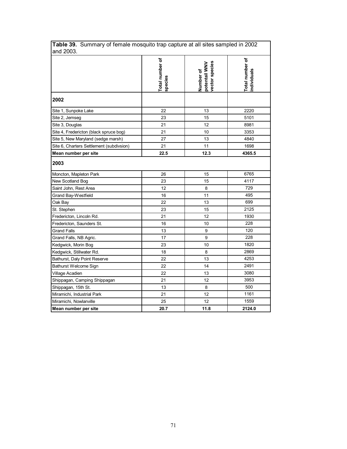| <b>Table 39.</b> Summary of female mosquito trap capture at all sites sampled in 2002<br>and 2003. |                            |                                              |                               |
|----------------------------------------------------------------------------------------------------|----------------------------|----------------------------------------------|-------------------------------|
|                                                                                                    | Total number of<br>species | vector species<br>potentail WNV<br>Number of | Total number of<br>ndividuals |
| 2002                                                                                               |                            |                                              |                               |
| Site 1, Sunpoke Lake                                                                               | 22                         | 13                                           | 2220                          |
| Site 2, Jemseg                                                                                     | 23                         | 15                                           | 5101                          |
| Site 3, Douglas                                                                                    | 21                         | 12                                           | 8981                          |
| Site 4, Fredericton (black spruce bog)                                                             | 21                         | 10                                           | 3353                          |
| Site 5, New Maryland (sedge marsh)                                                                 | 27                         | 13                                           | 4840                          |
| Site 6, Charters Settlement (subdivsion)                                                           | 21                         | 11                                           | 1698                          |
| Mean number per site                                                                               | 22.5                       | 12.3                                         | 4365.5                        |
| 2003                                                                                               |                            |                                              |                               |
| Moncton, Mapleton Park                                                                             | 26                         | 15                                           | 6765                          |
| New Scotland Bog                                                                                   | 23                         | 15                                           | 4117                          |
| Saint John, Rest Area                                                                              | 12                         | 8                                            | 729                           |
| Grand Bay-Westfield                                                                                | 16                         | 11                                           | 495                           |
| Oak Bay                                                                                            | 22                         | 13                                           | 699                           |
| St. Stephen                                                                                        | 23                         | 15                                           | 2125                          |
| Fredericton, Lincoln Rd.                                                                           | 21                         | 12                                           | 1930                          |
| Fredericton, Saunders St.                                                                          | 16                         | 10                                           | 228                           |
| <b>Grand Falls</b>                                                                                 | 13                         | 9                                            | 120                           |
| Grand Falls, NB Agric.                                                                             | 17                         | 9                                            | 228                           |
| Kedgwick, Morin Bog                                                                                | 23                         | 10                                           | 1820                          |
| Kedgwick, Stillwater Rd.                                                                           | 18                         | 8                                            | 2869                          |
| Bathurst, Daly Point Reserve                                                                       | 22                         | 13                                           | 4253                          |
| Bathurst Welcome Sign                                                                              | 22                         | 14                                           | 2491                          |
| Village Acadien                                                                                    | 22                         | 13                                           | 3080                          |
| Shippagan, Camping Shippagan                                                                       | 21                         | 12                                           | 3953                          |
| Shippagan, 15th St.                                                                                | 13                         | 8                                            | 500                           |
| Miramichi, Industrial Park                                                                         | 21                         | 12                                           | 1161                          |
| Miramichi, Nowlanville                                                                             | 25                         | 12                                           | 1559                          |
| Mean number per site                                                                               | 20.7                       | 11.8                                         | 2124.0                        |

**Table 39.** Summary of female mosquito trap capture at all sites sampled in 2002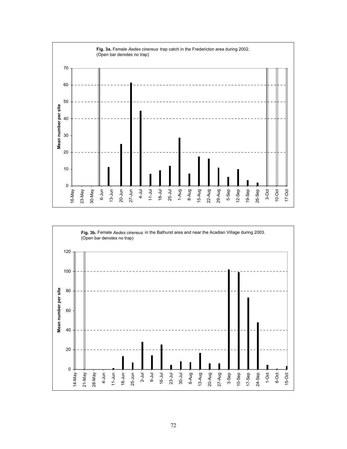

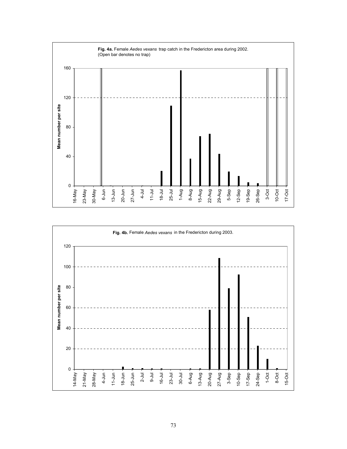

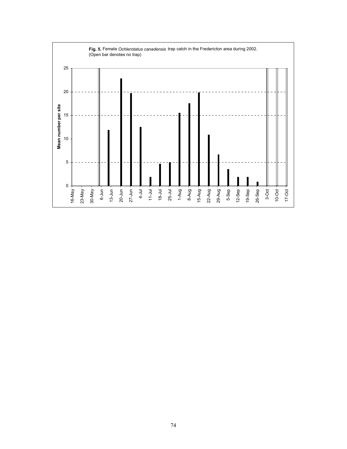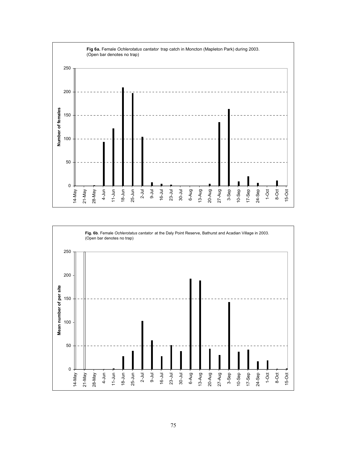

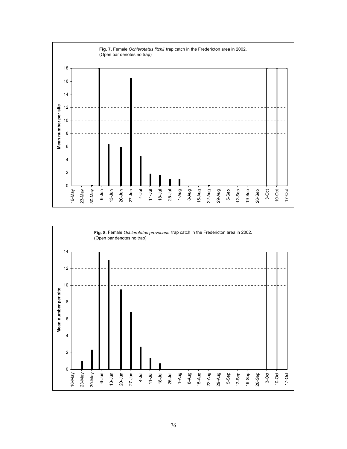

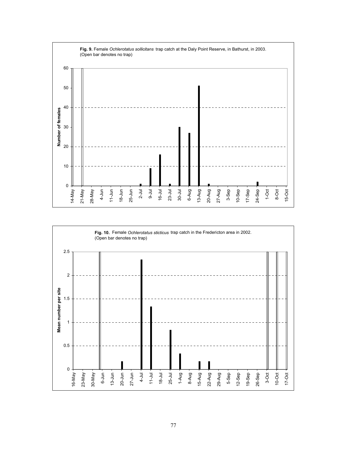

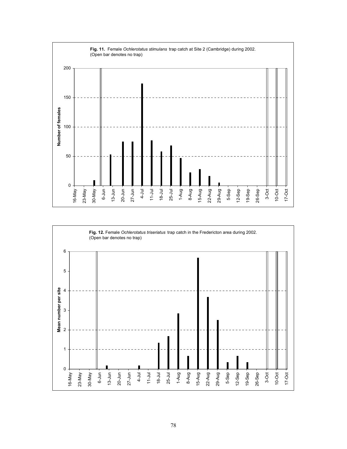

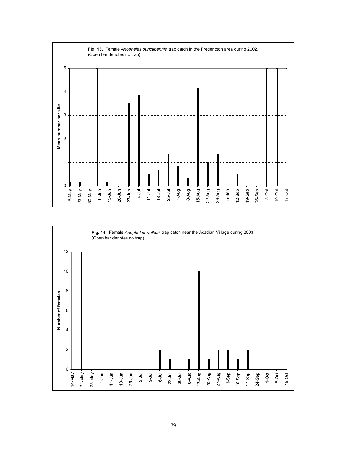

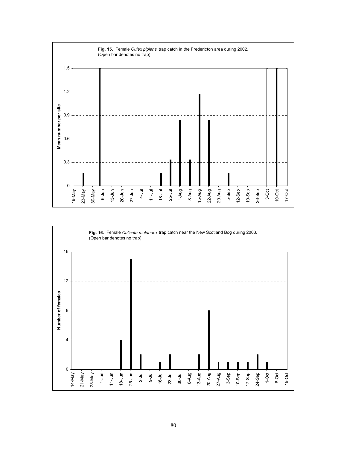

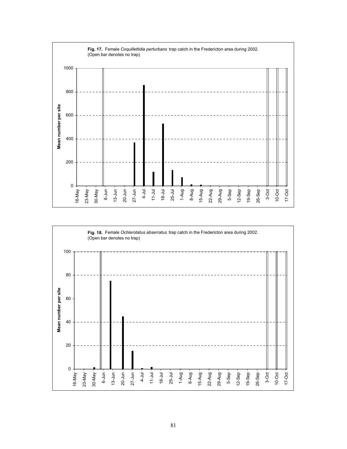

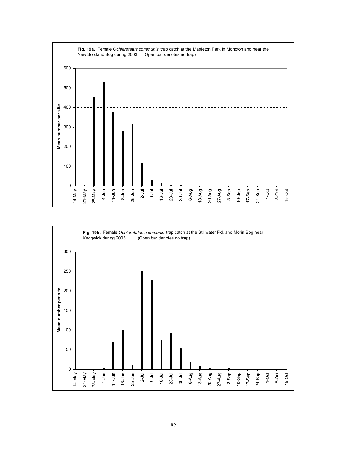

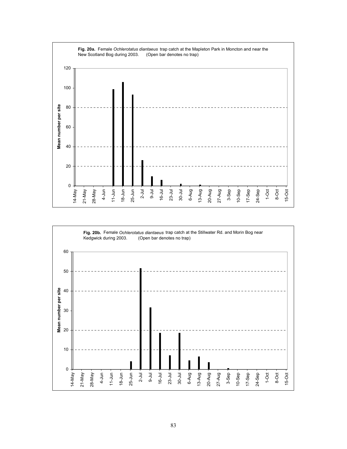

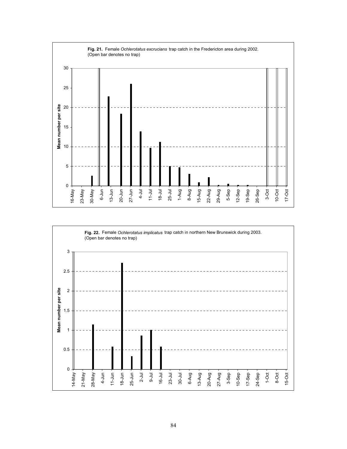

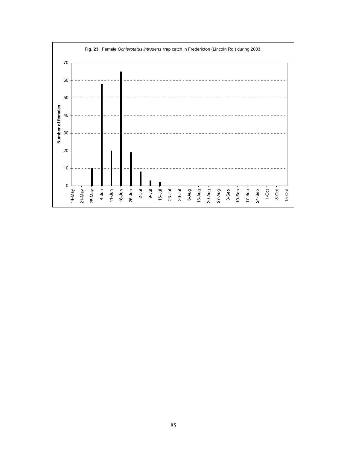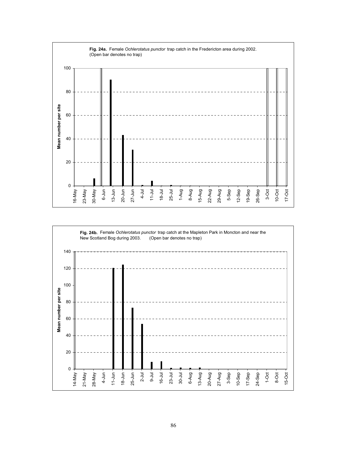

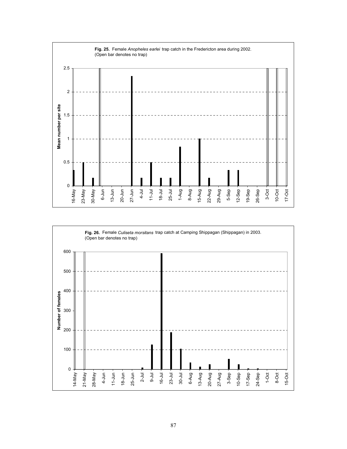

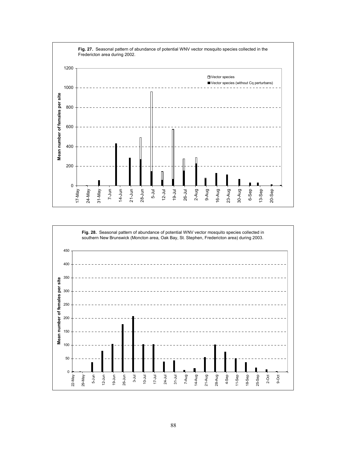

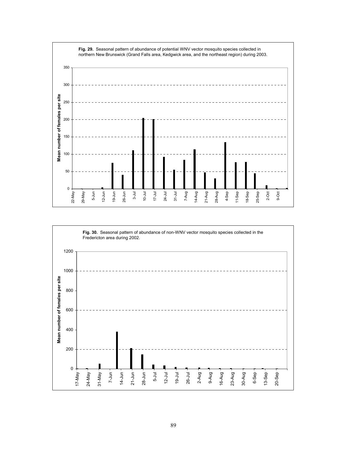

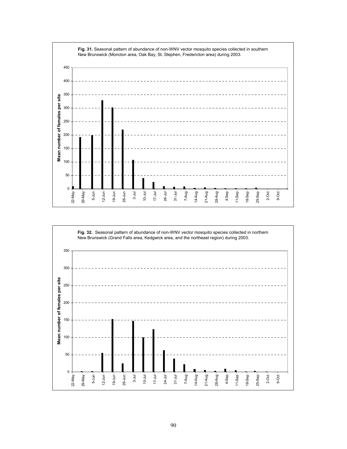

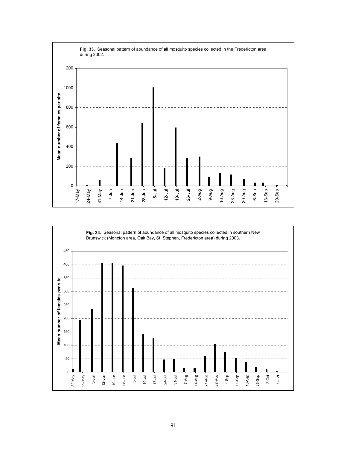